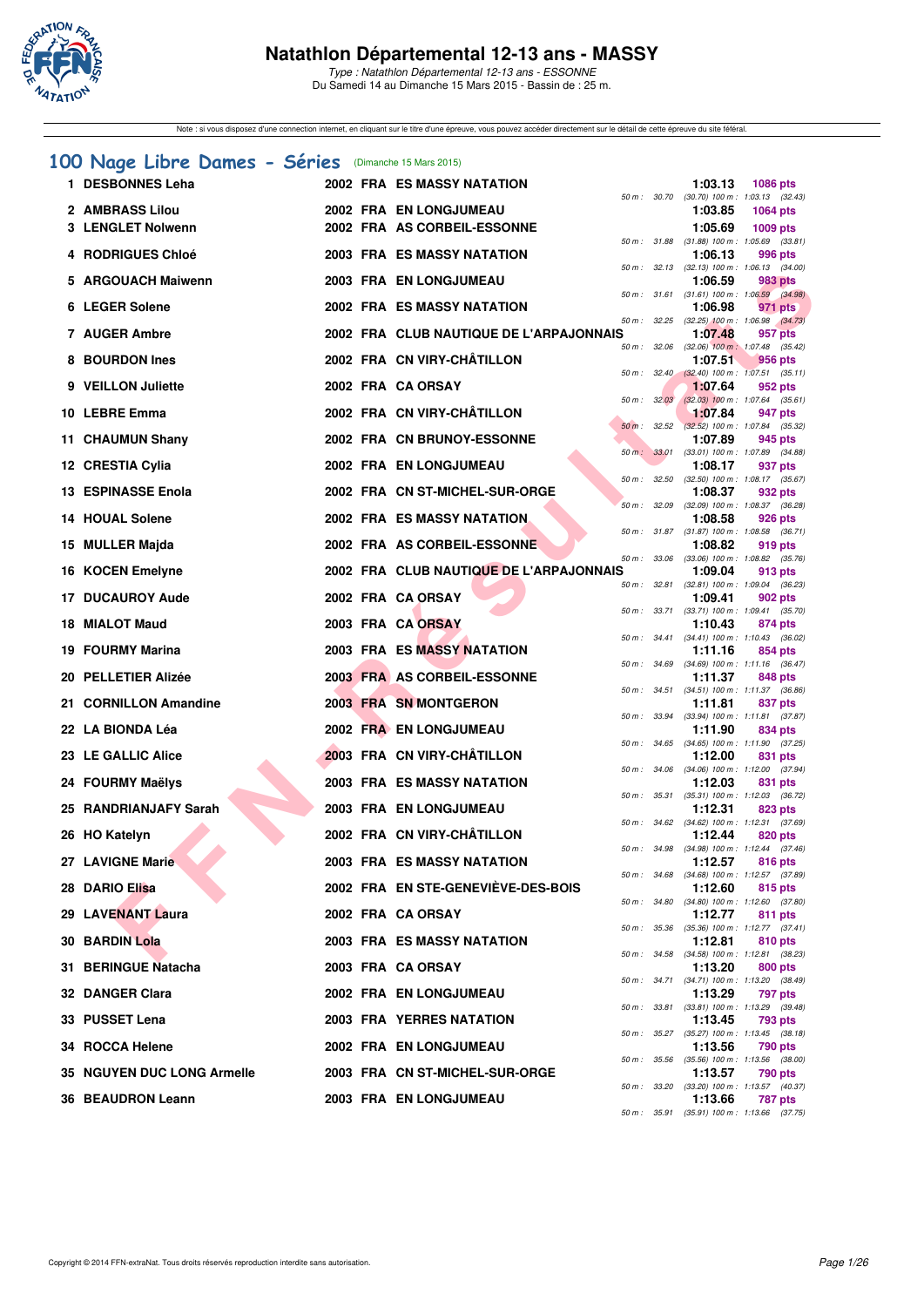

Type : Natathlon Départemental 12-13 ans - ESSONNE Du Samedi 14 au Dimanche 15 Mars 2015 - Bassin de : 25 m.

Note : si vous disposez d'une connection internet, en cliquant sur le titre d'une épreuve, vous pouvez accéder directement sur le détail de cette épreuve du site féféral.

## **[100 Nage Libre Dames - Séries](http://www.ffnatation.fr/webffn/resultats.php?idact=nat&go=epr&idcpt=30327&idepr=2)** (Dimanche 15 Mars 2015)

| 1 DESBONNES Leha           |  | 2002 FRA ES MASSY NATATION              |                        | 1:03.13 | <b>1086 pts</b>                                         |
|----------------------------|--|-----------------------------------------|------------------------|---------|---------------------------------------------------------|
| 2 AMBRASS Lilou            |  | 2002 FRA EN LONGJUMEAU                  | 50 m : 30.70           | 1:03.85 | $(30.70)$ 100 m : 1:03.13 $(32.43)$<br><b>1064 pts</b>  |
| 3 LENGLET Nolwenn          |  | 2002 FRA AS CORBEIL-ESSONNE             |                        | 1:05.69 | 1009 pts                                                |
| <b>4 RODRIGUES Chloé</b>   |  | <b>2003 FRA ES MASSY NATATION</b>       |                        | 1:06.13 | 50 m: 31.88 (31.88) 100 m: 1:05.69 (33.81)<br>996 pts   |
|                            |  |                                         | 50 m: 32.13            |         | $(32.13)$ 100 m : 1:06.13 $(34.00)$                     |
| 5 ARGOUACH Maiwenn         |  | <b>2003 FRA EN LONGJUMEAU</b>           | 50 m : 31.61           | 1:06.59 | 983 pts<br>$(31.61)$ 100 m : 1:06.59 $(34.98)$          |
| 6 LEGER Solene             |  | 2002 FRA ES MASSY NATATION              |                        | 1:06.98 | 971 pts                                                 |
| 7 AUGER Ambre              |  | 2002 FRA CLUB NAUTIQUE DE L'ARPAJONNAIS |                        | 1:07.48 | 50 m : 32.25 (32.25) 100 m : 1:06.98 (34.73)<br>957 pts |
| 8 BOURDON Ines             |  | 2002 FRA CN VIRY-CHÂTILLON              | 50 m: 32.06            | 1:07.51 | $(32.06)$ 100 m : 1:07.48 $(35.42)$<br>956 pts          |
|                            |  |                                         |                        |         | 50 m : 32.40 (32.40) 100 m : 1:07.51 (35.11)            |
| 9 VEILLON Juliette         |  | 2002 FRA CA ORSAY                       | 50 m: 32.03            | 1:07.64 | 952 pts<br>$(32.03)$ 100 m : 1:07.64 $(35.61)$          |
| 10 LEBRE Emma              |  | 2002 FRA CN VIRY-CHÂTILLON              |                        | 1:07.84 | 947 pts                                                 |
| 11 CHAUMUN Shany           |  | 2002 FRA CN BRUNOY-ESSONNE              | $50 \text{ m}$ : 32.52 | 1:07.89 | $(32.52)$ 100 m : 1:07.84 $(35.32)$<br>945 pts          |
| 12 CRESTIA Cylia           |  | 2002 FRA EN LONGJUMEAU                  | 50 m : 33.01           | 1:08.17 | $(33.01)$ 100 m : 1:07.89 $(34.88)$<br>937 pts          |
| <b>13 ESPINASSE Enola</b>  |  | 2002 FRA CN ST-MICHEL-SUR-ORGE          | 50 m: 32.50            |         | $(32.50)$ 100 m : 1:08.17 $(35.67)$                     |
|                            |  |                                         | 50 m : 32.09           | 1:08.37 | 932 pts<br>$(32.09)$ 100 m : 1:08.37 $(36.28)$          |
| <b>14 HOUAL Solene</b>     |  | <b>2002 FRA ES MASSY NATATION.</b>      |                        | 1:08.58 | 926 pts<br>50 m: 31.87 (31.87) 100 m: 1:08.58 (36.71)   |
| 15 MULLER Majda            |  | 2002 FRA AS CORBEIL-ESSONNE             |                        | 1:08.82 | 919 pts                                                 |
| 16 KOCEN Emelyne           |  | 2002 FRA CLUB NAUTIQUE DE L'ARPAJONNAIS |                        | 1:09.04 | 50 m : 33.06 (33.06) 100 m : 1:08.82 (35.76)<br>913 pts |
| <b>17 DUCAUROY Aude</b>    |  | 2002 FRA CA ORSAY                       | 50 m : 32.81           | 1:09.41 | $(32.81)$ 100 m : 1:09.04 $(36.23)$<br>902 pts          |
|                            |  |                                         |                        |         | 50 m: 33.71 (33.71) 100 m: 1:09.41 (35.70)              |
| 18 MIALOT Maud             |  | 2003 FRA CA ORSAY                       |                        | 1:10.43 | 874 pts<br>50 m: 34.41 (34.41) 100 m: 1:10.43 (36.02)   |
| 19 FOURMY Marina           |  | <b>2003 FRA ES MASSY NATATION</b>       | 50 m : 34.69           | 1:11.16 | 854 pts<br>$(34.69)$ 100 m : 1:11.16 $(36.47)$          |
| 20 PELLETIER Alizée        |  | 2003 FRA AS CORBEIL-ESSONNE             |                        | 1:11.37 | 848 pts                                                 |
| 21 CORNILLON Amandine      |  | 2003 FRA SN MONTGERON                   |                        | 1:11.81 | 50 m: 34.51 (34.51) 100 m: 1:11.37 (36.86)<br>837 pts   |
| 22 LA BIONDA Léa           |  | 2002 FRA EN LONGJUMEAU                  | 50 m : 33.94           | 1:11.90 | $(33.94)$ 100 m : 1:11.81 $(37.87)$<br>834 pts          |
|                            |  | 2003 FRA CN VIRY-CHÂTILLON              | 50 m : 34.65           |         | $(34.65)$ 100 m : 1:11.90 $(37.25)$                     |
| 23 LE GALLIC Alice         |  |                                         | 50 m : 34.06           | 1:12.00 | 831 pts<br>$(34.06)$ 100 m : 1:12.00 $(37.94)$          |
| 24 FOURMY Maëlys           |  | <b>2003 FRA ES MASSY NATATION</b>       | 50 m : 35.31           | 1:12.03 | 831 pts<br>$(35.31)$ 100 m : 1:12.03 $(36.72)$          |
| 25 RANDRIANJAFY Sarah      |  | 2003 FRA EN LONGJUMEAU                  |                        | 1:12.31 | 823 pts                                                 |
| 26 HO Katelyn              |  | 2002 FRA CN VIRY-CHÂTILLON              |                        | 1:12.44 | 50 m: 34.62 (34.62) 100 m: 1:12.31 (37.69)<br>820 pts   |
| 27 LAVIGNE Marie           |  | 2003 FRA ES MASSY NATATION              |                        | 1:12.57 | 50 m: 34.98 (34.98) 100 m: 1:12.44 (37.46)<br>816 pts   |
|                            |  |                                         | 50 m : 34.68           |         | (34.68) 100 m : 1:12.57 (37.89)                         |
| 28 DARIO Elisa             |  | 2002 FRA EN STE-GENEVIÈVE-DES-BOIS      | 50 m : 34.80           | 1:12.60 | 815 pts<br>$(34.80)$ 100 m : 1:12.60 $(37.80)$          |
| 29 LAVENANT Laura          |  | 2002 FRA CA ORSAY                       | 50 m : 35.36           | 1:12.77 | 811 pts<br>(35.36) 100 m: 1:12.77 (37.41)               |
| 30 BARDIN Lola             |  | <b>2003 FRA ES MASSY NATATION</b>       |                        | 1:12.81 | 810 pts                                                 |
| 31 BERINGUE Natacha        |  | 2003 FRA CA ORSAY                       |                        | 1:13.20 | 50 m: 34.58 (34.58) 100 m: 1:12.81 (38.23)<br>800 pts   |
| 32 DANGER Clara            |  | 2002 FRA EN LONGJUMEAU                  |                        | 1:13.29 | 50 m: 34.71 (34.71) 100 m: 1:13.20 (38.49)<br>797 pts   |
|                            |  |                                         |                        |         | 50 m: 33.81 (33.81) 100 m: 1:13.29 (39.48)              |
| 33 PUSSET Lena             |  | <b>2003 FRA YERRES NATATION</b>         |                        | 1:13.45 | 793 pts<br>50 m: 35.27 (35.27) 100 m: 1:13.45 (38.18)   |
| 34 ROCCA Helene            |  | 2002 FRA EN LONGJUMEAU                  |                        | 1:13.56 | 790 pts                                                 |
| 35 NGUYEN DUC LONG Armelle |  | 2003 FRA CN ST-MICHEL-SUR-ORGE          | 50 m : 35.56           | 1:13.57 | $(35.56)$ 100 m : 1:13.56 $(38.00)$<br>790 pts          |
| 36 BEAUDRON Leann          |  | 2003 FRA EN LONGJUMEAU                  | 50 m : 33.20           | 1:13.66 | (33.20) 100 m: 1:13.57 (40.37)<br>787 pts               |
|                            |  |                                         |                        |         | 50 m: 35.91 (35.91) 100 m: 1:13.66 (37.75)              |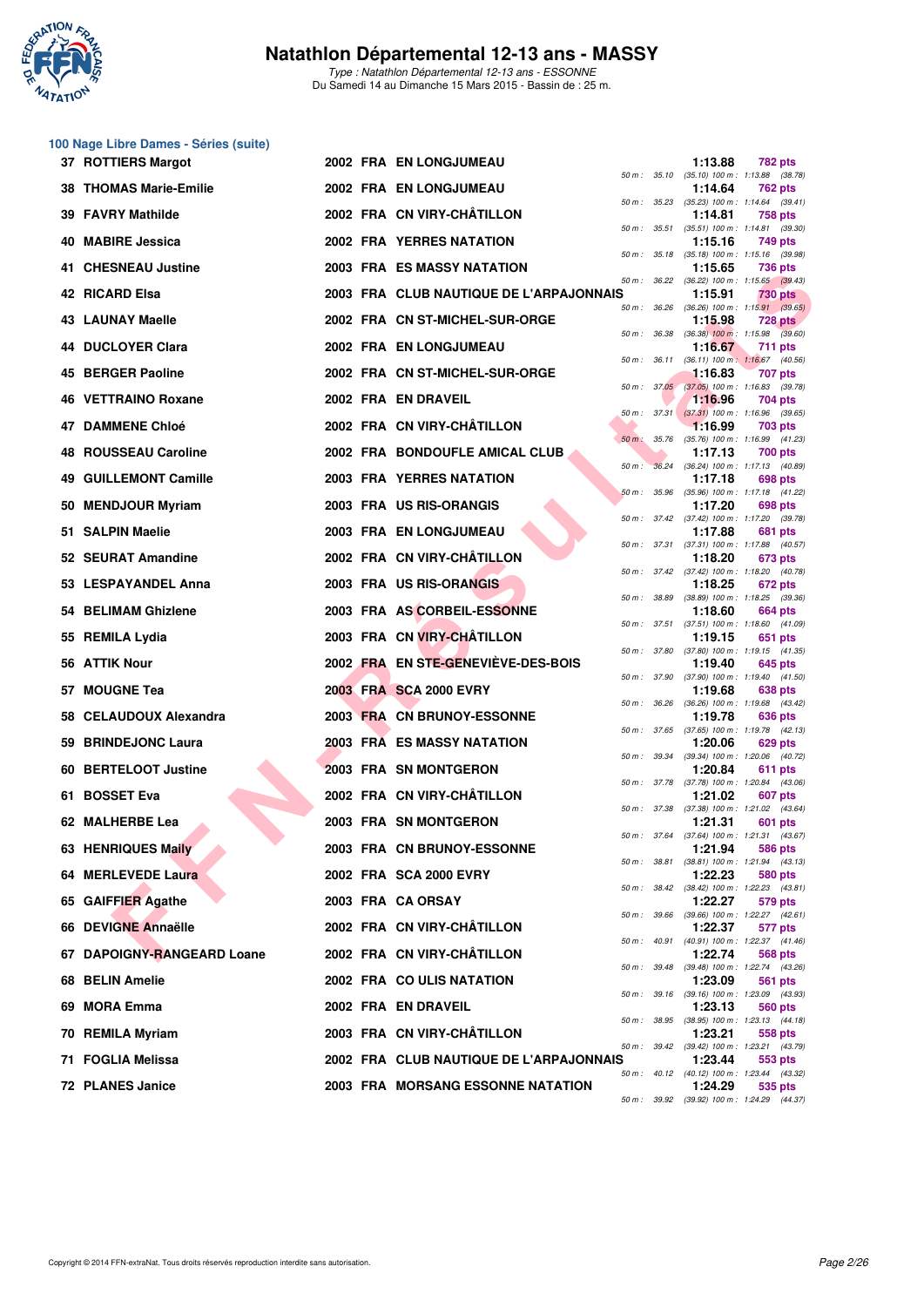

Type : Natathlon Départemental 12-13 ans - ESSONNE Du Samedi 14 au Dimanche 15 Mars 2015 - Bassin de : 25 m.

#### **100 Nage Libre Dames - Séries (suite)**

|     | 37 ROTTIERS Margot            |  | <b>2002 FRA EN LONGJUMEAU</b>           |              |              | 1:13.88 | 782 pts                                                 |
|-----|-------------------------------|--|-----------------------------------------|--------------|--------------|---------|---------------------------------------------------------|
|     | <b>38 THOMAS Marie-Emilie</b> |  | 2002 FRA EN LONGJUMEAU                  |              |              | 1:14.64 | 50 m: 35.10 (35.10) 100 m: 1:13.88 (38.78)<br>762 pts   |
| 39  | <b>FAVRY Mathilde</b>         |  | 2002 FRA CN VIRY-CHÂTILLON              | 50 m: 35.23  |              | 1:14.81 | $(35.23)$ 100 m : 1:14.64 $(39.41)$<br>758 pts          |
| 40. | <b>MABIRE Jessica</b>         |  | <b>2002 FRA YERRES NATATION</b>         |              | 50 m : 35.51 | 1:15.16 | $(35.51)$ 100 m : 1:14.81 $(39.30)$<br>749 pts          |
| 41. | <b>CHESNEAU Justine</b>       |  | 2003 FRA ES MASSY NATATION              |              |              | 1:15.65 | 50 m: 35.18 (35.18) 100 m: 1:15.16 (39.98)<br>736 pts   |
|     | 42 RICARD Elsa                |  | 2003 FRA CLUB NAUTIQUE DE L'ARPAJONNAIS | 50 m: 36.22  |              | 1:15.91 | $(36.22)$ 100 m : 1:15.65 $(39.43)$<br>730 pts          |
|     | 43 LAUNAY Maelle              |  | 2002 FRA CN ST-MICHEL-SUR-ORGE          | 50 m : 36.26 |              | 1:15.98 | $(36.26)$ 100 m : 1:15.91 $(39.65)$<br><b>728 pts</b>   |
|     | <b>44 DUCLOYER Clara</b>      |  | 2002 FRA EN LONGJUMEAU                  | 50 m : 36.38 |              | 1:16.67 | $(36.38)$ 100 m : 1:15.98 $(39.60)$<br>711 pts          |
|     | 45 BERGER Paoline             |  | 2002 FRA CN ST-MICHEL-SUR-ORGE          |              | 50 m : 36.11 | 1:16.83 | $(36.11)$ 100 m : 1:16.67 $(40.56)$<br>707 pts          |
|     | 46 VETTRAINO Roxane           |  | 2002 FRA EN DRAVEIL                     |              | 50 m: 37.05  | 1:16.96 | $(37.05)$ 100 m : 1:16.83 $(39.78)$<br>704 pts          |
| 47  | <b>DAMMENE Chloé</b>          |  | 2002 FRA CN VIRY-CHÂTILLON              |              |              | 1:16.99 | 50 m: 37.31 (37.31) 100 m: 1:16.96 (39.65)<br>703 pts   |
| 48  | <b>ROUSSEAU Caroline</b>      |  | 2002 FRA BONDOUFLE AMICAL CLUB          | $50 m$ :     | 35.76        | 1:17.13 | (35.76) 100 m: 1:16.99 (41.23)<br>700 pts               |
|     | <b>49 GUILLEMONT Camille</b>  |  | <b>2003 FRA YERRES NATATION</b>         | $50 m$ :     |              | 1:17.18 | 36.24 (36.24) 100 m : 1:17.13 (40.89)<br>698 pts        |
|     | 50 MENDJOUR Myriam            |  | 2003 FRA US RIS-ORANGIS                 | 50 m: 35.96  |              | 1:17.20 | (35.96) 100 m: 1:17.18 (41.22)<br>698 pts               |
|     | 51 SALPIN Maelie              |  | 2003 FRA EN LONGJUMEAU                  |              | 50 m : 37.42 | 1:17.88 | $(37.42)$ 100 m : 1:17.20 $(39.78)$<br>681 pts          |
|     | 52 SEURAT Amandine            |  | 2002 FRA CN VIRY-CHÂTILLON              |              | 50 m : 37.31 | 1:18.20 | $(37.31)$ 100 m : 1:17.88 $(40.57)$<br>673 pts          |
|     | 53 LESPAYANDEL Anna           |  | 2003 FRA US RIS-ORANGIS                 |              |              | 1:18.25 | 50 m: 37.42 (37.42) 100 m: 1:18.20 (40.78)<br>672 pts   |
| 54  | <b>BELIMAM Ghizlene</b>       |  | 2003 FRA AS CORBEIL-ESSONNE             |              | 50 m : 38.89 | 1:18.60 | $(38.89)$ 100 m : 1:18.25 $(39.36)$<br><b>664 pts</b>   |
|     | 55 REMILA Lydia               |  | 2003 FRA CN VIRY-CHÂTILLON              |              |              | 1:19.15 | 50 m: 37.51 (37.51) 100 m: 1:18.60 (41.09)<br>651 pts   |
| 56  | <b>ATTIK Nour</b>             |  | 2002 FRA EN STE-GENEVIEVE-DES-BOIS      |              | 50 m : 37.80 | 1:19.40 | $(37.80)$ 100 m : 1:19.15 $(41.35)$<br>645 pts          |
|     | 57 MOUGNE Tea                 |  | 2003 FRA SCA 2000 EVRY                  | 50 m: 37.90  |              | 1:19.68 | (37.90) 100 m: 1:19.40 (41.50)<br>638 pts               |
| 58  | <b>CELAUDOUX Alexandra</b>    |  | 2003 FRA CN BRUNOY-ESSONNE              | 50 m: 36.26  |              | 1:19.78 | (36.26) 100 m: 1:19.68 (43.42)<br>636 pts               |
|     | 59 BRINDEJONC Laura           |  | 2003 FRA ES MASSY NATATION              |              |              | 1:20.06 | 50 m: 37.65 (37.65) 100 m: 1:19.78 (42.13)<br>629 pts   |
| 60. | <b>BERTELOOT Justine</b>      |  | 2003 FRA SN MONTGERON                   | 50 m : 39.34 |              | 1:20.84 | (39.34) 100 m: 1:20.06 (40.72)<br>611 pts               |
|     | 61 BOSSET Eva                 |  | 2002 FRA CN VIRY-CHÂTILLON              |              |              | 1:21.02 | 50 m: 37.78 (37.78) 100 m: 1:20.84 (43.06)<br>607 pts   |
|     | 62 MALHERBE Lea               |  | 2003 FRA SN MONTGERON                   | 50 m : 37.38 |              | 1:21.31 | $(37.38)$ 100 m : 1:21.02 $(43.64)$<br>601 pts          |
|     | 63 HENRIQUES Maily            |  | 2003 FRA CN BRUNOY-ESSONNE              | 50 m : 37.64 |              | 1:21.94 | $(37.64)$ 100 m : 1:21.31 $(43.67)$<br>586 pts          |
|     | 64 MERLEVEDE Laura            |  | 2002 FRA SCA 2000 EVRY                  |              | 50 m : 38.81 | 1:22.23 | $(38.81)$ 100 m : 1:21.94 $(43.13)$<br>580 pts          |
|     | 65 GAIFFIER Agathe            |  | 2003 FRA CA ORSAY                       |              |              | 1:22.27 | 50 m: 38.42 (38.42) 100 m: 1:22.23 (43.81)<br>579 pts   |
| 66. | <b>DEVIGNE Annaëlle</b>       |  | 2002 FRA CN VIRY-CHATILLON              |              | 50 m : 39.66 | 1:22.37 | $(39.66)$ 100 m : 1:22.27 $(42.61)$<br>577 pts          |
|     | 67 DAPOIGNY-RANGEARD Loane    |  | 2002 FRA CN VIRY-CHATILLON              |              |              | 1:22.74 | 50 m: 40.91 (40.91) 100 m: 1:22.37 (41.46)<br>568 pts   |
|     | 68 BELIN Amelie               |  | 2002 FRA COULIS NATATION                | 50 m : 39.48 |              | 1:23.09 | (39.48) 100 m: 1:22.74 (43.26)<br>561 pts               |
| 69. | <b>MORA Emma</b>              |  | 2002 FRA EN DRAVEIL                     |              | 50 m : 39.16 | 1:23.13 | (39.16) 100 m : 1:23.09 (43.93)<br>560 pts              |
| 70  | <b>REMILA Myriam</b>          |  | 2003 FRA CN VIRY-CHÂTILLON              | 50 m : 38.95 |              | 1:23.21 | $(38.95)$ 100 m : 1:23.13 $(44.18)$<br>558 pts          |
| 71  | <b>FOGLIA Melissa</b>         |  | 2002 FRA CLUB NAUTIQUE DE L'ARPAJONNAIS |              |              | 1:23.44 | 50 m: 39.42 (39.42) 100 m: 1:23.21 (43.79)<br>553 pts   |
| 72  | <b>PLANES Janice</b>          |  | 2003 FRA MORSANG ESSONNE NATATION       |              |              | 1:24.29 | 50 m : 40.12 (40.12) 100 m : 1:23.44 (43.32)<br>535 pts |
|     |                               |  |                                         |              |              |         | 50 m: 39.92 (39.92) 100 m: 1:24.29 (44.37)              |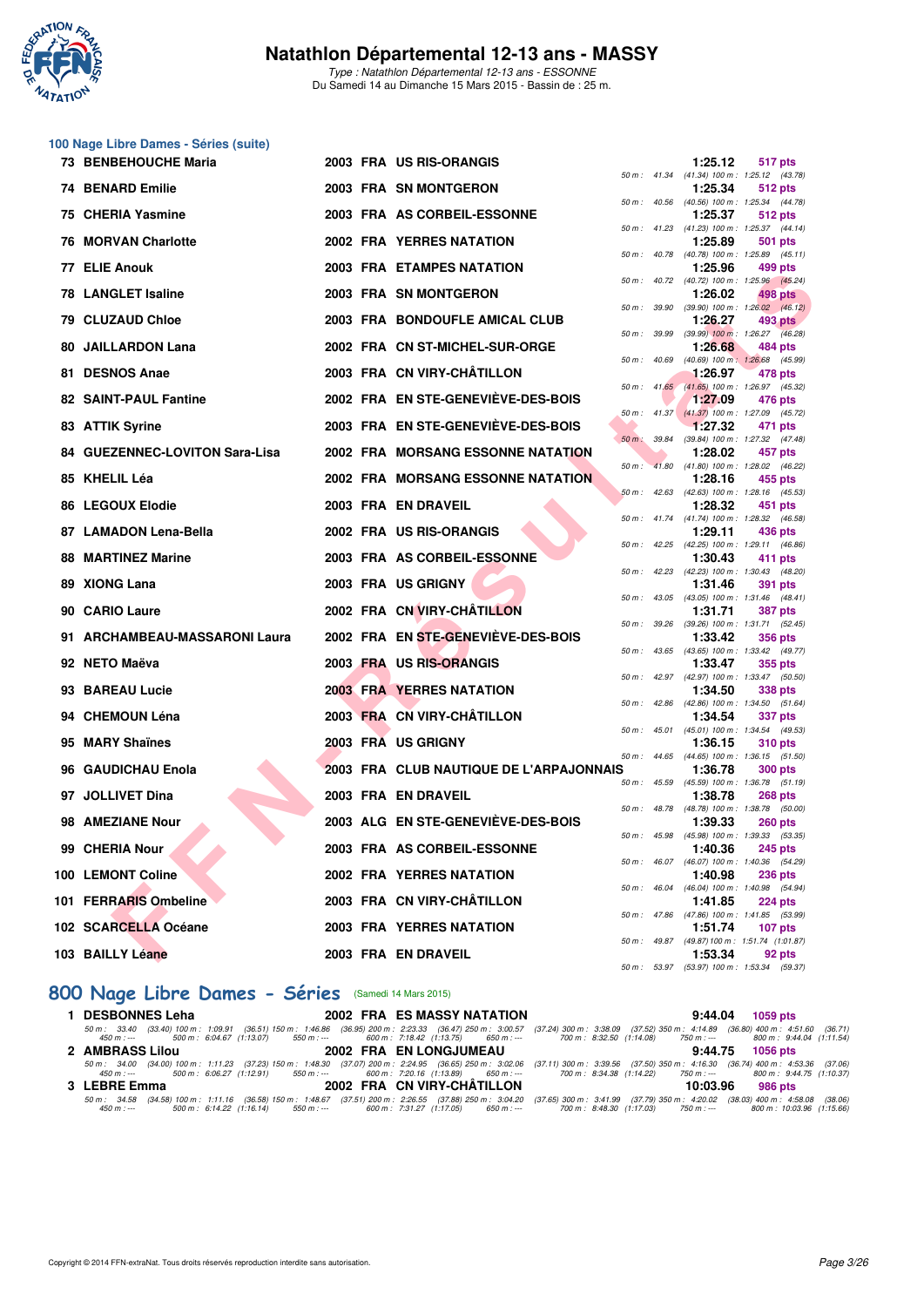

Type : Natathlon Départemental 12-13 ans - ESSONNE Du Samedi 14 au Dimanche 15 Mars 2015 - Bassin de : 25 m.

#### **100 Nage Libre Dames - Séries (suite)**

| 73 BENBEHOUCHE Maria           |  | 2003 FRA US RIS-ORANGIS                  |          |                | 1:25.12 | 517 pts                                                        |
|--------------------------------|--|------------------------------------------|----------|----------------|---------|----------------------------------------------------------------|
| 74 BENARD Emilie               |  | 2003 FRA SN MONTGERON                    |          |                | 1:25.34 | 50 m: 41.34 (41.34) 100 m: 1:25.12 (43.78)<br>512 pts          |
| 75 CHERIA Yasmine              |  | 2003 FRA AS CORBEIL-ESSONNE              |          |                | 1:25.37 | 50 m: 40.56 (40.56) 100 m: 1:25.34 (44.78)<br>512 pts          |
| <b>76 MORVAN Charlotte</b>     |  | <b>2002 FRA YERRES NATATION</b>          |          |                | 1:25.89 | 50 m: 41.23 (41.23) 100 m: 1:25.37 (44.14)<br>501 pts          |
|                                |  |                                          |          |                |         | 50 m: 40.78 (40.78) 100 m: 1:25.89 (45.11)                     |
| 77 ELIE Anouk                  |  | <b>2003 FRA ETAMPES NATATION</b>         |          |                | 1:25.96 | 499 pts<br>50 m : 40.72 (40.72) 100 m : 1:25.96 (45.24)        |
| <b>78 LANGLET Isaline</b>      |  | 2003 FRA SN MONTGERON                    |          |                | 1:26.02 | 498 pts                                                        |
| 79 CLUZAUD Chloe               |  | 2003 FRA BONDOUFLE AMICAL CLUB           |          | 50 m : 39.90   | 1:26.27 | $(39.90)$ 100 m : 1:26.02 $(46.12)$<br>493 pts                 |
| 80 JAILLARDON Lana             |  | 2002 FRA CN ST-MICHEL-SUR-ORGE           |          | 50 m : 39.99   | 1:26.68 | $(39.99)$ 100 m : 1:26.27 $(46.28)$<br>484 pts                 |
| 81 DESNOS Anae                 |  | 2003 FRA CN VIRY-CHÂTILLON               |          | 50 m : 40.69   | 1:26.97 | (40.69) 100 m: 1:26.68 (45.99)<br>478 pts                      |
|                                |  |                                          |          |                |         | 50 m: 41.65 (41.65) 100 m: 1:26.97 (45.32)                     |
| 82 SAINT-PAUL Fantine          |  | 2002 FRA EN STE-GENEVIEVE-DES-BOIS       |          |                | 1:27.09 | 476 pts<br>50 m: 41.37 (41.37) 100 m: 1:27.09 (45.72)          |
| 83 ATTIK Syrine                |  | 2003 FRA EN STE-GENEVIEVE-DES-BOIS       |          |                | 1:27.32 | 471 pts                                                        |
| 84 GUEZENNEC-LOVITON Sara-Lisa |  | <b>2002 FRA MORSANG ESSONNE NATATION</b> |          |                | 1:28.02 | 50 m: 39.84 (39.84) 100 m: 1:27.32 (47.48)<br>457 pts          |
| 85 KHELIL Léa                  |  | <b>2002 FRA MORSANG ESSONNE NATATION</b> | $50 m$ : |                | 1:28.16 | 41.80 (41.80) 100 m : 1:28.02 (46.22)<br>455 pts               |
|                                |  |                                          |          | $50 m$ : 42.63 |         | (42.63) 100 m: 1:28.16 (45.53)                                 |
| 86 LEGOUX Elodie               |  | 2003 FRA EN DRAVEIL                      |          |                | 1:28.32 | 451 pts<br>50 m: 41.74 (41.74) 100 m: 1:28.32 (46.58)          |
| 87 LAMADON Lena-Bella          |  | 2002 FRA US RIS-ORANGIS                  |          |                | 1:29.11 | 436 pts                                                        |
| <b>88 MARTINEZ Marine</b>      |  | 2003 FRA AS CORBEIL-ESSONNE              |          |                | 1:30.43 | 50 m: 42.25 (42.25) 100 m: 1:29.11 (46.86)<br>411 pts          |
| 89 XIONG Lana                  |  | 2003 FRA US GRIGNY                       |          |                | 1:31.46 | 50 m: 42.23 (42.23) 100 m: 1:30.43 (48.20)<br><b>391 pts</b>   |
|                                |  |                                          |          |                |         | 50 m: 43.05 (43.05) 100 m: 1:31.46 (48.41)                     |
| 90 CARIO Laure                 |  | 2002 FRA CN VIRY-CHÂTILLON               |          | 50 m : 39.26   | 1:31.71 | <b>387 pts</b><br>(39.26) 100 m: 1:31.71 (52.45)               |
| 91 ARCHAMBEAU-MASSARONI Laura  |  | 2002 FRA EN STE-GENEVIÈVE-DES-BOIS       |          |                | 1:33.42 | <b>356 pts</b>                                                 |
| 92 NETO Maëva                  |  | 2003 FRA US RIS-ORANGIS                  |          |                | 1:33.47 | 50 m: 43.65 (43.65) 100 m: 1:33.42 (49.77)<br>355 pts          |
|                                |  |                                          |          |                |         | 50 m: 42.97 (42.97) 100 m: 1:33.47 (50.50)                     |
| 93 BAREAU Lucie                |  | <b>2003 FRA YERRES NATATION</b>          |          |                | 1:34.50 | 338 pts<br>50 m: 42.86 (42.86) 100 m: 1:34.50 (51.64)          |
| 94 CHEMOUN Léna                |  | 2003 FRA CN VIRY-CHÂTILLON               |          |                | 1:34.54 | 337 pts                                                        |
| 95 MARY Shaïnes                |  | 2003 FRA US GRIGNY                       |          |                | 1:36.15 | 50 m: 45.01 (45.01) 100 m: 1:34.54 (49.53)<br><b>310 pts</b>   |
|                                |  |                                          |          |                |         | 50 m: 44.65 (44.65) 100 m: 1:36.15 (51.50)                     |
| 96 GAUDICHAU Enola             |  | 2003 FRA CLUB NAUTIQUE DE L'ARPAJONNAIS  |          | 50 m: 45.59    | 1:36.78 | <b>300 pts</b><br>(45.59) 100 m: 1:36.78 (51.19)               |
| 97 JOLLIVET Dina               |  | 2003 FRA EN DRAVEIL                      |          |                | 1:38.78 | <b>268 pts</b>                                                 |
| 98 AMEZIANE Nour               |  | 2003 ALG EN STE-GENEVIÈVE-DES-BOIS       |          |                | 1:39.33 | 50 m : 48.78 (48.78) 100 m : 1:38.78 (50.00)<br><b>260 pts</b> |
| 99 CHERIA Nour                 |  | 2003 FRA AS CORBEIL-ESSONNE              |          |                | 1:40.36 | 50 m: 45.98 (45.98) 100 m: 1:39.33 (53.35)<br><b>245 pts</b>   |
|                                |  |                                          |          |                |         | 50 m : 46.07 (46.07) 100 m : 1:40.36 (54.29)                   |
| 100 LEMONT Coline              |  | <b>2002 FRA YERRES NATATION</b>          |          |                | 1:40.98 | <b>236 pts</b><br>50 m: 46.04 (46.04) 100 m: 1:40.98 (54.94)   |
| 101 FERRARIS Ombeline          |  | 2003 FRA CN VIRY-CHÂTILLON               |          |                | 1:41.85 | <b>224 pts</b>                                                 |
| 102 SCARCELLA Océane           |  | <b>2003 FRA YERRES NATATION</b>          |          |                | 1:51.74 | 50 m: 47.86 (47.86) 100 m: 1:41.85 (53.99)<br>$107$ pts        |
|                                |  |                                          |          |                |         | 50 m: 49.87 (49.87) 100 m: 1:51.74 (1:01.87)                   |
| 103 BAILLY Léane               |  | 2003 FRA EN DRAVEIL                      |          |                | 1:53.34 | 92 pts<br>50 m: 53.97 (53.97) 100 m: 1:53.34 (59.37)           |

## **[800 Nage Libre Dames - Séries](http://www.ffnatation.fr/webffn/resultats.php?idact=nat&go=epr&idcpt=30327&idepr=5)** (Samedi 14 Mars 2015)

| <b>DESBONNES Leha</b> | <b>2002 FRA ES MASSY NATATION</b> | 9:44.04 1059 pts                                                                                                                                                                                                                                                                                                                          |
|-----------------------|-----------------------------------|-------------------------------------------------------------------------------------------------------------------------------------------------------------------------------------------------------------------------------------------------------------------------------------------------------------------------------------------|
|                       |                                   | 50 m: 33.40 (33.40) 100 m: 1:09.91 (36.51) 150 m: 1:46.86 (36.95) 200 m: 2:23.33 (36.47) 250 m: 3:00.57 (37.24) 300 m: 3:38.09 (37.52) 350 m: 4:14.89 (36.80) 400 m: 4:51.60 (36.71)<br>450 m :--- 500 m :6:04.67 (1:13.07) 550 m :--- 600 m :7:18.42 (1:13.75) 650 m :--- 700 m :8:32.50 (1:14.08) 750 m :--- 800 m :9:44.04 (1:11.54)   |
| 2 AMBRASS Lilou       | 2002 FRA EN LONGJUMEAU            | 9:44.75 1056 pts                                                                                                                                                                                                                                                                                                                          |
| 450 m : ---           |                                   | 50 m: 34.00 (34.00) 100 m: 1:11.23 (37.23) 150 m: 1:48.30 (37.07) 200 m: 2:24.95 (36.65) 250 m: 3:02.06 (37.11) 300 m: 3:39.56 (37.50) 350 m: 4:16.30 (36.74) 400 m: 4:53.36 (37.06)<br>500 m : 6:06.27 (1:12.91) 550 m :--- 600 m : 7:20.16 (1:13.89) 650 m :--- 700 m : 8:34.38 (1:14.22) 750 m :--- 800 m : 9:44.75 (1:10.37)          |
| 3 LEBRE Emma          | 2002 FRA CN VIRY-CHÂTILLON        | 10:03.96<br>986 pts                                                                                                                                                                                                                                                                                                                       |
| 450 m : ---           |                                   | 50 m : 34.58 (34.58) 100 m : 1:11.16 (36.58) 150 m : 1:48.67 (37.51) 200 m : 2:26.55 (37.88) 250 m : 3:04.20 (37.65) 300 m : 3:41.99 (37.79) 350 m : 4:20.02 (38.03) 400 m : 4:58.08 (38.06)<br>500 m : 6:14.22 (1:16.14) 550 m :--- 600 m : 7:31.27 (1:17.05) 650 m :--- 700 m : 8:48.30 (1:17.03) 750 m :--- 800 m : 10:03.96 (1:15.66) |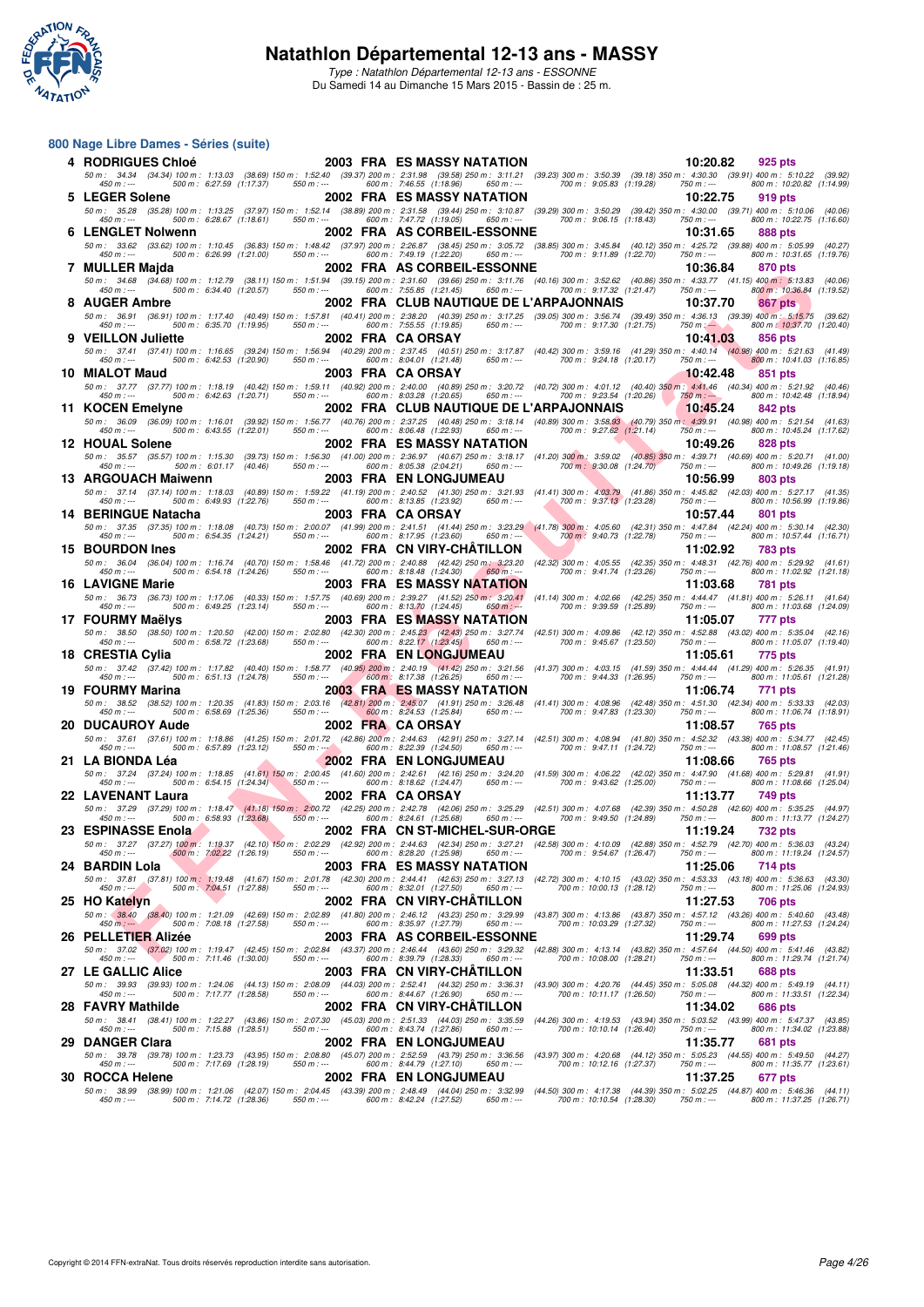

Type : Natathlon Départemental 12-13 ans - ESSONNE Du Samedi 14 au Dimanche 15 Mars 2015 - Bassin de : 25 m.

| 800 Nage Libre Dames - Séries (suite)                               |                                                                                                                                                                                                                                                       |                                                                                     |                                                                                                          |                         |                     |                           |
|---------------------------------------------------------------------|-------------------------------------------------------------------------------------------------------------------------------------------------------------------------------------------------------------------------------------------------------|-------------------------------------------------------------------------------------|----------------------------------------------------------------------------------------------------------|-------------------------|---------------------|---------------------------|
| 4 RODRIGUES Chloé                                                   |                                                                                                                                                                                                                                                       | 2003 FRA ES MASSY NATATION                                                          |                                                                                                          | 10:20.82                | 925 pts             |                           |
| 500 m: 6:27.59 (1:17.37)<br>$450 m : -$                             | 50 m : 34.34 (34.34) 100 m : 1:13.03 (38.69) 150 m : 1:52.40 (39.37) 200 m : 2:31.98 (39.58) 250 m : 3:11.21 (39.23) 300 m : 3:50.39 (39.18) 350 m : 4:30.30 (39.91) 400 m : 5:10.22 (39.92)<br>550 m : ---                                           | 600 m: 7:46.55 (1:18.96)<br>650 m : ---                                             | 700 m: 9:05.83 (1:19.28)                                                                                 | $750 m: -$              |                     | 800 m: 10:20.82 (1:14.99) |
| 5 LEGER Solene                                                      |                                                                                                                                                                                                                                                       | 2002 FRA ES MASSY NATATION                                                          |                                                                                                          | 10:22.75                | 919 pts             |                           |
| 500 m : 6:28.67 (1:18.61)<br>$450 m : -$                            | 50 m : 35.28 (35.28) 100 m : 1:13.25 (37.97) 150 m : 1:52.14 (38.89) 200 m : 2:31.58 (39.44) 250 m : 3:10.87 (39.29) 300 m : 3:50.29 (39.42) 350 m : 4:30.00 (39.71) 400 m : 5:10.06 (40.06<br>550 m : ---                                            | 600 m: 7:47.72 (1:19.05)<br>650 m : ---                                             | 700 m : 9:06.15 (1:18.43)                                                                                | $750 m : -$             |                     | 800 m: 10:22.75 (1:16.60) |
| 6 LENGLET Nolwenn                                                   |                                                                                                                                                                                                                                                       | 2002 FRA AS CORBEIL-ESSONNE                                                         |                                                                                                          | 10:31.65                | 888 pts             |                           |
|                                                                     | 50 m : 33.62 (33.62) 100 m : 1:10.45 (36.83) 150 m : 1:48.42 (37.97) 200 m : 2:26.87 (38.45) 250 m : 3:05.72 (38.85) 300 m : 3:45.84 (40.12) 350 m : 4:25.72 (39.88) 400 m : 5:05.99 (40.27                                                           |                                                                                     |                                                                                                          |                         |                     |                           |
| $450 m : -$<br>500 m : 6:26.99 (1:21.00)<br>7 MULLER Majda          |                                                                                                                                                                                                                                                       | 550 m : --- 600 m : 7:49.19 (1:22.20) 650 m : ---<br>2002 FRA AS CORBEIL-ESSONNE    | 700 m : 9:11.89 (1:22.70)                                                                                | 750 m : ---<br>10:36.84 | 870 pts             | 800 m: 10:31.65 (1:19.76) |
|                                                                     | 50 m: 34.68 (34.68) 100 m: 1:12.79 (38.11) 150 m: 1:51.94 (39.15) 200 m: 2:31.60 (39.66) 250 m: 3:11.76 (40.16) 300 m: 3:52.62 (40.86) 350 m: 4:33.77 (41.15) 400 m: 5:13.83 (40.06)                                                                  |                                                                                     |                                                                                                          |                         |                     |                           |
| 500 m: 6:34.40 (1:20.57)<br>450 m : ---<br>8 AUGER Ambre            | 550 m : ---                                                                                                                                                                                                                                           | 600 m : 7:55.85 (1:21.45)<br>650 m : ---<br>2002 FRA CLUB NAUTIQUE DE L'ARPAJONNAIS | 700 m: 9:17.32 (1:21.47)                                                                                 | 750 m : ---<br>10:37.70 | <b>867 pts</b>      | 800 m: 10:36.84 (1:19.52) |
|                                                                     | 50 m: 36.91 (36.91) 100 m: 1:17.40 (40.49) 150 m: 1:57.81 (40.41) 200 m: 2:38.20 (40.39) 250 m: 3:17.25 (39.05) 300 m: 3:56.74 (39.49) 350 m: 4:36.13 (39.39) 400 m: 5:15.75 (39.62                                                                   |                                                                                     |                                                                                                          |                         |                     |                           |
| 500 m: 6:35.70 (1:19.95)<br>$450 m : -$                             | $550 m : -$                                                                                                                                                                                                                                           | 600 m: 7:55.55 (1:19.85)<br>650 m : ---                                             | 700 m : 9:17.30 (1:21.75)                                                                                | $750 \text{ m}$ : $-$   |                     | 800 m: 10:37.70 (1:20.40) |
| <b>VEILLON Juliette</b>                                             | 50 m: 37.41 (37.41) 100 m: 1:16.65 (39.24) 150 m: 1:56.94 (40.29) 200 m: 2:37.45 (40.51) 250 m: 3:17.87 (40.42) 300 m: 3:59.16 (41.29) 350 m: 4:40.14 (40.98) 400 m: 5:21.63 (41.49                                                                   | 2002 FRA CA ORSAY                                                                   |                                                                                                          | 10:41.03                | 856 pts             |                           |
| 450 m : ---<br>500 m : 6:42.53 (1:20.90)                            | $550 m: -$                                                                                                                                                                                                                                            | 600 m: 8:04.01 (1:21.48)<br>650 m : ---                                             | 700 m: 9:24.18 (1:20.17)                                                                                 | $750 m: -$              |                     | 800 m: 10:41.03 (1:16.85) |
| 10 MIALOT Maud                                                      | 50 m : 37.77 (37.77) 100 m : 1:18.19 (40.42) 150 m : 1:59.11 (40.92) 200 m : 2:40.00 (40.89) 250 m : 3:20.72 (40.72) 300 m : 4:01.12 (40.40) 350 m : 4:41.46 (40.34) 400 m : 5:21.92 (40.46)                                                          | 2003 FRA CA ORSAY                                                                   |                                                                                                          | 10:42.48                | 851 pts             |                           |
| 500 m : 6:42.63 (1:20.71)<br>$450 m : -$                            | $550 m: -$                                                                                                                                                                                                                                            | 600 m: 8:03.28 (1:20.65)<br>650 m : ---                                             | 700 m: 9:23.54 (1:20.26)                                                                                 | $750 m : -$             |                     | 800 m: 10:42.48 (1:18.94) |
| 11 KOCEN Emelyne                                                    |                                                                                                                                                                                                                                                       | 2002 FRA CLUB NAUTIQUE DE L'ARPAJONNAIS                                             |                                                                                                          | 10:45.24                | 842 pts             |                           |
| 500 m : 6:43.55 (1:22.01)<br>$450 m : -$                            | 50 m : 36.09 (36.09) 100 m : 1:16.01 (39.92) 150 m : 1:56.77 (40.76) 200 m : 2:37.25 (40.48) 250 m : 3:18.14 (40.89) 300 m : 3:58.93 (40.79) 350 m : 4:39.91 (40.88) 400 m : 5:21.54 (41.63<br>550 m : ---                                            | 600 m: 8:06.48 (1:22.93)<br>650 m : ---                                             | 700 m: 9:27.62 (1:21.14)                                                                                 | $750 m: -$              |                     | 800 m: 10:45.24 (1:17.62) |
| 12 HOUAL Solene                                                     |                                                                                                                                                                                                                                                       | 2002 FRA ES MASSY NATATION                                                          |                                                                                                          | 10:49.26                | 828 pts             |                           |
| 500 m: 6:01.17 (40.46)<br>$450 m : -$                               | 50 m : 35.57 (35.57) 100 m : 1:15.30 (39.73) 150 m : 1:56.30 (41.00) 200 m : 2:36.97 (40.67) 250 m : 3:18.17 (41.20) 300 m : 3:59.02 (40.85) 350 m : 4:39.71 (40.69) 400 m : 5:20.71 (41.00)<br>$550 m: -$                                            | 600 m: 8:05.38 (2:04.21)<br>$650 m: -$                                              | 700 m : 9:30.08 (1:24.70)                                                                                | $750 m: -$              |                     | 800 m: 10:49.26 (1:19.18) |
| 13 ARGOUACH Maiwenn                                                 |                                                                                                                                                                                                                                                       | 2003 FRA EN LONGJUMEAU                                                              |                                                                                                          | 10:56.99                | 803 pts             |                           |
| 500 m: 6:49.93 (1:22.76)<br>$450 m : -$                             | 50 m: 37.14 (37.14) 100 m: 1:18.03 (40.89) 150 m: 1:59.22 (41.19) 200 m: 2:40.52 (41.30) 250 m: 3:21.93 (41.41) 300 m: 4:03.79 (41.86) 350 m: 4:45.82 (42.03) 400 m: 5:27.17 (41.35)<br>550 m : ---                                                   | 600 m: 8:13.85 (1:23.92)<br>$650 m$ : ---                                           | 700 m: 9:37.13 (1:23.28)                                                                                 | $750 m: -$              |                     | 800 m: 10:56.99 (1:19.86) |
| 14 BERINGUE Natacha                                                 |                                                                                                                                                                                                                                                       | 2003 FRA CAORSAY                                                                    |                                                                                                          | 10:57.44                | 801 pts             |                           |
| 500 m: 6:54.35 (1:24.21)                                            | 50 m : 37.35 (37.35) 100 m : 1:18.08 (40.73) 150 m : 2:00.07 (41.99) 200 m : 2:41.51 (41.44) 250 m : 3:23.29 (41.78) 300 m : 4:05.60 (42.31) 350 m : 4:47.84 (42.24) 400 m : 5:30.14 (42.30<br>550 m : ---                                            | $650 m: -$                                                                          | 700 m : 9:40.73 (1:22.78)                                                                                |                         |                     |                           |
| 450 m : ---<br>15 BOURDON Ines                                      |                                                                                                                                                                                                                                                       | 600 m: 8:17.95 (1:23.60)<br>2002 FRA CN VIRY-CHATILLON                              |                                                                                                          | 750 m : ---<br>11:02.92 | 783 pts             | 800 m: 10:57.44 (1:16.71) |
|                                                                     | 50 m : 36.04 (36.04) 100 m : 1:16.74 (40.70) 150 m : 1:58.46 (41.72) 200 m : 2:40.88 (42.42) 250 m : 3:23.20 (42.32) 300 m : 4:05.55 (42.35) 350 m : 4:48.31 (42.76) 400 m : 5:29.92 (41.61                                                           |                                                                                     |                                                                                                          |                         |                     |                           |
| 500 m : 6:54.18 (1:24.26)<br>$450 m : -$<br><b>16 LAVIGNE Marie</b> | 550 m : ---                                                                                                                                                                                                                                           | 600 m: 8:18.48 (1:24.30)<br>$650 m: -$<br>2003 FRA ES MASSY NATATION                | 700 m: 9:41.74 (1:23.26)                                                                                 | 750 m : ---<br>11:03.68 | 781 pts             | 800 m: 11:02.92 (1:21.18) |
|                                                                     | 50 m: 36.73 (36.73) 100 m: 1:17.06 (40.33) 150 m: 1:57.75 (40.69) 200 m: 2:39.27 (41.52) 250 m: 3:20.41 (41.14) 300 m: 4:02.66 (42.25) 350 m: 4:44.47 (41.81) 400 m: 5:26.11 (41.64                                                                   |                                                                                     |                                                                                                          |                         |                     |                           |
| 450 m : ---<br>500 m : 6:49.25 (1:23.14)<br>17 FOURMY Maëlys        | 550 m : ---                                                                                                                                                                                                                                           | 600 m: 8:13.70 (1:24.45)<br>$650 m : -$<br>2003 FRA ES MASSY NATATION               | 700 m: 9:39.59 (1:25.89)                                                                                 | 750 m : ---<br>11:05.07 |                     | 800 m: 11:03.68 (1:24.09) |
|                                                                     |                                                                                                                                                                                                                                                       |                                                                                     |                                                                                                          |                         | 777 pts             |                           |
|                                                                     | 50 m: 38.50 (38.50) 100 m: 1:20.50 (42.00) 150 m: 2:02.80 (42.30) 200 m: 2:45.23 (42.43) 250 m: 3:7.74 (42.51) 300 m: 4:09.86 (42.12) 350 m: 4:52.88 (43.02) 400 m: 5:35.04 (42.16) 450 m: --- 500 m: 6:58.72 (1:23.68) 550 m:                        |                                                                                     |                                                                                                          |                         |                     |                           |
| 18 CRESTIA Cylia                                                    | 50 m: 37.42 (37.42) 100 m: 1:17.82 (40.40) 150 m: 1:58.77 (40.95) 200 m: 2:40.19 (41.42) 250 m: 3:21.56 (41.37) 300 m: 4:03.15 (41.59) 350 m: 4:44.44 (41.29) 400 m: 5:26.35 (41.91)                                                                  | <b>2002 FRA EN LONGJUMEAU</b>                                                       |                                                                                                          | 11:05.61                | 775 pts             |                           |
| 500 m: 6:51.13 (1:24.78)<br>450 m : ---                             | $550 m: -$                                                                                                                                                                                                                                            | 600 m: 8:17.38 (1:26.25)<br>650 m : ---                                             | 700 m: 9:44.33 (1:26.95)                                                                                 | $750 m : -$             |                     | 800 m: 11:05.61 (1:21.28) |
| 19 FOURMY Marina                                                    |                                                                                                                                                                                                                                                       | <b>2003 FRA ES MASSY NATATION</b>                                                   |                                                                                                          | 11:06.74                | 771 pts             |                           |
| $450 m : -$<br>500 m : 6:58.69 (1:25.36)                            | 50 m: 38.52 (38.52) 100 m: 1:20.35 (41.83) 150 m: 2:03.16 (42.81) 200 m: 2:45.07 (41.91) 250 m: 3:26.48 (41.41) 300 m: 4:08.96 (42.48) 350 m: 4:51.30 (42.34) 400 m: 5:33.33 (42.03)<br>$550 m: -$                                                    | 600 m: 8:24.53 (1:25.84)<br>650 m : ---                                             | 700 m: 9:47.83 (1:23.30)                                                                                 | $750 m : -$             |                     | 800 m: 11:06.74 (1:18.91) |
| <b>20 DUCAUROY Aude</b>                                             |                                                                                                                                                                                                                                                       | 2002 FRA CA ORSAY                                                                   |                                                                                                          | 11:08.57                | 765 pts             |                           |
| 500 m: 6:57.89 (1:23.12)<br>$450 m: -$                              | 50 m: 37.61 (37.61) 100 m: 1:18.86 (41.25) 150 m: 2:01.72 (42.86) 200 m: 2:44.63 (42.91) 250 m: 3:27.14 (42.51) 300 m: 4:08.94 (41.80) 350 m: 4:52.32 (43.38) 400 m: 5:34.77 (42.45)<br>$550 m : -$                                                   | 600 m: 8:22.39 (1:24.50)<br>650 m : ---                                             | 700 m : 9:47.11 (1:24.72)                                                                                | $750 m: -$              |                     | 800 m: 11:08.57 (1:21.46) |
| 21 LA BIONDA Léa                                                    |                                                                                                                                                                                                                                                       | 2002 FRA EN LONGJUMEAU                                                              |                                                                                                          | 11:08.66                | <b>765 pts</b>      |                           |
| $450 m: -$                                                          | 50 m: 37.24 (37.24) 100 m: 1:18.85 (41.61) 150 m: 2:00.45 (41.60) 200 m: 2:42.61 (42.16) 250 m: 3:24.20 (41.59) 300 m: 4:06.22 (42.02) 350 m: 4:47.90 (41.68) 400 m: 5:29.81 (41.91)<br>$500 \text{ m}$ : $6:54.15$ $(1:24.34)$ $550 \text{ m}$ : --- | 600 m: 8:18.62 (1:24.47)<br>650 m : ---                                             | 700 m: 9:43.62 (1:25.00)                                                                                 | $750 m: -$              |                     | 800 m: 11:08.66 (1:25.04) |
| 22 LAVENANT Laura                                                   |                                                                                                                                                                                                                                                       | 2002 FRA CA ORSAY                                                                   |                                                                                                          | 11:13.77                | 749 pts             |                           |
| 500 m: 6:58.93 (1:23.68)<br>450 m : ---                             | 50 m : 37.29 (37.29) 100 m : 1:18.47 (41.18) 150 m : 2:00.72 (42.25) 200 m : 2:42.78 (42.06) 250 m : 3:25.29 (42.51) 300 m : 4:07.68 (42.39) 350 m : 4:50.28 (42.60) 400 m : 5:35.25 (44.97<br>$550 m : -$                                            | 600 m : 8:24.61 (1:25.68)<br>650 m : ---                                            | 700 m : 9:49.50 (1:24.89)                                                                                | 750 m : ---             |                     | 800 m: 11:13.77 (1:24.27) |
| 23 ESPINASSE Enola                                                  |                                                                                                                                                                                                                                                       | 2002 FRA CN ST-MICHEL-SUR-ORGE                                                      |                                                                                                          |                         | 11:19.24<br>732 pts |                           |
| 450 m : ---                                                         | 50 m: 37.27 (37.27) 100 m: 1:19.37 (42.10) 150 m: 2:02.29 (42.92) 200 m: 2:44.63 (42.34) 250 m: 3:27.21 (42.58) 300 m: 4:10.09 (42.88) 350 m: 4:52.79 (42.70) 400 m: 5:36.03 (43.24<br>550 m : ---                                                    | 600 m: 8:28.20 (1:25.98)<br>650 m : ---                                             | 700 m: 9:54.67 (1:26.47)                                                                                 | 750 m : ---             |                     | 800 m: 11:19.24 (1:24.57) |
| 500 m : 7:02.22 (1:26.19)<br>24 BARDIN Lola                         |                                                                                                                                                                                                                                                       | 2003 FRA ES MASSY NATATION                                                          |                                                                                                          | 11:25.06                | 714 pts             |                           |
|                                                                     | 50 m : 37.81 (37.81) 100 m : 1:19.48 (41.67) 150 m : 2:01.78 (42.30) 200 m : 2:44.41 (42.63) 250 m : 3:27.13                                                                                                                                          |                                                                                     | (42.72) 300 m : 4:10.15 (43.02) 350 m : 4:53.33 (43.18) 400 m : 5:36.63 (43.30                           |                         |                     |                           |
| 500 m : 7:04.51 (1:27.88)<br>$450 m : -$<br>25 HO Katelyn           | 550 m : ---                                                                                                                                                                                                                                           | 600 m : 8:32.01 (1:27.50)<br>650 m : ---<br>2002 FRA CN VIRY-CHATILLON              | 700 m: 10:00.13 (1:28.12)                                                                                | 750 m : ---<br>11:27.53 | 706 pts             | 800 m: 11:25.06 (1:24.93) |
|                                                                     | 50 m: 38.40 (38.40) 100 m: 1:21.09 (42.69) 150 m: 2:02.89 (41.80) 200 m: 2:46.12 (43.23) 250 m: 3:29.99                                                                                                                                               |                                                                                     | (43.87) 300 m: 4:13.86 (43.87) 350 m: 4:57.12 (43.26) 400 m: 5:40.60 (43.48                              |                         |                     |                           |
| $450 m: -$<br>500 m : 7:08.18 (1:27.58)                             | 550 m : ---                                                                                                                                                                                                                                           | 600 m: 8:35.97 (1:27.79)<br>$650 m$ : ---<br>2003 FRA AS CORBEIL-ESSONNE            | 700 m: 10:03.29 (1:27.32)                                                                                | 750 m : ---             |                     | 800 m: 11:27.53 (1:24.24) |
| 26 PELLETIER Alizée                                                 | 50 m: 37.02 (37.02) 100 m: 1:19.47 (42.45) 150 m: 2:02.84 (43.37) 200 m: 2:46.44 (43.60) 250 m: 3:29.32                                                                                                                                               |                                                                                     | (42.88) 300 m: 4:13.14 (43.82) 350 m: 4:57.64 (44.50) 400 m: 5:41.46 (43.82                              | 11:29.74                | 699 pts             |                           |
| 500 m: 7:11.46 (1:30.00)<br>450 m : ---                             | 550 m : ---                                                                                                                                                                                                                                           | 600 m: 8:39.79 (1:28.33)<br>$650 m$ : ---                                           | 700 m: 10:08.00 (1:28.21)                                                                                | 750 m : ---             |                     | 800 m: 11:29.74 (1:21.74) |
| 27 LE GALLIC Alice                                                  |                                                                                                                                                                                                                                                       | 2003 FRA CN VIRY-CHATILLON                                                          | (43.90) 300 m: 4:20.76 (44.45) 350 m: 5:05.08 (44.32) 400 m: 5:49.19 (44.11                              | 11:33.51                | 688 pts             |                           |
| 500 m: 7:17.77 (1:28.58)<br>$450 m : -$                             | 50 m : 39.93 (39.93) 100 m : 1:24.06 (44.13) 150 m : 2:08.09 (44.03) 200 m : 2:52.41 (44.32) 250 m : 3:36.31<br>550 m : ---                                                                                                                           | 600 m: 8:44.67 (1:26.90)<br>650 m : ---                                             | 700 m: 10:11.17 (1:26.50)                                                                                | 750 m : ---             |                     | 800 m: 11:33.51 (1:22.34) |
| 28 FAVRY Mathilde                                                   |                                                                                                                                                                                                                                                       | 2002 FRA CN VIRY-CHATILLON                                                          |                                                                                                          | 11:34.02                | 686 pts             |                           |
| $450 m : -$<br>500 m : 7:15.88 (1:28.51)                            | 50 m: 38.41 (38.41) 100 m: 1:22.27 (43.86) 150 m: 2:07.30 (45.03) 200 m: 2:51.33 (44.03) 250 m: 3:35.59<br>$550 m: -$                                                                                                                                 | 600 m : 8:43.74 (1:27.86)<br>650 m : ---                                            | (44.26) 300 m: 4:19.53 (43.94) 350 m: 5:03.52 (43.99) 400 m: 5:47.37 (43.85<br>700 m: 10:10.14 (1:26.40) | 750 m : ---             |                     | 800 m: 11:34.02 (1:23.88) |
| 29 DANGER Clara                                                     |                                                                                                                                                                                                                                                       | 2002 FRA ENLONGJUMEAU                                                               |                                                                                                          | 11:35.77                | 681 pts             |                           |
| 500 m : 7:17.69 (1:28.19)<br>450 m : ---                            | 50 m: 39.78 (39.78) 100 m: 1:23.73 (43.95) 150 m: 2:08.80 (45.07) 200 m: 2:52.59 (43.79) 250 m: 3:36.56<br>550 m : ---                                                                                                                                | 600 m: 8:44.79 (1:27.10)<br>650 m : ---                                             | (43.97) 300 m: 4:20.68 (44.12) 350 m: 5:05.23 (44.55) 400 m: 5:49.50 (44.27<br>700 m: 10:12.16 (1:27.37) | 750 m : ---             |                     | 800 m: 11:35.77 (1:23.61) |
| 30 ROCCA Helene                                                     |                                                                                                                                                                                                                                                       | 2002 FRA EN LONGJUMEAU                                                              |                                                                                                          | 11:37.25                | 677 pts             |                           |
| 500 m : 7:14.72 (1:28.36)<br>450 m : ---                            | 50 m : 38.99 (38.99) 100 m : 1:21.06 (42.07) 150 m : 2:04.45 (43.39) 200 m : 2:48.49 (44.04) 250 m : 3:32.99 (44.50) 300 m : 4:17.38 (44.39) 350 m : 5:02.25 (44.87) 400 m : 5:46.36 (44.11<br>550 m : ---                                            | 600 m : 8:42.24 (1:27.52)<br>650 m : ---                                            | 700 m: 10:10.54 (1:28.30)                                                                                | 750 m : ---             |                     | 800 m: 11:37.25 (1:26.71) |
|                                                                     |                                                                                                                                                                                                                                                       |                                                                                     |                                                                                                          |                         |                     |                           |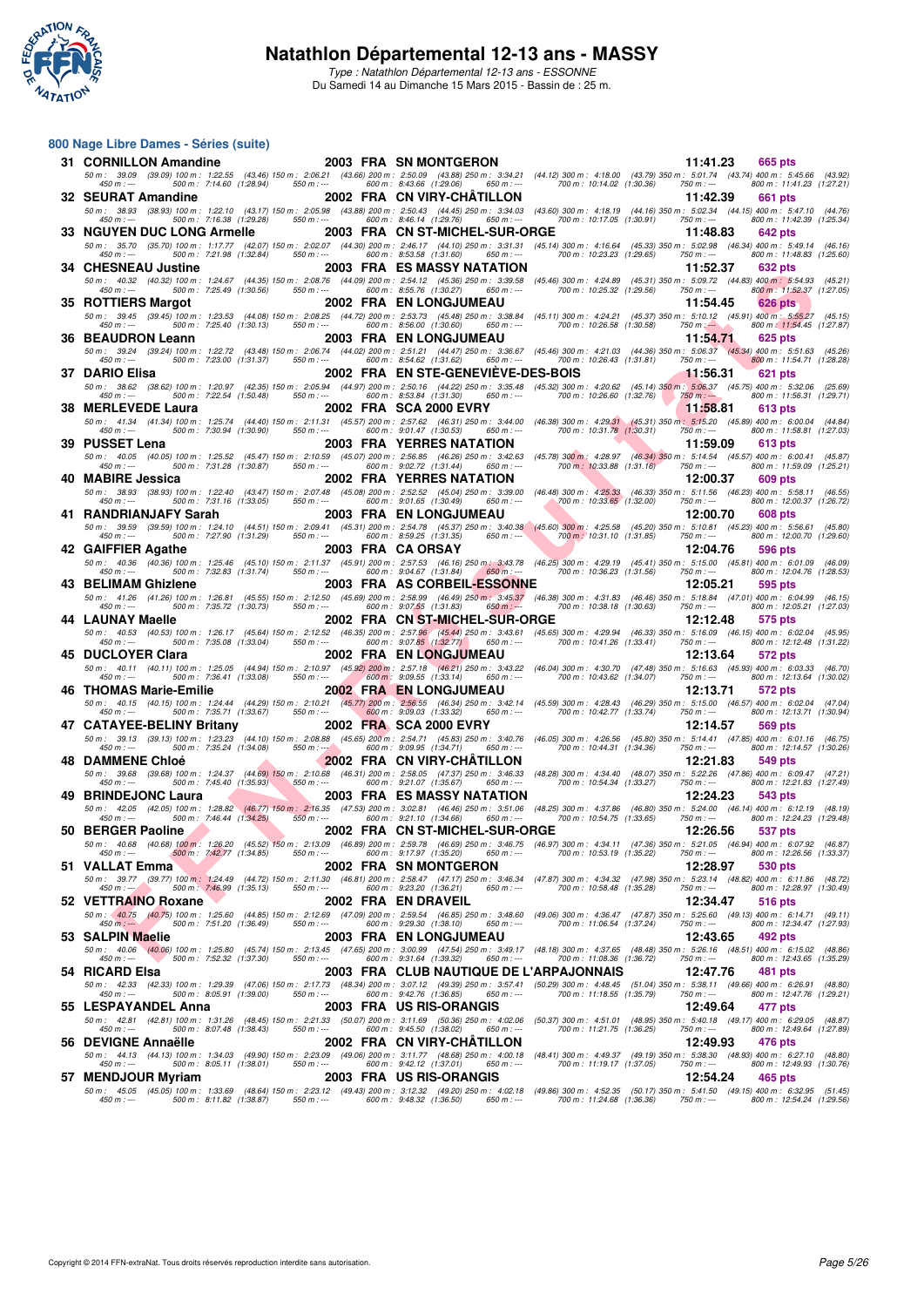

**800 Nage Libre Dames - Séries (suite)**

Type : Natathlon Départemental 12-13 ans - ESSONNE Du Samedi 14 au Dimanche 15 Mars 2015 - Bassin de : 25 m.

#### **F F N - R é s u l t a t s 31 CORNILLON Amandine 2003 FRA SN MONTGERON 11:41.23 665 pts**<br>
50 m: 39.09 (39.09) 100 m: 1:22.55 (43.46) 150 m: 2:06.21 (43.66) 200 m: 2:50.09 (43.88) 250 m: 3:34.21 (44.12) 300 m: 4:18.00 (43.79) 350 m: 5:01.74 (4 50 m: 39.09 (39.09) 100 m: 1:22:55 (43.46) 150 m: 2:409 200 m: 2:50.09 (43.88) 250 m: 3:34.21 (44.12) 300 m: 10:18.00 (43.79) 350 m: -- 501.74 (43.74) 400 m: 11:41.23 (1:23.21)<br>450 m: — 500 m: 7:14.60 (1:28.94) 550 m: — **32 SEURAT Amandine**<br>
500 m: 38.93 100 m: 1:22.10 (43.17) 150 m: 2:05.98 (43.88) 200 m: 2:05.43 (44.45) 250 m: 3:34.03 (43.60) 300 m: 4:18.19 (44.16) 350 m: 5:02.34 (44.15) 400 m: 5:47.10 (44.76)<br>
450 m: ------------------50 m: 38.93 (38.93) 100 m: 1:22.10 (43.17) 150 m: 2:05.98 (43.88) 200 m: 2:50.43 (44.45) 250 m: 3:0.30 m: 4:18.19 (44.16) 350 m: 5:02.34 (44.15) 400 m: 5:47.10 (44.76)<br>450 m: --- **33 NGUYEN DUC LONG Armelle 2003 FRA CN ST-MICHEL-SUR-ORGE 11:48.83 642 pts** 50 m : 35.70 (35.70) 100 m : 1:17.77 (42.07) 150 m : 2:02.07 (44.30) 200 m : 2:46.17 (44.10) 250 m : 3:31.31 (45.14) 300 m : 4:16.64 (45.33) 350 m : 5:02.98 (46.34) 400 m : 5:49.14 (46.16) 450 m : --- 500 m : 7:21.98 (1:32.84) 550 m : --- 600 m : 8:53.58 (1:31.60) 650 m : --- 700 m : 10:23.23 (1:29.65) 750 m : --- 800 m : 11:48.83 (1:25.60) **34 CHESNEAU Justine 2003 FRA ES MASSY NATATION 11:52.37 632 pts**<br> **580 m:** 40.32 100 m: 1:24.67 (44.35) 150 m: 2:08.76 (44.09) 200 m: 2:54.12 (45.36) 250 m: 3:39.58 (45.46) 300 m: 4:24.89 (45.31) 350 m: 5:09.72 (44. 50 m : 40.32 (40.32) 100 m : 1:24.67 (44.35) 150 m : 2:08.76 (44.09) 200 m : 2:54.12 (45.36) 250 m : 3:39.58 (45.46) 300 m : 4:24.89 (45.31) 350 m : 5:09.72 (44.83) 400 m : 5:54.93 (45.21) 450 m : --- 500 m : 7:25.49 (1:30.56) 550 m : --- 600 m : 8:55.76 (1:30.27) 650 m : --- 700 m : 10:25.32 (1:29.56) 750 m : --- 800 m : 11:52.37 (1:27.05) **35 ROTTIERS Margot** 2002 FRA EN LONGJUMEAU 11:54.45 **11:54.45 626 pts**<br>
50 m: 39.45 (39.45) 100 m: 1:23.53 (44.08) 150 m: 2:08.25 (44.72) 200 m: 2:53.73 (45.48) 250 m: 3:38.84 (45.11) 300 m: 4:24.21 (45.37) 350 m: 5:10.12 50 m: 39.45 (39.45) 100 m: 1:23.53 (44.08) 150 m: 2:300 m: 2:53.73 (45.48) 250 m: 3:38.84 (45.11) 300 m: 10:24.21 (45.31) 350 m: -- 500 m: 11:54.45 (1:35,85) 750 m: -- 500 m: 11:54.45 (1:27,87) 600 m: 11:54.45 (1:27,87,<br>45 26 m. 26 m. 26 m. 26 m. 26 m. 26 m. 26 m. 26 m. 26 m. 26 m. 26 m. 26 m. 26 m. 26 m. 26 m. 26 m. 26 m. 26 m. 26<br>**36 BEAUDRON Leann** 2003 FRA EN LONGJUMEAU 11:54.71 625 pts 50 m: 39.24 (39.24) 100 m: 1:22.72 (43.48) 150 m: 2:06.74 (44.02) 200 m: 2:51.21 (44.47) 250 m: 3:06.67 (45.16) 350 m: 4:21.03 (44.36) 350 m: 5:06.37 (45.36) 400 m: 5:51.63 (45.26)<br>450 m: ----------------------------------**37 DARIO Elisa 2002 FRA EN STE-GENEVIÈVE-DES-BOIS 11:56.31 621 pts** 50 m: 38.62 (38.62) 100 m: 1:20.97 (42.35) 150 m: 2:05.94 (40.97) 200 m: 2:50.16 (44.92) 250 m: 46.750, 300 m: 500 m: 506.37 (45.75) 400 m: 1:22.54 (1:50.31 (1:29.71, 600 m: 500 m: 500 m: 500 m: 500 m: 500 m: 500 m: 500 m: **38 MERLEVEDE Laura** 2002 FRA SCA 2000 EVRY 11:58.81 613 pts<br>
50 m: 41.34 (41.34) 100 m: 1:25.74 (44.40) 150 m: 2:11.31 (45.57) 200 m: 2:57.62 (46.31) 250 m: 3:44.00 (46.38) 300 m: 4:29.31 (45.31) 350 m: 5:15.20 (45.89) 40 50 m: 41.34 (41.34) 100 m: 1:25.74 (44.40) 150 m: 2:11.31 (45.57) 200 m: 2:57.62 (46.31) 250 m: 3:44.00 (46.38) 300 m: 4:29.31 (45.31) 350 m: 5:15.20 (45.89) 400 m: 6:00.04 (44.84)<br>450 m: --- **39 PUSSET Lena**<br> **39 PUSSET Lena 2003 FRA YERRES NATATION**<br> **39 PUSSET Lena 2003 FRA YERRES NATATION 11:59.09 613 pts**<br> **450** m: 40.05 (40.05) 100 m: 125.52 (45.47) 150 m: 2:10.59 (45.07) 200 m: 2:56.85 (46.26) 50 m: 40.05 (40.05) 100 m: 1:25.52 (45.47) 150 m: 2:10.59 (45.07) 200 m: 2:56.85 (45.78) 300 m; 3:28.97 (46.34) 350 m: 5:1.54 (45.57) 400 m: 1:31.28 (1:30.87) 46.87) 400 m: 1:31.28 (1:30.89 (1:25.21) 450 m; 300 m; 1:31.59. **40 MABIRE Jessica** 2002 FRA YERRES NATATION 12:00.37 609 pts<br>
50 m: 38.93 (38.93) 100 m: 1:22.40 (43.47) 150 m: 2:07.48 (45.08) 200 m: 2:52.52 (45.04) 250 m: 3:39.00 (46.48) 300 m: 4:25.33 (46.33) 350 m: 5:11.56 (46.23) 4 50 m : 38.93 (38.93) 100 m : 1:22.40 (43.47) 150 m : 2:07.48 (45.08) 200 m : 2:52.52 (45.04) 250 m : 3:39.00 (46.48) 300 m : 4:25.33 (46.33) 350 m : 5:11.56 (46.23) 400 m : 5:58.11 (46.55) 450 m : --- 500 m : 7:31.16 (1:33.05) 550 m : --- 600 m : 9:01.65 (1:30.49) 650 m : --- 700 m : 10:33.65 (1:32.00) 750 m : --- 800 m : 12:00.37 (1:26.72) **41 RANDRIANJAFY Sarah 2003 FRA EN LONGJUMEAU 12:00.70 608 pts** 50 m : 39.59 (39.59) 100 m : 1:24.10 (44.51) 150 m : 2:09.41 (45.31) 200 m : 2:54.78 (45.37) 250 m : 3:40.38 (45.60) 300 m : 4:25.58 (45.20) 350 m : 5:10.81 (45.23) 400 m : 5:56.61 (45.80) 450 m : --- 500 m : 7:27.90 (1:31.29) 550 m : --- 600 m : 8:59.25 (1:31.35) 650 m : --- 700 m : 10:31.10 (1:31.85) 750 m : --- 800 m : 12:00.70 (1:29.60) **42 GAIFFIER Agathe 2003 FRA CA ORSAY 12:04.76 12:04.76 596 pts**<br> **12:04.76 596 pts**<br> **12:04.76 596 pts**<br> **12:04.76 12:04.76 12:04.87 146.09 146.09 146.09 146.76 12:04.67 12:04.67 12:04.67 1** 50 m : 40.36 (40.36) 100 m : 1:25.46 (45.10) 150 m : 2:11.37 (45.91) 200 m : 2:57.53 (46.16) 250 m : 3:31.37 (46.25) 300 m : 4:29.19 (45.41) 350 m : 5:15.00 (45.81) 400 m : 6:01.09 (46.09,<br>450 m **43 BELIMAM Ghizlene**<br> **43 BELIMAM Ghizlene**<br> **44.26 (41.26)** 100 m: 1:26.81 (45.55) 150 m: 2:12.50 (45.69) 200 m: 2:58.99 (46.49) 250 m: 3:45.37 (46.38) 300 m: 4:31.83 (46.46) 350 m: 5:18.84 (47.01) 400 m: 6:04.99 (46.15) 50 m: 41.26 (41.26)100 m: 1:26.81 (45.55)150 m: 2:12.50 (45.69)200 m: 2:58.99 (46.49)250 m: 3:130 m: 4:131.83 (48.48)350 m: 5:08.4 (47.01)400 m: 1:204.91 (47.01)40 m: 7:35.72 (1:30.73)<br>450 m: — 44 LAUNAY Maelle 2002 FRA CN ST-MICHEL-SUR-ORGE 12:12.48 575 pts<br>50 m: 40.53 (40.53) 100 m: 1:26.17 (45.64) 150 m: 2:12.57 (46.35) 2002 FRA CN ST-MICHEL-SUR-ORGE 146.55) 300 m: 4:29.94 (46.33) 350 m: 4:29.94 (46.35) 360 m: **45 DUCLOYER Clara 2002 FRA EN LONGJUMEAU 12:13.64 572 pts** 50 m: 40.11 (40.11)100 m: 1:25.05 (44.94)150 m: 2:10.97 (45.92)200 m: 2:57.18 (46.21)250 m: 3:43.22 (46.04)300 m: 430.70 (47.48)350 m: 6:063 (45.83) 400 m: 6:03.30 (45.93)40 m: 6:03.30 (45.93)40 m: 600 m: 600 m: 600 m: 600 46 THOMAS Marie-Emilie 2002 FRA EN LONGJUMEAU 12:3.71 572 pts<br>50 m : 40.15 (40.15) 100 m : 1:24.44 (44.29) 150 m : 2:10.21 (45.77) 200m : 2:5655 (45.84.249 250 m : 422.44 (<br>45.59 450 m : --- (45.59 500 m : 4704, 4704, 4704 47 CATAYEE-BELINY Britany 2002 FRA SCA 2000 EVRY 103.32 650 m; 426.56 (45.32) 750 m; - 360 m; - 360 m; 12:13.71 (130.94) 2002 FRA SCA 2000 EVRY 12:14.57 569 pts<br>
560 m; 39.13 100 m; 12:323 (44.10) 150 m; 2:08.88 (45.65) 20 50 m : 39.13 (39.13) 100 m : 1:23.23 (44.10) 150 m : 2:08.88 (45.65) 200 m : 2:54.71 (45.83) 250 m : 3:40.76 (46.05) 300 m : 4:26.56 (45.80) 350 m : 5:14.41 (47.85) 400 m : 6:01.16 (46.75) 450 m : --- 500 m : 7:35.24 (1:34.08) 550 m : --- 600 m : 9:09.95 (1:34.71) 650 m : --- 700 m : 10:44.31 (1:34.36) 750 m : --- 800 m : 12:14.57 (1:30.26) **48 DAMMENE Chloé** 2002 FRA CN VIRY-CHÂTILLON 48.08 (39.68 (39.68 (39.68 (39.68 m) and the state of the state of the state of the state of the state of the state of the state of the state of the state of the state of the 50 m: 39.68 (39.68) 100 m: 1:24.37 (44.69) 150 m: 2:10.68 (46.31) 200 m: 2:58.05 (47.37) 250 m: 3:46.33 (48.28) 300 m: 4:34.40 (48.07) 350 m: 5:22.26 (47.86) 400 m: 6:09.47 (47.21)<br>450 m: --- **49 BRINDEJONC Laura 2003 FRA ES MASSY NATATION 12:24.23 543 pts**<br> **50 m:** 42.05 (42.05) 100 m: 1:28.82 (46.77) 150 m: 2:16.35 (47.53) 200 m: 3:02.81 (46.46) 250 m: 3:51.06 (48.25) 300 m: 4:37.86 (46.80) 350 m: 5:24. 50 m: 42.05 (42.05) 100 m: 1:28.82 (46.77) 500 m: 2:16.35 (47.53 (46.48) 250 m: 3:51.06 (48.25) 700 m: 43:7.86 (46.89) 350 m: 624.00 (46.14) 400 m: 6:14) 400 m: 7:46.44 (1:34.25) 550 m: --<br>450 m: --- **50 BERGER Paoline**<br>
50 m: 40.68 (40.68) 100 m: 1:26.20 (45.52) 150 m: 2:13.09 (46.89) 200 m: 2:59.78 (46.69) 250 m: 3:46.75 (46.97,300 m: 4:34.11 (47.36) 350 m: 5:21.05 (46.94) 400 m: 6:07.92 (46.87)<br>
450 m: -- 450 m: -- 50 m : 40.68 (40.68) 100 m : 1:26.20 (45.52) 150 m : 2:13.09 (46.89) 200 m : 2:59.78 (46.69) 200 m : 3:46.75 (46.97) 300 m : 4:7.34.11 (47.36) 350 m : 5:1.05 (46.94) 400 m : 6:07.92 **500 m:** 40.66 (40.66) 1900 m: 7:42.77 (1:34.85) 550 m: 600 m: 9:17.97 (1:35.20) 650 m: 400 m: 10:35.19 (1:36.20) 12:28.97 530 pts<br>
450 m: 39.77 (39.77) 100 m: 1:24.49 (44.72) 150 m: 2:11.30 (46.81) 200 m: 2:58.47 (47.17) 50 m : 39.77 (39.77) 100 m : 1:24.49 (44.72) 150 m : 2:11.30 (46.81) 200 m : 2:58.47 (47.17) 250 m : 3:46.34 (47.87) 300 m : 4:34.32 (47.98) 350 m : 5:23.14 (48.82) 400 m : 6:11.86 (48.72) 450 m : --- 500 m : 7:46.99 (1:35.13) 550 m : --- 600 m : 9:23.20 (1:36.21) 650 m : --- 700 m : 10:58.48 (1:35.28) 750 m : --- 800 m : 12:28.97 (1:30.49) **52 VETTRAINO Roxane 2002 FRA EN DRAVEIL 12:34.47 516 pts** 50 m : 40.75 (40.75) 100 m : 1:25.60 (44.85) 150 m : 2:12.69 (47.09) 200 m : 2:59.54 (46.85) 250 m : 3:48.60 (49.06) 300 m : 4:36.47 (47.87) 350 m : 5:25.60 (49.13) 400 m : 6:14.71 (49.11) 450 m : --- 500 m : 7:51.20 (1:36.49) 550 m : --- 600 m : 9:29.30 (1:38.10) 650 m : --- 700 m : 11:06.54 (1:37.24) 750 m : --- 800 m : 12:34.47 (1:27.93) 16.0 (1.3.24) 16.1 (1.2.3.25) 1.3.26 (1.3.24) 1.2.3.26 (1.3.26) 1.3.26 (1.3.26 (1.3.26 (1.3.24) 1.2.3.26 (1.3.24) 1.2.3.26 (1.3.24) 1.2.3.26 (1.3.24) 1.2.3.26 (1.3.24) 1.2.3.26 (1.3.24) 1.2.3.26 (1.3.24) 1.2.3.26 (1.3.24) 50 m: 40.061 (40.061) 100 m: 1:25.80 (45.74) 150m: 2:13.45 (47.65) 300 m: 3:00.99 (47.54) 250 m: 4:37.65 (48.49) 350 m: 500 m: 1:32.30 (13.529) 47.62.80 (48.51) 400 m: 1:24.50 (135.29<br>450 m: — **54 RICARD Elsa 12:47.76 481 pts**<br>
50 m: 42.33 (42.33) 100 m: 1:29.39 (47.06) 150 m: 2:17.73 (48.34) 200 m: 3:07.12 (49.39) 250 m: 3:57.41 (50.29) 300 m: 4:48.45 (51.04) 350 m: 5:38.11 (49.66) 400 m: 6:26.91 (48.80)<br>
4 50 m : 42.33 (42.33) 100 m : 1:29.39 (47.06) 150 m : 2:17.73 (48.34) 200 m : 3:07.12 (49.36) 37.04 (62.29) 300 m : 4:48.45 (51.04) 350 m : 5:38.11 (49.66) 400 m : 6:26.91 (47.86) (18.80)<br>450 m : · **55 LESPAYANDEL Anna** 2003 FRA US RIS-ORANGIS 12:49.64 **477 pts**<br>
50 m: 42.81 (42.81) 100 m: 1:31.26 (48.45) 150 m: 2:21.33 (50.07) 200 m: 3:11.69 (50.36) 250 m: 4:02.06 (50.37) 300 m: 4:51.01 (48.95) 350 m: 5:40.18 (49.17 50 m: 42.81 (42.81) 100 m: 1.31.26 (48.45) 150 m: 221.33 (50.07) 200 m: 3:11.69 (50.37) 300 m: 45.101 (48.57) 500 m: 54.101 (49.17) 400 m: 629.05 (49.17) 400 m: 629.05 (49.17) 400 m: 629.05 (1:28.64 (1:27.89<br>450 m: — **56 DEVIGNE Annaëlle**<br>
56 DEVIGNE Annaëlle 2002 FRA CN VIRY-CHÂTILLON 12:49.93 476 pts<br>
56 m: 44.13 (44.13) 100 m: 1:34.03 (49.90) 150 m: 2:23.09 (49.06) 200 m: 3:11.77 (48.68) 250 m: 4:00.18 (48.41) 300 m: 4:49.37 (49.19) 50 m: 44.13 (44.13) 100 m: 1:34.03 (49.08) 100 m: 2:23.09 (49.06) 200 m: 31.1.77 (48.68) 250 m: 4:09.37 (49.19, 350 m: 5:38.30 (48.93) 400 m: 6:27.10 (48.80)<br>450 m: --- **57 MENDJOUR Myriam 2003 FRA US RIS-ORANGIS 12:54.24 465 pts** 50 m: 45.05 (45.05)100 m: 1:33.69 (48.64)150 m: 2:23.12 (49.43)22 (49.20)250 m: 4:02.18 (49.86)300 m: 45.035 (50.17)350 m: 6:11.52.05 (50.17)360 m: 6:11.62 (49.15)40 m: 6:11.62.95 (1:38.56 (1:36.56 (1:36.56 (1:36.56 (1:36.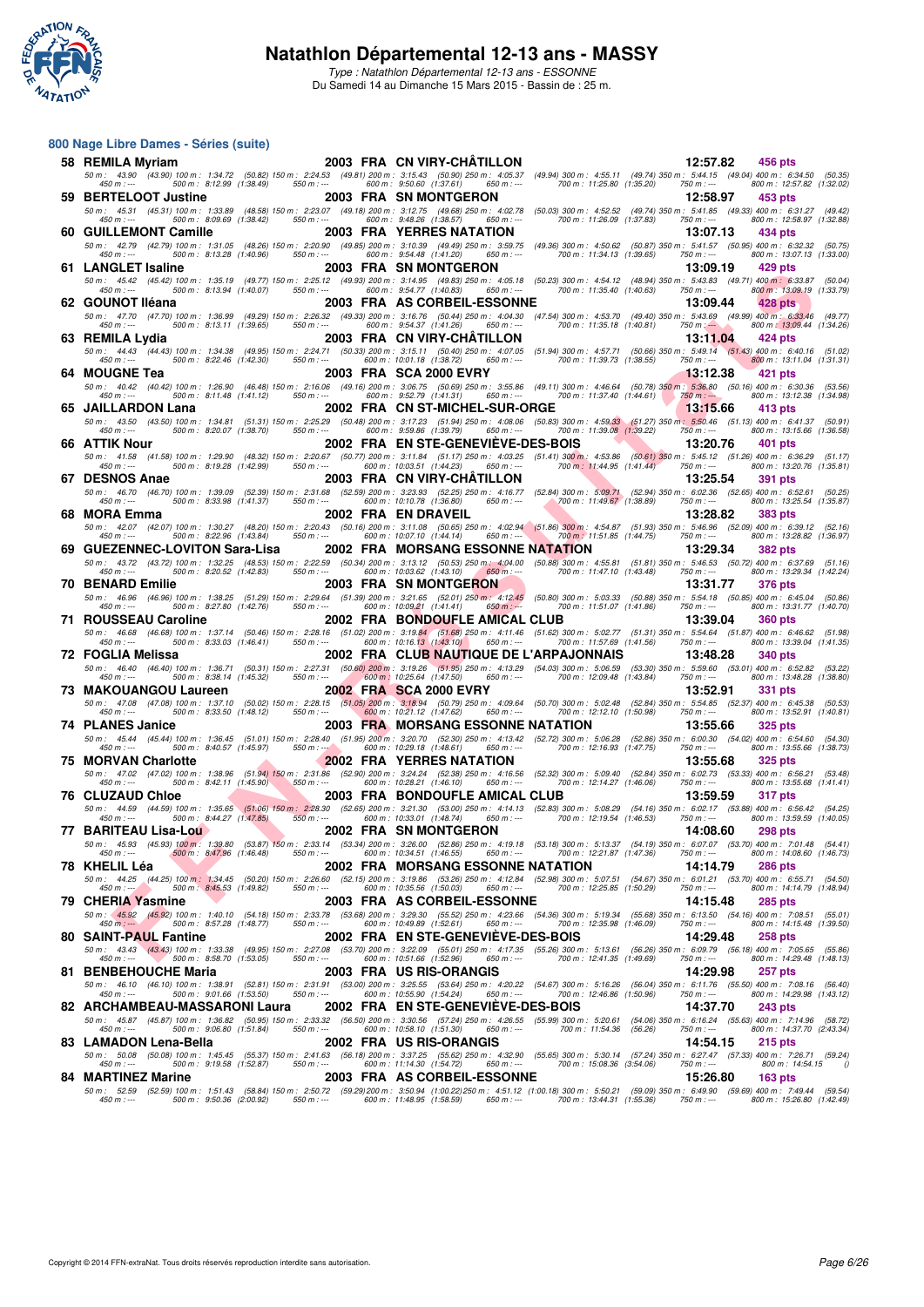

**800 Nage Libre Dames - Séries (suite)**

Type : Natathlon Départemental 12-13 ans - ESSONNE Du Samedi 14 au Dimanche 15 Mars 2015 - Bassin de : 25 m.

#### $\begin{smallmatrix} 1.00 & 0.00 & 0.00 & 0.00 & 0.00 & 0.00 & 0.00 & 0.00 & 0.00 & 0.00 & 0.00 & 0.00 & 0.00 & 0.00 & 0.00 & 0.00 & 0.00 & 0.00 & 0.00 & 0.00 & 0.00 & 0.00 & 0.00 & 0.00 & 0.00 & 0.00 & 0.00 & 0.00 & 0.00 & 0.00 & 0.00 & 0.00 & 0.00 & 0.00 & 0.00 & 0.0$ **58 REMILA Myriam 2003 FRA CN VIRY-CHÂTILLON** 12:57.82 456 pts<br>
50 m: 43.90 (43.90) 100 m: 1:34.72 (50.82) 150 m: 2:24.53 (49.81) 200 m: 3:15.43 (50.90) 250 m: 4:05.37 (49.94) 300 m: 4:55.11 (49.74) 350 m: 5:44.15 (49.04) 50 m: 43.90 (43.90) 100 m: 1:34.72 (50.82) 150 m: 2:24.53 (600 (50.90) 250 m: 4:05.37 (49.94) 300 m: 43.5511 (49.74) 350 m: 6:44.15 (49.04) 400 m: 6:12.99 (1:38.49) 500 m: 6:12.59 (1:38.49) 500 m: 6:12.57.82 (1:32.02) 760 **59 BERTELOOT Justine 2003 FRA SN MONTGERON 12:58.97 453 pts** 50 m : 45.31 (45.31) 100 m : 1:33.89 (48.58) 150 m : 2:23.07 (49.18) 200 m : 3:12.75 (49.62) 20 m : 4:02.78 (50.03) 300 m : 4:52.52 (49.74) 350 m : 5:41.85 (49.33) 400 m : 6:31.27 (49.42)<br>450 m : **60 GUILLEMONT Camille 2003 FRA YERRES NATATION 13:07.13 434 pts** 50 m: 42.79 (42.79)100 m: 1:31.05 (48.26)150 m: 2:20.90 (49.85)200 m: 3:10.39 (49.49)250 m: 450.82 (50.85) m: 541.57 (50.95) 400 m: 6:32.28 (50.87)360 m: 6:32.28 (50.75) 400 m: 6:32.28 (1:40.96) m: --<br>450 m: --- **61 LANGLET Isaline 2003 FRA SN MONTGERON 13:09.19 13:09.19 429 pts 50** m: 4542 (45.42) 100 m: 1:35.19 (49.77) 150 m: 2:25.12 (49.93) 200 m: 4:05.18 (50.23) 300 m: 4:54.12 (48.94) 350 m: 5:43.83 (49.71) 400 m; 6: 50 m : 45.42 (45.42) 100 m : 1:35.19 (49.77) 150 m : 2:25.12 (49.93) 200 m : 3:14.95 (49.83) 250 m : 4:05.18 (50.23) 300 m : 4:54.12 (48.94) 350 m : 5:43.83 (49.71) 400 m : 6:33.87 (50.04) 450 m : --- 500 m : 8:13.94 (1:40.07) 550 m : --- 600 m : 9:54.77 (1:40.83) 650 m : --- 700 m : 11:35.40 (1:40.63) 750 m : --- 800 m : 13:09.19 (1:33.79) 14.76 (13.09, 14.28 pts)<br> **62 GOUNOT Iléana** 2003 FRA AS CORBEIL-ESSONNE 13:09.44 **428 pts**<br> **62 GOUNOT Iléana** 2003 FRA AS CORBEIL-ESSONNE 13:09.44 **428 pts**<br>
43.70 (47.70) 100 m: 13:09 (49.29) 150 m: 2:26.32 (49.33) 200 50 m: 47.70 (47.70)100 m: 1:36.99 (49.29)150 m: 2:26.32 (49.39)200 m: 3:16.76 (50.44)250 m: 4:36.70 (49.49 (49.49 (49.49 (49.59 (49.49 (49.99 (49.49 (49.99 (49.49 (49.69 )40 m; 6:13.03.46 (49.49)<br>450 m: — **63 REMILA Lydia** 2003 FRA CN VIRY-CHÂTILLON 13:11.04 424 pts<br>
50 m: 44.43 (44.43) 100 m: 1:34.38 (49.95) 150 m: 2:24.71 (50.39) 200 m: 3:15.11 (50.40) 250 m: 4:07.05 (51.94) 300 m: 4:57.71 (50.66) 350 m: 5:49.14 (51.43) 4 50 m: 44.43 (44.43) 100 m: 1:34.38 (49.95) 150 m: 2:24.71 (50.33) 200 m: 3:15.11 (50.40) 250 m: 4:07.05 (51.94) 300 m: 4:57.71 (50.66) 350 m: 5:49.14 (51.43) 400 m: 6:40.16 (51.02)<br>450 m: …- **64 MOUGNE Tea 2003 FRA SCA 2000 EVRY 13:12.38 421 pts** 50 m: 40.42 (40.42) 100 m: 1:26.90 (46.48) 150m: 2:16.06 (49.16) 200 m: 3:06.75 (50.69) 2550m: 3:05.366 (49.11) 300 m: 530.60 (40.48 (50.76) 360.60 (60.76) 400 m: 6:11.48 (1:41.51) 760 m; --<br>450 m; --- **65 JAILLARDON Lana** 2002 FRA CN ST-MICHEL-SUR-ORGE 13:15.66 413 pts<br>
50 m: 43.50 (43.50) 100 m: 1:34.81 (51.31) 150 m: 2:25.29 (50.48) 200 m: 3:17.23 (51.94) 250 m: 4:08.06 (50.83) 300 m: 4:59.33 (51.27) 350 m: 5:50.46 (5 50 50 50.11) 50 50.40 50.91 5.30 50 50.91 5.001 5.17.23 (51.94) 50 51.94) 50 50.83 (51.97) 50 50 60.45 (51.13) 400 m<br>450 500 m : --- 500 m : 8:20.07 (1:38.70) 550 m :--- 600 m : 9:59.86 (1:39.79) 650 m :--- 700 m : 11:39.0 **66 ATTIK Nour**<br> **66 ATTIK Nour** 129,90 (48.32) 150 m: 220.67 (50.77) 200 m: 3:11.84 (51.17) 250 m: 4:03.25 (51.41) 300 m: 4:53.86 (50.61) 350 m: 5:45.12 (51.26) 400 m: 6:36.29 (51.17)<br>
450 m: -----------------------------50 m: 41.58 (41.58)100 m: 1:29.90 (48.32)150 m: 2:20.67 (50.77)200 m: 3:11.84 (51.11)250 m: 4:33.86 (50.41)30 m: 545.38 (50.61)350 m: 6:36.28 (50.60) m: 6:320.76 (51.76)40 m: 6:320.76 (51.76)<br>450 m: — **67 DESNOS Anae 2003 FRA CN VIRY-CHÂTILLON 13:25.54 391 pts** 50 m: 46.70 (46.70) 100 m: 1:39.09 (52.89) 150 m: 2:31.68 (52.59) 200 m: 3:23.93 (52.25) 250 m: 4:16.77 (52.84) 300 m: 5:09.71 (52.94) 350 m: 6:02.36 (52.65) 400 m: 6:52.61 (50.25,<br>450 m: --- **68 MORA Emma 2002 FRA EN DRAVEIL 13:28.82 383 pts** 50 m: 42.07 (42.07) 100 m: 1:30.27 (48.20) 150 m: 2:20.43 (50.16) 200 m: 3:11.08 (50.65) 250 m: 4:30, 300 m: 454.87 (52.09) 400 m: 6:209 (142.87 (52.09) 400 m: 6:20.9 (143.84) 550 m; --<br>450 m; --- **69 GUEZENNEC-LOVITON Sara-Lisa 2002 FRA MORSANG ESSONNE NATATION 13:29.34 382 pts**<br>
50 m: 4.372 (43.72) 100 m: 1:32.25 (48.53) 150 m: 2:22.59 (50.34) 200 m: 3:13.12 (50.53) 250 m; 4:04.00 (50.88) 300 m: 4:55.81 (51.81) 35 50 m: 43.72 (43.72) 100 m: 1:32.25 (48.53) 150 m: 2:22.59 (50.34) 200 m: 3:13.12 (50.58) 250 m: 4.04.00 (50.88) 300 m: 4:55.81 (51.16) 350 m: 5:46.53 (50.72) 400 m: 6:37.69 (51.16)<br>42.42.49 - 500 m: +1:42.24 --- 500 m: 52. **70 BENARD Emilie** 2003 FRA SN MONTGERON 13:31.77 376 pts<br>
50 m: 46.96 (46.96) 100 m: 1:38.25 (51.29) 150 m: 2:29.64 (51.39) 200 m: 3:21.65 (52.01) 250 m: 4:12.45 (50.80) 300 m: 5:03.33 (50.88) 350 m: 5:54.18 (50.85) 400 m 50 m: 46.96 (46.96) 100 m: 1:38.25 (51.29) 150 m: 2:29.64 (51.39) 200 m: 3:21.65 (62.11) 250 m: 4.12.45 (50.80) 300 m: 53.45 (50.85) 46.90 m: 6.27.80 (142.76) 550 m: -<br>450 m; -- (142.76) **71 ROUSSEAU Caroline** 2002 FRA BONDOUFLE AMICAL CLUB 13:39.04 360 pts<br>
50 m: 46.68 (46.68) 100 m: 1:37.14 (50.46) 150 m: 2:28.16 (51.02) 200 m: 3:19.84 (51.68) 250 m: 4:11.46 (51.62) 300 m: 5:02.77 (51.31) 350 m: 5:54.64 50 m: 46.68 (46.68) 100 m: 1:37.14 (50.46) 150 m: 2:28.16 (51.02) 200 m: 3:19.84 (51.68) 250 m: 5:02.77 (51.31) 350 m: 5:54.64 (51.87) 400 m: 6:46.62 (51.98)<br>450 m: --- 500 m: 8:33.03 (1:46.41) 5 **72 FOGLIA Melissa 2002 FRA CLUB NAUTIQUE DE L'ARPAJONNAIS 13:48.28 340 pts** 50 m: 46.40 (46.40) 100 m: 1.36.71 (50.31) 150 m: 2:27.31 (50.60) 200 m: 3:19.26 (54.03) 300 m: 5.06.59 (53.03) 350 m: 5.59.69 (53.01) 46.40 (53.01) 400 m: 6:38.14 (1:45.32) 550 m: --<br>450 m: --- **73 MAKOUANGOU Laureen** 2002 FRA SCA 2000 EVRY 13:52.91 331 pts<br>
50 m: 47.08 (47.08) 100 m: 1:37.10 (50.02) 150 m: 2:28.15 (51.05) 200 m: 3:18.94 (50.79) 250 m: 4:09.64 (50.70) 300 m: 5:02.48 (52.84) 350 m: 5:54.85 (52.37) 50 m : 47.08 (47.08) 100 m : 1:37.10 (50.02) 150 m : 2:28.15 (51.05) 200 m : 3:18.94 (50.79) 250 m : 4:09.64 (50.70) 300 m : 5:02.48 (52.84) 350 m : 5:54.85 (52.37) 400 m : 6:45.38 (50.53) 450 m : --- 500 m : 8:33.50 (1:48.12) 550 m : --- 600 m : 10:21.12 (1:47.62) 650 m : --- 700 m : 12:12.10 (1:50.98) 750 m : --- 800 m : 13:52.91 (1:40.81) **74 PLANES Janice** 2003 FRA MORSANG ESSONNE NATATION 13:55.66 325 pts<br>
50 m: 45.44 (45.44) 100 m: 1:36.45 (51.01) 150 m: 2:28.40 (51.95) 200 m: 3:20.70 (52.30) 250 m: 4:13.42 (52.72) 300 m: 5:06.28 (52.86) 350 m: 6:00.30 ( 50 m: 45.44 (45.44) 100 m: 1:36.45 (51.01) 150 m: 2:28.40 (51.95) 200 m: 3:20.70 (52.30) 250 m: 4:13.42 (52.72) 300 m: 12:16.28 (52.62) 300 m: 6:402) 400 m: 6:402) 400 m: 6:4057 (1:45.97)<br>450 m: — 19.44 (45.44) 19.0 m : 19.657 (1.45.97) 550 m : 19.29.18 (1.48.61) 650 m : 19.29.18 (1.48.61) 650 m : 200 m : 12:16.95 (1.47.75) 700 m : 200 m : 200 m : 200 m : 200 m : 200 m : 200 m : 200 m : 200 m : 200 m : 200 m : 200 m 50 m: 47.02 (47.02) 100 m: 138.96 (51.94) 150 m: 2:31.86 (52.90) 200 m: 3:24.24 (52.38) 250 m: 4:16.56 (52.34) 300 m: 5:09.40 (52.84) 350 m: 6:02.73 (53.33) 400 m: 6:56.21 (53.48)<br>450 m: --- **76 CLUZAUD Chloe**<br> **76 CLUZAUD Chloe**<br> **76 CLUZAUD Chloe** 2003 FRA BONDOUFLE AMICAL CLUB 13:59.59 13:7 pts<br> **13:59.59 13:79 13:59.59 13:79** 15:08.29 **13:59.59** (53.00) 250 m: 4:14.13 (52.83) 300 m: 5:08.29 (54.16) 350 m 50 m : 44.59 (44.59) 100 m : 1:35.65 (51.06) 150 m : 2:28.30 (52.65) 200 m : 3:21.30 (53.00) 250 m : 4:14.13 (52.83) 300 m : 5:08.29 (54.16) 350 m : 6:02.17 (53.88) 400 m : 6:56.42 (54.25) 450 m : --- 500 m : 8:44.27 (1:47.85) 550 m : --- 600 m : 10:33.01 (1:48.74) 650 m : --- 700 m : 12:19.54 (1:46.53) 750 m : --- 800 m : 13:59.59 (1:40.05) **77 BARITEAU Lisa-Lou**<br>
50 m: 45.93 (45.93) 100 m: 1:39.80 (53.87) 150 m: 2:33.14 (53.34) 200 m: 3:26.00 (52.86) 250 m: 4:19.18 (53.18) 300 m: 5:13.37 (54.19) 350 m: 6:07.07 (53.70) 400 m: 7:01.48 (54.41)<br>
450 m: ---------50 m: 45.93 (45.93) 100 m: 1:39.80 (53.87) 150 m: 2:33.14 (53.34) 200 m: 3:26.00 (52.86) 250 m: 4:19.18 (53.19) 300 m: 5:13.37 (54.11) 350 m: 6:07.07 (53.70) 400 m: 7:01.48 (54.41)<br>450 m: --- **78 KHELIL Léa** 2000 F. 49.55 (1.46.48) **2002 FRA MORSANG ESSONNE NATATION** 45.55 (1.46.48) **286 pts**<br>2002 FRA MORSANG ESSONNE NATATION 14:14.79 286 pts<br>2002 FRA MORSANG ESSONNE NATATION 14:14.79 286 pts<br>2000 450 m: 4.25 50 m; 14.25 (50.20) 150 m; 12.26.60 (52.15) 200 m; 10.35.86 (50.20) 250 m; 4:25 (54.50 m; 44.25 (54.50 m; 4.25 (54.50 m; 64.50 m; 64.55 (1:49.92) 300 m; 16.35 (1:50.29) 300 m; 500 m; 16.35 (54.67) 350 m; ------------------50 m: 45.92 (45.92) 100 m: 1:40.10 (54.16) 150 m: 2:33.78 (53.68) 200 m: 3:29.30 (55.52) 250 m: 4:23.66 (54.36) 300 m: 5:19.34 (55.68) 350 m: 6:13.50 (54.16) 400 m: 7:08.51 (55.01)<br>450 m: ----------------------------------**80 SAINT-PAUL Fantine** 2002 FRA EN STE-GENEVIÈVE-DES-BOIS 14:29.48 258 pts<br> **80 m:** 43.43 (43.43) 100 m: 1:39.38 (49.95) 150 m: 2:27.08 (53.70) 200 m: 3:22.09 (55.01) 250 m: 4:17.35 (55.26) 300 m: 5:13.61 (56.26) 350 m: 6 50 m: 43.43 (43.43) 100 m: 1.33.38 (49.95) 150 m: 227.08 (53.70) 200 m: 322.09 (55.01) 250 m: 4.17.35 (55.26) 300 m: 12:41.35 (56.26) 300 m: 450.79 (56.18) 400 m: 1.4:29.48 (1:48.13)<br>450 m: — **81 BENBEHOUCHE Maria 2003 FRA US RIS-ORANGIS 14:29.98 257 pts**<br> **80 m:** 46.10 (46.10) 100 m: 1:39.91 (52.81) 150 m: 2:31.91 (53.00) 200 m: 3:25.55 (53.64) 250 m: 4:20.22 (54.67) 300 m: 5:16.26 (56.04) 350 m: 6:11.76 (55 50 50 5.500 500 5.500 5.500 5.500 5.000 5.000 5.000 6.900 5.000 5.000 5.500 5.500 5.500 5.500 6.000 5.500 5.50<br>--- \$60 5.500 500 500 500 5.500 550 --- - 600 5.500 5.500 5.500 5.500 --- - 700 -- 700 5.500 5.500 5.500 750 --**82 ARCHAMBEAU-MASSARONI Laura** 2002 FRA EN STE-GENEVIÈVE-DES-BOIS 14:37.70 243 pts<br>
50 m: 45.87 (45.87) 10 m : 1:36.82 (50.95) 15 m : 2:33.32 (56.50) 200 m : 3:30.56 (57.24) 250 m : 4:26.55 (55.99) 300 m : 5:20.61 (54.06) 50 m : 45.87 (45.87) 100 m : 1:36.82 (50.95) 150 m : 2:33.32 (56.50) 200 m : 3:30.56 (57.24) 250 m : 4:26.55 (55.99) 300 m : 5:20.61 (54.06) 350 m : 6:16.24 (55.63) 400 m : 7:14.96 (58.72) 450 m : --- 500 m : 9:06.80 (1:51.84) 550 m : --- 600 m : 10:58.10 (1:51.30) 650 m : --- 700 m : 11:54.36 (56.26) 750 m : --- 800 m : 14:37.70 (2:43.34) **83 LAMADON Lena-Bella 2002 FRA US RIS-ORANGIS 14:54.15 14:54.15 215 pts**<br>
50 m: 50.08 (50.08) 100 m: 1:45.45 (55.37) 150 m: 2:41.63 (56.18) 200 m: 3:37.25 (55.62) 250 m: 4:32.90 (55.65) 300 m: 5:30.14 (57.24) 350 m: 6:2 50 m: 50.08 (50.08) 100 m: 1:45.45 (55.37) 150 m: 2:41.63 (56.18) 200 m: 3:37.25 (55.62) 250 m: 4:32.90 (55.65) 300 m: 5:30.14 (57.24) 350 m: 6:27.47 (57.33) 400 m: 7:26.71 (59.24<br>/) **84 MARTINEZ Marine 2003 FRA AS CORBEIL-ESSONNE 15:26.80 163 pts** 50 m : 52.59 (52.59) 100 m : 1:51.43 (58.84) 150 m : 2:50.72 (59.29)200 m : 3:50.94 (1:00.22)250 m : 4:51.12 (1:00.18) 300 m : 5:50.21 (59.09) 350 m : 6:49.90 (59.69) 400 m : 7:49.44 (59.54) 450 m : --- 500 m : 9:50.36 (2:00.92) 550 m : --- 600 m : 11:48.95 (1:58.59) 650 m : --- 700 m : 13:44.31 (1:55.36) 750 m : --- 800 m : 15:26.80 (1:42.49)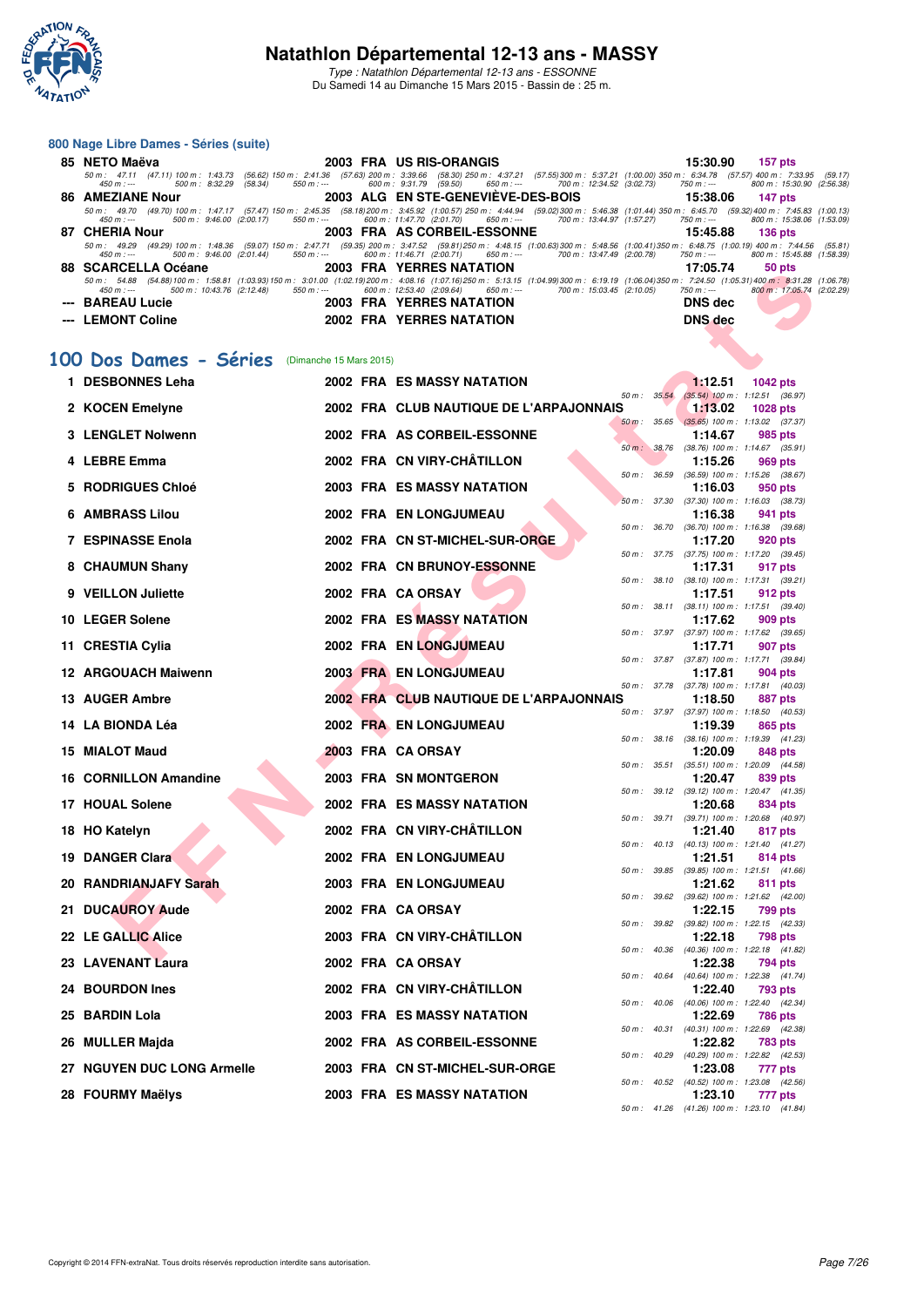

Type : Natathlon Départemental 12-13 ans - ESSONNE Du Samedi 14 au Dimanche 15 Mars 2015 - Bassin de : 25 m.

|     | 800 Nage Libre Dames - Séries (suite)                                         |                         |                                                                                                                                                                                                                                                             |                               |                                                               |  |
|-----|-------------------------------------------------------------------------------|-------------------------|-------------------------------------------------------------------------------------------------------------------------------------------------------------------------------------------------------------------------------------------------------------|-------------------------------|---------------------------------------------------------------|--|
|     | 85 NETO Maëva                                                                 |                         | 2003 FRA US RIS-ORANGIS                                                                                                                                                                                                                                     | 15:30.90                      | 157 pts                                                       |  |
|     | $450 m : -$<br>500 m : 8:32.29<br>(58.34)<br>$550 m : -$                      |                         | 50 m: 47.11 (47.11) 100 m: 1:43.73 (56.62) 150 m: 2:41.36 (57.63) 200 m: 3:39.66 (58.30) 250 m: 4:37.21 (57.55) 300 m: 5:37.21 (1:00.00) 350 m: 6:34.78 (57.57) 400 m: 7:33.95 (59.17<br>600 m: 9:31.79 (59.50)<br>$650 m: -$<br>700 m : 12:34.52 (3:02.73) | 750 m : ---                   | 800 m: 15:30.90 (2:56.38)                                     |  |
|     | <b>86 AMEZIANE Nour</b>                                                       |                         | 2003 ALG EN STE-GENEVIEVE-DES-BOIS<br>50 m: 49.70 (49.70) 100 m: 1:47.17 (57.47) 150 m: 2:45.35 (58.18) 200 m: 3:45.92 (1:00.57) 250 m: 4:44.94 (59.02) 300 m: 5:46.38 (1:01.44) 350 m: 6:45.70 (59.32) 400 m: 7:45.83 (1:00.13                             | 15:38.06                      | 147 pts                                                       |  |
|     | 450 m : ---<br>500 m : 9:46.00 (2:00.17)<br>$550 m: -$                        |                         | 600 m: 11:47.70 (2:01.70)<br>650 m : ---<br>700 m: 13:44.97 (1:57.27)                                                                                                                                                                                       | $750 m: -$                    | 800 m: 15:38.06 (1:53.09)                                     |  |
|     | 87 CHERIA Nour                                                                |                         | 2003 FRA AS CORBEIL-ESSONNE<br>50 m: 49.29 (49.29) 100 m: 1:48.36 (59.07) 150 m: 2:47.71 (59.35) 200 m: 3:47.52 (59.81) 250 m: 4:48.15 (1:00.63) 300 m: 5:48.56 (1:00.41) 350 m: 6:48.75 (1:00.19) 400 m: 7:44.56 (55.81                                    | 15:45.88                      | <b>136 pts</b>                                                |  |
|     | $550 m: -$<br>$450 m : -$<br>500 m : 9:46.00 (2:01.44)<br>88 SCARCELLA Océane |                         | 600 m : 11:46.71 (2:00.71)<br>650 m : ---<br>700 m: 13:47.49 (2:00.78)<br>2003 FRA YERRES NATATION                                                                                                                                                          | 750 m : ---<br>17:05.74       | 800 m: 15:45.88 (1:58.39)<br>50 pts                           |  |
|     |                                                                               |                         | 50 m: 54.88 (54.88) 100 m: 1:58.81 (1:03.93) 150 m: 3:01.00 (1:02.19) 200 m: 4:08.16 (1:07.16) 250 m: 5:13.15 (1:04.99) 300 m: 6:19.19 (1:06.04) 350 m: 7:24.50 (1:05.31) 400 m: 8:31.28 (1:06.78)                                                          |                               |                                                               |  |
|     | $450 m : -$<br>500 m: 10:43.76 (2:12.48)<br>$550 m: -$<br><b>BAREAU Lucie</b> |                         | 600 m: 12:53.40 (2:09.64)<br>700 m : 15:03.45 (2:10.05)<br>650 m : ---<br><b>2003 FRA YERRES NATATION</b>                                                                                                                                                   | 750 m : ---<br><b>DNS</b> dec | 800 m: 17:05.74 (2:02.29)                                     |  |
|     | <b>LEMONT Coline</b>                                                          |                         | <b>2002 FRA YERRES NATATION</b>                                                                                                                                                                                                                             | <b>DNS</b> dec                |                                                               |  |
|     |                                                                               |                         |                                                                                                                                                                                                                                                             |                               |                                                               |  |
|     | 100 Dos Dames - Séries                                                        | (Dimanche 15 Mars 2015) |                                                                                                                                                                                                                                                             |                               |                                                               |  |
|     | 1 DESBONNES Leha                                                              |                         | <b>2002 FRA ES MASSY NATATION</b>                                                                                                                                                                                                                           | 1:12.51                       | <b>1042 pts</b>                                               |  |
|     |                                                                               |                         | 50 m: 35.54                                                                                                                                                                                                                                                 |                               | $(35.54)$ 100 m : 1:12.51 $(36.97)$                           |  |
|     | 2 KOCEN Emelyne                                                               |                         | 2002 FRA CLUB NAUTIQUE DE L'ARPAJONNAIS<br>35.65<br>$50 m$ :                                                                                                                                                                                                | 1:13.02                       | 1028 pts<br>$(35.65)$ 100 m : 1:13.02 (37.37)                 |  |
|     | 3 LENGLET Nolwenn                                                             |                         | 2002 FRA AS CORBEIL-ESSONNE                                                                                                                                                                                                                                 | 1:14.67                       | 985 pts                                                       |  |
|     | 4 LEBRE Emma                                                                  |                         | 50 m: 38.76<br>2002 FRA CN VIRY-CHÂTILLON                                                                                                                                                                                                                   | 1:15.26                       | $(38.76)$ 100 m : 1:14.67 $(35.91)$<br>969 pts                |  |
|     |                                                                               |                         | 36.59<br>50 m :                                                                                                                                                                                                                                             |                               | (36.59) 100 m: 1:15.26 (38.67)                                |  |
| 5   | <b>RODRIGUES Chloé</b>                                                        |                         | 2003 FRA ES MASSY NATATION                                                                                                                                                                                                                                  | 1:16.03                       | 950 pts<br>50 m : 37.30 (37.30) 100 m : 1:16.03 (38.73)       |  |
| 6   | <b>AMBRASS Lilou</b>                                                          |                         | 2002 FRA EN LONGJUMEAU                                                                                                                                                                                                                                      | 1:16.38                       | 941 pts                                                       |  |
|     | <b>7 ESPINASSE Enola</b>                                                      |                         | $50 m$ :<br>36.70<br>2002 FRA CN ST-MICHEL-SUR-ORGE                                                                                                                                                                                                         | 1:17.20                       | $(36.70)$ 100 m : 1:16.38 $(39.68)$<br>920 pts                |  |
|     |                                                                               |                         | 50 m :                                                                                                                                                                                                                                                      |                               | 37.75 (37.75) 100 m : 1:17.20 (39.45)                         |  |
|     | 8 CHAUMUN Shany                                                               |                         | 2002 FRA CN BRUNOY-ESSONNE<br>38.10<br>50 m :                                                                                                                                                                                                               | 1:17.31                       | 917 pts<br>$(38.10)$ 100 m : 1:17.31 $(39.21)$                |  |
| 9   | <b>VEILLON Juliette</b>                                                       |                         | 2002 FRA CA ORSAY                                                                                                                                                                                                                                           | 1:17.51                       | 912 pts                                                       |  |
|     | 10 LEGER Solene                                                               |                         | 38.11<br>50 m :<br>2002 FRA ES MASSY NATATION                                                                                                                                                                                                               | 1:17.62                       | $(38.11)$ 100 m : 1:17.51 $(39.40)$<br>909 pts                |  |
|     | 11 CRESTIA Cylia                                                              |                         | 50 m :<br>2002 FRA EN LONGJUMEAU                                                                                                                                                                                                                            | 1:17.71                       | 37.97 (37.97) 100 m : 1:17.62 (39.65)                         |  |
|     |                                                                               |                         |                                                                                                                                                                                                                                                             |                               | 907 pts<br>50 m: 37.87 (37.87) 100 m: 1:17.71 (39.84)         |  |
|     | <b>12 ARGOUACH Maiwenn</b>                                                    |                         | <b>2003 FRA EN LONGJUMEAU</b>                                                                                                                                                                                                                               | 1:17.81                       | 904 pts<br>50 m: 37.78 (37.78) 100 m: 1:17.81 (40.03)         |  |
|     | 13 AUGER Ambre                                                                |                         | 2002 FRA CLUB NAUTIQUE DE L'ARPAJONNAIS                                                                                                                                                                                                                     | 1:18.50                       | 887 pts                                                       |  |
|     | 14 LA BIONDA Léa                                                              |                         | 37.97<br>50 m :<br>2002 FRA EN LONGJUMEAU                                                                                                                                                                                                                   | 1:19.39                       | $(37.97)$ 100 m : 1:18.50 $(40.53)$<br>865 pts                |  |
|     |                                                                               |                         | 38.16<br>50 m :                                                                                                                                                                                                                                             |                               | $(38.16)$ 100 m : 1:19.39 $(41.23)$                           |  |
| 15. | <b>MIALOT Maud</b>                                                            |                         | 2003 FRA CAORSAY<br>35.51<br>50 m :                                                                                                                                                                                                                         | 1:20.09                       | 848 pts<br>$(35.51)$ 100 m : 1:20.09 $(44.58)$                |  |
|     | <b>CORNILLON Amandine</b>                                                     |                         | 2003 FRA SN MONTGERON                                                                                                                                                                                                                                       | 1:20.47                       | 839 pts                                                       |  |
|     | 17 HOUAL Solene                                                               |                         | 50 m :<br>2002 FRA ES MASSY NATATION                                                                                                                                                                                                                        | 1:20.68                       | 39.12 (39.12) 100 m : 1:20.47 (41.35)<br>834 pts              |  |
|     |                                                                               |                         |                                                                                                                                                                                                                                                             |                               | 50 m: 39.71 (39.71) 100 m: 1:20.68 (40.97)                    |  |
|     | 18 HO Katelyn                                                                 |                         | 2002 FRA CN VIRY-CHÂTILLON                                                                                                                                                                                                                                  |                               | 1:21.40 817 pts<br>50 m: 40.13 (40.13) 100 m: 1:21.40 (41.27) |  |
|     | <b>19 DANGER Clara</b>                                                        |                         | 2002 FRA EN LONGJUMEAU                                                                                                                                                                                                                                      | 1:21.51                       | 814 pts                                                       |  |
|     | 20 RANDRIANJAFY Sarah                                                         |                         | 2003 FRA EN LONGJUMEAU                                                                                                                                                                                                                                      | 1:21.62                       | 50 m: 39.85 (39.85) 100 m: 1:21.51 (41.66)<br>811 pts         |  |
|     |                                                                               |                         | 50 m :<br>39.62                                                                                                                                                                                                                                             |                               | $(39.62)$ 100 m : 1:21.62 $(42.00)$                           |  |
|     | 21 DUCAUROY Aude                                                              |                         | 2002 FRA CA ORSAY<br>50 m :                                                                                                                                                                                                                                 | 1:22.15                       | 799 pts<br>39.82 (39.82) 100 m : 1:22.15 (42.33)              |  |
|     | 22 LE GALLIC Alice                                                            |                         | 2003 FRA CN VIRY-CHÂTILLON                                                                                                                                                                                                                                  | 1:22.18                       | <b>798 pts</b>                                                |  |
|     | 23 LAVENANT Laura                                                             |                         | 2002 FRA CA ORSAY                                                                                                                                                                                                                                           | 1:22.38                       | 50 m: 40.36 (40.36) 100 m: 1:22.18 (41.82)<br>794 pts         |  |
|     |                                                                               |                         | 2002 FRA CN VIRY-CHÂTILLON                                                                                                                                                                                                                                  |                               | 50 m: 40.64 (40.64) 100 m: 1:22.38 (41.74)                    |  |
|     | 24 BOURDON Ines                                                               |                         |                                                                                                                                                                                                                                                             | 1:22.40                       | 793 pts<br>50 m: 40.06 (40.06) 100 m: 1:22.40 (42.34)         |  |
| 25  | <b>BARDIN Lola</b>                                                            |                         | <b>2003 FRA ES MASSY NATATION</b>                                                                                                                                                                                                                           | 1:22.69                       | 786 pts                                                       |  |
| 26  | MULLER Majda                                                                  |                         | 2002 FRA AS CORBEIL-ESSONNE                                                                                                                                                                                                                                 | 1:22.82                       | 50 m: 40.31 (40.31) 100 m: 1:22.69 (42.38)<br>783 pts         |  |
|     | 27 NGUYEN DUC LONG Armelle                                                    |                         | 2003 FRA CN ST-MICHEL-SUR-ORGE                                                                                                                                                                                                                              |                               | 50 m: 40.29 (40.29) 100 m: 1:22.82 (42.53)                    |  |
|     |                                                                               |                         |                                                                                                                                                                                                                                                             | 1:23.08                       | 777 pts<br>50 m: 40.52 (40.52) 100 m: 1:23.08 (42.56)         |  |
|     | 28 FOURMY Maëlys                                                              |                         | <b>2003 FRA ES MASSY NATATION</b>                                                                                                                                                                                                                           | 1:23.10                       | 777 pts<br>50 m: 41.26 (41.26) 100 m: 1:23.10 (41.84)         |  |
|     |                                                                               |                         |                                                                                                                                                                                                                                                             |                               |                                                               |  |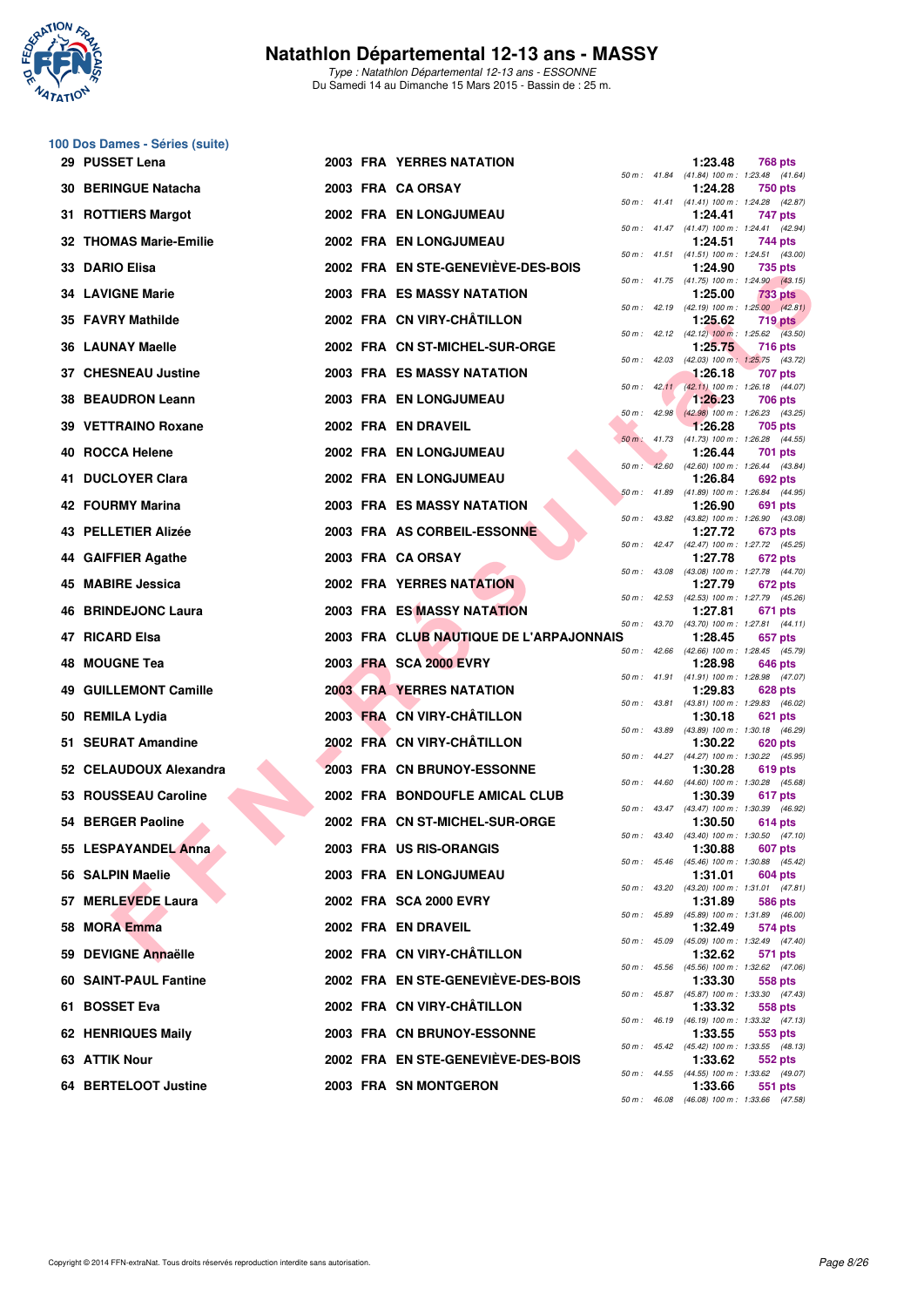

Type : Natathlon Départemental 12-13 ans - ESSONNE Du Samedi 14 au Dimanche 15 Mars 2015 - Bassin de : 25 m.

## **100 Dos Dames - Séries (suite)**

|     | 29 PUSSET Lena             |  | <b>2003 FRA YERRES NATATION</b>         |          |                | 1:23.48 | 768 pts                                                      |
|-----|----------------------------|--|-----------------------------------------|----------|----------------|---------|--------------------------------------------------------------|
|     | <b>30 BERINGUE Natacha</b> |  | 2003 FRA CA ORSAY                       |          |                | 1:24.28 | 50 m: 41.84 (41.84) 100 m: 1:23.48 (41.64)<br><b>750 pts</b> |
|     | 31 ROTTIERS Margot         |  | 2002 FRA EN LONGJUMEAU                  |          |                | 1:24.41 | 50 m: 41.41 (41.41) 100 m: 1:24.28 (42.87)<br>747 pts        |
|     | 32 THOMAS Marie-Emilie     |  | 2002 FRA EN LONGJUMEAU                  |          |                | 1:24.51 | 50 m: 41.47 (41.47) 100 m: 1:24.41 (42.94)<br>744 pts        |
|     | 33 DARIO Elisa             |  | 2002 FRA EN STE-GENEVIEVE-DES-BOIS      |          |                | 1:24.90 | 50 m: 41.51 (41.51) 100 m: 1:24.51 (43.00)<br>735 pts        |
|     | <b>34 LAVIGNE Marie</b>    |  | <b>2003 FRA ES MASSY NATATION</b>       |          |                | 1:25.00 | 50 m: 41.75 (41.75) 100 m: 1:24.90 (43.15)<br><b>733 pts</b> |
|     | 35 FAVRY Mathilde          |  | 2002 FRA CN VIRY-CHÂTILLON              |          |                | 1:25.62 | 50 m : 42.19 (42.19) 100 m : 1:25.00 (42.81)<br>719 pts      |
|     | <b>36 LAUNAY Maelle</b>    |  | 2002 FRA CN ST-MICHEL-SUR-ORGE          |          |                | 1:25.75 | 50 m: 42.12 (42.12) 100 m: 1:25.62 (43.50)<br>716 pts        |
|     | 37 CHESNEAU Justine        |  | <b>2003 FRA ES MASSY NATATION</b>       |          |                | 1:26.18 | 50 m: 42.03 (42.03) 100 m: 1:25.75 (43.72)<br>707 pts        |
|     | 38 BEAUDRON Leann          |  | <b>2003 FRA EN LONGJUMEAU</b>           |          |                | 1:26.23 | 50 m: 42.11 (42.11) 100 m: 1:26.18 (44.07)<br>706 pts        |
|     | 39 VETTRAINO Roxane        |  | 2002 FRA EN DRAVEIL                     |          |                | 1:26.28 | 50 m: 42.98 (42.98) 100 m: 1:26.23 (43.25)<br>705 pts        |
|     | 40 ROCCA Helene            |  | 2002 FRA EN LONGJUMEAU                  |          |                | 1:26.44 | 50 m : 41.73 (41.73) 100 m : 1:26.28 (44.55)<br>701 pts      |
|     | 41 DUCLOYER Clara          |  | 2002 FRA EN LONGJUMEAU                  | $50 m$ : | 42.60          | 1:26.84 | (42.60) 100 m : 1:26.44 (43.84)<br>692 pts                   |
|     | 42 FOURMY Marina           |  | 2003 FRA ES MASSY NATATION              |          |                | 1:26.90 | 50 m : 41.89 (41.89) 100 m : 1:26.84 (44.95)<br>691 pts      |
|     | 43 PELLETIER Alizée        |  | 2003 FRA AS CORBEIL-ESSONNE             |          |                | 1:27.72 | 50 m: 43.82 (43.82) 100 m: 1:26.90 (43.08)<br>673 pts        |
|     | 44 GAIFFIER Agathe         |  | 2003 FRA CA ORSAY                       |          |                | 1:27.78 | 50 m: 42.47 (42.47) 100 m: 1:27.72 (45.25)<br>672 pts        |
|     | 45 MABIRE Jessica          |  | <b>2002 FRA YERRES NATATION</b>         |          |                | 1:27.79 | 50 m: 43.08 (43.08) 100 m: 1:27.78 (44.70)<br>672 pts        |
|     | 46 BRINDEJONC Laura        |  | 2003 FRA ES MASSY NATATION              |          | $50 m$ : 42.53 | 1:27.81 | (42.53) 100 m : 1:27.79 (45.26)<br>671 pts                   |
|     | 47 RICARD Elsa             |  | 2003 FRA CLUB NAUTIQUE DE L'ARPAJONNAIS |          | 50 m : 43.70   | 1:28.45 | (43.70) 100 m: 1:27.81 (44.11)<br>657 pts                    |
|     | 48 MOUGNE Tea              |  | 2003 FRA SCA 2000 EVRY                  |          |                | 1:28.98 | 50 m: 42.66 (42.66) 100 m: 1:28.45 (45.79)<br>646 pts        |
| 49. | <b>GUILLEMONT Camille</b>  |  | <b>2003 FRA YERRES NATATION</b>         |          |                | 1:29.83 | 50 m: 41.91 (41.91) 100 m: 1:28.98 (47.07)<br>628 pts        |
|     | 50 REMILA Lydia            |  | 2003 FRA CN VIRY-CHÂTILLON              |          |                | 1:30.18 | 50 m: 43.81 (43.81) 100 m: 1:29.83 (46.02)<br>621 pts        |
|     | 51 SEURAT Amandine         |  | 2002 FRĂ CN VIRY-CHÂTILLON              |          |                | 1:30.22 | 50 m: 43.89 (43.89) 100 m: 1:30.18 (46.29)<br>620 pts        |
|     | 52 CELAUDOUX Alexandra     |  | 2003 FRA CN BRUNOY-ESSONNE              |          |                | 1:30.28 | 50 m: 44.27 (44.27) 100 m: 1:30.22 (45.95)<br>619 pts        |
|     | 53 ROUSSEAU Caroline       |  | 2002 FRA BONDOUFLE AMICAL CLUB          |          | 50 m: 44.60    | 1:30.39 | $(44.60)$ 100 m : 1:30.28 $(45.68)$<br>617 pts               |
|     | 54 BERGER Paoline          |  | 2002 FRA CN ST-MICHEL-SUR-ORGE          |          |                | 1:30.50 | 50 m: 43.47 (43.47) 100 m: 1:30.39 (46.92)<br>614 pts        |
|     | 55 LESPAYANDEL Anna        |  | 2003 FRA US RIS-ORANGIS                 |          |                | 1:30.88 | 50 m: 43.40 (43.40) 100 m: 1:30.50 (47.10)<br>607 pts        |
|     | 56 SALPIN Maelie           |  | 2003 FRA EN LONGJUMEAU                  |          |                | 1:31.01 | 50 m : 45.46 (45.46) 100 m : 1:30.88 (45.42)<br>604 pts      |
|     | 57 MERLEVEDE Laura         |  | 2002 FRA SCA 2000 EVRY                  |          |                | 1:31.89 | 50 m: 43.20 (43.20) 100 m: 1:31.01 (47.81)<br>586 pts        |
|     | 58 MORA Emma               |  | 2002 FRA EN DRAVEIL                     |          |                | 1:32.49 | 50 m: 45.89 (45.89) 100 m: 1:31.89 (46.00)<br>574 pts        |
|     | 59 DEVIGNE Annaëlle        |  | 2002 FRA CN VIRY-CHÂTILLON              |          | 50 m : 45.09   | 1:32.62 | $(45.09)$ 100 m : 1:32.49 $(47.40)$<br>571 pts               |
|     | 60 SAINT-PAUL Fantine      |  | 2002 FRA EN STE-GENEVIÈVE-DES-BOIS      |          |                | 1:33.30 | 50 m: 45.56 (45.56) 100 m: 1:32.62 (47.06)<br>558 pts        |
|     | 61 BOSSET Eva              |  | 2002 FRA CN VIRY-CHÂTILLON              |          |                | 1:33.32 | 50 m: 45.87 (45.87) 100 m: 1:33.30 (47.43)<br>558 pts        |
|     | 62 HENRIQUES Maily         |  | 2003 FRA CN BRUNOY-ESSONNE              |          |                | 1:33.55 | 50 m: 46.19 (46.19) 100 m: 1:33.32 (47.13)<br>553 pts        |
|     | 63 ATTIK Nour              |  | 2002 FRA EN STE-GENEVIEVE-DES-BOIS      |          |                | 1:33.62 | 50 m: 45.42 (45.42) 100 m: 1:33.55 (48.13)<br>552 pts        |
|     | 64 BERTELOOT Justine       |  | <b>2003 FRA SN MONTGERON</b>            |          |                | 1:33.66 | 50 m: 44.55 (44.55) 100 m: 1:33.62 (49.07)<br>551 pts        |
|     |                            |  |                                         |          |                |         | 50 m: 46.08 (46.08) 100 m: 1:33.66 (47.58)                   |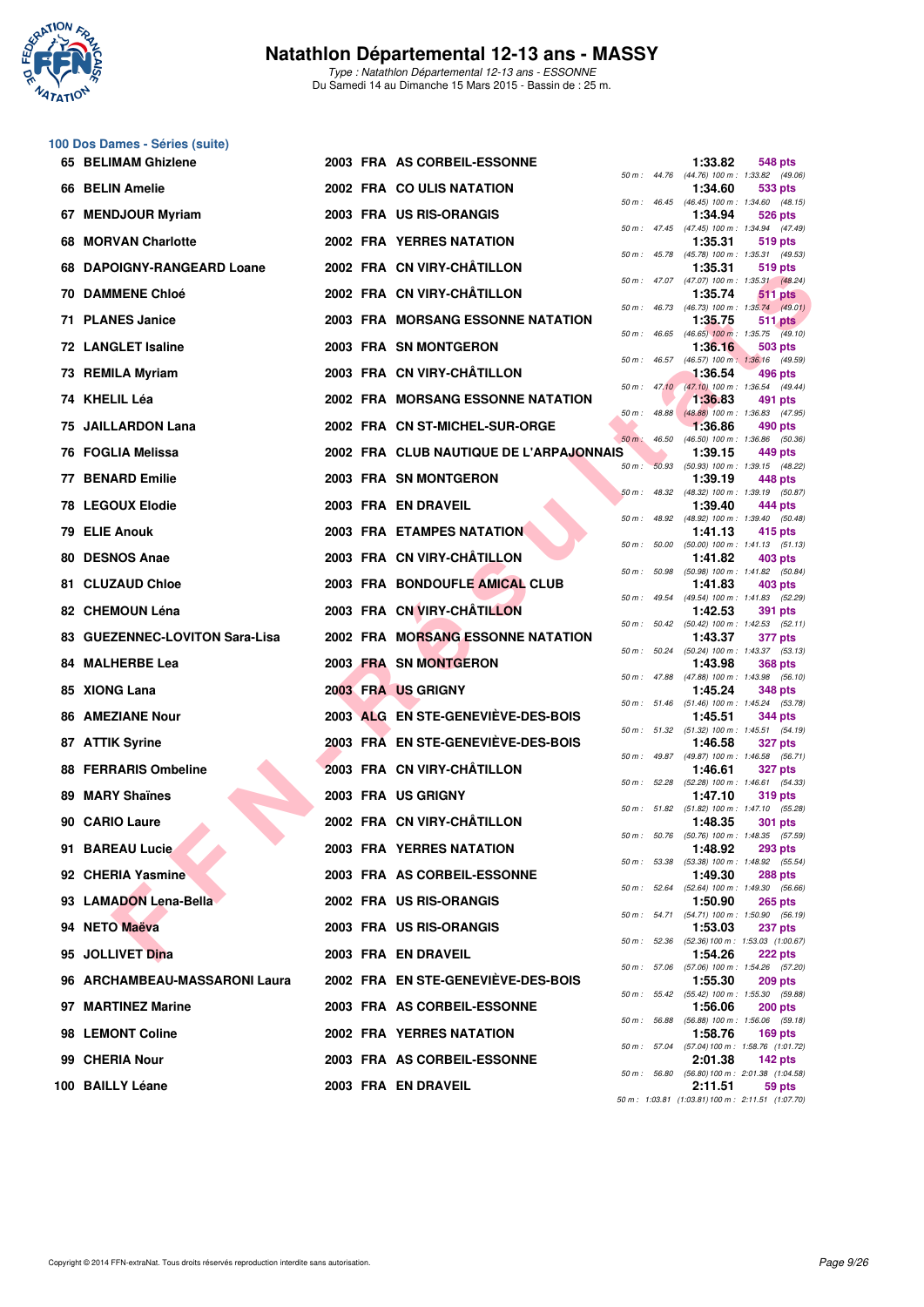

**100 Dos Dames - Séries (suite)**

## **Natathlon Départemental 12-13 ans - MASSY**

Type : Natathlon Départemental 12-13 ans - ESSONNE Du Samedi 14 au Dimanche 15 Mars 2015 - Bassin de : 25 m.

| 65  | <b>BELIMAM Ghizlene</b>            |  | 2003 FRA AS CORBEIL-ESSONNE              |          |                  | 1:33.82 | 548 pts                                                                                                      |
|-----|------------------------------------|--|------------------------------------------|----------|------------------|---------|--------------------------------------------------------------------------------------------------------------|
|     | 66 BELIN Amelie                    |  | 2002 FRA COULIS NATATION                 |          |                  | 1:34.60 | 50 m: 44.76 (44.76) 100 m: 1:33.82 (49.06)<br>533 pts                                                        |
| 67  | <b>MENDJOUR Myriam</b>             |  | 2003 FRA US RIS-ORANGIS                  |          |                  | 1:34.94 | 50 m: 46.45 (46.45) 100 m: 1:34.60 (48.15)<br>526 pts                                                        |
| 68  | <b>MORVAN Charlotte</b>            |  | 2002 FRA YERRES NATATION                 |          |                  | 1:35.31 | 50 m: 47.45 (47.45) 100 m: 1:34.94 (47.49)<br>519 pts                                                        |
| 68  | <b>DAPOIGNY-RANGEARD Loane</b>     |  | 2002 FRA CN VIRY-CHÂTILLON               |          |                  | 1:35.31 | 50 m: 45.78 (45.78) 100 m: 1:35.31 (49.53)<br>519 pts                                                        |
| 70  | <b>DAMMENE Chloé</b>               |  | 2002 FRA CN VIRY-CHÂTILLON               |          |                  | 1:35.74 | 50 m: 47.07 (47.07) 100 m: 1:35.31 (48.24)<br>511 pts                                                        |
|     | 71 PLANES Janice                   |  | <b>2003 FRA MORSANG ESSONNE NATATION</b> |          |                  | 1:35.75 | 50 m : 46.73 (46.73) 100 m : 1:35.74 (49.01)<br><b>511 pts</b>                                               |
|     | <b>72 LANGLET Isaline</b>          |  | 2003 FRA SN MONTGERON                    |          |                  | 1:36.16 | 50 m : 46.65 (46.65) 100 m : 1:35.75 (49.10)<br>503 pts                                                      |
|     | 73 REMILA Myriam                   |  | 2003 FRA CN VIRY-CHÂTILLON               |          | 50 m : 46.57     | 1:36.54 | (46.57) 100 m: 1:36.16 (49.59)<br>496 pts                                                                    |
| 74  | <b>KHELIL Léa</b>                  |  | <b>2002 FRA MORSANG ESSONNE NATATION</b> |          | $50 m$ : $47.10$ | 1:36.83 | $(47.10)$ 100 m : 1:36.54 $(49.44)$<br>491 pts                                                               |
| 75  | <b>JAILLARDON Lana</b>             |  | 2002 FRA CN ST-MICHEL-SUR-ORGE           |          |                  | 1:36.86 | 50 m: 48.88 (48.88) 100 m: 1:36.83 (47.95)<br>490 pts                                                        |
| 76  | <b>FOGLIA Melissa</b>              |  | 2002 FRA CLUB NAUTIQUE DE L'ARPAJONNAIS  | $50 m$ : | 46.50            | 1:39.15 | (46.50) 100 m: 1:36.86 (50.36)<br>449 pts                                                                    |
| 77  | <b>BENARD Emilie</b>               |  | 2003 FRA SN MONTGERON                    | $50 m$ : |                  | 1:39.19 | 50.93 (50.93) 100 m : 1:39.15 (48.22)<br>448 pts                                                             |
|     | <b>78 LEGOUX Elodie</b>            |  | 2003 FRA EN DRAVEIL                      |          |                  | 1:39.40 | 50 m: 48.32 (48.32) 100 m: 1:39.19 (50.87)<br>444 pts                                                        |
| 79  | <b>ELIE Anouk</b>                  |  | <b>2003 FRA ETAMPES NATATION</b>         |          |                  | 1:41.13 | 50 m: 48.92 (48.92) 100 m: 1:39.40 (50.48)<br>415 pts                                                        |
| 80  | <b>DESNOS Anae</b>                 |  | 2003 FRA CN VIRY-CHÂTILLON               |          | 50 m : 50.00     | 1:41.82 | $(50.00)$ 100 m : 1:41.13 $(51.13)$<br>403 pts                                                               |
| 81  | <b>CLUZAUD Chloe</b>               |  | 2003 FRA BONDOUFLE AMICAL CLUB           |          | 50 m : 50.98     | 1:41.83 | $(50.98)$ 100 m : 1:41.82 $(50.84)$<br>403 pts                                                               |
|     | 82 CHEMOUN Léna                    |  | 2003 FRA CN VIRY-CHÂTILLON               |          |                  | 1:42.53 | 50 m: 49.54 (49.54) 100 m: 1:41.83 (52.29)<br>391 pts                                                        |
| 83  | <b>GUEZENNEC-LOVITON Sara-Lisa</b> |  | <b>2002 FRA MORSANG ESSONNE NATATION</b> |          |                  | 1:43.37 | 50 m: 50.42 (50.42) 100 m: 1:42.53 (52.11)<br><b>377 pts</b>                                                 |
| 84. | <b>MALHERBE Lea</b>                |  | <b>2003 FRA SN MONTGERON</b>             |          |                  | 1:43.98 | 50 m: 50.24 (50.24) 100 m: 1:43.37 (53.13)<br><b>368 pts</b>                                                 |
| 85  | <b>XIONG Lana</b>                  |  | 2003 FRA US GRIGNY                       |          | 50 m : 47.88     | 1:45.24 | $(47.88)$ 100 m : 1:43.98 $(56.10)$<br><b>348 pts</b>                                                        |
| 86  | <b>AMEZIANE Nour</b>               |  | 2003 ALG EN STE-GENEVIEVE-DES-BOIS       |          |                  | 1:45.51 | 50 m: 51.46 (51.46) 100 m: 1:45.24 (53.78)<br>344 pts                                                        |
|     | 87 ATTIK Syrine                    |  | 2003 FRA EN STE-GENEVIÈVE-DES-BOIS       |          |                  | 1:46.58 | 50 m: 51.32 (51.32) 100 m: 1:45.51 (54.19)<br><b>327 pts</b>                                                 |
| 88  | <b>FERRARIS Ombeline</b>           |  | 2003 FRA CN VIRY-CHÂTILLON               |          |                  | 1:46.61 | 50 m: 49.87 (49.87) 100 m: 1:46.58 (56.71)<br>327 pts                                                        |
| 89  | <b>MARY Shaïnes</b>                |  | 2003 FRA US GRIGNY                       |          |                  | 1:47.10 | 50 m: 52.28 (52.28) 100 m: 1:46.61 (54.33)<br>319 pts<br>50 m: 51.82 (51.82) 100 m: 1:47.10 (55.28)          |
|     | 90 CARIO Laure                     |  | 2002 FRA CN VIRY-CHÂTILLON               |          |                  | 1:48.35 | <b>301 pts</b><br>50 m: 50.76 (50.76) 100 m: 1:48.35 (57.59)                                                 |
|     | 91 BAREAU Lucie                    |  | 2003 FRA YERRES NATATION                 |          |                  | 1:48.92 | <b>293 pts</b><br>50 m: 53.38 (53.38) 100 m: 1:48.92 (55.54)                                                 |
|     | 92 CHERIA Yasmine                  |  | 2003 FRA AS CORBEIL-ESSONNE              |          | 50 m : 52.64     | 1:49.30 | 288 pts<br>$(52.64)$ 100 m : 1:49.30 $(56.66)$                                                               |
|     | 93 LAMADON Lena-Bella              |  | 2002 FRA US RIS-ORANGIS                  |          |                  | 1:50.90 | <b>265 pts</b><br>50 m : 54.71 (54.71) 100 m : 1:50.90 (56.19)                                               |
|     | 94 NETO Maëva                      |  | 2003 FRA US RIS-ORANGIS                  |          |                  | 1:53.03 | <b>237 pts</b><br>50 m: 52.36 (52.36) 100 m: 1:53.03 (1:00.67)                                               |
|     | 95 JOLLIVET Dina                   |  | 2003 FRA EN DRAVEIL                      |          |                  | 1:54.26 | 222 pts<br>50 m: 57.06 (57.06) 100 m: 1:54.26 (57.20)                                                        |
|     | 96 ARCHAMBEAU-MASSARONI Laura      |  | 2002 FRA EN STE-GENEVIÈVE-DES-BOIS       |          |                  | 1:55.30 | <b>209 pts</b>                                                                                               |
|     | 97 MARTINEZ Marine                 |  | 2003 FRA AS CORBEIL-ESSONNE              |          |                  | 1:56.06 | 50 m: 55.42 (55.42) 100 m: 1:55.30 (59.88)<br><b>200 pts</b><br>50 m : 56.88 (56.88) 100 m : 1:56.06 (59.18) |
|     | 98 LEMONT Coline                   |  | <b>2002 FRA YERRES NATATION</b>          |          |                  | 1:58.76 | $169$ pts<br>50 m: 57.04 (57.04) 100 m: 1:58.76 (1:01.72)                                                    |
|     | 99 CHERIA Nour                     |  | 2003 FRA AS CORBEIL-ESSONNE              |          |                  | 2:01.38 | <b>142 pts</b><br>50 m : 56.80 (56.80) 100 m : 2:01.38 (1:04.58)                                             |
|     | 100 BAILLY Léane                   |  | 2003 FRA EN DRAVEIL                      |          |                  | 2:11.51 | 59 pts<br>50 m: 1:03.81 (1:03.81) 100 m: 2:11.51 (1:07.70)                                                   |
|     |                                    |  |                                          |          |                  |         |                                                                                                              |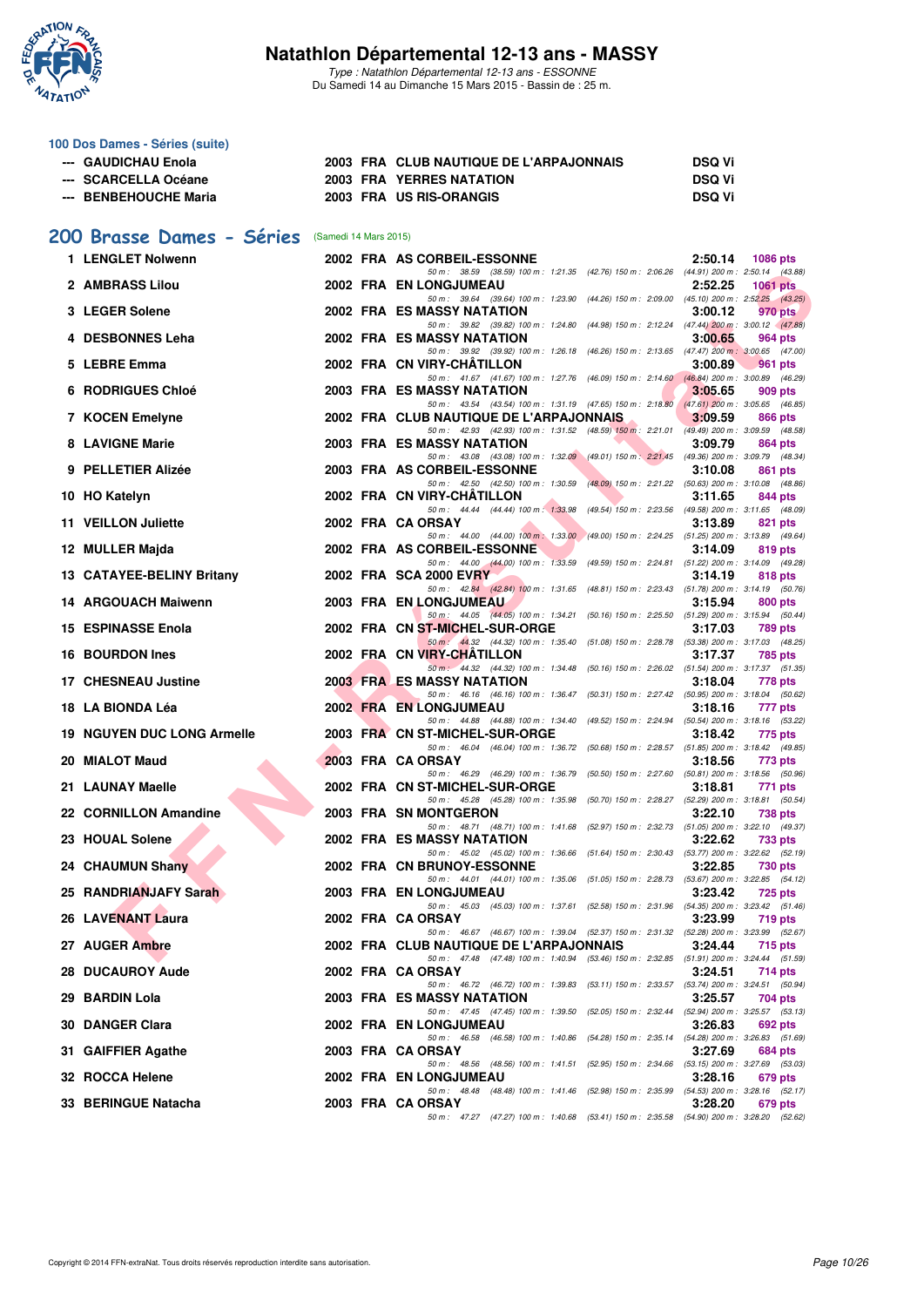

Type : Natathlon Départemental 12-13 ans - ESSONNE Du Samedi 14 au Dimanche 15 Mars 2015 - Bassin de : 25 m.

#### **100 Dos Dames - Séries (suite)**

| --- GAUDICHAU Enola   | 2003 FRA CLUB NAUTIQUE DE L'ARPAJONNAIS | <b>DSQ Vi</b> |
|-----------------------|-----------------------------------------|---------------|
| --- SCARCELLA Océane  | <b>2003 FRA YERRES NATATION</b>         | <b>DSQ Vi</b> |
| --- BENBEHOUCHE Maria | 2003 FRA US RIS-ORANGIS                 | <b>DSQ Vi</b> |

## **[200 Brasse Dames - Séries](http://www.ffnatation.fr/webffn/resultats.php?idact=nat&go=epr&idcpt=30327&idepr=23)** (Samedi 14 Mars 2015)

| 1 LENGLET Nolwenn                 |  | 2002 FRA AS CORBEIL-ESSONNE<br>2:50.14<br><b>1086 pts</b>                                                                                                        |
|-----------------------------------|--|------------------------------------------------------------------------------------------------------------------------------------------------------------------|
| 2 AMBRASS Lilou                   |  | 50 m: 38.59 (38.59) 100 m: 1:21.35 (42.76) 150 m: 2:06.26 (44.91) 200 m: 2:50.14 (43.88)<br>2002 FRA EN LONGJUMEAU<br>2:52.25<br><b>1061 pts</b>                 |
| 3 LEGER Solene                    |  | 50 m: 39.64 (39.64) 100 m: 1:23.90 (44.26) 150 m: 2:09.00 (45.10) 200 m: 2:52.25 (43.25)<br>2002 FRA ES MASSY NATATION<br>3:00.12<br>970 pts                     |
| 4 DESBONNES Leha                  |  | 50 m: 39.82 (39.82) 100 m: 1:24.80 (44.98) 150 m: 2:12.24 (47.44) 200 m: 3:00.12 (47.88)<br>2002 FRA ES MASSY NATATION<br>3:00.65<br>964 pts                     |
| 5 LEBRE Emma                      |  | 50 m: 39.92 (39.92) 100 m: 1:26.18 (46.26) 150 m: 2:13.65 (47.47) 200 m: 3:00.65 (47.00)<br>2002 FRA CN VIRY-CHATILLON<br>3:00.89<br><b>961 pts</b>              |
| <b>6 RODRIGUES Chloé</b>          |  | 50 m: 41.67 (41.67) 100 m: 1:27.76 (46.09) 150 m: 2:14.60 (46.84) 200 m: 3:00.89 (46.29)<br>2003 FRA ES MASSY NATATION<br>3:05.65<br>909 pts                     |
| 7 KOCEN Emelyne                   |  | 50 m: 43.54 (43.54) 100 m: 1:31.19 (47.65) 150 m: 2:18.80 (47.61) 200 m: 3:05.65 (46.85)<br>2002 FRA CLUB NAUTIQUE DE L'ARPAJONNAIS<br>3:09.59<br>866 pts        |
| 8 LAVIGNE Marie                   |  | 50 m: 42.93 (42.93) 100 m: 1:31.52 (48.59) 150 m: 2:21.01 (49.49) 200 m: 3:09.59 (48.58)<br>2003 FRA ES MASSY NATATION<br>3:09.79<br>864 pts                     |
| 9 PELLETIER Alizée                |  | 50 m: 43.08 (43.08) 100 m: 1:32.09 (49.01) 150 m: 2:21.45 (49.36) 200 m: 3:09.79 (48.34)<br>2003 FRA AS CORBEIL-ESSONNE<br>3:10.08<br>861 pts                    |
| 10 HO Katelyn                     |  | 50 m: 42.50 (42.50) 100 m: 1:30.59 (48.09) 150 m: 2:21.22 (50.63) 200 m: 3:10.08 (48.86)<br>2002 FRA CN VIRY-CHATILLON<br>3:11.65<br>844 pts                     |
| 11 VEILLON Juliette               |  | 50 m: 44.44 (44.44) 100 m: 1:33.98 (49.54) 150 m: 2:23.56 (49.58) 200 m: 3:11.65 (48.09)<br>2002 FRA CA ORSAY<br>3:13.89<br>821 pts                              |
| 12 MULLER Majda                   |  | 50 m: 44.00 (44.00) 100 m: 1:33.00 (49.00) 150 m: 2:24.25 (51.25) 200 m: 3:13.89 (49.64)<br>2002 FRA AS CORBEIL-ESSONNE<br>3:14.09<br>819 pts                    |
| 13 CATAYEE-BELINY Britany         |  | 50 m: 44.00 (44.00) 100 m: 1:33.59 (49.59) 150 m: 2:24.81 (51.22) 200 m: 3:14.09 (49.28)<br>2002 FRA SCA 2000 EVRY<br>3:14.19<br>818 pts                         |
| 14 ARGOUACH Maiwenn               |  | 50 m: 42.84 (42.84) 100 m: 1:31.65 (48.81) 150 m: 2:23.43 (51.78) 200 m: 3:14.19 (50.76)<br>2003 FRA EN LONGJUMEAU<br>3:15.94<br>800 pts                         |
| 15 ESPINASSE Enola                |  | 50 m: 44.05 (44.05) 100 m: 1:34.21 (50.16) 150 m: 2:25.50 (51.29) 200 m: 3:15.94 (50.44)<br>2002 FRA CN ST-MICHEL-SUR-ORGE<br>3:17.03<br><b>789 pts</b>          |
| 16 BOURDON Ines                   |  | 50 m : 44.32 (44.32) 100 m : 1:35.40 (51.08) 150 m : 2:28.78 (53.38) 200 m : 3:17.03 (48.25)<br>2002 FRA CN VIRY-CHATILLON<br>3:17.37<br>785 pts                 |
| 17 CHESNEAU Justine               |  | 50 m: 44.32 (44.32) 100 m: 1:34.48 (50.16) 150 m: 2:26.02 (51.54) 200 m: 3:17.37 (51.35)<br><b>2003 FRALES MASSY NATATION</b><br>3:18.04<br>778 pts              |
| 18 LA BIONDA Léa                  |  | 50 m: 46.16 (46.16) 100 m: 1:36.47 (50.31) 150 m: 2:27.42 (50.95) 200 m: 3:18.04 (50.62)<br>2002 FRA EN LONGJUMEAU<br>3:18.16<br>777 pts                         |
| <b>19 NGUYEN DUC LONG Armelle</b> |  | 50 m: 44.88 (44.88) 100 m: 1:34.40 (49.52) 150 m: 2:24.94 (50.54) 200 m: 3:18.16 (53.22)<br>2003 FRA CN ST-MICHEL-SUR-ORGE<br>3:18.42<br>775 pts                 |
| 20 MIALOT Maud                    |  | 50 m: 46.04 (46.04) 100 m: 1:36.72 (50.68) 150 m: 2:28.57 (51.85) 200 m: 3:18.42 (49.85)<br>2003 FRA CA ORSAY<br>3:18.56<br>773 pts                              |
| 21 LAUNAY Maelle                  |  | 50 m: 46.29 (46.29) 100 m: 1:36.79 (50.50) 150 m: 2:27.60 (50.81) 200 m: 3:18.56 (50.96)<br>2002 FRA CN ST-MICHEL-SUR-ORGE<br>3:18.81<br>771 pts                 |
| 22 CORNILLON Amandine             |  | 50 m: 45.28 (45.28) 100 m: 1:35.98 (50.70) 150 m: 2:28.27 (52.29) 200 m: 3:18.81 (50.54)<br>2003 FRA SN MONTGERON<br>3:22.10<br><b>738 pts</b>                   |
| 23 HOUAL Solene                   |  | 50 m: 48.71 (48.71) 100 m: 1:41.68 (52.97) 150 m: 2:32.73 (51.05) 200 m: 3:22.10 (49.37)<br>2002 FRA ES MASSY NATATION<br>3:22.62<br>733 pts                     |
| 24 CHAUMUN Shany                  |  | 50 m: 45.02 (45.02) 100 m: 1:36.66 (51.64) 150 m: 2:30.43 (53.77) 200 m: 3:22.62 (52.19)<br>2002 FRA CN BRUNOY-ESSONNE<br>3:22.85<br><b>730 pts</b>              |
| 25 RANDRIANJAFY Sarah             |  | 50 m: 44.01 (44.01) 100 m: 1:35.06 (51.05) 150 m: 2:28.73 (53.67) 200 m: 3:22.85 (54.12)<br>2003 FRA EN LONGJUMEAU<br>3:23.42<br>725 pts                         |
| 26 LAVENANT Laura                 |  | 50 m: 45.03 (45.03) 100 m: 1:37.61 (52.58) 150 m: 2:31.96 (54.35) 200 m: 3:23.42 (51.46)<br>2002 FRA CA ORSAY<br>3:23.99<br>719 pts                              |
| 27 AUGER Ambre                    |  | 50 m: 46.67 (46.67) 100 m: 1:39.04 (52.37) 150 m: 2:31.32 (52.28) 200 m: 3:23.99 (52.67)<br>2002 FRA CLUB NAUTIQUE DE L'ARPAJONNAIS<br>3:24.44<br><b>715 pts</b> |
| <b>28 DUCAUROY Aude</b>           |  | 50 m: 47.48 (47.48) 100 m: 1:40.94 (53.46) 150 m: 2:32.85 (51.91) 200 m: 3:24.44 (51.59)<br>2002 FRA CA ORSAY<br>3:24.51<br>714 pts                              |
| 29 BARDIN Lola                    |  | 50 m: 46.72 (46.72) 100 m: 1:39.83 (53.11) 150 m: 2:33.57 (53.74) 200 m: 3:24.51 (50.94)<br>2003 FRA ES MASSY NATATION<br>3:25.57<br>704 pts                     |
| 30 DANGER Clara                   |  | 50 m: 47.45 (47.45) 100 m: 1:39.50 (52.05) 150 m: 2:32.44 (52.94) 200 m: 3:25.57 (53.13)<br>2002 FRA EN LONGJUMEAU<br>3:26.83<br>692 pts                         |
| 31 GAIFFIER Agathe                |  | 50 m: 46.58 (46.58) 100 m: 1:40.86 (54.28) 150 m: 2:35.14 (54.28) 200 m: 3:26.83 (51.69)<br>2003 FRA CA ORSAY<br>3:27.69<br>684 pts                              |
| 32 ROCCA Helene                   |  | 50 m : 48.56 (48.56) 100 m : 1:41.51 (52.95) 150 m : 2:34.66 (53.15) 200 m : 3:27.69 (53.03)<br><b>2002 FRA EN LONGJUMEAU</b><br>3:28.16<br>679 pts              |
| 33 BERINGUE Natacha               |  | 50 m: 48.48 (48.48) 100 m: 1:41.46 (52.98) 150 m: 2:35.99 (54.53) 200 m: 3:28.16 (52.17)<br>2003 FRA CA ORSAY<br>3:28.20<br>679 pts                              |
|                                   |  | 50 m: 47.27 (47.27) 100 m: 1:40.68 (53.41) 150 m: 2:35.58 (54.90) 200 m: 3:28.20 (52.62)                                                                         |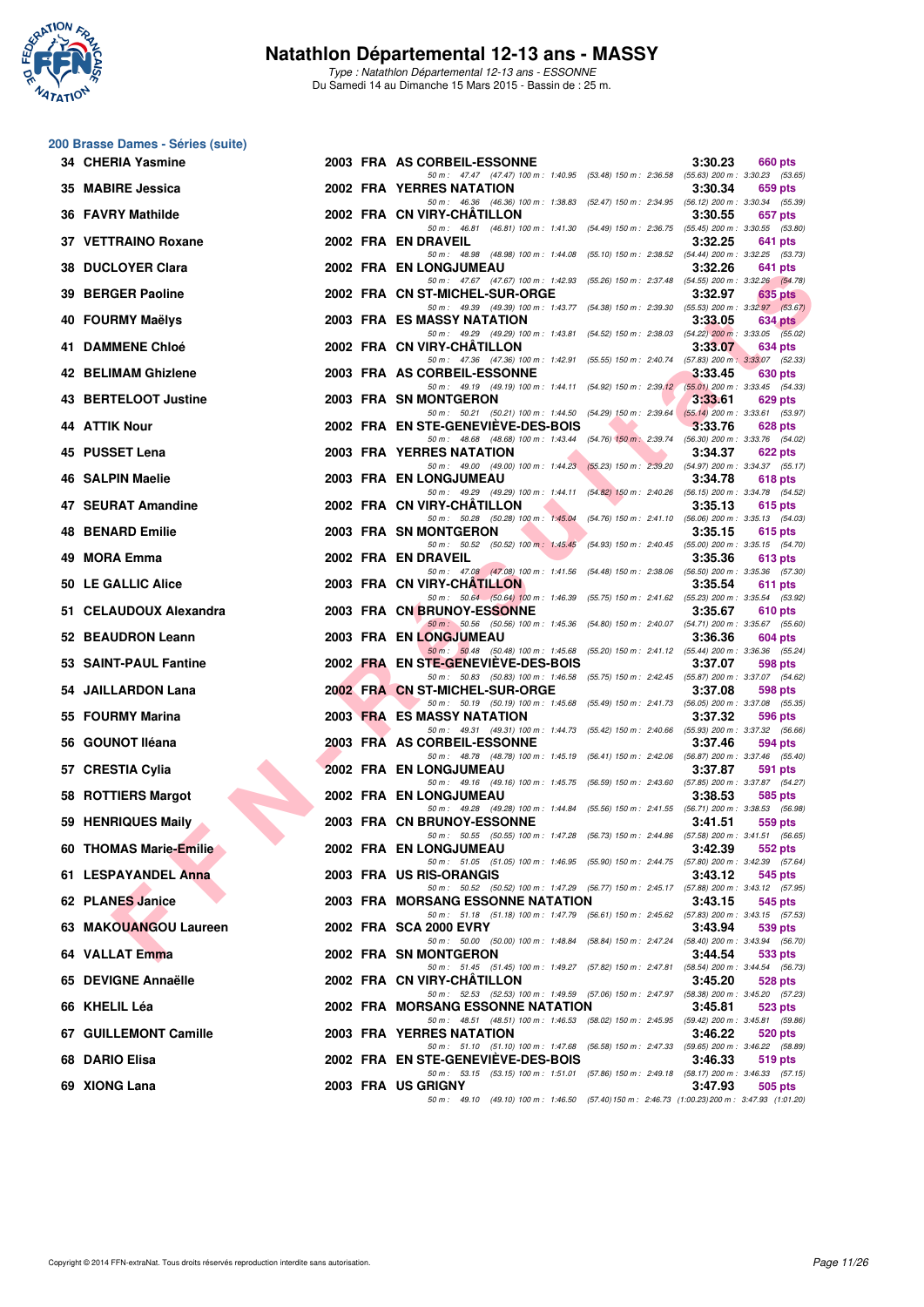

Type : Natathlon Départemental 12-13 ans - ESSONNE Du Samedi 14 au Dimanche 15 Mars 2015 - Bassin de : 25 m.

#### **200 Brasse Dames - Séries (suite)**

| 34 CHERIA Yasmine       |  | 2003 FRA AS CORBEIL-ESSONNE<br>3:30.23<br>660 pts                                                                                                        |
|-------------------------|--|----------------------------------------------------------------------------------------------------------------------------------------------------------|
| 35 MABIRE Jessica       |  | 50 m: 47.47 (47.47) 100 m: 1:40.95 (53.48) 150 m: 2:36.58 (55.63) 200 m: 3:30.23 (53.65)<br><b>2002 FRA YERRES NATATION</b><br>3:30.34<br>659 pts        |
| 36 FAVRY Mathilde       |  | 50 m: 46.36 (46.36) 100 m: 1:38.83 (52.47) 150 m: 2:34.95 (56.12) 200 m: 3:30.34 (55.39)<br>2002 FRA CN VIRY-CHATILLON<br>3:30.55<br>657 pts             |
| 37 VETTRAINO Roxane     |  | 50 m: 46.81 (46.81) 100 m: 1:41.30 (54.49) 150 m: 2:36.75 (55.45) 200 m: 3:30.55 (53.80)<br>2002 FRA EN DRAVEIL<br>3:32.25<br>641 pts                    |
| 38 DUCLOYER Clara       |  | 50 m: 48.98 (48.98) 100 m: 1:44.08 (55.10) 150 m: 2:38.52 (54.44) 200 m: 3:32.25 (53.73)<br>2002 FRA EN LONGJUMEAU<br>3:32.26<br>641 pts                 |
| 39 BERGER Paoline       |  | 50 m: 47.67 (47.67) 100 m: 1:42.93 (55.26) 150 m: 2:37.48 (54.55) 200 m: 3:32.26 (54.78)<br>2002 FRA CN ST-MICHEL-SUR-ORGE<br>3:32.97<br>635 pts         |
| 40 FOURMY Maëlys        |  | 50 m: 49.39 (49.39) 100 m: 1:43.77 (54.38) 150 m: 2:39.30 (55.53) 200 m: 3:32.97 (53.67)<br>2003 FRA ES MASSY NATATION<br>3:33.05<br>634 pts             |
| 41 DAMMENE Chloé        |  | 50 m: 49.29 (49.29) 100 m: 1:43.81 (54.52) 150 m: 2:38.03 (54.22) 200 m: 3:33.05 (55.02)<br>2002 FRA CN VIRY-CHATILLON<br>3:33.07<br>634 pts             |
| 42 BELIMAM Ghizlene     |  | 50 m: 47.36 (47.36) 100 m: 1:42.91 (55.55) 150 m: 2:40.74 (57.83) 200 m: 3:33.07 (52.33)<br>2003 FRA AS CORBEIL-ESSONNE<br>3:33.45<br>630 pts            |
| 43 BERTELOOT Justine    |  | 50 m: 49.19 (49.19) 100 m: 1:44.11 (54.92) 150 m: 2:39.12 (55.01) 200 m: 3:33.45 (54.33)<br>2003 FRA SN MONTGERON<br>3:33.61<br>629 pts                  |
| <b>44 ATTIK Nour</b>    |  | 50 m: 50.21 (50.21) 100 m: 1:44.50 (54.29) 150 m: 2:39.64 (55.14) 200 m: 3:33.61 (53.97)<br>2002 FRA EN STE-GENEVIEVE-DES-BOIS<br>3:33.76<br>628 pts     |
| 45 PUSSET Lena          |  | 50 m: 48.68 (48.68) 100 m: 1:43.44 (54.76) 150 m: 2:39.74 (56.30) 200 m: 3:33.76 (54.02)<br><b>2003 FRA YERRES NATATION</b><br>3:34.37<br><b>622 pts</b> |
|                         |  | 50 m: 49.00 (49.00) 100 m: 1:44.23 (55.23) 150 m: 2:39.20 (54.97) 200 m: 3:34.37 (55.17)                                                                 |
| 46 SALPIN Maelie        |  | <b>2003 FRA EN LONGJUMEAU</b><br>3:34.78<br><b>618 pts</b><br>50 m: 49.29 (49.29) 100 m: 1:44.11 (54.82) 150 m: 2:40.26 (56.15) 200 m: 3:34.78 (54.52)   |
| 47 SEURAT Amandine      |  | 2002 FRA CN VIRY-CHATILLON<br>3:35.13<br>615 pts<br>50 m: 50.28 (50.28) 100 m: 1:45.04 (54.76) 150 m: 2:41.10 (56.06) 200 m: 3:35.13 (54.03)             |
| <b>48 BENARD Emilie</b> |  | 2003 FRA SN MONTGERON<br>3:35.15<br>615 pts<br>50 m: 50.52 (50.52) 100 m: 1:45.45 (54.93) 150 m: 2:40.45 (55.00) 200 m: 3:35.15 (54.70)                  |
| 49 MORA Emma            |  | 2002 FRA EN DRAVEIL<br>3:35.36<br>613 pts<br>50 m: 47.08 (47.08) 100 m: 1:41.56 (54.48) 150 m: 2:38.06 (56.50) 200 m: 3:35.36 (57.30)                    |
| 50 LE GALLIC Alice      |  | 2003 FRA CN VIRY-CHATILLON<br>3:35.54<br>611 pts<br>50 m: 50.64 (50.64) 100 m: 1:46.39 (55.75) 150 m: 2:41.62 (55.23) 200 m: 3:35.54 (53.92)             |
| 51 CELAUDOUX Alexandra  |  | 2003 FRA CN BRUNOY-ESSONNE<br>3:35.67<br>610 pts<br>50 m : 50.56 (50.56) 100 m : 1:45.36 (54.80) 150 m : 2:40.07 (54.71) 200 m : 3:35.67 (55.60)         |
| 52 BEAUDRON Leann       |  | <b>2003 FRA EN LONGJUMEAU</b><br>3:36.36<br>604 pts<br>50 m: 50.48 (50.48) 100 m: 1:45.68 (55.20) 150 m: 2:41.12 (55.44) 200 m: 3:36.36 (55.24)          |
| 53 SAINT-PAUL Fantine   |  | 2002 FRA EN STE-GENEVIEVE-DES-BOIS<br>3:37.07<br>598 pts<br>50 m: 50.83 (50.83) 100 m: 1:46.58 (55.75) 150 m: 2:42.45 (55.87) 200 m: 3:37.07 (54.62)     |
| 54 JAILLARDON Lana      |  | 2002 FRA CN ST-MICHEL-SUR-ORGE<br>3:37.08<br>598 pts<br>50 m : 50.19 (50.19) 100 m : 1:45.68 (55.49) 150 m : 2:41.73 (56.05) 200 m : 3:37.08 (55.35)     |
| 55 FOURMY Marina        |  | <b>2003 FRA ES MASSY NATATION</b><br>3:37.32<br>596 pts<br>50 m: 49.31 (49.31) 100 m: 1:44.73 (55.42) 150 m: 2:40.66 (55.93) 200 m: 3:37.32 (56.66)      |
| 56 GOUNOT Iléana        |  | 2003 FRA AS CORBEIL-ESSONNE<br>3:37.46<br>594 pts                                                                                                        |
| 57 CRESTIA Cylia        |  | 50 m: 48.78 (48.78) 100 m: 1:45.19 (56.41) 150 m: 2:42.06 (56.87) 200 m: 3:37.46 (55.40)<br>2002 FRA EN LONGJUMEAU<br>3:37.87<br><b>591 pts</b>          |
| 58 ROTTIERS Margot      |  | 50 m: 49.16 (49.16) 100 m: 1:45.75 (56.59) 150 m: 2:43.60 (57.85) 200 m: 3:37.87 (54.27)<br>2002 FRA EN LONGJUMEAU<br>3:38.53<br>585 pts                 |
| 59 HENRIQUES Maily      |  | 50 m: 49.28 (49.28) 100 m: 1:44.84 (55.56) 150 m: 2:41.55 (56.71) 200 m: 3:38.53 (56.98)<br>2003 FRA CN BRUNOY-ESSONNE<br>3:41.51<br>559 pts             |
| 60 THOMAS Marie-Emilie  |  | 50 m: 50.55 (50.55) 100 m: 1:47.28 (56.73) 150 m: 2:44.86 (57.58) 200 m: 3:41.51 (56.65)<br>2002 FRA EN LONGJUMEAU<br>3:42.39<br>552 pts                 |
| 61 LESPAYANDEL Anna     |  | 50 m: 51.05 (51.05) 100 m: 1:46.95 (55.90) 150 m: 2:44.75 (57.80) 200 m: 3:42.39 (57.64)<br>2003 FRA US RIS-ORANGIS<br>3:43.12<br>545 pts                |
| 62 PLANES Janice        |  | 50 m: 50.52 (50.52) 100 m: 1:47.29 (56.77) 150 m: 2:45.17 (57.88) 200 m: 3:43.12 (57.95)<br>2003 FRA MORSANG ESSONNE NATATION<br>3:43.15<br>545 pts      |
| 63 MAKOUANGOU Laureen   |  | 50 m: 51.18 (51.18) 100 m: 1:47.79 (56.61) 150 m: 2:45.62 (57.83) 200 m: 3:43.15 (57.53)<br>2002 FRA SCA 2000 EVRY<br>3:43.94<br>539 pts                 |
| 64 VALLAT Emma          |  | 50 m : 50.00 (50.00) 100 m : 1:48.84 (58.84) 150 m : 2:47.24 (58.40) 200 m : 3:43.94 (56.70)<br>2002 FRA SN MONTGERON<br>3:44.54<br>533 pts              |
| 65 DEVIGNE Annaëlle     |  | 50 m: 51.45 (51.45) 100 m: 1:49.27 (57.82) 150 m: 2:47.81 (58.54) 200 m: 3:44.54 (56.73)<br>2002 FRA CN VIRY-CHATILLON<br>3:45.20<br>528 pts             |
| 66 KHELIL Léa           |  | 50 m: 52.53 (52.53) 100 m: 1:49.59 (57.06) 150 m: 2:47.97 (58.38) 200 m: 3:45.20 (57.23)<br>2002 FRA MORSANG ESSONNE NATATION<br>3:45.81<br>523 pts      |
| 67 GUILLEMONT Camille   |  | 50 m : 48.51 (48.51) 100 m : 1:46.53 (58.02) 150 m : 2:45.95 (59.42) 200 m : 3:45.81 (59.86)<br>2003 FRA YERRES NATATION<br>3:46.22<br>520 pts           |
| 68 DARIO Elisa          |  | 50 m: 51.10 (51.10) 100 m: 1:47.68 (56.58) 150 m: 2:47.33 (59.65) 200 m: 3:46.22 (58.89)<br>2002 FRA EN STE-GENEVIEVE-DES-BOIS<br>3:46.33<br>519 pts     |
| 69 XIONG Lana           |  | 50 m: 53.15 (53.15) 100 m: 1:51.01 (57.86) 150 m: 2:49.18 (58.17) 200 m: 3:46.33 (57.15)<br>2003 FRA US GRIGNY                                           |
|                         |  | 3:47.93<br>505 pts<br>50 m: 49.10 (49.10) 100 m: 1:46.50 (57.40) 150 m: 2:46.73 (1:00.23) 200 m: 3:47.93 (1:01.20)                                       |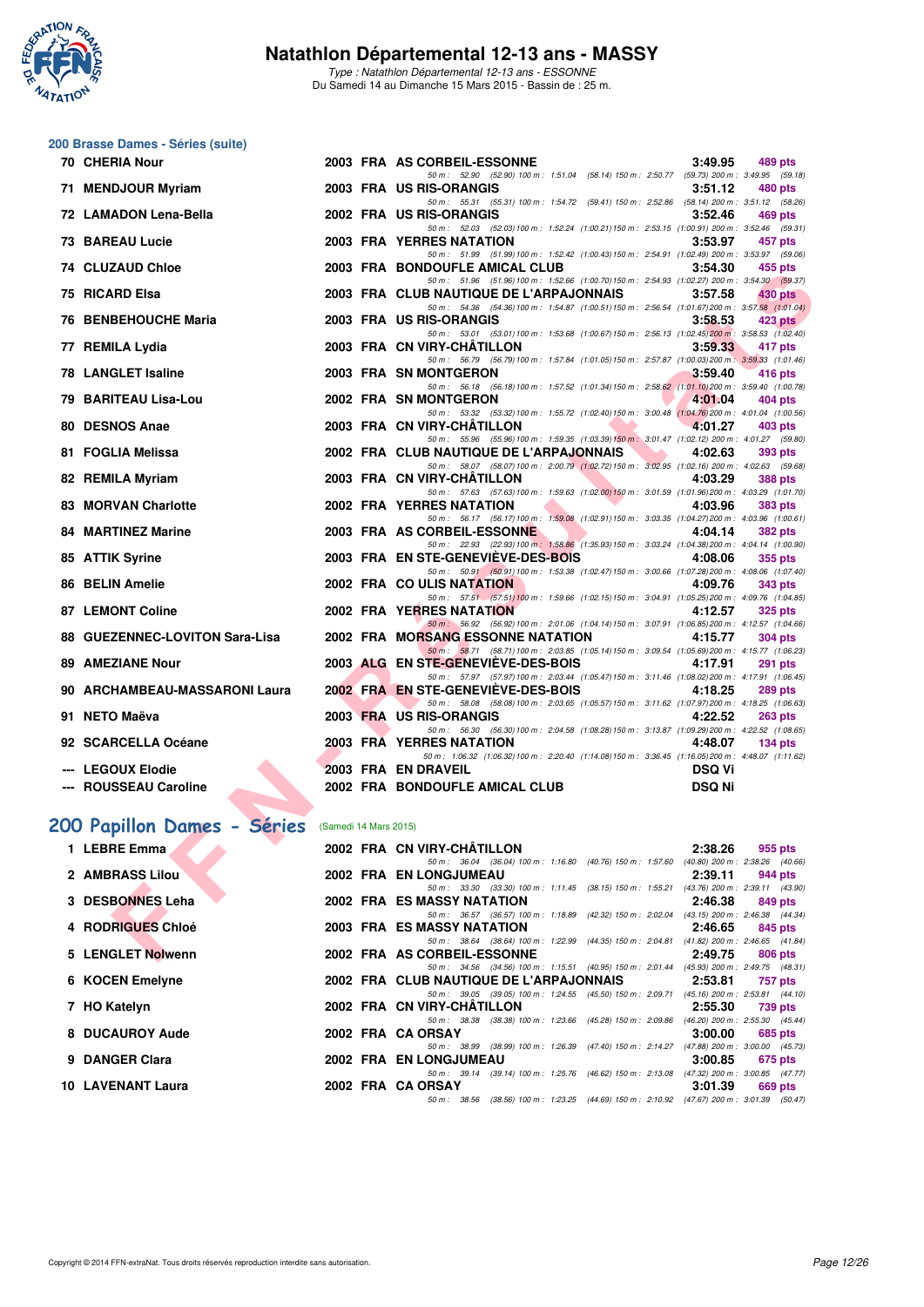

Type : Natathlon Départemental 12-13 ans - ESSONNE Du Samedi 14 au Dimanche 15 Mars 2015 - Bassin de : 25 m.

## **200 Brasse Dames - Séries (suite)**

| 70 CHERIA Nour                             |                       | 2003 FRA AS CORBEIL-ESSONNE<br>3:49.95<br>489 pts                                                                                                               |
|--------------------------------------------|-----------------------|-----------------------------------------------------------------------------------------------------------------------------------------------------------------|
| 71 MENDJOUR Myriam                         |                       | 50 m: 52.90 (52.90) 100 m: 1:51.04 (58.14) 150 m: 2:50.77 (59.73) 200 m: 3:49.95 (59.18)<br>2003 FRA US RIS-ORANGIS<br>3:51.12<br>480 pts                       |
| 72 LAMADON Lena-Bella                      |                       | 50 m: 55.31 (55.31) 100 m: 1:54.72 (59.41) 150 m: 2:52.86 (58.14) 200 m: 3:51.12 (58.26)<br>2002 FRA US RIS-ORANGIS<br>3:52.46<br>469 pts                       |
|                                            |                       | 50 m: 52.03 (52.03) 100 m: 1:52.24 (1:00.21) 150 m: 2:53.15 (1:00.91) 200 m: 3:52.46 (59.31)                                                                    |
| 73 BAREAU Lucie                            |                       | 2003 FRA YERRES NATATION<br>3:53.97<br>457 pts                                                                                                                  |
| 74 CLUZAUD Chloe                           |                       | 50 m: 51.99 (51.99) 100 m: 1:52.42 (1:00.43) 150 m: 2:54.91 (1:02.49) 200 m: 3:53.97 (59.06)<br>2003 FRA BONDOUFLE AMICAL CLUB<br>3:54.30<br>455 pts            |
|                                            |                       | 50 m: 51.96 (51.96) 100 m: 1:52.66 (1:00.70) 150 m: 2:54.93 (1:02.27) 200 m: 3:54.30 (59.37)                                                                    |
| 75 RICARD Elsa                             |                       | 2003 FRA CLUB NAUTIQUE DE L'ARPAJONNAIS<br>3:57.58<br>430 pts<br>50 m: 54.36 (54.36) 100 m: 1:54.87 (1:00.51) 150 m: 2:56.54 (1:01.67) 200 m: 3:57.58 (1:01.04) |
| 76 BENBEHOUCHE Maria                       |                       | 2003 FRA US RIS-ORANGIS<br>3:58.53<br>$423$ pts                                                                                                                 |
| 77 REMILA Lydia                            |                       | 50 m: 53.01 (53.01) 100 m: 1:53.68 (1:00.67) 150 m: 2:56.13 (1:02.45) 200 m: 3:58.53 (1:02.40)<br>2003 FRA CN VIRY-CHATILLON<br>3:59.33<br>417 pts              |
|                                            |                       | 50 m: 56.79 (56.79) 100 m: 1:57.84 (1:01.05) 150 m: 2:57.87 (1:00.03) 200 m: 3:59.33 (1:01.46)                                                                  |
| 78 LANGLET Isaline                         |                       | 2003 FRA SN MONTGERON<br>3:59.40<br>416 pts<br>50 m: 56.18 (56.18) 100 m: 1:57.52 (1:01.34) 150 m: 2:58.62 (1:01.10) 200 m: 3:59.40 (1:00.78)                   |
| 79 BARITEAU Lisa-Lou                       |                       | 2002 FRA SN MONTGERON<br>4:01.04<br>404 pts                                                                                                                     |
| 80 DESNOS Anae                             |                       | 50 m: 53.32 (53.32) 100 m: 1:55.72 (1:02.40) 150 m: 3:00.48 (1:04.76) 200 m: 4:01.04 (1:00.56)<br>2003 FRA CN VIRY-CHÂTILLON<br>4:01.27<br>403 pts              |
|                                            |                       | 50 m: 55.96 (55.96) 100 m: 1:59.35 (1:03.39) 150 m: 3:01.47 (1:02.12) 200 m: 4:01.27 (59.80)                                                                    |
| 81 FOGLIA Melissa                          |                       | 2002 FRA CLUB NAUTIQUE DE L'ARPAJONNAIS<br><b>The Company of the Company</b><br>4:02.63<br><b>393 pts</b>                                                       |
| 82 REMILA Myriam                           |                       | 50 m: 58.07 (58.07) 100 m: 2:00.79 (1:02.72) 150 m: 3:02.95 (1:02.16) 200 m: 4:02.63 (59.68)<br>2003 FRA CN VIRY-CHATILLON<br>4:03.29<br><b>388 pts</b>         |
|                                            |                       | 50 m: 57.63 (57.63) 100 m: 1:59.63 (1:02.00) 150 m: 3:01.59 (1:01.96) 200 m: 4:03.29 (1:01.70)                                                                  |
| 83 MORVAN Charlotte                        |                       | 2002 FRA YERRES NATATION<br>4:03.96<br>383 pts<br>50 m: 56.17 (56.17) 100 m: 1:59.08 (1:02.91) 150 m: 3:03.35 (1:04.27) 200 m: 4:03.96 (1:00.61)                |
| 84 MARTINEZ Marine                         |                       | 2003 FRA AS CORBEIL-ESSONNE<br>4:04.14<br><b>382 pts</b>                                                                                                        |
|                                            |                       | 50 m: 22.93 (22.93) 100 m: 1:58.86 (1:35.93) 150 m: 3:03.24 (1:04.38) 200 m: 4:04.14 (1:00.90)<br>2003 FRA EN STE-GENEVIEVE-DES-BOIS<br>4:08.06                 |
| 85 ATTIK Syrine                            |                       | 355 pts<br>50 m: 50.91 (50.91) 100 m: 1:53.38 (1:02.47) 150 m: 3:00.66 (1:07.28) 200 m: 4:08.06 (1:07.40)                                                       |
| 86 BELIN Amelie                            |                       | 2002 FRA COULIS NATATION<br>4:09.76<br>343 pts                                                                                                                  |
| 87 LEMONT Coline                           |                       | 50 m: 57.51 (57.51) 100 m: 1:59.66 (1:02.15) 150 m: 3:04.91 (1:05.25) 200 m: 4:09.76 (1:04.85)<br><b>2002 FRA YERRES NATATION</b><br><b>325 pts</b><br>4:12.57  |
|                                            |                       | 50 m: 56.92 (56.92) 100 m: 2:01.06 (1:04.14) 150 m: 3:07.91 (1:06.85) 200 m: 4:12.57 (1:04.66)                                                                  |
| 88 GUEZENNEC-LOVITON Sara-Lisa             |                       | 2002 FRA MORSANG ESSONNE NATATION<br>4:15.77<br>304 pts<br>50 m: 58.71 (58.71) 100 m: 2:03.85 (1:05.14) 150 m: 3:09.54 (1:05.69) 200 m: 4:15.77 (1:06.23)       |
| 89 AMEZIANE Nour                           |                       | 2003 ALG EN STE-GENEVIEVE-DES-BOIS<br>4:17.91<br>291 pts                                                                                                        |
| 90 ARCHAMBEAU-MASSARONI Laura              |                       | 50 m: 57.97 (57.97) 100 m: 2:03.44 (1:05.47) 150 m: 3:11.46 (1:08.02) 200 m: 4:17.91 (1:06.45)<br>2002 FRA EN STE-GENEVIÈVE-DES-BOIS<br>4:18.25<br>289 pts      |
|                                            |                       | 50 m: 58.08 (58.08) 100 m: 2:03.65 (1:05.57) 150 m: 3:11.62 (1:07.97) 200 m: 4:18.25 (1:06.63)                                                                  |
| 91   NETO Maëva                            |                       | 2003 FRA US RIS-ORANGIS<br>4:22.52<br>263 pts<br>50 m: 56.30 (56.30) 100 m: 2:04.58 (1:08.28) 150 m: 3:13.87 (1:09.29) 200 m: 4:22.52 (1:08.65)                 |
| 92 SCARCELLA Océane                        |                       | <b>2003 FRA YERRES NATATION</b><br>4:48.07<br>$134$ pts                                                                                                         |
|                                            |                       | 50 m: 1:06.32 (1:06.32) 100 m: 2:20.40 (1:14.08) 150 m: 3:36.45 (1:16.05) 200 m: 4:48.07 (1:11.62)                                                              |
| --- LEGOUX Elodie<br>--- ROUSSEAU Caroline |                       | 2003 FRA EN DRAVEIL<br><b>DSQ Vi</b><br>2002 FRA BONDOUFLE AMICAL CLUB<br><b>DSQ Ni</b>                                                                         |
|                                            |                       |                                                                                                                                                                 |
|                                            |                       |                                                                                                                                                                 |
| 00 Papillon Dames - Séries                 | (Samedi 14 Mars 2015) |                                                                                                                                                                 |
| 1 LEBRE Emma                               |                       | 2002 FRA CN VIRY-CHATILLON<br>2:38.26<br>955 pts<br>$50 m: 36.04 (36.04) 100 m: 1:16.80 (40.76) 150 m: 1:57.60 (40.80) 200 m: 2:38.26 (40.66)$                  |
| 2 AMBRASS Lilou                            |                       | 2002 FRA EN LONGJUMEAU<br>2:39.11<br>944 pts                                                                                                                    |
| 3 DESBONNES Leha                           |                       | 50 m: 33.30 (33.30) 100 m: 1:11.45 (38.15) 150 m: 1:55.21 (43.76) 200 m: 2:39.11 (43.90)<br>2002 FRA ES MASSY NATATION<br>2:46.38                               |
|                                            |                       | 849 pts<br>50 m: 36.57 (36.57) 100 m: 1:18.89 (42.32) 150 m: 2:02.04 (43.15) 200 m: 2:46.38 (44.34)                                                             |
| 4 RODRIGUES Chloé                          |                       | 2003 FRA ES MASSY NATATION<br>2:46.65<br>845 pts                                                                                                                |
| 5 LENGLET Nolwenn                          |                       | 50 m: 38.64 (38.64) 100 m: 1:22.99 (44.35) 150 m: 2:04.81 (41.82) 200 m: 2:46.65 (41.84)<br>2002 FRA AS CORBEIL-ESSONNE<br>2:49.75<br>806 pts                   |
|                                            |                       |                                                                                                                                                                 |

## **[200 Papillon Dames - Séries](http://www.ffnatation.fr/webffn/resultats.php?idact=nat&go=epr&idcpt=30327&idepr=33)** (Samedi 14 Mars 2015)

| 1 LEBRE Emma      |  | 2002 FRA CN VIRY-CHÂTILLON                                                                   | 2:38.26                             | 955 pts |         |
|-------------------|--|----------------------------------------------------------------------------------------------|-------------------------------------|---------|---------|
|                   |  | 50 m : 36.04 (36.04) 100 m : 1:16.80 (40.76) 150 m : 1:57.60 (40.80) 200 m : 2:38.26 (40.66) |                                     |         |         |
| 2 AMBRASS Lilou   |  | 2002 FRA EN LONGJUMEAU                                                                       | 2:39.11                             | 944 pts |         |
|                   |  | 50 m : 33.30 (33.30) 100 m : 1:11.45 (38.15) 150 m : 1:55.21                                 | $(43.76)$ 200 m : 2:39.11 $(43.90)$ |         |         |
| 3 DESBONNES Leha  |  | 2002 FRA ES MASSY NATATION                                                                   | 2:46.38                             | 849 pts |         |
|                   |  | 50 m: 36.57 (36.57) 100 m: 1:18.89 (42.32) 150 m: 2:02.04 (43.15) 200 m: 2:46.38 (44.34)     |                                     |         |         |
| 4 RODRIGUES Chloé |  | <b>2003 FRA ES MASSY NATATION</b>                                                            | 2:46.65                             | 845 pts |         |
|                   |  | 50 m: 38.64 (38.64) 100 m: 1:22.99 (44.35) 150 m: 2:04.81 (41.82) 200 m: 2:46.65 (41.84)     |                                     |         |         |
| 5 LENGLET Nolwenn |  | 2002 FRA AS CORBEIL-ESSONNE                                                                  | 2:49.75                             | 806 pts |         |
|                   |  | 50 m: 34.56 (34.56) 100 m: 1:15.51 (40.95) 150 m: 2:01.44 (45.93) 200 m: 2:49.75 (48.31)     |                                     |         |         |
|                   |  |                                                                                              |                                     |         |         |
| 6 KOCEN Emelyne   |  | 2002 FRA CLUB NAUTIQUE DE L'ARPAJONNAIS 2:53.81                                              |                                     |         | 757 pts |
|                   |  | 50 m: 39.05 (39.05) 100 m: 1:24.55 (45.50) 150 m: 2:09.71 (45.16) 200 m: 2:53.81 (44.10)     |                                     |         |         |
| 7 HO Katelyn      |  | 2002 FRA CN VIRY-CHATILLON                                                                   | 2:55.30                             | 739 pts |         |
|                   |  | 50 m : 38.38 (38.38) 100 m : 1:23.66 (45.28) 150 m : 2:09.86                                 | (46.20) 200 m : 2:55.30 (45.44)     |         |         |
| 8 DUCAUROY Aude   |  | 2002 FRA CA ORSAY                                                                            | 3:00.00                             | 685 pts |         |
|                   |  | 50 m: 38.99 (38.99) 100 m: 1:26.39 (47.40) 150 m: 2:14.27 (47.88) 200 m: 3:00.00 (45.73)     |                                     |         |         |
| 9 DANGER Clara    |  | <b>2002 FRA EN LONGJUMEAU</b>                                                                | 3:00.85                             | 675 pts |         |
|                   |  | 50 m: 39.14 (39.14) 100 m: 1:25.76 (46.62) 150 m: 2:13.08                                    | $(47.32)$ 200 m : 3:00.85 $(47.77)$ |         |         |
| 10 LAVENANT Laura |  | 2002 FRA CA ORSAY                                                                            | 3:01.39                             |         | 669 pts |
|                   |  | 50 m: 38.56 (38.56) 100 m: 1:23.25 (44.69) 150 m: 2:10.92 (47.67) 200 m: 3:01.39 (50.47)     |                                     |         |         |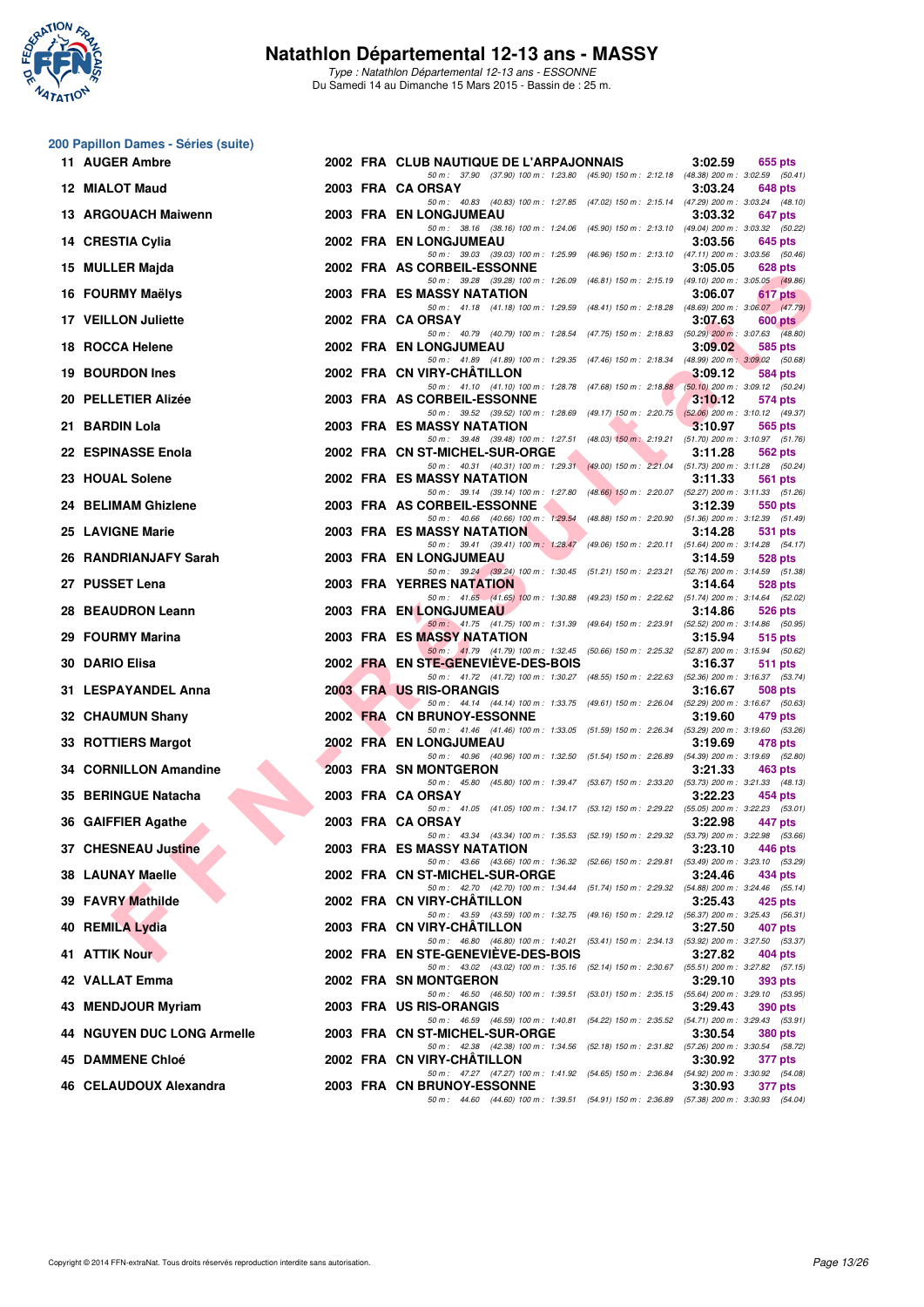

**200 Papillon Dames - Séries (suite)**

#### **Natathlon Départemental 12-13 ans - MASSY**

Type : Natathlon Départemental 12-13 ans - ESSONNE Du Samedi 14 au Dimanche 15 Mars 2015 - Bassin de : 25 m.

|     | 11 AUGER Ambre                    |  | 2002 FRA CLUB NAUTIQUE DE L'ARPAJONNAIS                                                                                                             | 3:02.59 | 655 pts        |
|-----|-----------------------------------|--|-----------------------------------------------------------------------------------------------------------------------------------------------------|---------|----------------|
|     | 12 MIALOT Maud                    |  | 50 m: 37.90 (37.90) 100 m: 1:23.80 (45.90) 150 m: 2:12.18 (48.38) 200 m: 3:02.59 (50.41)<br>2003 FRA CA ORSAY                                       | 3:03.24 | 648 pts        |
|     | 13 ARGOUACH Maiwenn               |  | 50 m: 40.83 (40.83) 100 m: 1:27.85 (47.02) 150 m: 2:15.14 (47.29) 200 m: 3:03.24 (48.10)<br>2003 FRA EN LONGJUMEAU                                  | 3:03.32 | 647 pts        |
|     | 14 CRESTIA Cylia                  |  | 50 m: 38.16 (38.16) 100 m: 1:24.06 (45.90) 150 m: 2:13.10 (49.04) 200 m: 3:03.32 (50.22)<br>2002 FRA EN LONGJUMEAU                                  | 3:03.56 | 645 pts        |
| 15. | <b>MULLER Majda</b>               |  | 50 m: 39.03 (39.03) 100 m: 1:25.99 (46.96) 150 m: 2:13.10 (47.11) 200 m: 3:03.56 (50.46)<br>2002 FRA AS CORBEIL-ESSONNE                             | 3:05.05 | 628 pts        |
|     | 16 FOURMY Maëlys                  |  | 50 m: 39.28 (39.28) 100 m: 1:26.09 (46.81) 150 m: 2:15.19 (49.10) 200 m: 3:05.05 (49.86)<br>2003 FRA ES MASSY NATATION                              | 3:06.07 | 617 pts        |
|     | 17 VEILLON Juliette               |  | 50 m: 41.18 (41.18) 100 m: 1:29.59 (48.41) 150 m: 2:18.28 (48.69) 200 m: 3:06.07 (47.79)<br>2002 FRA CA ORSAY                                       | 3:07.63 | 600 pts        |
|     | 18 ROCCA Helene                   |  | 50 m: 40.79 (40.79) 100 m: 1:28.54 (47.75) 150 m: 2:18.83 (50.29) 200 m: 3:07.63 (48.80)<br>2002 FRA EN LONGJUMEAU                                  | 3:09.02 | 585 pts        |
|     | 19 BOURDON Ines                   |  | 50 m: 41.89 (41.89) 100 m: 1:29.35 (47.46) 150 m: 2:18.34 (48.99) 200 m: 3:09.02 (50.68)<br>2002 FRA CN VIRY-CHATILLON                              | 3:09.12 | 584 pts        |
|     | 20 PELLETIER Alizée               |  | 50 m: 41.10 (41.10) 100 m: 1:28.78 (47.68) 150 m: 2:18.88 (50.10) 200 m: 3:09.12 (50.24)<br>2003 FRA AS CORBEIL-ESSONNE                             | 3:10.12 | 574 pts        |
|     | 21 BARDIN Lola                    |  | 50 m: 39.52 (39.52) 100 m: 1:28.69 (49.17) 150 m: 2:20.75 (52.06) 200 m: 3:10.12 (49.37)<br><b>2003 FRA ES MASSY NATATION</b>                       | 3:10.97 | 565 pts        |
|     | 22 ESPINASSE Enola                |  | 50 m: 39.48 (39.48) 100 m: 1:27.51 (48.03) 150 m: 2:19.21 (51.70) 200 m: 3:10.97 (51.76)<br>2002 FRA CN ST-MICHEL-SUR-ORGE                          | 3:11.28 | 562 pts        |
|     | 23 HOUAL Solene                   |  | 50 m: 40.31 (40.31) 100 m: 1:29.31 (49.00) 150 m: 2:21.04 (51.73) 200 m: 3:11.28 (50.24)<br>2002 FRA ES MASSY NATATION                              | 3:11.33 | 561 pts        |
|     | 24 BELIMAM Ghizlene               |  | 50 m: 39.14 (39.14) 100 m: 1:27.80 (48.66) 150 m: 2:20.07 (52.27) 200 m: 3:11.33 (51.26)<br>2003 FRA AS CORBEIL-ESSONNE                             | 3:12.39 | 550 pts        |
|     | 25 LAVIGNE Marie                  |  | 50 m: 40.66 (40.66) 100 m: 1:29.54 (48.88) 150 m: 2:20.90 (51.36) 200 m: 3:12.39 (51.49)<br><b>2003 FRA ES MASSY NATATION</b>                       | 3:14.28 | 531 pts        |
|     | 26 RANDRIANJAFY Sarah             |  | 50 m: 39.41 (39.41) 100 m: 1:28.47 (49.06) 150 m: 2:20.11 (51.64) 200 m: 3:14.28 (54.17)<br><b>2003 FRA EN LONGJUMEAU</b>                           | 3:14.59 | 528 pts        |
|     | 27 PUSSET Lena                    |  | 50 m: 39.24 (39.24) 100 m: 1:30.45 (51.21) 150 m: 2:23.21 (52.76) 200 m: 3:14.59 (51.38)<br><b>2003 FRA YERRES NATATION</b>                         | 3:14.64 | 528 pts        |
|     | 28 BEAUDRON Leann                 |  | 50 m: 41.65 (41.65) 100 m: 1:30.88 (49.23) 150 m: 2:22.62 (51.74) 200 m: 3:14.64 (52.02)<br><b>2003 FRA EN LONGJUMEAU</b>                           | 3:14.86 | 526 pts        |
|     | 29 FOURMY Marina                  |  | 50 m: 41.75 (41.75) 100 m: 1:31.39 (49.64) 150 m: 2:23.91 (52.52) 200 m: 3:14.86 (50.95)<br>2003 FRA ES MASSY NATATION                              | 3:15.94 | 515 pts        |
|     | 30 DARIO Elisa                    |  | 50 m: 41.79 (41.79) 100 m: 1:32.45 (50.66) 150 m: 2:25.32 (52.87) 200 m: 3:15.94 (50.62)<br>2002 FRA EN STE-GENEVIEVE-DES-BOIS                      | 3:16.37 | 511 pts        |
|     | 31 LESPAYANDEL Anna               |  | 50 m: 41.72 (41.72) 100 m: 1:30.27 (48.55) 150 m: 2:22.63 (52.36) 200 m: 3:16.37 (53.74)<br>2003 FRA US RIS-ORANGIS                                 | 3:16.67 | 508 pts        |
|     | 32 CHAUMUN Shany                  |  | 50 m: 44.14 (44.14) 100 m: 1:33.75 (49.61) 150 m: 2:26.04 (52.29) 200 m: 3:16.67 (50.63)<br>2002 FRA CN BRUNOY-ESSONNE                              | 3:19.60 | 479 pts        |
|     | 33 ROTTIERS Margot                |  | 50 m: 41.46 (41.46) 100 m: 1:33.05 (51.59) 150 m: 2:26.34 (53.29) 200 m: 3:19.60 (53.26)<br><b>2002 FRA EN LONGJUMEAU</b>                           | 3:19.69 | 478 pts        |
|     | 34 CORNILLON Amandine             |  | 50 m: 40.96 (40.96) 100 m: 1:32.50 (51.54) 150 m: 2:26.89 (54.39) 200 m: 3:19.69 (52.80)<br><b>2003 FRA SN MONTGERON</b>                            | 3:21.33 | 463 pts        |
|     | 35 BERINGUE Natacha               |  | 50 m: 45.80 (45.80) 100 m: 1:39.47 (53.67) 150 m: 2:33.20 (53.73) 200 m: 3:21.33 (48.13)<br>2003 FRA CA ORSAY                                       | 3:22.23 | 454 pts        |
|     | 36 GAIFFIER Agathe                |  | 50 m: 41.05 (41.05) 100 m: 1:34.17 (53.12) 150 m: 2:29.22 (55.05) 200 m: 3:22.23 (53.01)<br>2003 FRA CA ORSAY                                       | 3:22.98 | 447 pts        |
|     | 37 CHESNEAU Justine               |  | 50 m: 43.34 (43.34) 100 m: 1:35.53 (52.19) 150 m: 2:29.32 (53.79) 200 m: 3:22.98 (53.66)<br>2003 FRA ES MASSY NATATION                              | 3:23.10 | 446 pts        |
|     | 38 LAUNAY Maelle                  |  | 50 m: 43.66 (43.66) 100 m: 1:36.32 (52.66) 150 m: 2:29.81 (53.49) 200 m: 3:23.10 (53.29)<br>2002 FRA CN ST-MICHEL-SUR-ORGE                          | 3:24.46 | 434 pts        |
|     | 39 FAVRY Mathilde                 |  | 50 m: 42.70 (42.70) 100 m: 1:34.44 (51.74) 150 m: 2:29.32 (54.88) 200 m: 3:24.46 (55.14)<br>2002 FRA CN VIRY-CHATILLON                              | 3:25.43 | 425 pts        |
|     | 40 REMILA Lydia                   |  | 50 m : 43.59 (43.59) 100 m : 1:32.75 (49.16) 150 m : 2:29.12 (56.37) 200 m : 3:25.43 (56.31)<br>2003 FRA CN VIRY-CHATILLON                          | 3:27.50 | 407 pts        |
|     | 41 ATTIK Nour                     |  | 50 m: 46.80 (46.80) 100 m: 1.40.21 (53.41) 150 m: 2:34.13 (53.92) 200 m: 3:27.50 (53.37)<br>2002 FRA EN STE-GENEVIEVE-DES-BOIS                      | 3:27.82 |                |
|     |                                   |  | 50 m: 43.02 (43.02) 100 m: 1:35.16 (52.14) 150 m: 2:30.67 (55.51) 200 m: 3:27.82 (57.15)                                                            |         | 404 pts        |
|     | 42 VALLAT Emma                    |  | 2002 FRA SN MONTGERON<br>50 m : 46.50 (46.50) 100 m : 1:39.51<br>(53.01) 150 m : 2:35.15 (55.64) 200 m : 3:29.10 (53.95)<br>2003 FRA US RIS-ORANGIS | 3:29.10 | 393 pts        |
|     | 43 MENDJOUR Myriam                |  | 50 m: 46.59 (46.59) 100 m: 1:40.81 (54.22) 150 m: 2:35.52 (54.71) 200 m: 3:29.43 (53.91)                                                            | 3:29.43 | 390 pts        |
|     | <b>44 NGUYEN DUC LONG Armelle</b> |  | 2003 FRA CN ST-MICHEL-SUR-ORGE<br>50 m: 42.38 (42.38) 100 m: 1:34.56 (52.18) 150 m: 2:31.82 (57.26) 200 m: 3:30.54 (58.72)                          | 3:30.54 | <b>380 pts</b> |
|     | 45 DAMMENE Chloé                  |  | 2002 FRA CN VIRY-CHATILLON<br>50 m: 47.27 (47.27) 100 m: 1:41.92 (54.65) 150 m: 2:36.84 (54.92) 200 m: 3:30.92 (54.08)                              | 3:30.92 | 377 pts        |
|     | 46 CELAUDOUX Alexandra            |  | 2003 FRA CN BRUNOY-ESSONNE<br>50 m: 44.60 (44.60) 100 m: 1:39.51 (54.91) 150 m: 2:36.89 (57.38) 200 m: 3:30.93 (54.04)                              | 3:30.93 | 377 pts        |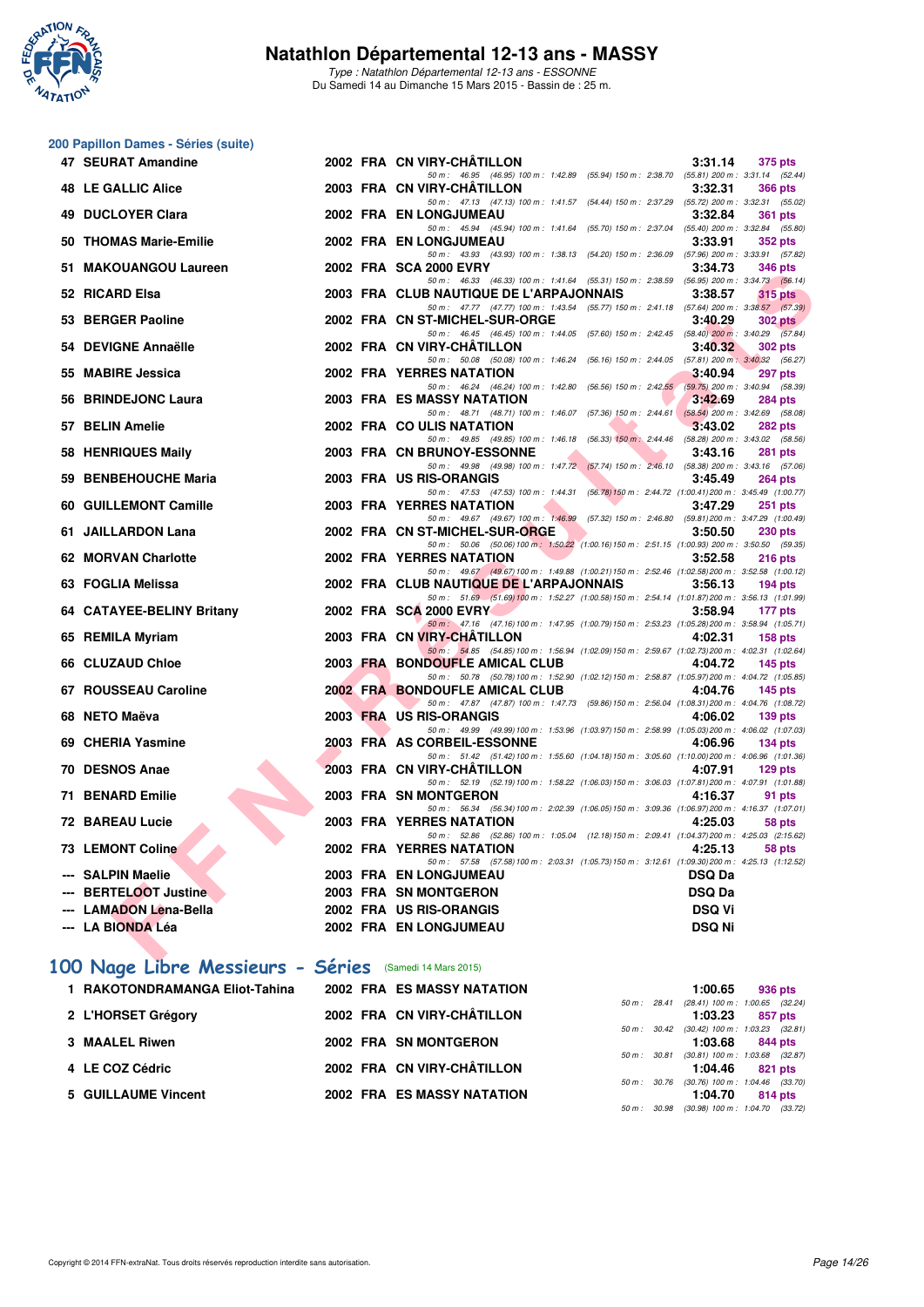

Type : Natathlon Départemental 12-13 ans - ESSONNE Du Samedi 14 au Dimanche 15 Mars 2015 - Bassin de : 25 m.

## **200 Papillon Dames - Séries (suite)**

| 47 SEURAT Amandine                          |  | 2002 FRA CN VIRY-CHÂTILLON<br>3:31.14                                                                                                          | 375 pts        |
|---------------------------------------------|--|------------------------------------------------------------------------------------------------------------------------------------------------|----------------|
| <b>48 LE GALLIC Alice</b>                   |  | 50 m: 46.95 (46.95) 100 m: 1:42.89 (55.94) 150 m: 2:38.70 (55.81) 200 m: 3:31.14 (52.44)<br>2003 FRA CN VIRY-CHÂTILLON<br>3:32.31              | <b>366 pts</b> |
|                                             |  | 50 m: 47.13 (47.13) 100 m: 1:41.57 (54.44) 150 m: 2:37.29 (55.72) 200 m: 3:32.31 (55.02)                                                       |                |
| <b>49 DUCLOYER Clara</b>                    |  | 2002 FRA EN LONGJUMEAU<br>3:32.84<br>50 m: 45.94 (45.94) 100 m: 1:41.64 (55.70) 150 m: 2:37.04 (55.40) 200 m: 3:32.84 (55.80)                  | <b>361 pts</b> |
| 50 THOMAS Marie-Emilie                      |  | 2002 FRA EN LONGJUMEAU<br>3:33.91                                                                                                              | <b>352 pts</b> |
| 51 MAKOUANGOU Laureen                       |  | 50 m: 43.93 (43.93) 100 m: 1:38.13 (54.20) 150 m: 2:36.09 (57.96) 200 m: 3:33.91 (57.82)<br>2002 FRA SCA 2000 EVRY<br>3:34.73                  | 346 pts        |
|                                             |  | 50 m: 46.33 (46.33) 100 m: 1:41.64 (55.31) 150 m: 2:38.59 (56.95) 200 m: 3:34.73 (56.14)                                                       |                |
| 52 RICARD Elsa                              |  | 2003 FRA CLUB NAUTIQUE DE L'ARPAJONNAIS<br>3:38.57<br>50 m: 47.77 (47.77) 100 m: 1:43.54 (55.77) 150 m: 2:41.18 (57.64) 200 m: 3:38.57 (57.39) | $315$ pts      |
| 53 BERGER Paoline                           |  | 2002 FRA CN ST-MICHEL-SUR-ORGE<br>3:40.29                                                                                                      | 302 pts        |
| 54 DEVIGNE Annaëlle                         |  | 50 m: 46.45 (46.45) 100 m: 1:44.05 (57.60) 150 m: 2:42.45 (58.40) 200 m: 3:40.29 (57.84)<br>2002 FRA CN VIRY-CHATILLON<br>3:40.32              | 302 pts        |
|                                             |  | 50 m: 50.08 (50.08) 100 m: 1:46.24 (56.16) 150 m: 2:44.05 (57.81) 200 m: 3:40.32 (56.27)                                                       |                |
| 55 MABIRE Jessica                           |  | 2002 FRA YERRES NATATION<br>3:40.94<br>50 m: 46.24 (46.24) 100 m: 1:42.80 (56.56) 150 m: 2:42.55 (59.75) 200 m: 3:40.94 (58.39)                | 297 pts        |
| 56 BRINDEJONC Laura                         |  | 2003 FRA ES MASSY NATATION<br>3:42.69                                                                                                          | <b>284 pts</b> |
|                                             |  | 50 m: 48.71 (48.71) 100 m: 1.46.07 (57.36) 150 m: 2.44.61 (58.54) 200 m: 3.42.69 (58.08)                                                       |                |
| 57 BELIN Amelie                             |  | 2002 FRA COULIS NATATION<br>3:43.02<br>50 m: 49.85 (49.85) 100 m: 1:46.18 (56.33) 150 m: 2:44.46 (58.28) 200 m: 3:43.02 (58.56)                | 282 pts        |
| 58 HENRIQUES Maily                          |  | 2003 FRA CN BRUNOY-ESSONNE<br>3:43.16                                                                                                          | <b>281 pts</b> |
| 59 BENBEHOUCHE Maria                        |  | 50 m: 49.98 (49.98) 100 m: 1:47.72 (57.74) 150 m: 2:46.10 (58.38) 200 m: 3:43.16 (57.06)<br>2003 FRA US RIS-ORANGIS<br>3:45.49                 | <b>264 pts</b> |
|                                             |  | 50 m: 47.53 (47.53) 100 m: 1:44.31 (56.78) 150 m: 2:44.72 (1:00.41) 200 m: 3:45.49 (1:00.77)                                                   |                |
| 60 GUILLEMONT Camille                       |  | 2003 FRA YERRES NATATION<br>3:47.29<br>50 m: 49.67 (49.67) 100 m: 1:46.99 (57.32) 150 m: 2:46.80 (59.81) 200 m: 3:47.29 (1:00.49)              | 251 pts        |
| 61 JAILLARDON Lana                          |  | 2002 FRA CN ST-MICHEL-SUR-ORGE<br>3:50.50                                                                                                      | <b>230 pts</b> |
|                                             |  | 50 m: 50.06 (50.06) 100 m: 1:50.22 (1:00.16) 150 m: 2:51.15 (1:00.93) 200 m: 3:50.50 (59.35)                                                   |                |
| 62 MORVAN Charlotte                         |  | 2002 FRA YERRES NATATION<br>3:52.58<br>50 m: 49.67 (49.67) 100 m: 1:49.88 (1:00.21) 150 m: 2:52.46 (1:02.58) 200 m: 3:52.58 (1:00.12)          | $216$ pts      |
| 63 FOGLIA Melissa                           |  | 2002 FRA CLUB NAUTIQUE DE L'ARPAJONNAIS<br>3:56.13                                                                                             | $194$ pts      |
| 64 CATAYEE-BELINY Britany                   |  | 50 m: 51.69 (51.69) 100 m: 1:52.27 (1:00.58) 150 m: 2:54.14 (1:01.87) 200 m: 3:56.13 (1:01.99)<br>2002 FRA SCA 2000 EVRY<br>3:58.94            | 177 pts        |
|                                             |  | 50 m: 47.16 (47.16) 100 m: 1:47.95 (1:00.79) 150 m: 2:53.23 (1:05.28) 200 m: 3:58.94 (1:05.71)                                                 |                |
| 65 REMILA Myriam                            |  | 2003 FRA CN VIRY-CHATILLON<br>4:02.31                                                                                                          | $158$ pts      |
| 66 CLUZAUD Chloe                            |  | 50 m: 54.85 (54.85) 100 m: 1.56.94 (1.02.09) 150 m: 2.59.67 (1.02.73) 200 m: 4.02.31 (1.02.64)<br>2003 FRA BONDOUFLE AMICAL CLUB<br>4:04.72    | $145$ pts      |
|                                             |  | 50 m: 50.78 (50.78) 100 m: 1:52.90 (1:02.12) 150 m: 2:58.87 (1:05.97) 200 m: 4:04.72 (1:05.85)                                                 |                |
| 67 ROUSSEAU Caroline                        |  | 2002 FRA BONDOUFLE AMICAL CLUB<br>4:04.76<br>50 m: 47.87 (47.87) 100 m: 1:47.73 (59.86) 150 m: 2:56.04 (1:08.31) 200 m: 4:04.76 (1:08.72)      | $145$ pts      |
| 68 NETO Maëva                               |  | 2003 FRA US RIS-ORANGIS<br>4:06.02                                                                                                             | $139$ pts      |
| 69 CHERIA Yasmine                           |  | 50 m: 49.99 (49.99) 100 m: 1:53.96 (1:03.97) 150 m: 2:58.99 (1:05.03) 200 m: 4:06.02 (1:07.03)<br>2003 FRA AS CORBEIL-ESSONNE<br>4:06.96       | $134$ pts      |
|                                             |  | 50 m: 51.42 (51.42) 100 m: 1:55.60 (1:04.18) 150 m: 3:05.60 (1:10.00) 200 m: 4:06.96 (1:01.36)                                                 |                |
| 70 DESNOS Anae                              |  | 2003 FRA CN VIRY-CHATILLON<br>4:07.91<br>50 m: 52.19 (52.19) 100 m: 1:58.22 (1:06.03) 150 m: 3:06.03 (1:07.81) 200 m: 4:07.91 (1:01.88)        | $129$ pts      |
| 71 BENARD Emilie                            |  | 2003 FRA SN MONTGERON<br>4:16.37                                                                                                               | 91 pts         |
|                                             |  | 50 m: 56.34 (56.34) 100 m: 2:02.39 (1:06.05) 150 m: 3:09.36 (1:06.97) 200 m: 4:16.37 (1:07.01)                                                 |                |
| <b>72 BAREAU Lucie</b>                      |  | <b>2003 FRA YERRES NATATION</b><br>4:25.03<br>50 m: 52.86 (52.86) 100 m: 1:05.04 (12.18) 150 m: 2:09.41 (1:04.37) 200 m: 4:25.03 (2:15.62)     | 58 pts         |
| <b>73 LEMONT Coline</b>                     |  | 2002 FRA YERRES NATATION<br>4:25.13                                                                                                            | 58 pts         |
| --- SALPIN Maelie                           |  | 50 m: 57.58 (57.58) 100 m: 2:03.31 (1:05.73) 150 m: 3:12.61 (1:09.30) 200 m: 4:25.13 (1:12.52)<br>2003 FRA EN LONGJUMEAU<br><b>DSQ Da</b>      |                |
| --- BERTELOOT Justine                       |  | 2003 FRA SN MONTGERON<br><b>DSQ Da</b>                                                                                                         |                |
| --- LAMADON Lena-Bella                      |  | 2002 FRA US RIS-ORANGIS<br><b>DSQ Vi</b>                                                                                                       |                |
| --- LA BIONDA Léa                           |  | 2002 FRA EN LONGJUMEAU<br><b>DSQ Ni</b>                                                                                                        |                |
| <b>CONTRACTOR</b><br><b>SALES</b><br>-- - - |  |                                                                                                                                                |                |

# **[100 Nage Libre Messieurs - Séries](http://www.ffnatation.fr/webffn/resultats.php?idact=nat&go=epr&idcpt=30327&idepr=52)** (Samedi 14 Mars 2015)

|                                                                                                                  |  |                                                                                                                                                             | 1:00.65      | 936 pts                       |                                                                                                                                                                                                                                                                           |
|------------------------------------------------------------------------------------------------------------------|--|-------------------------------------------------------------------------------------------------------------------------------------------------------------|--------------|-------------------------------|---------------------------------------------------------------------------------------------------------------------------------------------------------------------------------------------------------------------------------------------------------------------------|
|                                                                                                                  |  |                                                                                                                                                             |              |                               |                                                                                                                                                                                                                                                                           |
|                                                                                                                  |  |                                                                                                                                                             |              | 857 pts                       |                                                                                                                                                                                                                                                                           |
|                                                                                                                  |  |                                                                                                                                                             |              |                               |                                                                                                                                                                                                                                                                           |
|                                                                                                                  |  |                                                                                                                                                             |              |                               |                                                                                                                                                                                                                                                                           |
|                                                                                                                  |  |                                                                                                                                                             |              |                               |                                                                                                                                                                                                                                                                           |
|                                                                                                                  |  |                                                                                                                                                             |              |                               |                                                                                                                                                                                                                                                                           |
|                                                                                                                  |  |                                                                                                                                                             |              |                               |                                                                                                                                                                                                                                                                           |
|                                                                                                                  |  |                                                                                                                                                             |              |                               |                                                                                                                                                                                                                                                                           |
| 1 RAKOTONDRAMANGA Eliot-Tahina<br>2 L'HORSET Grégory<br>3 MAALEL Riwen<br>4 LE COZ Cédric<br>5 GUILLAUME Vincent |  | <b>2002 FRA ES MASSY NATATION</b><br>2002 FRA CN VIRY-CHÂTILLON<br>2002 FRA SN MONTGERON<br>2002 FRA CN VIRY-CHÂTILLON<br><b>2002 FRA ES MASSY NATATION</b> | 50 m : 30.98 | 1:03.23<br>1:04.46<br>1:04.70 | 50 m: 28.41 (28.41) 100 m: 1:00.65 (32.24)<br>50 m: 30.42 (30.42) 100 m: 1:03.23 (32.81)<br>1:03.68<br>844 pts<br>50 m: 30.81 (30.81) 100 m: 1:03.68 (32.87)<br>821 pts<br>50 m : 30.76 (30.76) 100 m : 1:04.46 (33.70)<br>814 pts<br>$(30.98)$ 100 m : 1:04.70 $(33.72)$ |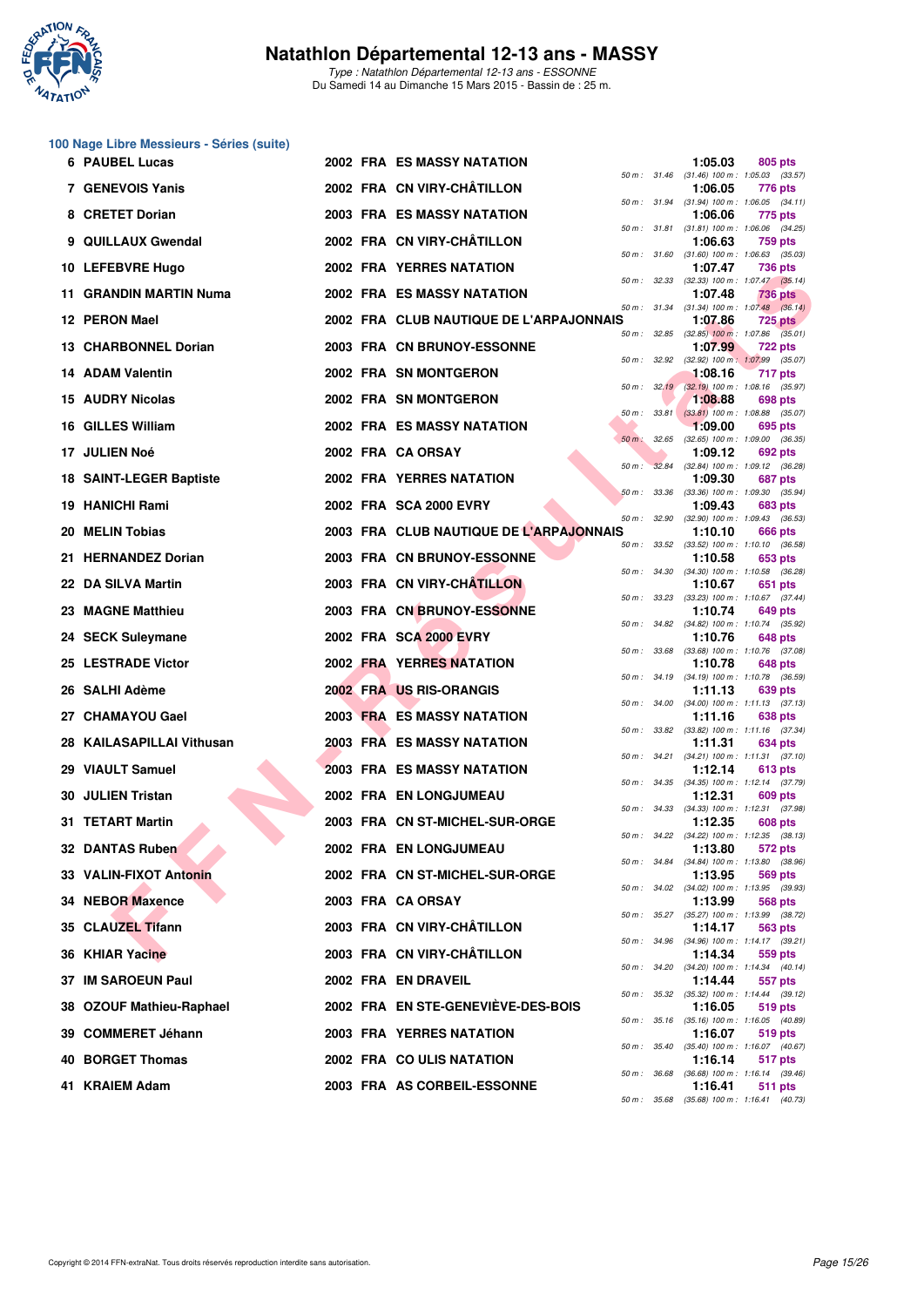

Type : Natathlon Départemental 12-13 ans - ESSONNE Du Samedi 14 au Dimanche 15 Mars 2015 - Bassin de : 25 m.

|  |  | 100 Nage Libre Messieurs - Séries (suite) |  |  |
|--|--|-------------------------------------------|--|--|
|--|--|-------------------------------------------|--|--|

| 6 PAUBEL Lucas              |  | <b>2002 FRA ES MASSY NATATION</b>                        |             |              | 1:05.03 | 805 pts                                                      |
|-----------------------------|--|----------------------------------------------------------|-------------|--------------|---------|--------------------------------------------------------------|
| 7 GENEVOIS Yanis            |  | 2002 FRA CN VIRY-CHATILLON                               |             |              | 1:06.05 | 50 m: 31.46 (31.46) 100 m: 1:05.03 (33.57)<br>776 pts        |
| 8 CRETET Dorian             |  | <b>2003 FRA ES MASSY NATATION</b>                        |             |              | 1:06.06 | 50 m: 31.94 (31.94) 100 m: 1:06.05 (34.11)<br>775 pts        |
| 9 QUILLAUX Gwendal          |  | 2002 FRA CN VIRY-CHÂTILLON                               |             |              | 1:06.63 | 50 m: 31.81 (31.81) 100 m: 1:06.06 (34.25)<br>759 pts        |
| 10 LEFEBVRE Hugo            |  | 2002 FRA YERRES NATATION                                 |             |              | 1:07.47 | 50 m: 31.60 (31.60) 100 m: 1:06.63 (35.03)<br>736 pts        |
| 11 GRANDIN MARTIN Numa      |  | 2002 FRA ES MASSY NATATION                               |             |              | 1:07.48 | 50 m: 32.33 (32.33) 100 m: 1:07.47 (35.14)<br>736 pts        |
| 12 PERON Mael               |  | 2002 FRA CLUB NAUTIQUE DE L'ARPAJONNAIS                  |             |              | 1:07.86 | 50 m: 31.34 (31.34) 100 m: 1:07.48 (36.14)<br><b>725 pts</b> |
| <b>13 CHARBONNEL Dorian</b> |  | 2003 FRA CN BRUNOY-ESSONNE                               |             | 50 m: 32.85  | 1:07.99 | $(32.85)$ 100 m : 1:07.86 $(35.01)$<br><b>722 pts</b>        |
| 14 ADAM Valentin            |  | 2002 FRA SN MONTGERON                                    |             | 50 m: 32.92  | 1:08.16 | $(32.92)$ 100 m : 1:07.99 $(35.07)$<br>717 pts               |
| <b>15 AUDRY Nicolas</b>     |  | 2002 FRA SN MONTGERON                                    |             |              | 1:08.88 | 50 m : 32.19 (32.19) 100 m : 1:08.16 (35.97)<br>698 pts      |
| 16 GILLES William           |  | 2002 FRA ES MASSY NATATION                               |             | 50 m: 33.81  | 1:09.00 | $(33.81)$ 100 m : 1:08.88 $(35.07)$<br>695 pts               |
| 17 JULIEN Noé               |  | 2002 FRA CA ORSAY                                        |             |              | 1:09.12 | 50 m : 32.65 (32.65) 100 m : 1:09.00 (36.35)<br>692 pts      |
| 18 SAINT-LEGER Baptiste     |  | 2002 FRA YERRES NATATION                                 | $50 m$ :    | 32.84        | 1:09.30 | (32.84) 100 m : 1:09.12 (36.28)<br>687 pts                   |
| 19 HANICHI Rami             |  | 2002 FRA SCA 2000 EVRY                                   |             | 50 m: 33.36  | 1:09.43 | $(33.36)$ 100 m : 1:09.30 $(35.94)$<br>683 pts               |
| 20 MELIN Tobias             |  | 2003 FRA CLUB NAUTIQUE DE L'ARPAJONNAIS                  | 50 m: 32.90 |              | 1:10.10 | $(32.90)$ 100 m : 1:09.43 $(36.53)$<br>666 pts               |
| 21 HERNANDEZ Dorian         |  | 2003 FRA CN BRUNOY-ESSONNE                               |             | 50 m : 33.52 | 1:10.58 | (33.52) 100 m: 1:10.10 (36.58)<br>653 pts                    |
| 22 DA SILVA Martin          |  | 2003 FRA CN VIRY-CHATILLON                               |             |              | 1:10.67 | 50 m: 34.30 (34.30) 100 m: 1:10.58 (36.28)<br>651 pts        |
| 23 MAGNE Matthieu           |  | 2003 FRA CN BRUNOY-ESSONNE                               |             |              | 1:10.74 | 50 m: 33.23 (33.23) 100 m: 1:10.67 (37.44)<br>649 pts        |
| 24 SECK Suleymane           |  | 2002 FRA SCA 2000 EVRY                                   |             |              | 1:10.76 | 50 m: 34.82 (34.82) 100 m: 1:10.74 (35.92)<br>648 pts        |
| 25 LESTRADE Victor          |  | <b>2002 FRA YERRES NATATION</b>                          |             | 50 m : 33.68 | 1:10.78 | (33.68) 100 m: 1:10.76 (37.08)<br>648 pts                    |
| 26 SALHI Adème              |  | 2002 FRA US RIS-ORANGIS                                  |             | 50 m : 34.19 | 1:11.13 | $(34.19)$ 100 m : 1:10.78 $(36.59)$<br>639 pts               |
| 27 CHAMAYOU Gael            |  | <b>2003 FRA ES MASSY NATATION</b>                        |             |              | 1:11.16 | 50 m: 34.00 (34.00) 100 m: 1:11.13 (37.13)<br>638 pts        |
| 28 KAILASAPILLAI Vithusan   |  | <b>2003 FRA ES MASSY NATATION</b>                        |             |              | 1:11.31 | 50 m: 33.82 (33.82) 100 m: 1:11.16 (37.34)<br>634 pts        |
| 29 VIAULT Samuel            |  | <b>2003 FRA ES MASSY NATATION</b>                        |             |              | 1:12.14 | 50 m: 34.21 (34.21) 100 m: 1:11.31 (37.10)<br>613 pts        |
| 30 JULIEN Tristan           |  | 2002 FRA EN LONGJUMEAU                                   |             |              | 1:12.31 | 50 m: 34.35 (34.35) 100 m: 1:12.14 (37.79)                   |
| <b>31 TETART Martin</b>     |  | 2003 FRA CN ST-MICHEL-SUR-ORGE                           |             |              |         | 609 pts<br>50 m: 34.33 (34.33) 100 m: 1:12.31 (37.98)        |
|                             |  |                                                          |             |              | 1:12.35 | 608 pts<br>50 m: 34.22 (34.22) 100 m: 1:12.35 (38.13)        |
| <b>32 DANTAS Ruben</b>      |  | 2002 FRA EN LONGJUMEAU<br>2002 FRA CN ST-MICHEL-SUR-ORGE |             | 50 m : 34.84 | 1:13.80 | 572 pts<br>$(34.84)$ 100 m : 1:13.80 $(38.96)$               |
| 33 VALIN-FIXOT Antonin      |  |                                                          |             |              | 1:13.95 | 569 pts<br>50 m: 34.02 (34.02) 100 m: 1:13.95 (39.93)        |
| 34 NEBOR Maxence            |  | 2003 FRA CA ORSAY                                        |             |              | 1:13.99 | 568 pts<br>50 m: 35.27 (35.27) 100 m: 1:13.99 (38.72)        |
| 35 CLAUZEL Tifann           |  | 2003 FRA CN VIRY-CHÂTILLON                               |             |              | 1:14.17 | 563 pts<br>50 m: 34.96 (34.96) 100 m: 1:14.17 (39.21)        |
| 36 KHIAR Yacine             |  | 2003 FRA CN VIRY-CHÂTILLON                               |             |              | 1:14.34 | 559 pts<br>50 m: 34.20 (34.20) 100 m: 1:14.34 (40.14)        |
| <b>37 IM SAROEUN Paul</b>   |  | 2002 FRA EN DRAVEIL                                      | 50 m: 35.32 |              | 1:14.44 | 557 pts<br>(35.32) 100 m: 1:14.44 (39.12)                    |
| 38 OZOUF Mathieu-Raphael    |  | 2002 FRA EN STE-GENEVIÈVE-DES-BOIS                       |             |              | 1:16.05 | 519 pts<br>50 m : 35.16 (35.16) 100 m : 1:16.05 (40.89)      |
| 39 COMMERET Jéhann          |  | 2003 FRA YERRES NATATION                                 |             |              | 1:16.07 | 519 pts<br>50 m: 35.40 (35.40) 100 m: 1:16.07 (40.67)        |
| 40 BORGET Thomas            |  | 2002 FRA COULIS NATATION                                 |             | 50 m : 36.68 | 1:16.14 | 517 pts<br>$(36.68)$ 100 m : 1:16.14 $(39.46)$               |
| 41 KRAIEM Adam              |  | 2003 FRA AS CORBEIL-ESSONNE                              |             |              | 1:16.41 | 511 pts<br>50 m: 35.68 (35.68) 100 m: 1:16.41 (40.73)        |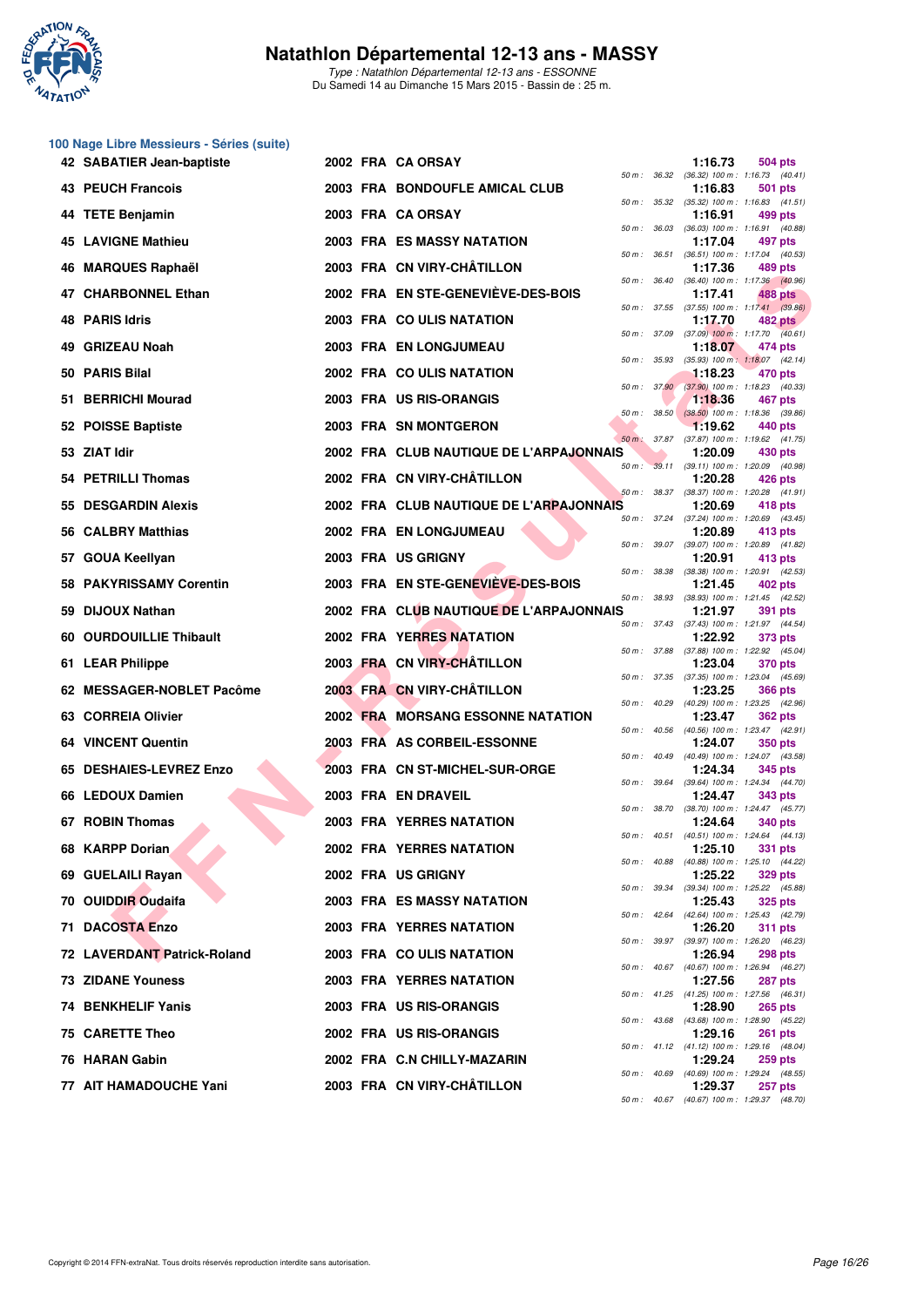

Type : Natathlon Départemental 12-13 ans - ESSONNE Du Samedi 14 au Dimanche 15 Mars 2015 - Bassin de : 25 m.

|    | 100 Nage Libre Messieurs - Séries (suite) |  |                                          |                              |              |         |                                                                             |
|----|-------------------------------------------|--|------------------------------------------|------------------------------|--------------|---------|-----------------------------------------------------------------------------|
|    | 42 SABATIER Jean-baptiste                 |  | 2002 FRA CA ORSAY                        |                              |              | 1:16.73 | 504 pts<br>50 m: 36.32 (36.32) 100 m: 1:16.73 (40.41)                       |
|    | <b>43 PEUCH Francois</b>                  |  | 2003 FRA BONDOUFLE AMICAL CLUB           |                              |              | 1:16.83 | 501 pts<br>50 m: 35.32 (35.32) 100 m: 1:16.83 (41.51)                       |
| 44 | <b>TETE Benjamin</b>                      |  | 2003 FRA CA ORSAY                        | 50 m : 36.03                 |              | 1:16.91 | 499 pts<br>$(36.03)$ 100 m : 1:16.91 $(40.88)$                              |
|    | <b>45 LAVIGNE Mathieu</b>                 |  | 2003 FRA ES MASSY NATATION               |                              |              | 1:17.04 | 497 pts                                                                     |
| 46 | <b>MARQUES Raphaël</b>                    |  | 2003 FRA CN VIRY-CHÂTILLON               | 50 m : 36.51                 |              | 1:17.36 | $(36.51)$ 100 m : 1:17.04 $(40.53)$<br>489 pts                              |
|    | 47 CHARBONNEL Ethan                       |  | 2002 FRA EN STE-GENEVIEVE-DES-BOIS       | 50 m : 36.40                 |              | 1:17.41 | (36.40) 100 m : 1:17.36 (40.96)<br>488 pts                                  |
| 48 | <b>PARIS Idris</b>                        |  | 2003 FRA COULIS NATATION                 |                              |              | 1:17.70 | 50 m: 37.55 (37.55) 100 m: 1:17.41 (39.86)<br><b>482 pts</b>                |
| 49 | <b>GRIZEAU Noah</b>                       |  | 2003 FRA EN LONGJUMEAU                   |                              |              | 1:18.07 | 50 m: 37.09 (37.09) 100 m: 1:17.70 (40.61)<br>474 pts                       |
| 50 | <b>PARIS Bilal</b>                        |  | 2002 FRA COULIS NATATION                 | 50 m : 35.93                 |              | 1:18.23 | $(35.93)$ 100 m : 1:18.07 $(42.14)$<br>470 pts                              |
| 51 | <b>BERRICHI Mourad</b>                    |  | 2003 FRA US RIS-ORANGIS                  |                              | 50 m: 37.90  | 1:18.36 | $(37.90)$ 100 m : 1:18.23 $(40.33)$<br>467 pts                              |
|    | 52 POISSE Baptiste                        |  | 2003 FRA SN MONTGERON                    | 50 m :                       | 38.50        | 1:19.62 | $(38.50)$ 100 m : 1:18.36 $(39.86)$<br>440 pts                              |
|    | 53 ZIAT Idir                              |  | 2002 FRA CLUB NAUTIQUE DE L'ARPAJONNAIS  | $50 m$ :                     | 37.87        | 1:20.09 | (37.87) 100 m: 1:19.62 (41.75)<br>430 pts                                   |
|    | 54 PETRILLI Thomas                        |  | 2002 FRA CN VIRY-CHÂTILLON               | 50 m :                       |              | 1:20.28 | 39.11 (39.11) 100 m : 1:20.09 (40.98)<br>426 pts                            |
| 55 | <b>DESGARDIN Alexis</b>                   |  | 2002 FRA CLUB NAUTIQUE DE L'ARPAJONNAIS  |                              |              | 1:20.69 | 50 m: 38.37 (38.37) 100 m: 1:20.28 (41.91)<br>418 pts                       |
| 56 | <b>CALBRY Matthias</b>                    |  | 2002 FRA EN LONGJUMEAU                   |                              |              | 1:20.89 | 50 m: 37.24 (37.24) 100 m: 1:20.69 (43.45)<br>413 pts                       |
| 57 | GOUA Keellyan                             |  | 2003 FRA US GRIGNY                       | 50 m : 39.07<br>50 m : 38.38 |              | 1:20.91 | (39.07) 100 m : 1:20.89 (41.82)<br>413 pts                                  |
|    | <b>58 PAKYRISSAMY Corentin</b>            |  | 2003 FRA EN STE-GENEVIEVE-DES-BOIS       | 50 m :                       | 38.93        | 1:21.45 | (38.38) 100 m: 1:20.91 (42.53)<br>402 pts<br>(38.93) 100 m: 1:21.45 (42.52) |
| 59 | <b>DIJOUX Nathan</b>                      |  | 2002 FRA CLUB NAUTIQUE DE L'ARPAJONNAIS  |                              |              | 1:21.97 | 391 pts                                                                     |
| 60 | <b>OURDOUILLIE Thibault</b>               |  | <b>2002 FRA YERRES NATATION</b>          |                              |              | 1:22.92 | 50 m: 37.43 (37.43) 100 m: 1:21.97 (44.54)<br>373 pts                       |
|    | 61 LEAR Philippe                          |  | 2003 FRA CN VIRY-CHÂTILLON               |                              |              | 1:23.04 | 50 m: 37.88 (37.88) 100 m: 1:22.92 (45.04)<br><b>370 pts</b>                |
|    | 62 MESSAGER-NOBLET Pacôme                 |  | 2003 FRA CN VIRY-CHÂTILLON               |                              |              | 1:23.25 | 50 m: 37.35 (37.35) 100 m: 1:23.04 (45.69)<br><b>366 pts</b>                |
|    | 63 CORREIA Olivier                        |  | <b>2002 FRA MORSANG ESSONNE NATATION</b> |                              |              | 1:23.47 | 50 m: 40.29 (40.29) 100 m: 1:23.25 (42.96)<br><b>362 pts</b>                |
|    | <b>64 VINCENT Quentin</b>                 |  | 2003 FRA AS CORBEIL-ESSONNE              | 50 m: 40.56                  |              | 1:24.07 | (40.56) 100 m: 1:23.47 (42.91)<br><b>350 pts</b>                            |
| 65 | <b>DESHAIES-LEVREZ Enzo</b>               |  | 2003 FRA CN ST-MICHEL-SUR-ORGE           | 50 m : 40.49                 |              | 1:24.34 | (40.49) 100 m: 1:24.07 (43.58)<br>345 pts                                   |
|    | 66 LEDOUX Damien                          |  | 2003 FRA EN DRAVEIL                      |                              |              | 1:24.47 | 50 m: 39.64 (39.64) 100 m: 1:24.34 (44.70)<br>343 pts                       |
|    | 67 ROBIN Thomas                           |  | <b>2003 FRA YERRES NATATION</b>          |                              |              | 1:24.64 | 50 m: 38.70 (38.70) 100 m: 1:24.47 (45.77)<br><b>340 pts</b>                |
|    | 68 KARPP Dorian                           |  | 2002 FRA YERRES NATATION                 |                              |              | 1:25.10 | 50 m: 40.51 (40.51) 100 m: 1:24.64 (44.13)<br>331 pts                       |
|    | 69 GUELAILI Rayan                         |  | 2002 FRA US GRIGNY                       |                              |              | 1:25.22 | 50 m: 40.88 (40.88) 100 m: 1:25.10 (44.22)<br><b>329 pts</b>                |
|    | 70 OUIDDIR Oudaifa                        |  | 2003 FRA ES MASSY NATATION               |                              |              | 1:25.43 | 50 m: 39.34 (39.34) 100 m: 1:25.22 (45.88)<br><b>325 pts</b>                |
|    | 71 DACOSTA Enzo                           |  | 2003 FRA YERRES NATATION                 |                              | 50 m : 42.64 | 1:26.20 | (42.64) 100 m: 1:25.43 (42.79)<br><b>311 pts</b>                            |
|    | 72 LAVERDANT Patrick-Roland               |  | 2003 FRA COULIS NATATION                 |                              |              | 1:26.94 | 50 m : 39.97 (39.97) 100 m : 1:26.20 (46.23)<br><b>298 pts</b>              |
|    | <b>73 ZIDANE Youness</b>                  |  | 2003 FRA YERRES NATATION                 |                              |              | 1:27.56 | 50 m : 40.67 (40.67) 100 m : 1:26.94 (46.27)<br>287 pts                     |
|    | <b>74 BENKHELIF Yanis</b>                 |  | 2003 FRA US RIS-ORANGIS                  |                              |              | 1:28.90 | 50 m: 41.25 (41.25) 100 m: 1:27.56 (46.31)<br><b>265 pts</b>                |
|    | 75 CARETTE Theo                           |  | 2002 FRA US RIS-ORANGIS                  |                              |              | 1:29.16 | 50 m : 43.68 (43.68) 100 m : 1:28.90 (45.22)<br><b>261 pts</b>              |
|    | 76 HARAN Gabin                            |  | 2002 FRA C.N CHILLY-MAZARIN              |                              |              | 1:29.24 | 50 m: 41.12 (41.12) 100 m: 1:29.16 (48.04)<br><b>259 pts</b>                |
|    | 77 AIT HAMADOUCHE Yani                    |  | 2003 FRA CN VIRY-CHÂTILLON               |                              |              | 1:29.37 | 50 m : 40.69 (40.69) 100 m : 1:29.24 (48.55)<br><b>257 pts</b>              |
|    |                                           |  |                                          |                              |              |         | 50 m: 40.67 (40.67) 100 m: 1:29.37 (48.70)                                  |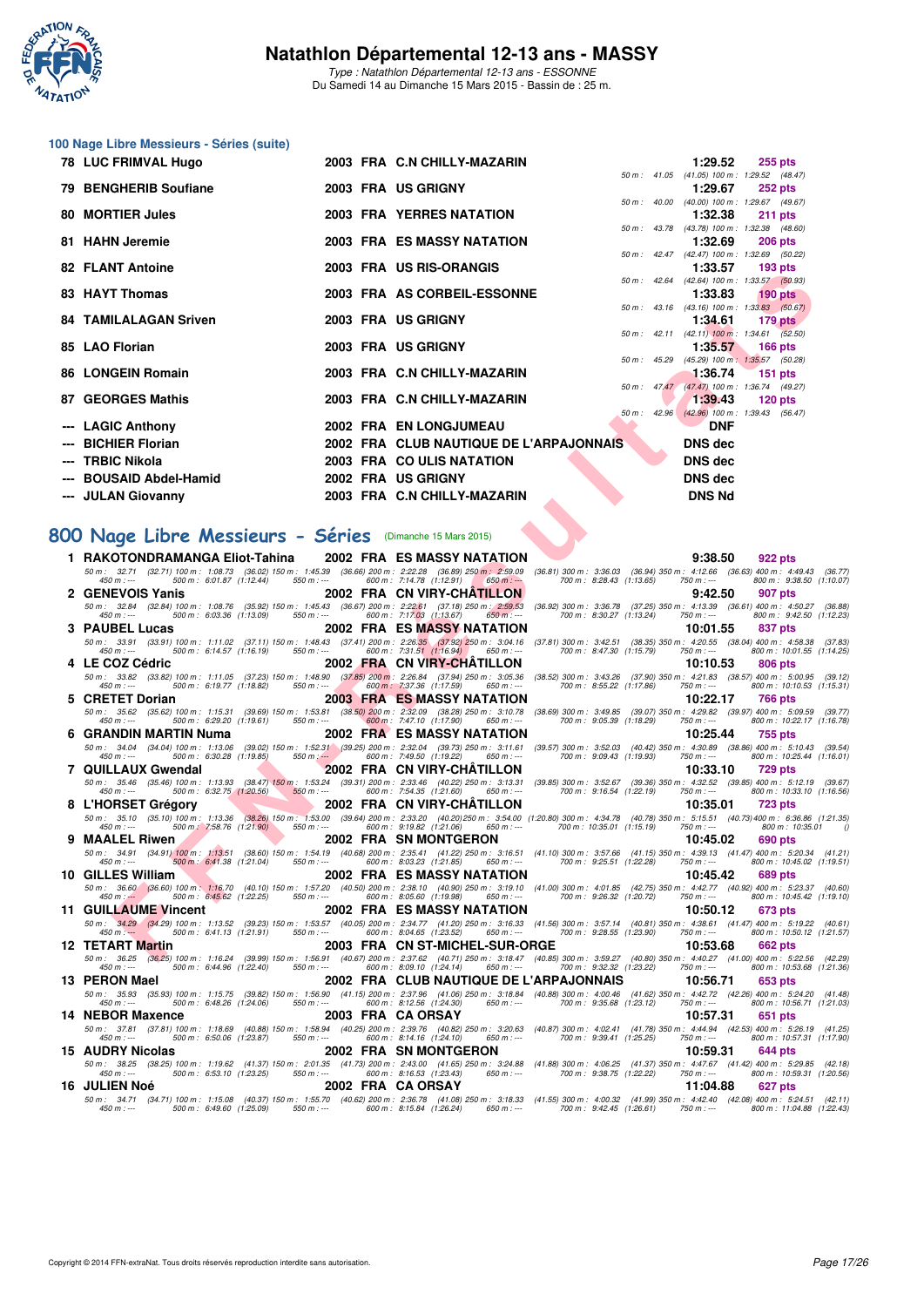

Type : Natathlon Départemental 12-13 ans - ESSONNE Du Samedi 14 au Dimanche 15 Mars 2015 - Bassin de : 25 m.

## **100 Nage Libre Messieurs - Séries (suite)**

| 78 LUC FRIMVAL Hugo          |  | 2003 FRA C.N CHILLY-MAZARIN             |  | 1:29.52                                                 |         | 255 pts                |
|------------------------------|--|-----------------------------------------|--|---------------------------------------------------------|---------|------------------------|
|                              |  |                                         |  | 50 m: 41.05 (41.05) 100 m: 1:29.52 (48.47)              |         |                        |
| 79 BENGHERIB Soufiane        |  | 2003 FRA US GRIGNY                      |  | 1:29.67                                                 |         | <b>252 pts</b>         |
|                              |  |                                         |  | 50 m: 40.00 (40.00) 100 m: 1:29.67 (49.67)              |         |                        |
| 80 MORTIER Jules             |  | <b>2003 FRA YERRES NATATION</b>         |  | 1:32.38<br>50 m: 43.78 (43.78) 100 m: 1:32.38 (48.60)   |         | $211$ pts              |
| 81 HAHN Jeremie              |  | 2003 FRA ES MASSY NATATION              |  | 1:32.69                                                 |         | $206$ pts              |
|                              |  |                                         |  | 50 m: 42.47 (42.47) 100 m: 1:32.69 (50.22)              |         |                        |
| 82 FLANT Antoine             |  | 2003 FRA US RIS-ORANGIS                 |  | $1:33.57$ 193 pts                                       |         |                        |
|                              |  |                                         |  | 50 m: 42.64 (42.64) 100 m: 1:33.57 (50.93)              |         |                        |
| 83 HAYT Thomas               |  | 2003 FRA AS CORBEIL-ESSONNE             |  | 1:33.83                                                 |         | 190 pts $\blacksquare$ |
|                              |  |                                         |  | 50 m: 43.16 (43.16) 100 m: 1:33.83 (50.67)              |         |                        |
| <b>84 TAMILALAGAN Sriven</b> |  | 2003 FRA US GRIGNY                      |  | $1:34.61$ 179 pts                                       |         |                        |
|                              |  |                                         |  | 50 m : 42.11 (42.11) 100 m : 1:34.61 (52.50)            |         |                        |
| 85 LAO Florian               |  | 2003 FRA US GRIGNY                      |  | $1:35.57$ 166 pts                                       |         |                        |
|                              |  |                                         |  | 50 m: 45.29 (45.29) 100 m: 1:35.57 (50.28)              |         |                        |
| 86 LONGEIN Romain            |  | 2003 FRA C.N CHILLY-MAZARIN             |  | $1:36.74$ 151 pts                                       |         |                        |
| 87 GEORGES Mathis            |  | 2003 FRA C.N CHILLY-MAZARIN             |  | 50 m : 47.47 (47.47) 100 m : 1:36.74 (49.27)<br>1:39.43 | 120 pts |                        |
|                              |  |                                         |  | 50 m : 42.96 (42.96) 100 m : 1:39.43 (56.47)            |         |                        |
| --- LAGIC Anthony            |  | 2002 FRA EN LONGJUMEAU                  |  | <b>DNF</b>                                              |         |                        |
| --- BICHIER Florian          |  | 2002 FRA CLUB NAUTIQUE DE L'ARPAJONNAIS |  | DNS dec                                                 |         |                        |
|                              |  |                                         |  |                                                         |         |                        |
| --- TRBIC Nikola             |  | 2003 FRA COULIS NATATION                |  | <b>DNS dec</b>                                          |         |                        |
| --- BOUSAID Abdel-Hamid      |  | 2002 FRA US GRIGNY                      |  | <b>DNS</b> dec                                          |         |                        |
| --- JULAN Giovanny           |  | 2003 FRA C.N CHILLY-MAZARIN             |  | <b>DNS Nd</b>                                           |         |                        |
|                              |  |                                         |  |                                                         |         |                        |

## **[800 Nage Libre Messieurs - Séries](http://www.ffnatation.fr/webffn/resultats.php?idact=nat&go=epr&idcpt=30327&idepr=55)** (Dimanche 15 Mars 2015)

|   | 04 FLANT AIRUING                                                                                                                                                         | טוטיואחט־טח טט Lina<br>1.00.07<br>າ ລວ hrs                                                                                                                                                                                                                                                                       |  |
|---|--------------------------------------------------------------------------------------------------------------------------------------------------------------------------|------------------------------------------------------------------------------------------------------------------------------------------------------------------------------------------------------------------------------------------------------------------------------------------------------------------|--|
|   | 83   HAYT Thomas                                                                                                                                                         | 50 m: 42.64 (42.64) 100 m: 1:33.57 (50.93)<br>2003 FRA AS CORBEIL-ESSONNE<br>1:33.83<br>190 $pts$                                                                                                                                                                                                                |  |
|   | 84   TAMILALAGAN Sriven                                                                                                                                                  | 50 m : 43.16 (43.16) 100 m : 1:33.83 (50.67)<br>2003 FRA US GRIGNY<br>1:34.61<br>$179$ pts                                                                                                                                                                                                                       |  |
|   |                                                                                                                                                                          | 50 m : 42.11 (42.11) 100 m : 1:34.61 (52.50)                                                                                                                                                                                                                                                                     |  |
|   | 85 LAO Florian                                                                                                                                                           | 2003 FRA US GRIGNY<br>1:35.57<br>166 pts<br>(45.29) 100 m: 1:35.57 (50.28)<br>50 m: 45.29                                                                                                                                                                                                                        |  |
|   | 86 LONGEIN Romain                                                                                                                                                        | 2003 FRA C.N CHILLY-MAZARIN<br>1:36.74<br><b>151 pts</b><br>50 m : 47.47 (47.47) 100 m : 1:36.74 (49.27)                                                                                                                                                                                                         |  |
|   | 87   GEORGES Mathis                                                                                                                                                      | 2003 FRA C.N CHILLY-MAZARIN<br>1:39.43<br>$120$ pts                                                                                                                                                                                                                                                              |  |
|   | --- LAGIC Anthony                                                                                                                                                        | 50 m : 42.96 (42.96) 100 m : 1:39.43 (56.47)<br>2002 FRA EN LONGJUMEAU<br><b>DNF</b>                                                                                                                                                                                                                             |  |
|   | --- BICHIER Florian                                                                                                                                                      | 2002 FRA CLUB NAUTIQUE DE L'ARPAJONNAIS<br><b>DNS</b> dec                                                                                                                                                                                                                                                        |  |
|   | TRBIC Nikola                                                                                                                                                             | 2003 FRA COULIS NATATION<br><b>DNS</b> dec                                                                                                                                                                                                                                                                       |  |
|   | --- BOUSAID Abdel-Hamid                                                                                                                                                  | 2002 FRA US GRIGNY<br><b>DNS</b> dec                                                                                                                                                                                                                                                                             |  |
|   | --- JULAN Giovanny                                                                                                                                                       | <b>DNS Nd</b><br>2003 FRA C.N CHILLY-MAZARIN                                                                                                                                                                                                                                                                     |  |
|   |                                                                                                                                                                          |                                                                                                                                                                                                                                                                                                                  |  |
|   | 00 Nage Libre Messieurs - Séries (Dimanche 15 Mars 2015)                                                                                                                 |                                                                                                                                                                                                                                                                                                                  |  |
|   |                                                                                                                                                                          | 9:38.50                                                                                                                                                                                                                                                                                                          |  |
|   | 1 RAKOTONDRAMANGA Eliot-Tahina<br>50 m : 32.71 (32.71) 100 m : 1:08.73 (36.02) 150 m : 1:45.39 (36.66) 200 m : 2:22.28 (36.89) 250 m : 2:59.09                           | 2002 FRA ES MASSY NATATION<br>922 pts<br>(36.81) 300 m : 3:36.03 (36.94) 350 m : 4:12.66 (36.63) 400 m : 4:49.43 (36.77)                                                                                                                                                                                         |  |
|   | 500 m: 6:01.87 (1:12.44)<br>$550 m: -$<br>$450 m : -$                                                                                                                    | 600 m: 7:14.78 (1:12.91)<br>700 m: 8:28.43 (1:13.65)<br>$650 m$ : ---<br>750 m : ---<br>800 m: 9:38.50 (1:10.07)                                                                                                                                                                                                 |  |
|   | 2 GENEVOIS Yanis<br>50 m: 32.84 (32.84) 100 m: 1:08.76 (35.92) 150 m: 1:45.43 (36.67) 200 m: 2:22.61 (37.18) 250 m: 2:59.53                                              | 2002 FRA CN VIRY-CHATILLON<br>9:42.50<br>907 pts<br>(36.92) 300 m: 3:36.78 (37.25) 350 m: 4:13.39 (36.61) 400 m: 4:50.27 (36.88)                                                                                                                                                                                 |  |
|   | 500 m: 6:03.36 (1:13.09)<br>$550 m: -$<br>$450 m : -$                                                                                                                    | 600 m: 7:17.03 (1:13.67)<br>700 m: 8:30.27 (1:13.24)<br>800 m: 9:42.50 (1:12.23)<br>$650 m$ : ---<br>750 m : ---                                                                                                                                                                                                 |  |
|   | 3 PAUBEL Lucas<br>50 m: 33.91 (33.91) 100 m: 1:11.02 (37.11) 150 m: 1:48.43 (37.41) 200 m: 2:26.35 (37.92) 250 m: 3:04.16                                                | 2002 FRA ES MASSY NATATION<br>10:01.55<br>837 pts<br>(37.81) 300 m: 3:42.51 (38.35) 350 m: 4:20.55 (38.04) 400 m: 4:58.38 (37.83)                                                                                                                                                                                |  |
|   | 500 m: 6:14.57 (1:16.19)<br>$550 m : -$<br>450 m : ---                                                                                                                   | 600 m: 7:31.51 (1:16.94) 650 m: ---<br>700 m: 8:47.30 (1:15.79)<br>800 m: 10:01.55 (1:14.25)<br>750 m : ---                                                                                                                                                                                                      |  |
|   | 4 LE COZ Cédric<br>50 m: 33.82 (33.82) 100 m: 1:11.05 (37.23) 150 m: 1:48.90 (37.85) 200 m: 2:26.84 (37.94) 250 m: 3:05.36                                               | 2002 FRA CN VIRY-CHATILLON<br>10:10.53<br>806 pts                                                                                                                                                                                                                                                                |  |
|   | 500 m: 6:19.77 (1:18.82)<br>550 m : ---<br>450 m : ---                                                                                                                   | (38.52) 300 m: 3:43.26 (37.90) 350 m: 4:21.83 (38.57) 400 m: 5:00.95 (39.12)<br>600 m : 7:37.36 (1:17.59)<br>700 m: 8:55.22 (1:17.86)<br>800 m: 10:10.53 (1:15.31)<br>650 m : ---<br>750 m : ---                                                                                                                 |  |
|   | 5 CRETET Dorian                                                                                                                                                          | 2003 FRA ES MASSY NATATION<br>10:22.17<br>766 pts                                                                                                                                                                                                                                                                |  |
|   | 50 m: 35.62 (35.62) 100 m: 1:15.31 (39.69) 150 m: 1:53.81 (38.50) 200 m: 2:32.09 (38.28) 250 m: 3:10.78<br>500 m : 6:29.20 (1:19.61)<br>550 m : ---<br>450 m : ---       | (38.69) 300 m : 3:49.85 (39.07) 350 m : 4:29.82 (39.97) 400 m : 5:09.59 (39.77)<br>700 m: 9:05.39 (1:18.29)<br>800 m: 10:22.17 (1:16.78)<br>600 m: 7:47.10 (1:17.90)<br>650 m : ---<br>750 m : ---                                                                                                               |  |
|   | 6 GRANDIN MARTIN Numa                                                                                                                                                    | 2002 FRA ES MASSY NATATION<br>10:25.44<br>755 pts                                                                                                                                                                                                                                                                |  |
|   | 50 m : 34.04 (34.04) 100 m : 1:13.06 (39.02) 150 m : 1:52.31 (39.25) 200 m : 2:32.04 (39.73) 250 m : 3:11.61<br>500 m: 6:30.28 (1:19.85)<br>$550 m$ : $-$<br>450 m : --- | (39.57) 300 m: 3:52.03 (40.42) 350 m: 4:30.89 (38.86) 400 m: 5:10.43 (39.54)<br>600 m: 7:49.50 (1:19.22)<br>650 m : ---<br>700 m: 9:09.43 (1:19.93)<br>750 m : ---<br>800 m: 10:25.44 (1:16.01)                                                                                                                  |  |
|   | 7 QUILLAUX Gwendal                                                                                                                                                       | 2002 FRA CN VIRY-CHATILLON<br>10:33.10<br>729 pts                                                                                                                                                                                                                                                                |  |
|   | 50 m: 35.46 (35.46) 100 m: 1:13.93 (38.47) 150 m: 1:53.24 (39.31) 200 m: 2:33.46 (40.22) 250 m: 3:13.31<br>500 m : 6:32.75 (1:20.56)<br>$550 m$ : ---<br>450 m : ---     | (39.85) 300 m: 3:52.67 (39.36) 350 m: 4:32.52 (39.85) 400 m: 5:12.19 (39.67)<br>600 m: 7:54.35 (1:21.60)<br>650 m : ---<br>700 m : 9:16.54 (1:22.19)<br>800 m: 10:33.10 (1:16.56)<br>750 m : ---                                                                                                                 |  |
|   | 8 L'HORSET Grégory                                                                                                                                                       | 2002 FRA CN VIRY-CHATILLON<br>10:35.01<br>723 pts                                                                                                                                                                                                                                                                |  |
|   | $450 m : -$<br>500 m : 7:58.76 (1:21.90)<br>550 m : ---                                                                                                                  | 50 m: 35.10 (35.10) 100 m: 1:13.36 (38.26) 150 m: 1:53.00 (39.64) 200 m: 2:33.20 (40.20) 250 m: 3:54.00 (1:20.80) 300 m: 4:34.78 (40.78) 350 m: 5:15.51 (40.73) 400 m: 6:36.86 (1:21.35)<br>600 m: 9:19.82 (1:21.06)<br>700 m: 10:35.01 (1:15.19)<br>800 m : 10:35.01<br>650 m : ---<br>750 m : ---<br>$\theta$  |  |
| 9 | <b>MAALEL Riwen</b>                                                                                                                                                      | 2002 FRA SN MONTGERON<br>690 pts<br>10:45.02                                                                                                                                                                                                                                                                     |  |
|   | 500 m : 6:41.38 (1:21.04)<br>$450 m : -$<br>550 m : ---                                                                                                                  | 50 m: 34.91 (34.91) 100 m: 1:13.51 (38.60) 150 m: 1:54.19 (40.68) 200 m: 2:35.41 (41.22) 250 m: 3:16.51 (41.10) 300 m: 3:57.66 (41.15) 350 m: 4:39.13 (41.47) 400 m: 5:20.34 (41.21)<br>600 m: 8:03.23 (1:21.85)<br>700 m: 9:25.51 (1:22.28)<br>800 m: 10:45.02 (1:19.51)<br>650 m : ---<br>$750 m: -$           |  |
|   | 10 GILLES William                                                                                                                                                        | 2002 FRA ES MASSY NATATION<br>10:45.42<br>689 pts                                                                                                                                                                                                                                                                |  |
|   | 500 m : 6:45.62 (1:22.25)<br>$550 m : -$<br>$450 m$ : $-$                                                                                                                | 50 m : 36.60 (36.60) 100 m : 1:16.70 (40.10) 150 m : 1:57.20 (40.50) 200 m : 2:38.10 (40.90) 250 m : 3:19.10 (41.00) 300 m : 4:01.85 (42.75) 350 m : 4:42.77 (40.92) 400 m : 5:23.37 (40.60)<br>600 m: 8:05.60 (1:19.98)<br>700 m : 9:26.32 (1:20.72)<br>800 m: 10:45.42 (1:19.10)<br>650 m : ---<br>750 m : --- |  |
|   | <b>11 GUILLAUME Vincent</b>                                                                                                                                              | 2002 FRA ES MASSY NATATION<br>10:50.12<br>673 pts                                                                                                                                                                                                                                                                |  |
|   | 500 m: 6:41.13 (1:21.91)<br>$550 m: -$<br>$450 m: --$                                                                                                                    | 50 m: 34.29 (34.29) 100 m: 1:13.52 (39.23) 150 m: 1:53.57 (40.05) 200 m: 2:34.77 (41.20) 250 m: 3:16.33 (41.56) 300 m: 3:57.14 (40.81) 350 m: 4:38.61 (41.47) 400 m: 5:19.22 (40.61)<br>600 m: 8:04.65 (1:23.52)<br>700 m: 9:28.55 (1:23.90)<br>800 m: 10:50.12 (1:21.57)<br>$650 m: -$<br>750 m : ---           |  |
|   | 12 TETART Martin                                                                                                                                                         | 2003 FRA CN ST-MICHEL-SUR-ORGE<br>10:53.68<br><b>662 pts</b>                                                                                                                                                                                                                                                     |  |
|   | 450 m : ---<br>500 m : 6:44.96 (1:22.40)<br>550 m : ---                                                                                                                  | 50 m: 36.25 (36.25) 100 m: 1:16.24 (39.99) 150 m: 1:56.91 (40.67) 200 m: 2:37.62 (40.71) 250 m: 3:18.47 (40.85) 300 m: 3:59.27 (40.80) 350 m: 4:40.27 (41.00) 400 m: 5:22.56 (42.29)<br>600 m : 8:09.10 (1:24.14)<br>650 m : ---<br>700 m : 9:32.32 (1:23.22)<br>750 m : ---<br>800 m : 10:53.68 (1:21.36)       |  |
|   | 13 PERON Mael                                                                                                                                                            | 2002 FRA CLUB NAUTIQUE DE L'ARPAJONNAIS<br>10:56.71<br>653 pts                                                                                                                                                                                                                                                   |  |
|   |                                                                                                                                                                          | 50 m: 35.93 (35.93) 100 m: 1:15.75 (39.82) 150 m: 1:56.90 (41.15) 200 m: 2:37.96 (41.06) 250 m: 3:18.84 (40.88) 300 m: 4:00.46 (41.62) 350 m: 4:42.72 (42.26) 400 m: 5:24.20 (41.48)<br>600 m : 8:12.56 (1:24.30)<br>700 m: 9:35.68 (1:23.12)<br>800 m: 10:56.71 (1:21.03)                                       |  |
|   | $450 m : -$<br>500 m : 6:48.26 (1:24.06)<br>550 m : ---<br>14 NEBOR Maxence                                                                                              | 650 m : ---<br>750 m : ---<br>2003 FRA CAORSAY<br>10:57.31<br>651 pts                                                                                                                                                                                                                                            |  |
|   | 50 m : 37.81 (37.81) 100 m : 1:18.69 (40.88) 150 m : 1:58.94 (40.25) 200 m : 2:39.76 (40.82) 250 m : 3:20.63                                                             | (40.87) 300 m: 4:02.41 (41.78) 350 m: 4:44.94 (42.53) 400 m: 5:26.19 (41.25)                                                                                                                                                                                                                                     |  |
|   | 500 m: 6:50.06 (1:23.87)<br>$450 m : -$<br>$550 m: -$<br>15 AUDRY Nicolas                                                                                                | 600 m: 8:14.16 (1:24.10)<br>800 m: 10:57.31 (1:17.90)<br>$650 m$ : ---<br>700 m: 9:39.41 (1:25.25)<br>750 m : ---<br>2002 FRA SN MONTGERON<br>10:59.31<br>644 pts                                                                                                                                                |  |
|   |                                                                                                                                                                          | 50 m: 38.25 (38.25) 100 m: 1:19.62 (41.37) 150 m: 2:01.35 (41.73) 200 m: 2:43.00 (41.65) 250 m: 4:28.8 (41.88) 300 m: 4:06.25 (41.37) 350 m: 4:47.67 (41.42) 400 m: 5:29.85 (42.18) 450 m: --- 500 m: 6:53.10 (1:23.25) 550 m:                                                                                   |  |
|   | 16  JULIEN Noé                                                                                                                                                           | 2002 FRA CAORSAY<br>11:04.88<br>627 pts                                                                                                                                                                                                                                                                          |  |
|   |                                                                                                                                                                          | 50 m: 34.71 (34.71) 100 m: 1:15.08 (40.37) 150 m: 1:55.70 (40.62) 200 m: 2:36.78 (41.08) 250 m: 3:18.33 (41.55) 300 m: 4:00.32 (41.99) 350 m: 4:42.40 (42.08) 400 m: 5:24.51 (42.11)                                                                                                                             |  |
|   | 500 m: 6:49.60 (1:25.09)<br>$450 m : -$<br>$550 m: -$                                                                                                                    | 600 m: 8:15.84 (1:26.24)<br>700 m: 9:42.45 (1:26.61)<br>$650 m: -$<br>750 m : ---<br>800 m: 11:04.88 (1:22.43)                                                                                                                                                                                                   |  |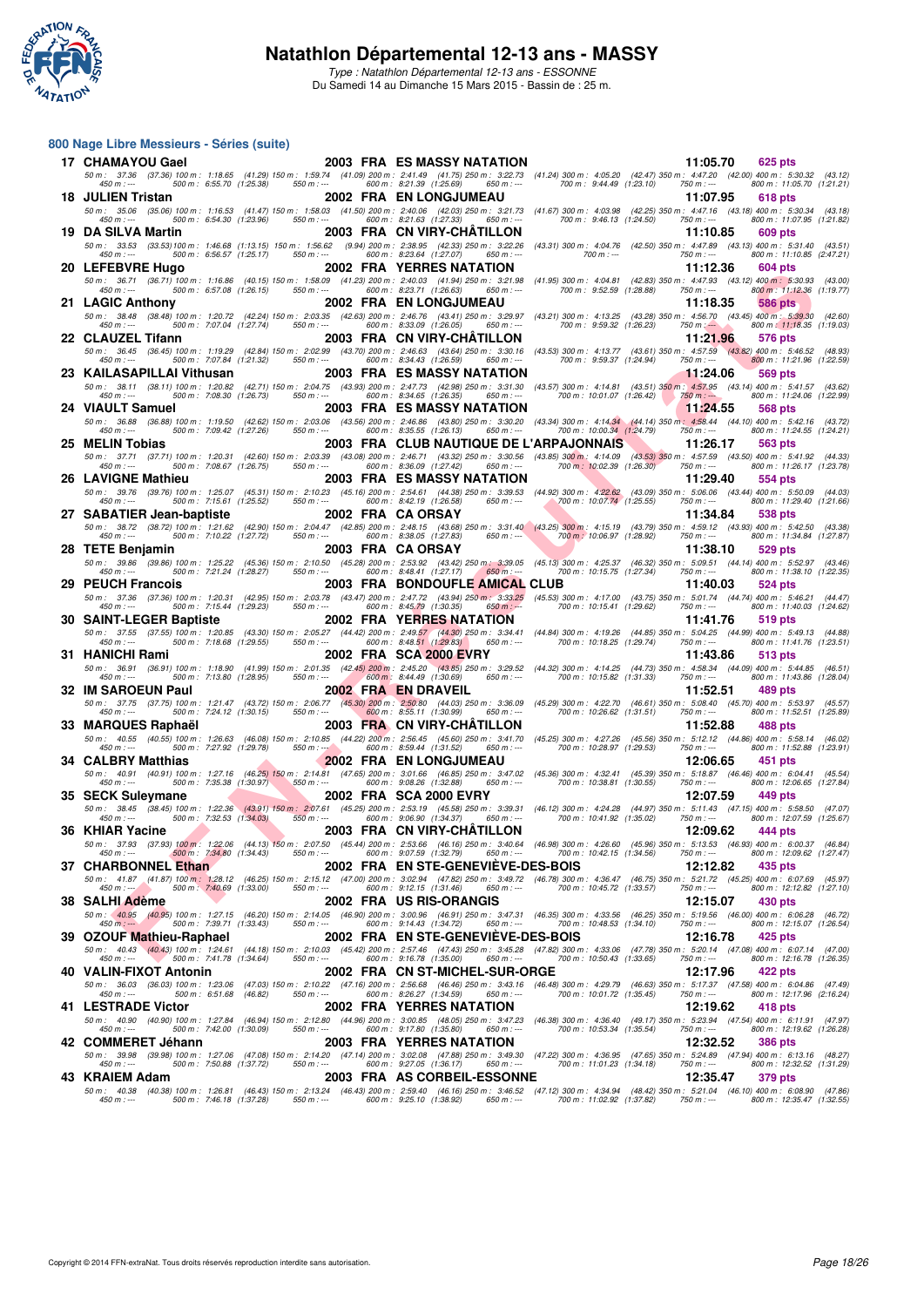

**800 Nage Libre Messieurs - Séries (suite)**

Type : Natathlon Départemental 12-13 ans - ESSONNE Du Samedi 14 au Dimanche 15 Mars 2015 - Bassin de : 25 m.

#### **F** F The most strengthenial of the control of the control of the control of the most strengthenial of the most strengthenial of the most strengthenial of the most strengthenial of the most strengthenial of the most stren **17 CHAMAYOU Gael 2003 FRA ES MASSY NATATION 11:05.70 <b>625 pts**<br> **17 CHAMAYOU Gael 200** 100 m: 1:18.65 (41.29) 150 m: 1:59.74 (41.09) 200 m: 2:41.49 (41.75) 250 m: 3:22.73 (41.24) 300 m: 4:05.20 (42.47) 350 m: 4:47.2 50 m : 37.36 (37.36) 100 m : 1:18.65 (41.29) 150 m : 1:59.74 (41.09) 200 m : 2:41.49 (41.75) 250 m : 3:22.73 (41.24) 300 m : 4:05.20 (42.47) 350 m : 4:47.20 (42.00) 400 m : 5:30.32 (43.12) 450 m : --- 500 m : 6:55.70 (1:25.38) 550 m : --- 600 m : 8:21.39 (1:25.69) 650 m : --- 700 m : 9:44.49 (1:23.10) 750 m : --- 800 m : 11:05.70 (1:21.21) **18 JULIEN Tristan 2002 FRA EN LONGJUMEAU 11:07.95 618 pts** 50 m: 35.06 (35.06) 100 m: 1:16.53 (41.47) 150 m: 1:58.03 (41.50) 200 m: 2:40.06 (42.03) 250 m: 3:173 (41.39) 300 m: 4:02.58 (35.06) 100 m: 1:16.53 (41.31.18) 100 m: 1:16.53 (1.21.182 1.59.34 (45.18) **19 DA SILVA Martin 2003 FRA CN VIRY-CHÂTILLON 11:10.85 11:10.85 609 pts**<br>50 m: 32.53 (33.53) 100 m: 1:46.68 (1:13.15) 150 m: 1:56.62 (3.94) 200 m: 2:38.95 (42.33) 250 m: 3:22.26 (43.31) 300 m: 4:04.76 (42.50) 350 50 m: 33.53 (33.53)100 m: 1:46.68 (1:13.15) 150 m: 4:56.62 (42.39) 563 m; 322.26 (43.31) 300 m: 4:04.76 (42.50) 350 m; -- 500 m; 6:56.57 (1:25.17.0<br>450 m;--- 500 m: 6:56.57 (1:25.17) 550 m;--- 600 m; 8:23.64 (1:27.07) 650 **20 LEFEBVRE Hugo** 2002 FRA YERRES NATATION 11:12.36 604 pts<br>
50 m: 36.71 (36.71) 100 m: 1:16.86 (40.15) 150 m: 1:58.09 (41.23) 200 m: 2:40.03 (41.94) 250 m: 3:21.98 (41.95) 300 m: 4:04.81 (42.83) 350 m: 4:47.93 (43.12) 40 50 m : 36.71 (36.71) 100 m : 1:16.86 (40.15) 150 m : 1:58.09 (41.23) 200 m : 2:40.03 (41.94) 250 m : 3:21.98 (41.95) 300 m : 4:04.81 (42.83) 350 m : 4:47.93 (43.12) 400 m : 5:30.93 (43.00) 450 m : --- 500 m : 6:57.08 (1:26.15) 550 m : --- 600 m : 8:23.71 (1:26.63) 650 m : --- 700 m : 9:52.59 (1:28.88) 750 m : --- 800 m : 11:12.36 (1:19.77) **21 LAGIC Anthony**<br> **2002 FRA EN LONGJUMEAU** 11:18.35 1586 pts<br>
50 m: 38.48 (38.48) 100 m: 1:20.72 (42.24) 150 m: 2:03.35 (42.63) 200 m: 2:46.76 (43.41) 250 m: 3:29.97 (43.21) 300 m: 4:13.25 (43.28) 350 m: 4:56.70 (43.45) 50 m: 38.48 (38.48) 100 m: 1:20.72 (42.49 150 m: 2:03.35 (42.63) 600 m: 2:46.76 (43.41) 250 m: 4:30;9 (43.29) 300 m: 1506.70 m; 530 m; 530 m; 530 m; 543.45 00 m; 543.45 00 m; 543.45 00 m; 543.45 00 m; 543.45 00 m; 543.45 0 **22 CLAUZEL Tifann 2003 FRA CN VIRY-CHÂTILLON 11:21.96 576 pts** 50 m: 36.45 (36.45) 100 m: 1:19.29 (42.84) 150 m: 2:02.99 (43.70) 200 m: 2:46.63 (43.64) 250 m: 3:0.16 (43.52) 300 m: 4:13.77 (43.61) 350 m: 4:57.59 (43.82) 400 m: 5:46.52 (48.83)<br>450 m: --- **23 KAILASAPILLAI Vithusan 2003 FRA ES MASSY NATATION 11:24.06 569 pts** 50 m: 38.11 (38.11)100 m: 1:20.82 (42.71)150 m: 2:04.75 (49.93) 200 m: 2:47.73 (42.99) 250 m: 300 m: 4:14.81,19 m: 38.7,190 m: 7:08.30 m: 7:08.30 (1:26.73) 550 m; — 500 m: 7:08.30 (1:26.73) 550 m; — 500 m: 7:08.30 (1:27.99 **24 VIAULT Samuel 2003 FRA ES MASSY NATATION 11:24.55 568 pts** 50 m : 36.88 (36.88) 100 m : 1:19.50 (42.62) 150 m : 2:03.06 (43.56) 200 m : 2:46.86 (43.80) 250 m : 3:30.20 (43.34) 300 m : 4:14.34 (44.14) 350 m : 4:58.44 (44.10) 400 m : 5:42.16 (43.72) 450 m : --- 500 m : 7:09.42 (1:27.26) 550 m : --- 600 m : 8:35.55 (1:26.13) 650 m : --- 700 m : 10:00.34 (1:24.79) 750 m : --- 800 m : 11:24.55 (1:24.21) **25 MELIN Tobias 2003 FRA CLUB NAUTIQUE DE L'ARPAJONNAIS 11:26.17 563 pts** 50 m : 37.71 (37.71) 100 m : 1:20.31 (42.60) 150 m : 2:03.39 (43.08) 200 m : 2:46.71 (43.32) 250 m : 3:30.56 (43.85) 300 m : 4:14.09 (43.53) 350 m : 4:57.59 (43.50) 400 m : 5:41.92 (44.33) 450 m : --- 500 m : 7:08.67 (1:26.75) 550 m : --- 600 m : 8:36.09 (1:27.42) 650 m : --- 700 m : 10:02.39 (1:26.30) 750 m : --- 800 m : 11:26.17 (1:23.78) **26 LAVIGNE Mathieu 2003 FRA ES MASSY NATATION** 11:29.40 554 pts<br>
50 m: 39.76 (39.76) 100 m: 125.07 (45.31) 150 m: 2:10.23 (45.16) 200 m: 2:54.61 (44.38) 250 m: 3:39.53 (44.92) 300 m: 4:22.62 (43.09) 350 m: 5:06.06 (43.44) 50 m: 39.76 (39.76) 100 m: 1:25.07 (45.31) 150 m: 2:10.23 (45.16) 200 m: 2:54.61 (44.38) 250 m: 3:39.53 (44.92) 300 m: 4:22.62 (43.09) 350 m: 5:0006 (43.44) 400 m: 5:50.09 (44.03<br>450 m: --- **27 SABATIER Jean-baptiste 2002 FRA CA ORSAY 11:34.84 538 pts** 50 m : 38.72 (38.72) 100 m : 1:21.62 (42.90) 150 m : 2:04.47 (42.85) 200 m : 2:48.15 (43.68) 250 m : 3:31.40 (43.25) 300 m : 4:15.19 (43.79) 350 m : 4:59.12 (43.93) 400 m : 5:42.50 (43.38) 450 m : --- 500 m : 7:10.22 (1:27.72) 550 m : --- 600 m : 8:38.05 (1:27.83) 650 m : --- 700 m : 10:06.97 (1:28.92) 750 m : --- 800 m : 11:34.84 (1:27.87) **28 TETE Benjamin 2003 FRA CA ORSAY 11:38.10 529 pts**<br> **28 TETE Benjamin 125.22** (45.36) 150 m: 2:10.50 (45.28) 200 m: 2:53.92 (43.42) 250 m: 3:39.05 (45.13) 300 m: 4:25.37 (46.32) 350 m: 5:09.51 (44.14) 400 m: 5:5 50 m : 39.86 (39.86) 100 m : 1:25.22 (45.36) 150 m : 2:10.50 (45.28) 200 m : 2:53.92 (43.42) 250 m : 3:39.05 (45.13) 300 m : 4:25.37 (46.32) 350 m : 5:09.51 (44.14) 400 m : 5:52.97 (43.46) 450 m : --- 500 m : 7:21.24 (1:28.27) 550 m : --- 600 m : 8:48.41 (1:27.17) 650 m : --- 700 m : 10:15.75 (1:27.34) 750 m : --- 800 m : 11:38.10 (1:22.35) **29 PEUCH Francois** 2003 FRA BONDOUFLE AMICAL CLUB 11:40.03 524 pts<br>
50 m: 37.36 (37.36) 100 m: 1:20.31 (42.95) 150 m: 2:03.78 (43.47) 200 m: 2:47.72 (43.94) 250 m: 3:33.25 (45.53) 300 m: 4:17.00 (43.75) 350 m: 5:01.74 (44 50 m: 37.36 (37.36)100 m: 1:20.31 (42.95)150 m: 2:03.78 (43.47)200 m: 2:47,72 (43.94)250 m: 3:3325 (45.53)300 m: 4:07.40 (37.36)350 m: 500 m: 7:15.44 (1:29.23) 550 m; --<br>450 m; -- 500 m: 7:15.44 (1:29.23) 550 m; -- 600 m: **30 SAINT-LEGER Baptiste 2002 FRA YERRES NATATION** 11:41.76 519 pts<br>
50 m: 37.55 (37.55) 100 m: 1:20.85 (43.30) 150 m: 2:05.27 (44.42) 200 m: 2:49.57 (44.30) 250 m: 3:34.41 (44.84) 300 m: 4:19.26 (44.85) 350 m: 5:04.25 (44 50 m : 37.55 (37.55) 100 m : 1:20.85 (43.30) 150 m : 2:05.27 (44.42) 200 m : 2:49.57 (44.38) 300 m : 4:19.26 (44.88) 350 m : 5:04.25 (44.99) 400 m : 5:49.13 (44.88) **31 HANICHI Rami 2002 FRA SCA 2000 EVRY 11:43.86 513 pts** 50 m: 36.91 (36.91) 100 m: 1:18.90 (41.99) 150 m: 2:49.00 m: 2:45.20 (43.85) 250 m: 3:29.52 (44.32) 300 m: 4:14.25 (44.73) 350 m: – 500 m: 7:13.80 (1:28.95) 450 m; – 500 m: 7:13.80 (1:28.95) 460 m; – 500 m; 7:13.80 (1:28.9 **32 IM SAROEUN Paul 2002 FRA EN DRAVEIL** 11:52.51 137.75 (37.75) 100 m: 1:21.47 (43.72) 150 m: 2:06.77 (45.30) 200 m: 2:50.80 (44.03) 250 m: 3:36.09 (45.29) 300 m: 4:22.70 (46.61) 350 m: 5:08.40 (45.70) 400 m: 5:05.11 11:5 50 m: 37.75 (37.75) 100 m: 1:21.47 (43.72) 150 m: 2:06.77 (45.30) 200 m: 2:50.80 (44.03) 250 m: 3:36.09 (45.29) 300 m: 4:22.70 (46.61) 350 m: 5:08.40 (45.70) 400 m: 5:53.97 (45.57) 400 m; 5:53.97 (45.57) 400 m; 5:53.97 (45 **33 MARQUES Raphaël 2003 FRA CN VIRY-CHÂTILLON** 11:52.88 488 pts<br>
50 m: 40.55 100 m: 126.63 (46.08) 150 m: 2:10.85 (44.22) 200 m: 2:56.45 (45.60) 250 m: 3:41.70 (45.25) 300 m: 4:27.26 (45.56) 350 m: 5:12.12 (44.86) 400 m: 50 m: 40.55 (40.55)100 m: 1:26.63 (46.08)150 m: 2:10.85 (44.22) 200 m: 2:56.45 (45.60) 250 m: 3/20 m: 4:37.26 (45.66) 350 m: 500 m: 500 m: 500 m: 502 (129.78) 46.02) 600 m: 500 m; 7:27.92 (1:29.78) 14.0.27 13.02 11.27.16 (12.27.18) 550 m; 500 m; 500 m; 550 m; 560 m; 560 m; 1600 m; 560 m; 1600 m; 1600 m; 1600 m; 1600 m; 1600 m; 1600 m; 1600 m; 1600 m; 1600 m; 1600 m; 1600 m; 1600 m; 1600 m; 1600 m; 1600 m; 1600 m; 160 50 m: 40.91 (40.91) 100 m: 1:27.16 (46.25) 150 m: 2:14.81 (47.65) 200 m: 3:01.66 (46.85) 200 m: 4:2.41 (45.34) 350 m: 4:52.41 (45.39) 350 m: 5:18.87 (46.46) 400 m: 6:04.41 (45.54)<br>450 m: --- **35 SECK Suleymane**<br> **35 SECK Suleymane**<br> **36 50 m:** 38.45 (38.45) 100 m: 1:22.36 (43.91) 150 m: 2:07.61 (45.25) 200 m: 2:53.19 (45.58) 250 m: 3:39.31 (46.12) 300 m: 4:24.28 (44.97) 350 m: 5:11.43 (47.15) 400 m: 5:58.50 (4 50 m : 38.45 (38.45) 100 m : 1:22.36 (43.91) 150 m : 2:07.61 (45.25) 200 m : 2:53.19 (45.58) 250 m : 3:39.31 (46.12) 300 m : 4:24.28 (44.97) 350 m : 5:11.43 (47.15) 400 m : 5:58.50 (47.07) 450 m : --- 500 m : 7:32.53 (1:34.03) 550 m : --- 600 m : 9:06.90 (1:34.37) 650 m : --- 700 m : 10:41.92 (1:35.02) 750 m : --- 800 m : 12:07.59 (1:25.67) **36 KHIAR Yacine 2003 FRA CN VIRY-CHÂTILLON 12:09.62 444 pts**<br> **36 KHIAR Yacine 37.93** (37.93) 100 m: 1:22.06 (44.13) 150 m: 2:07.50 (45.44) 200 m: 2:53.66 (46.16) 250 m: 3:40.64 (46.98) 300 m: 4:26.60 (45.96) 350 50 m : 37.93 (37.93) 100 m : 1:22.06 (44.13) 150 m : 2:07.50 (45.44) 200 m : 2:53.66 (46.16) 250 m : 3:40.64 (46.98) 300 m : 4:26.60 (45.96) 350 m : 5:13.53 (46.93) 400 m : 6:00.37 (46.84) 450 m : --- 500 m : 7:34.80 (1:34.43) 550 m : --- 600 m : 9:07.59 (1:32.79) 650 m : --- 700 m : 10:42.15 (1:34.56) 750 m : --- 800 m : 12:09.62 (1:27.47) **37 CHARBONNEL Ethan** 1.34.80 (1:34.43) 550 m: 300 m: 907.59 (1:32.79) 650 m: 300 m: 10:42.15 (1:34.50) 700 m: 10:34.50 (1:34.50) 7<br>**37 CHARBONNEL Ethan 2002 FRA EN STE-GENEVIÈVE-DES-BOIS 12:12.82** 435 pts<br>450 m: 41.87 (4 50 m: 41.87 (41.87)100 m: 1:28.12 (46.25)150 m: 2:15.12 (47.00)200 m: 3:02.94 (47.82)250 m: 3:03.49 /26.75 (36.75)350 m: 521.72 (45.25)400 m: 1:40.69 (46.78)360 m: 1:2:12.82 (42.52)<br>450 m: — **38 SALHI Adème 2002 FRA US RIS-ORANGIS 12:15.07 430 pts** 50 m: (40.95 (40.05) 100 m: 1:27.15 (46.20) 150 m: 2:14.05 (46.90) 200 m: 3:00.96 (46.91) 250 m: 3:47.31 (46.32) 300 m: 4:33.56 (46.25) 350 m: 5:19.56 (46.00) 400 m: 6:06.28 (46.72)<br>460 m: ---------------------------------**39 OZOUF Mathieu-Raphael 2002 FRA EN STE-GENEVIÈVE-DES-BOIS** 12:16.78 425 pts<br>
50 m: 40.43 (40.43) 100 m: 1:24.61 (44.18) 150 m: 2:10.03 (45.42) 200 m: 2:57.46 (47.43) 250 m: 3:45.28 (47.29) 300 m: 4:33.06 (47.78) 350 m: 50 m: 40.43 (40.43) 100 m: 1:24.61 (44.18) 150 m: 2:10.03 (45.42) 200 m: 2:57.46 (47.43) 250 m: 47.08) 300 m: 520.14 (47.08) 400 m: 12:16.78 (47.08) 460 m; 7:41.78 (1:24.64) = 600 m; 7:41.78 (1:24.64) = 600 m; 50 m; --- 50 **40 VALIN-FIXOT Antonin 2002 FRA CN ST-MICHEL-SUR-ORGE 12:17.96 422 pts**<br> **50 m**: 36.03 (36.03) 100 m: 1:23.06 (47.03) 150 m: 2:10.22 (47.16) 200 m: 2:56.68 (46.46) 250 m: 3:43.16 (46.48) 300 m: 4:29.79 (46.63) 350 m 50 m: 36.03 (36.03) 100 m: 1:23.06 (47.03) 150 m: 2:10.22 (47.16) 200 m: 2:56.68 (46.48) 250 m: 3:49.16 (46.48) 300 m: 4:29.79 (46.63) 350 m: 5:17.37 (47.58) 400 m: 6:04.86 (47.49)<br>B00 m: ----------**41 LESTRADE Victor** 2002 FRA YERRES NATATION 12:19.62 418 pts<br>
50 m: 40.90 (40.90) 100 m: 1:27.84 (46.94) 150 m: 2:12.80 (44.96) 200 m: 3:00.85 (48.05) 250 m: 3:47.23 (46.38) 300 m: 4:36.40 (49.17) 350 m: 5:23.94 (47.54) 50 m : 40.90 (40.90) 100 m : 1:27.84 (46.94) 150 m : 2:12.80 (44.96) 200 m : 3:00.85 (48.05) 250 m : 3:47.23 (46.38) 300 m : 4:36.40 (49.17) 350 m : 5:23.94 (47.54) 400 m : 6:11.91 (47.97) 450 m : --- 500 m : 7:42.00 (1:30.09) 550 m : --- 600 m : 9:17.80 (1:35.80) 650 m : --- 700 m : 10:53.34 (1:35.54) 750 m : --- 800 m : 12:19.62 (1:26.28) **42 COMMERET Jéhann 2003 FRA YERRES NATATION 12:32.52** 386 pts<br>
50 m: 39.98 (39.98) 100 m: 1:27.06 (47.08) 150 m: 2:14.20 (47.14) 200 m: 3:02.08 (47.88) 250 m: 3:49.30 (47.22) 300 m: 4:36.95 (47.65) 350 m: 5:24.89 (47.94) 50 m : 39.98 (39.98) 100 m : 1:27.06 (47.08) 150 m : 2:14.20 (47.14) 200 m : 3:02.08 (47.88) 250 m : 3:49.30 (47.22) 300 m : 4:36.95 (47.65) 350 m : 5:24.89 (47.94) 400 m : 6:13.16 (48.27) 450 m : --- 500 m : 7:50.88 (1:37.72) 550 m : --- 600 m : 9:27.05 (1:36.17) 650 m : --- 700 m : 11:01.23 (1:34.18) 750 m : --- 800 m : 12:32.52 (1:31.29) **43 KRAIEM Adam 2003 FRA AS CORBEIL-ESSONNE 12:35.47 379 pts** 50 m: 40.38 (40.39) 100 m: 1:26.81 (46.43) 150 m: 2:13.24 (46.43) 200 m: 2:5940 (46.16) 250 m: 4:34 (48.41 (48.50) 16.39 m: 52.31.04 (46.10) 400 m: 1:46.18 (14.37.82) 760 m: 1:23.56 (4.37.82) 760 m: -- 500 m: 12:35.47 (1:3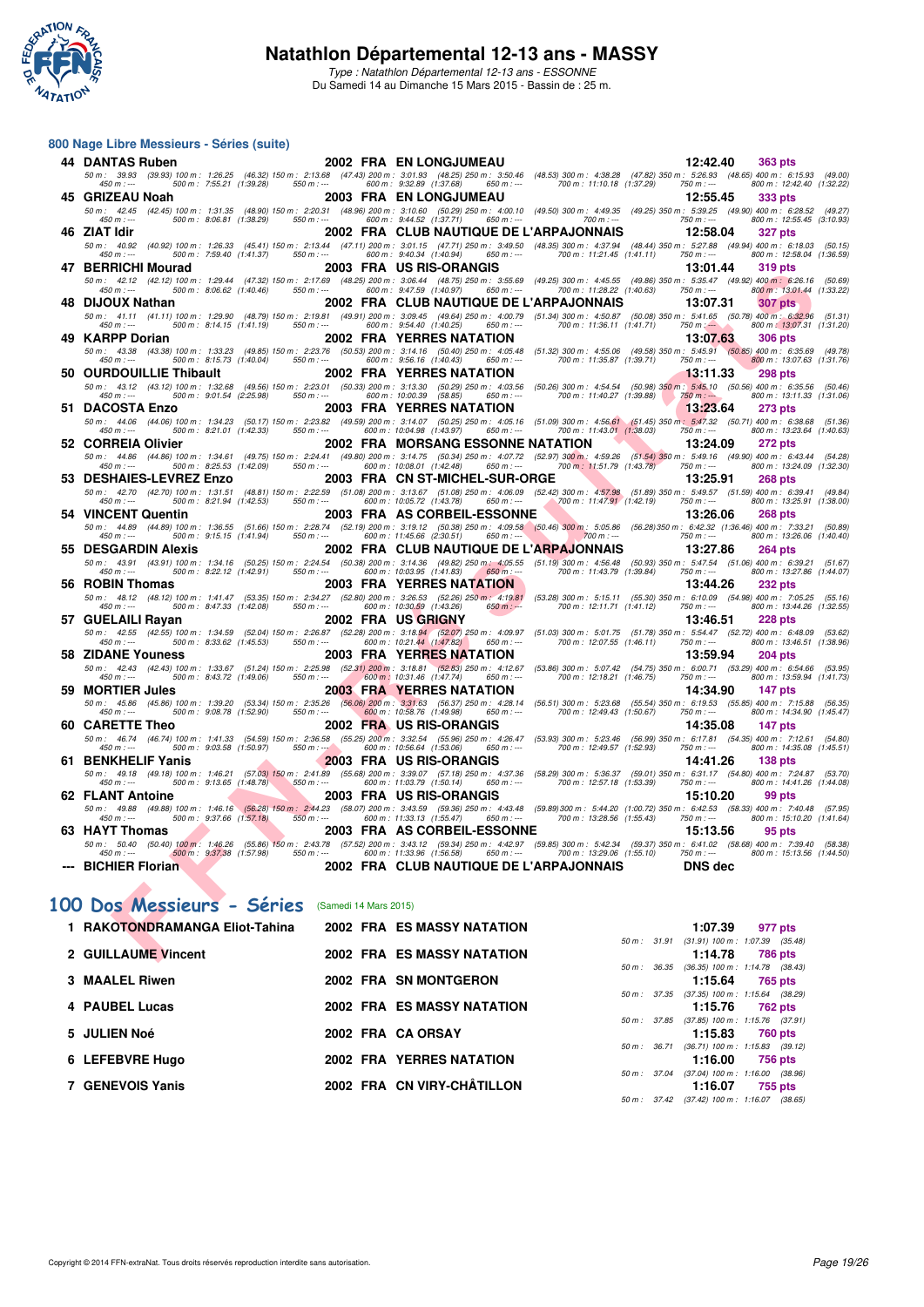

**800 Nage Libre Messieurs - Séries (suite)**

Type : Natathlon Départemental 12-13 ans - ESSONNE Du Samedi 14 au Dimanche 15 Mars 2015 - Bassin de : 25 m.

#### **FOR A CHE AND THE SET UP AND THE SET UP AND THE SET UP AND THE SET UP AND THE SET UP AND THE SET UP AND THE SET UP AND THE SET UP AND THE SET UP AND THE SET UP AND THE SET UP AND THE SET UP AND THE SET UP AND THE SET UP 44 DANTAS Ruben 2002 FRA EN LONGJUMEAU** 13.53 (47.82) 363 pts<br>
50 m: 39.93 (39.93) 100 m: 1:26.25 (46.32) 150 m: 2:13.68 (47.43) 200 m: 3:01.93 (48.25) 250 m: 3:50.46 (48.53) 300 m: 4:38.28 (47.82) 350 m: 5:26.93 (48.65) 50 m : 39.93 (39.93) 100 m : 1:26.25 (46.32) 150 m : 2:13.68 (47.43) 200 m : 3:01.93 (48.25) 250 m : 3:50.46 (48.53) 300 m : 4:38.28 (47.82) 350 m : 5:26.93 (48.65) 400 m : 6:15.93 (49.00) 450 m : --- 500 m : 7:55.21 (1:39.28) 550 m : --- 600 m : 9:32.89 (1:37.68) 650 m : --- 700 m : 11:10.18 (1:37.29) 750 m : --- 800 m : 12:42.40 (1:32.22) 450 m : 438.28 (47.82) 450 m : 438.28 (47.82) 450 m : 439 m : 439 m : 450 m : 450 m : 450 m : 450 m : 450 m : 450 m : 450 m : 450 m : 450 m : 450 m : 450 m : 450 m : 450 m : 450 m : 450 m : 450 m : 450 m : 450 m : 450 m : 50 m: 42.45 (42.45) 100 m: 1:31.35 (48.90) 150 m: 2:20.31 (48.96) 200 m: 3:10.60 (50.29) 250 m: 4:00.10 (49.50) 300 m: 4:49.35 (49.25) 350 m: 5:39.25 (49.90) 400 m: 6:28.52 (49.27) **46 ZIAT Idir 2002 FRA CLUB NAUTIQUE DE L'ARPAJONNAIS 12:58.04 327 pts** 50 m: 40.92 (40.92) 100 m: 1:26.33 (45.41) 150 m: 2:13.44 (47.11) 200 m: 3:01.150 (48.35) 300 m: 4:37.94 (48.40,350 m: 5:00 m: 6:0.7.27.88 (49.94) 400 m: 1:25.804 (1:36.59, 160 m; 16.6.59, 17.25.59, 17.25.59, 17.36.59, 17. **47 BERRICHI Mourad 2003 FRA US RIS-ORANGIS 13:01.44 319 pts** 50 m: 42.12 (42.12) 100 m: 1:29.44 (47.32) 150 m: 2:17.69 (48.25) 200 m: 3:06.44 (48.75) 200 m: 4:45.55 (49.85 (49.86) 350 m: 5:35.47 (49.92) 400 m: 6:26.16 (50.69)<br>450 m: --- **48 DIJOUX Nathan 2002 FRA CLUB NAUTIQUE DE L'ARPAJONNAIS 13:07.31 307 pts** 50 m : 41.11 (41.11) 100 m : 1:29.90 (48.79) 150 m : 2:19.81 (49.91) 200 m : 3:09.45 (49.64) 250 m : 4:00.79 (51.34) 300 m : 4:50.87 (50.08) 350 m : 5:41.65 (50.78) 400 m : 6:32.96 (51.31) 450 m : --- 500 m : 8:14.15 (1:41.19) 550 m : --- 600 m : 9:54.40 (1:40.25) 650 m : --- 700 m : 11:36.11 (1:41.71) 750 m : --- 800 m : 13:07.31 (1:31.20) **49 KARPP Dorian 2002 FRA YERRES NATATION** 13:07.63 306 pts<br>
50 m: 43.38 (43.38) 100 m: 1:33.23 (49.85) 150 m: 2:23.76 (50.53) 200 m: 3:14.16 (50.40) 250 m: 4:05.48 (51.32) 300 m: 4:55.06 (49.58) 350 m: 5:45.91 (50.85) 400 50 m: 43.38 (43.38) 100 m: 1:33.23 (49.85) 150 m: 2:23.76 (50.53) 200 m: 3:14.16 (50.40) 250 m: 4:05.46 (51.32) 300 m: 4:55.06 (49.56) 350 m: 5:45.91 (50.85) 400 m: 6:35.69 (49.78)<br>450 m: --- **50 OURDOUILLIE Thibault 2002 FRA YERRES NATATION 13:11.33 298 pts** 50 m: 43.12 (43.12)100 m: 1:32.68 (49.56)150 m: 2:23.01 (50.39)200 m: 3:13.30 (50.26)306 (50.26)300 m: 4:34.54 (50.98)350 m: 5:00 m: 6:0.56)4510 m: 6:0.56 (50.46)50 m: 6:00 m: 6:01 m: 6:01 m: 6:00 m: 6:01 m: 6:01 m: 6:00 m **51 DACOSTA Enzo**<br>
50 m: 44.06 (44.06) 100 m: 1:34.23 (50.17) 150 m: 2:23.82 (49.59) 200 m: 3:14.07 (50.25) 250 m: 4:05.16 (51.09) 300 m: 4:56.61 (51.45) 350 m: 547.32 (50.71) 400 m: 6:38.68 (51.36)<br>
450 m: --- 600 m: 8:21 50 m: 44.06 (44.06) 100 m: 1:34.23 (50.17) 150 m: 2:23.82 (49.59) 200 m: 3:14.07 (60.25) 250 m: 4:06 (14.05) 350 m: 5:47.32 (50.71) 400 m: 6:38.68 (51.36)<br>450 m: --- **52 CORREIA Olivier 2002 FRA MORSANG ESSONNE NATATION** 13:24.09 272 pts<br>
50 m: 44.86 (44.86) 100 m: 1:34.61 (49.75) 150 m: 2:24.41 (49.80) 200 m: 3:14.75 (50.34) 250 m: 4:07.72 (52.97) 300 m; 4:59.26 (51.54) 350 m: 549.16 50 m : 44.86 (44.86) 100 m : 1:34.61 (49.75) 150 m : 2:24.41 (49.80) 200 m : 3:14.75 (50.34) 250 m : 4:07.72 (52.97) 300 m : 4:59.26 (51.54) 350 m : 5:49.16 (49.90) 400 m : 6:43.44 (54.28) 450 m : --- 500 m : 8:25.53 (1:42.09) 550 m : --- 600 m : 10:08.01 (1:42.48) 650 m : --- 700 m : 11:51.79 (1:43.78) 750 m : --- 800 m : 13:24.09 (1:32.30) **53 DESHAIES-LEVREZ Enzo 2003 FRA CN ST-MICHEL-SUR-ORGE 13:25.91 268 pts** 50 m : 42.70 (42.70) 100 m : 1:31.51 (48.81) 150 m : 2:22.59 (51.08) 200 m : 3:13.67 (51.08) 250 m : 4:06.09 (52.42) 300 m : 4:57.98 (51.89) 350 m : 5:49.57 (51.59) 400 m : 6:39.41 (49.84) 450 m : --- 500 m : 8:21.94 (1:42.53) 550 m : --- 600 m : 10:05.72 (1:43.78) 650 m : --- 700 m : 11:47.91 (1:42.19) 750 m : --- 800 m : 13:25.91 (1:38.00) **54 VINCENT Quentin 2003 FRA AS CORBEIL-ESSONNE 13:26.06 268 pts** 50 m : 44.89 (44.89) 100 m : 1:36.55 (51.66) 150 m : 2:28.74 (52.19) 200 m : 3:19.12 (50.38) 250 m : 4:09.58 (50.46) 300 m : 5:05.86 (56.28)350 m : 6:42.32 (1:36.46) 400 m : 7:33.21 (50.89) 450 m : --- 500 m : 9:15.15 (1:41.94) 550 m : --- 600 m : 11:45.66 (2:30.51) 650 m : --- 700 m : --- 750 m : --- 800 m : 13:26.06 (1:40.40) **55 DESGARDIN Alexis** 2002 FRA CLUB NAUTIQUE DE L'ARPAJONNAIS 13:27.86 264 pts<br>
50 m: 43.91 (43.91) 100 m: 1:34.16 (50.25) 150 m: 2:24.54 (50.38) 200 m: 3:14.36 (49.82) 250 m; 4:05.55 (51.19) 300 m: 4:56.48 (50.93) 350 m: 50 m: 43.91 (43.91) 100 m: 1:34.16 (50.25) 150 m: 2:24.54 (50.38) 200 m: 3:14.36 (49.82) 250 m: 4:55.48 (50.93) 350 m: 5:47.54 (51.06) 400 m: 6:39.21 (51.67<br>450 m: --- **56 ROBIN Thomas 2003 FRA YERRES NATATION**<br>
56 m: 48.12 (48.12) 100 m: 1:41.47 (53.35) 150 m: 2:34.27 (52.80) 200 m: 3:26.53 (52.26) 250 m: 4:19.81 (53.28) 300 m: 5:15.11 (55.30) 350 m: 6:10.09 (54.98) 400 m: 7:05.25 (55.1 50 m : 48.12 (48.12) 100 m : 1:41.47 (53.35) 150 m : 2:34.27 (52.80) 200 m : 3:26.53 (52.26) 250 m : 4:19.81 (53.28) 300 m : 5:15.11 (55.30) 350 m : 6:10.09 (54.98) 400 m : 7:05.25 (55.16) 450 m : --- 500 m : 8:47.33 (1:42.08) 550 m : --- 600 m : 10:30.59 (1:43.26) 650 m : --- 700 m : 12:11.71 (1:41.12) 750 m : --- 800 m : 13:44.26 (1:32.55) **57 GUELAILI Rayan**<br> **50 m:** 42.55 (42.55) 100 m: 1:34.59 (52.04) 150 m: 2:26.87 (52.08) 200 m: 3:18.94 (52.07) 250 m: 4:09.97 (51.03) 300 m: 5:01.75 (51.78) 350 m: 5:54.47 (52.72) 400 m: 6:46.09 (53.62)<br> **450 m: ---------**50 m: 42.55 (42.55) 100 m: 1:34.59 (52.04) 150 m: 2:26.87 (52.28) 200 m: 3:18.94 (52.07) 250 m: 4:09.97 (51.03) 300 m: 5:01.75 (51.78) 350 m: 5:54.47 (52.72) 400 m: 6:48.09 (53.62)<br>450 m: --- **58 ZIDANE Youness 2003 FRA YERRES NATATION 13:59.94 204 pts** 50 m : 42.43 (42.43) 100 m : 1:33.67 (51.24) 150 m : 2:25.98 (52.31) 200 m : 3:18.81 (52.83) 250 m : 4:12.67 (53.86) 300 m : 5:07.42 (54.75) 350 m : 6:00.71 (53.29) 400 m : 6:54.66 (53.95) 450 m : --- 500 m : 8:43.72 (1:49.06) 550 m : --- 600 m : 10:31.46 (1:47.74) 650 m : --- 700 m : 12:18.21 (1:46.75) 750 m : --- 800 m : 13:59.94 (1:41.73) **59 MORTIER Jules 2003 FRA YERRES NATATION**<br>
50 m: 45.86 (45.86) 100 m: 1:39.20 (53.34) 150 m: 2:35.26 (56.06) 200 m: 3:31.63 (56.37) 250 m: 4:28.14 (56.51) 300 m: 5:23.68 (55.54) 350 m: 6:19.53 (55.85) 400 m: 7:15.88 (56. 50 56.55) 50 5.586 (45.86) 500 m: 1.39.20 (53.34) 50 m: 2.35.26 (56.06) 200 m: 3.31.63 (56.35) 300 m: 5:23.68 (55.35 (55.55) 300 m: 6:19.53 (55.85) 400 m: 7:15.88 (56.35) 500 m: 9:08.78 (1:52.90) 500 m: --- 600 m: 550 m:--**60 CARETTE Theo** 2002 FRA US RIS-ORANGIS 14:35.08 147 pts<br>
50 m: 46.74 (46.74) 100 m: 1:41.33 (54.59) 150 m: 2:36.58 (55.25) 200 m: 3:32.54 (55.96) 250 m: 4:26.47 (53.93) 300 m: 5:23.46 (56.99) 350 m: 6:17.81 (54.35) 400 50 m: 46.74 (46.74) 100 m: 1.14.33 (54.59) 150 m: 2:36.58 (55.25) 200 m: 3:32.56) 250 m: 4:26.41 (53.93) 300 m: 5:33.46 (56.35) 300 m: 7.1.35 (54.35) 400 m: 1.1.33 (54.35) 300 m: 300 m: 5:00 m; 5:00 m; 5:00 m; 5:00 m; 5:00 1.4 (40.74) 100 m : 1.41.00 (1.50.07) 1.65 m : 1.45 (1.50.07) 1.66 m : 10.56 64 (1.53.06) 10.56 m : 1.4 700 m : 12:49.57 (1.32.33) 1.38 pts<br>
450 m : 49.18 (49.18) 100 m : 1.46.21 (57.03) 150 m : 2.41.89 (55.68) 200 m : 3.3 50 m: 49.18 (49.18) 100 m: 1:46.21 (57.03) 150 m: 2:41.89 (55.68) 200 m: 3:39.07 (57.18) 250 m: 4:37.36 (58.29) 300 m: 5:36.37 (59.01) 350 m: 6:31.17 (54.80) 400 m: 7:24.87 (53.70)<br>450 m: --- **62 FLANT Antoine 2003 FRA US RIS-ORANGIS** 15:10.20 **99 pts**<br> **628**  $\frac{49.88}{450 m}$ :  $\frac{49.88}{50.28}$   $\frac{160 m}{25.26}$   $\frac{166.28}{155.10}$   $\frac{166.28}{55.0 m}$ :  $\frac{244.23}{550 m}$ :  $\frac{68.07}{500 m}$ :  $\frac{343.59}{500 m}$ :  $\frac{1$ 50 m : 49.88 (49.88) 100 m : 1:46.16 (56.28) 150 m : 2:44.23 (58.07) 200 m : 3:43.59 (59.36) 250 m : 4:43.48 (59.89)300 m : 5:44.20 (1:00.72) 350 m : 6:42.53 (58.33) 400 m : 7:40.48 (57.95) 450 m : --- 500 m : 9:37.66 (1:57.18) 550 m : --- 600 m : 11:33.13 (1:55.47) 650 m : --- 700 m : 13:28.56 (1:55.43) 750 m : --- 800 m : 15:10.20 (1:41.64) **63 HAYT Thomas 2003 FRA AS CORBEIL-ESSONNE 15:13.56 95 pts** 50 m : 50.40 (50.40) 100 m : 1:46.26 (55.86) 150 m : 2:43.78 (57.52) 200 m : 3:43.12 (59.34) 250 m : 4:42.97 (59.85) 300 m : 5:42.34 (59.37) 350 m : 6:41.02 (58.68) 400 m : 7:39.40 (58.38) 450 m : --- 500 m : 9:37.38 (1:57.98) 550 m : --- 600 m : 11:33.96 (1:56.58) 650 m : --- 700 m : 13:29.06 (1:55.10) 750 m : --- 800 m : 15:13.56 (1:44.50) **--- BICHIER Florian 2002 FRA CLUB NAUTIQUE DE L'ARPAJONNAIS DNS dec**

#### **[100 Dos Messieurs - Séries](http://www.ffnatation.fr/webffn/resultats.php?idact=nat&go=epr&idcpt=30327&idepr=62)** (Samedi 14 Mars 2015)

| 1 RAKOTONDRAMANGA Eliot-Tahina |  | 2002 FRA ES MASSY NATATION |                        | 1:07.39                                       | 977 pts |
|--------------------------------|--|----------------------------|------------------------|-----------------------------------------------|---------|
|                                |  |                            | 50 m: 31.91            | $(31.91)$ 100 m : 1.07.39 $(35.48)$           |         |
| 2 GUILLAUME Vincent            |  | 2002 FRA ES MASSY NATATION |                        | 1:14.78                                       | 786 pts |
|                                |  |                            | $50 m$ : $36.35$       | $(36.35)$ 100 m : 1:14.78 $(38.43)$           |         |
| 3 MAALEL Riwen                 |  | 2002 FRA SN MONTGERON      |                        | 1:15.64                                       | 765 pts |
|                                |  |                            | 50 m: 37.35            | (37.35) 100 m : 1:15.64 (38.29)               |         |
| 4 PAUBEL Lucas                 |  | 2002 FRA ES MASSY NATATION |                        | 1:15.76                                       | 762 pts |
|                                |  |                            | $50 m$ : 37.85         | $(37.85)$ 100 m : 1:15.76 $(37.91)$           |         |
| 5 JULIEN Noé                   |  | 2002 FRA CA ORSAY          |                        | 1:15.83                                       | 760 pts |
|                                |  |                            | $50 m$ : $36.71$       | $(36.71)$ 100 m : 1:15.83 $(39.12)$           |         |
| 6 LEFEBVRE Hugo                |  | 2002 FRA YERRES NATATION   |                        | 1:16.00                                       | 756 pts |
|                                |  |                            | $50 \text{ m}$ : 37.04 | $(37.04)$ 100 m : 1:16.00 $(38.96)$           |         |
| 7 GENEVOIS Yanis               |  | 2002 FRA CN VIRY-CHÂTILLON |                        | 1:16.07                                       | 755 pts |
|                                |  |                            |                        | $50 m - 3742$ $(3742) 100 m + 11607$ $(3865)$ |         |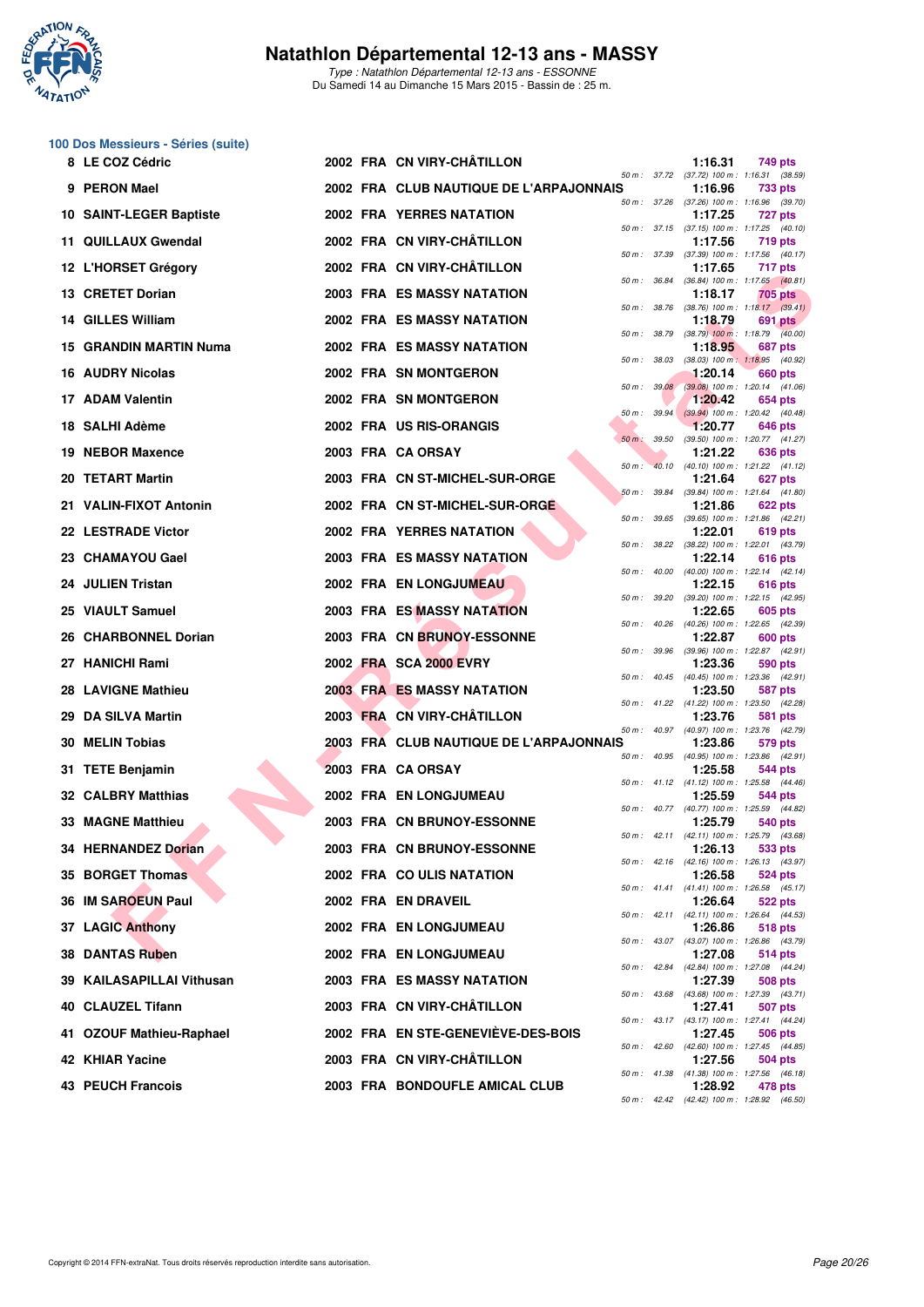

Type : Natathlon Départemental 12-13 ans - ESSONNE Du Samedi 14 au Dimanche 15 Mars 2015 - Bassin de : 25 m.

#### **100 Dos Messieurs - Séries (suite)**

|     | 8 LE COZ Cédric           |  | 2002 FRA CN VIRY-CHATILLON              |              |              | 1:16.31 | 749 pts                                                 |
|-----|---------------------------|--|-----------------------------------------|--------------|--------------|---------|---------------------------------------------------------|
|     | 9 PERON Mael              |  | 2002 FRA CLUB NAUTIQUE DE L'ARPAJONNAIS |              |              | 1:16.96 | 50 m: 37.72 (37.72) 100 m: 1:16.31 (38.59)<br>733 pts   |
|     | 10 SAINT-LEGER Baptiste   |  | <b>2002 FRA YERRES NATATION</b>         | 50 m : 37.26 |              | 1:17.25 | $(37.26)$ 100 m : 1:16.96 $(39.70)$<br>727 pts          |
|     | 11 QUILLAUX Gwendal       |  | 2002 FRA CN VIRY-CHÂTILLON              |              |              | 1:17.56 | 50 m: 37.15 (37.15) 100 m: 1:17.25 (40.10)<br>719 pts   |
|     | 12 L'HORSET Grégory       |  | 2002 FRA CN VIRY-CHÂTILLON              |              | 50 m : 37.39 | 1:17.65 | $(37.39)$ 100 m : 1:17.56 $(40.17)$<br>717 pts          |
|     | 13 CRETET Dorian          |  | <b>2003 FRA ES MASSY NATATION</b>       |              |              | 1:18.17 | 50 m: 36.84 (36.84) 100 m: 1:17.65 (40.81)<br>705 pts   |
|     | 14 GILLES William         |  | <b>2002 FRA ES MASSY NATATION</b>       | 50 m : 38.76 |              | 1:18.79 | $(38.76)$ 100 m : 1:18.17 $(39.41)$<br>691 pts          |
|     | 15 GRANDIN MARTIN Numa    |  | 2002 FRA ES MASSY NATATION              |              | 50 m : 38.79 | 1:18.95 | $(38.79)$ 100 m : 1:18.79 $(40.00)$<br>687 pts          |
|     | 16 AUDRY Nicolas          |  | 2002 FRA SN MONTGERON                   | 50 m: 38.03  |              | 1:20.14 | (38.03) 100 m: 1:18.95 (40.92)<br>660 pts               |
|     | 17 ADAM Valentin          |  | 2002 FRA SN MONTGERON                   |              | 50 m: 39.08  | 1:20.42 | $(39.08)$ 100 m : 1:20.14 $(41.06)$<br>654 pts          |
|     | 18 SALHI Adème            |  | 2002 FRA US RIS-ORANGIS                 |              |              | 1:20.77 | 50 m : 39.94 (39.94) 100 m : 1:20.42 (40.48)<br>646 pts |
|     | 19 NEBOR Maxence          |  | 2003 FRA CA ORSAY                       | $50 m$ :     | 39.50        | 1:21.22 | (39.50) 100 m: 1:20.77 (41.27)<br>636 pts               |
|     | 20 TETART Martin          |  | 2003 FRA CN ST-MICHEL-SUR-ORGE          | 50 m :       |              | 1:21.64 | 40.10 (40.10) 100 m: 1:21.22 (41.12)<br>627 pts         |
|     | 21 VALIN-FIXOT Antonin    |  | 2002 FRA CN ST-MICHEL-SUR-ORGE          | 50 m : 39.84 |              | 1:21.86 | (39.84) 100 m: 1:21.64 (41.80)<br>622 pts               |
|     | 22 LESTRADE Victor        |  | <b>2002 FRA YERRES NATATION</b>         | 50 m : 39.65 |              | 1:22.01 | $(39.65)$ 100 m : 1:21.86 $(42.21)$<br>619 pts          |
|     | 23 CHAMAYOU Gael          |  | <b>2003 FRA ES MASSY NATATION</b>       | 50 m: 38.22  |              | 1:22.14 | $(38.22)$ 100 m : 1:22.01 $(43.79)$<br>616 pts          |
|     | 24 JULIEN Tristan         |  | 2002 FRA EN LONGJUMEAU                  |              |              | 1:22.15 | 50 m: 40.00 (40.00) 100 m: 1:22.14 (42.14)<br>616 pts   |
|     | 25 VIAULT Samuel          |  | 2003 FRA ES MASSY NATATION              |              |              | 1:22.65 | 50 m: 39.20 (39.20) 100 m: 1:22.15 (42.95)<br>605 pts   |
|     | 26 CHARBONNEL Dorian      |  | 2003 FRA CN BRUNOY-ESSONNE              |              |              | 1:22.87 | 50 m: 40.26 (40.26) 100 m: 1:22.65 (42.39)<br>600 pts   |
|     | 27 HANICHI Rami           |  | 2002 FRA SCA 2000 EVRY                  |              |              | 1:23.36 | 50 m: 39.96 (39.96) 100 m: 1:22.87 (42.91)<br>590 pts   |
|     | <b>28 LAVIGNE Mathieu</b> |  | <b>2003 FRA ES MASSY NATATION</b>       | 50 m: 40.45  |              | 1:23.50 | (40.45) 100 m : 1:23.36 (42.91)<br>587 pts              |
| 29. | DA SILVA Martin           |  | 2003 FRA CN VIRY-CHÂTILLON              |              |              | 1:23.76 | 50 m: 41.22 (41.22) 100 m: 1:23.50 (42.28)<br>581 pts   |
|     | 30 MELIN Tobias           |  | 2003 FRA CLUB NAUTIQUE DE L'ARPAJONNAIS |              |              | 1:23.86 | 50 m: 40.97 (40.97) 100 m: 1:23.76 (42.79)<br>579 pts   |
|     | 31 TETE Benjamin          |  | 2003 FRA CA ORSAY                       |              |              | 1:25.58 | 50 m: 40.95 (40.95) 100 m: 1:23.86 (42.91)<br>544 pts   |
|     | <b>32 CALBRY Matthias</b> |  | 2002 FRA EN LONGJUMEAU                  |              |              | 1:25.59 | 50 m: 41.12 (41.12) 100 m: 1:25.58 (44.46)<br>544 pts   |
|     | <b>33 MAGNE Matthieu</b>  |  | 2003 FRA CN BRUNOY-ESSONNE              |              |              | 1:25.79 | 50 m: 40.77 (40.77) 100 m: 1:25.59 (44.82)<br>540 pts   |
|     | 34 HERNANDEZ Dorian       |  | 2003 FRA CN BRUNOY-ESSONNE              |              |              | 1:26.13 | 50 m: 42.11 (42.11) 100 m: 1:25.79 (43.68)<br>533 pts   |
|     | 35 BORGET Thomas          |  | 2002 FRA COULIS NATATION                |              |              | 1:26.58 | 50 m : 42.16 (42.16) 100 m : 1:26.13 (43.97)<br>524 pts |
|     | 36 IM SAROEUN Paul        |  | 2002 FRA EN DRAVEIL                     |              |              | 1:26.64 | 50 m: 41.41 (41.41) 100 m: 1:26.58 (45.17)<br>522 pts   |
|     | <b>37 LAGIC Anthony</b>   |  | 2002 FRA EN LONGJUMEAU                  |              |              | 1:26.86 | 50 m: 42.11 (42.11) 100 m: 1:26.64 (44.53)<br>518 pts   |
|     | <b>38 DANTAS Ruben</b>    |  | 2002 FRA EN LONGJUMEAU                  |              |              | 1:27.08 | 50 m: 43.07 (43.07) 100 m: 1:26.86 (43.79)              |
|     |                           |  |                                         |              |              |         | 514 pts<br>50 m: 42.84 (42.84) 100 m: 1:27.08 (44.24)   |
|     | 39 KAILASAPILLAI Vithusan |  | <b>2003 FRA ES MASSY NATATION</b>       |              |              | 1:27.39 | 508 pts<br>50 m: 43.68 (43.68) 100 m: 1:27.39 (43.71)   |
|     | 40 CLAUZEL Tifann         |  | 2003 FRA CN VIRY-CHÂTILLON              |              |              | 1:27.41 | 507 pts<br>50 m : 43.17 (43.17) 100 m : 1:27.41 (44.24) |
|     | 41 OZOUF Mathieu-Raphael  |  | 2002 FRA EN STE-GENEVIEVE-DES-BOIS      |              |              | 1:27.45 | 506 pts<br>50 m: 42.60 (42.60) 100 m: 1:27.45 (44.85)   |
|     | 42 KHIAR Yacine           |  | 2003 FRA CN VIRY-CHÂTILLON              |              |              | 1:27.56 | 504 pts<br>50 m : 41.38 (41.38) 100 m : 1:27.56 (46.18) |
|     | <b>43 PEUCH Francois</b>  |  | 2003 FRA BONDOUFLE AMICAL CLUB          |              |              | 1:28.92 | 478 pts<br>50 m: 42.42 (42.42) 100 m: 1:28.92 (46.50)   |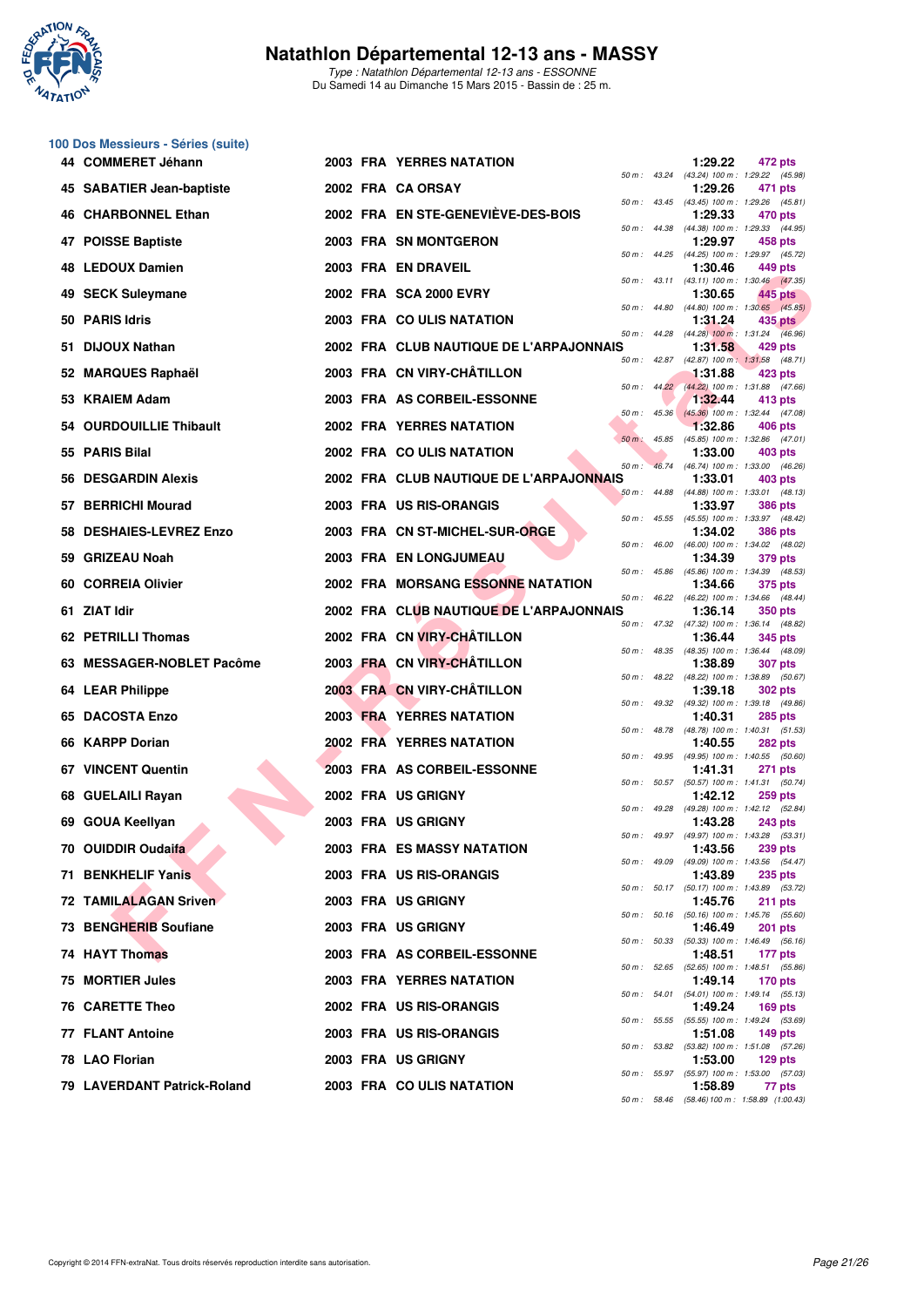

**100 Dos Messieurs - Séries (suite)**

## **Natathlon Départemental 12-13 ans - MASSY**

Type : Natathlon Départemental 12-13 ans - ESSONNE Du Samedi 14 au Dimanche 15 Mars 2015 - Bassin de : 25 m.

#### **FINDER MAINS CONTRACT COMPARE SERVE AND CONTRACT CONTRACT CONTRACT CONTRACT CONTRACT CONTRACT CONTRACT CONTRACT CONTRACT CONTRACT CONTRACT CONTRACT CONTRACT CONTRACT CONTRACT CONTRACT CONTRACT CONTRACT CONTRACT CONTRACT 44 COMMERET Jéhann 2003 FRA YERRES NATATION 1:29.22 472 pts**  $(43.24)$  100 m : 1:29.22  $(45.98)$ <br>1:29.26 471 pts **45 SABATIER Jean-baptiste 2002 FRA CA ORSAY 1:29.26 471 pts** 50 m : 43.45 (43.45) 100 m : 1:29.26 (45.81)<br>**1:29.33** 470 pts **46 CHARBONNEL Ethan 2002 FRA EN STE-GENEVIÈVE-DES-BOIS 1:29.33 470 pts** 50 m : 44.38 (44.38) 100 m : 1:29.33 (44.95) **47 POISSE Baptiste 2003 FRA SN MONTGERON 1:29.97 458 pts** 50 m : 44.25 (44.25) 100 m : 1:29.97 (45.72)<br>**1:30.46** 449 pts **48 LEDOUX Damien 2003 FRA EN DRAVEIL 1:30.46 449 pts** 50 m : 43.11 (43.11) 100 m : 1:30.46 (47.35) **49 SECK Suleymane 2002 FRA SCA 2000 EVRY 1:30.65 445 pts** 50 m : 44.80 (44.80) 100 m : 1:30.65 (45.85) **50 PARIS Idris 2003 FRA CO ULIS NATATION 1:31.24 435 pts** 50 m : 44.28 (44.28) 100 m : 1:31.24 (46.96) **51 DIJOUX Nathan 2002 FRA CLUB NAUTIQUE DE L'ARPAJONNAIS 1:31.58 429 pts** 50 m : 42.87 (42.87) 100 m : 1:31.58 (48.71) **52 MARQUES Raphaël 2003 FRA CN VIRY-CHÂTILLON** 50 m : 44.22 (44.22) 100 m : 1:31.88 125 pts  $(44.22)$  100 m : 1:31.88  $(47.66)$ **53 KRAIEM Adam 2003 FRA AS CORBEIL-ESSONNE 1:32.44 413 pts** 50 m : 45.36 (45.36) 100 m : 1:32.44 (47.08) **54 OURDOUILLIE Thibault** 2002 FRA YERRES NATATION 1:32.86 406 pts 1:32.86 406 pts 45.85 (45.85) 100 m : 1:32.86 **55 PARIS Bilal 2002 FRA CO ULIS NATATION** 1:33.00 **1:33.00 1:33.00 403 pts**<br>
56 **PARIS Bilal** 2002 **FRA CO ULIS NATATION** 50 m : 46.74 (46.74) 100 m : 1:33.00 (46.26) **56 DESGARDIN Alexis 2002 FRA CLUB NAUTIQUE DE L'ARPAJONNAIS 1:33.01 403 pts** (44.88) 100 m : 1:33.01 **57 BERRICHI Mourad 2003 FRA US RIS-ORANGIS 1:33.97 1:33.97 1:33.97 1:33.97 48.4 1:33.97 48.4 59 m: 45.55 445.455 448.4** 50 m : 45.55 (45.55) 100 m : 1:33.97 (48.42) **58 DESHAIES-LEVREZ Enzo** 2003 FRA CN ST-MICHEL-SUR-ORGE **1:34.02 1:34.02 386 pts**<br>
50 *m*: 46.00 (46.00) 100 *m*: 1:34.02 (48.02)  $50 m$ :  $46.00$   $(46.00)$   $100 m$ : **59 GRIZEAU Noah 2003 FRA EN LONGJUMEAU 1:34.39 379 pts** 50 m : 45.86 (45.86) 100 m : 1:34.39 (48.53)<br>**1:34.66** 375 pts **60 CORREIA Olivier 2002 FRA MORSANG ESSONNE NATATION 1:34.66 375 pts** 50 m : 46.22 (46.22) 100 m : 1:34.66 (48.44) **61 ZIAT Idir 2002 FRA CLUB NAUTIQUE DE L'ARPAJONNAIS 1:36.14 350 pts** 50 m : 47.32 (47.32) 100 m : 1:36.14 (48.82)<br>**1:36.44 345 pts 62 PETRILLI Thomas 2002 FRA CN VIRY-CHÂTILLON** 50 m : 48.35 (48.35) 100 m : 1:36.44 (48.09)<br>**1:38.89 307 pts 63 MESSAGER-NOBLET Pacôme 2003 FRA CN VIRY-CHÂTILLON 1:38.89 1:38.89** 50 m : 48.22 (48.22) 100 m : 1:38.89 (50.67)<br>**1:39.18** 302 pts **64 LEAR Philippe 2003 FRA CN VIRY-CHÂTILLON** 2003 **1:39.18** 50 m : 49.32 (49.32) 100 m : 1:39.18 (49.86) **65 DACOSTA Enzo 2003 FRA YERRES NATATION 1:40.31 285 pts** 50 m : 48.78 (48.78) 100 m : 1:40.31 (51.53) **66 KARPP Dorian 2002 FRA YERRES NATATION** 1:40.55 282 pts  $1:40.55$  (50.60) **67 VINCENT Quentin 2003 FRA AS CORBEIL-ESSONNE 1:41.31 271 pts** 50 m : 50.57 (50.57) 100 m : 1:41.31 (50.74) **68 GUELAILI Rayan 2002 FRA US GRIGNY** 50 m: 49.28 (49.28) 1:42.12 259 pts  $1:42.12$  (52.84) **69 GOUA Keellyan 2003 FRA US GRIGNY 1:43.28 243 pts 70 OUIDDIR Oudaifa 2003 FRA ES MASSY NATATION** 1:43.56 **1:43.56 1:43.56 239 pts 71 BENKHELIF Yanis 2003 FRA US RIS-ORANGIS 1:43.89 235 pts**

50 m : 49.97 (49.97) 100 m : 1:43.28 (53.31)  $(49.09)$  100 m : 1:43.56  $(54.47)$  $(50.17)$  100 m : 1:43.89 **72 TAMILALAGAN Sriven 2003 FRA US GRIGNY 1:45.76 211 pts** (50.16) 100 m : 1:45.76 (55.60)<br>**1:46.49 201 pts 73 BENGHERIB Soufiane 2003 FRA US GRIGNY 1:46.49 201 pts**  $(50.33)$  100 m : 1:46.49 **74 HAYT Thomas 2003 FRA AS CORBEIL-ESSONNE 1:48.51 177 pts** 50 m : 52.65 (52.65) 100 m : 1:48.51 (55.86) **75 MORTIER Jules 2003 FRA YERRES NATATION 1:49.14 170 pts** 50 m : 54.01 (54.01) 100 m : 1:49.14 (55.13)<br>**1:49.24 169 pts 76 CARETTE Theo** 2002 FRA US RIS-ORANGIS 1:49.24<br> **76 CARETTE Theo** 2002 FRA US RIS-ORANGIS 50 m : 55.55 (55.55) 100 m : 1:49.24 (53.69) **77 FLANT Antoine 2003 FRA US RIS-ORANGIS 1:51.08 149 pts** 50 m : 53.82 (53.82) 100 m : 1:51.08 (57.26)<br>**1:53.00 129 pts** 50 m : 55.97 (55.97) 100 m : 1:53.00 (57.03) **79 LAVERDANT Patrick-Roland 2003 FRA CO ULIS NATATION 1:58.89 77 pts** 50 m : 58.46 (58.46)100 m : 1:58.89 (1:00.43)

**78 LAO Florian 2003 FRA US GRIGNY 1:53.00 129 pts**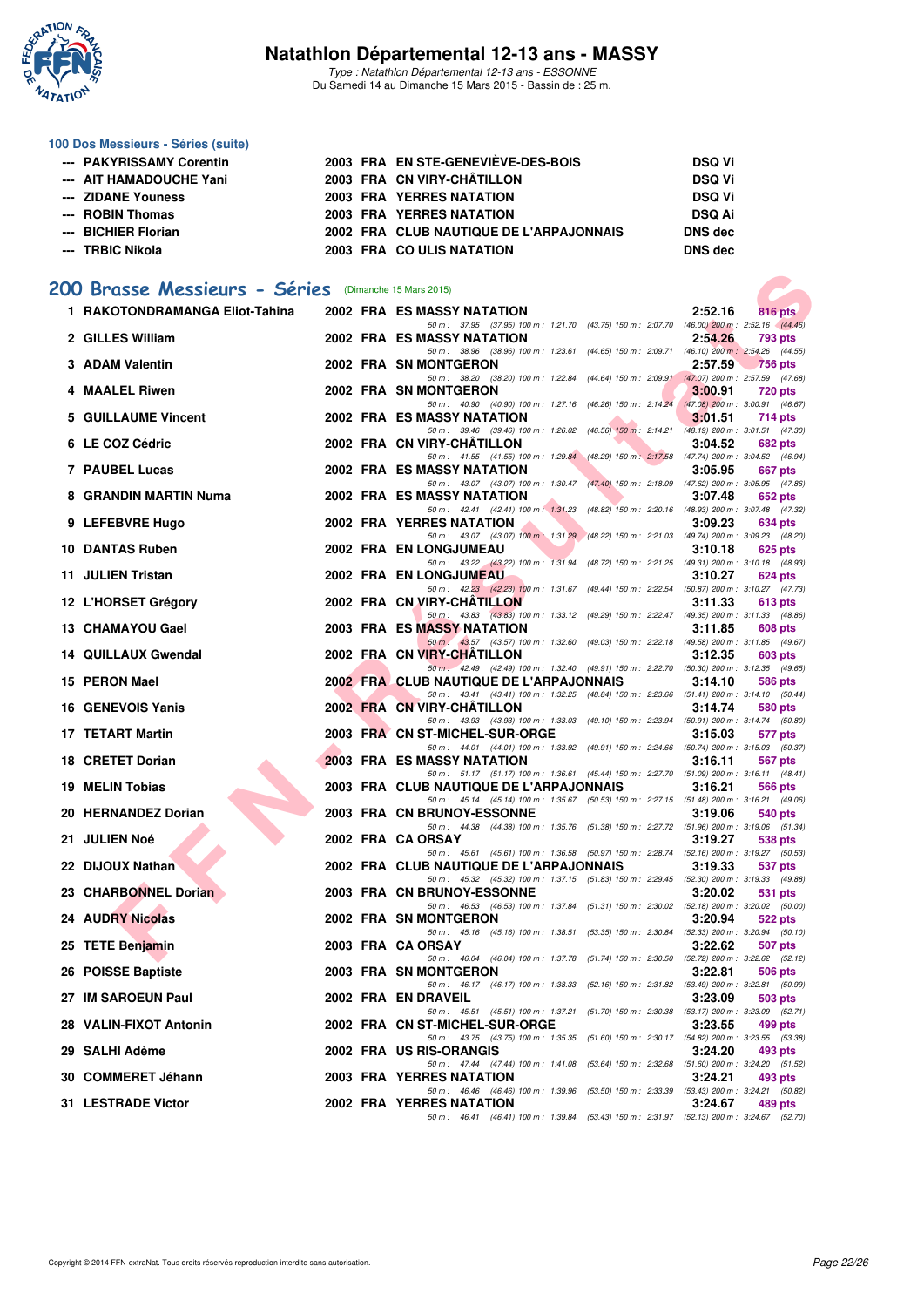

Type : Natathlon Départemental 12-13 ans - ESSONNE Du Samedi 14 au Dimanche 15 Mars 2015 - Bassin de : 25 m.

#### **100 Dos Messieurs - Séries (suite)**

| --- PAKYRISSAMY Corentin |  | 2003 FRA EN STE-GENEVIEVE-DES-BOIS      | <b>DSQ Vi</b> |
|--------------------------|--|-----------------------------------------|---------------|
| --- AIT HAMADOUCHE Yani  |  | 2003 FRA CN VIRY-CHÂTILLON              | <b>DSQ Vi</b> |
| --- ZIDANE Youness       |  | <b>2003 FRA YERRES NATATION</b>         | <b>DSQ Vi</b> |
| --- ROBIN Thomas         |  | <b>2003 FRA YERRES NATATION</b>         | <b>DSQ Ai</b> |
| --- BICHIER Florian      |  | 2002 FRA CLUB NAUTIQUE DE L'ARPAJONNAIS | DNS dec       |
| --- TRBIC Nikola         |  | 2003 FRA COULIS NATATION                | DNS dec       |

## **[200 Brasse Messieurs - Séries](http://www.ffnatation.fr/webffn/resultats.php?idact=nat&go=epr&idcpt=30327&idepr=73)** (Dimanche 15 Mars 2015)

| 00 Brasse Messieurs - Séries (Dimanche 15 Mars 2015) |  |  |                                                                                                                                                                                                                    |         |                                                   |  |  |
|------------------------------------------------------|--|--|--------------------------------------------------------------------------------------------------------------------------------------------------------------------------------------------------------------------|---------|---------------------------------------------------|--|--|
| 1 RAKOTONDRAMANGA Eliot-Tahina                       |  |  | 2002 FRA ES MASSY NATATION                                                                                                                                                                                         | 2:52.16 | $816$ pts                                         |  |  |
| 2 GILLES William                                     |  |  | 50 m: 37.95 (37.95) 100 m: 1:21.70 (43.75) 150 m: 2:07.70 (46.00) 200 m: 2:52.16 (44.46)<br>2002 FRA ES MASSY NATATION                                                                                             | 2:54.26 | 793 pts                                           |  |  |
| 3 ADAM Valentin                                      |  |  | 50 m: 38.96 (38.96) 100 m: 1:23.61 (44.65) 150 m: 2:09.71<br>2002 FRA SN MONTGERON                                                                                                                                 | 2:57.59 | (46.10) 200 m : 2:54.26 (44.55)<br><b>756 pts</b> |  |  |
| 4 MAALEL Riwen                                       |  |  | 50 m: 38.20 (38.20) 100 m: 1:22.84 (44.64) 150 m: 2:09.91 (47.07) 200 m: 2:57.59 (47.68)<br>2002 FRA SN MONTGERON                                                                                                  | 3:00.91 | 720 pts                                           |  |  |
| 5 GUILLAUME Vincent                                  |  |  | 50 m: 40.90 (40.90) 100 m: 1:27.16 (46.26) 150 m: 2:14.24 (47.08) 200 m: 3:00.91 (46.67)<br>2002 FRA ES MASSY NATATION                                                                                             | 3:01.51 | 714 pts                                           |  |  |
| 6 LE COZ Cédric                                      |  |  | 50 m: 39.46 (39.46) 100 m: 1:26.02 (46.56) 150 m: 2:14.21 (48.19) 200 m: 3:01.51 (47.30)<br>2002 FRA CN VIRY-CHATILLON                                                                                             | 3:04.52 | <b>682 pts</b>                                    |  |  |
| <b>7 PAUBEL Lucas</b>                                |  |  | 50 m: 41.55 (41.55) 100 m: 1:29.84 (48.29) 150 m: 2:17.58 (47.74) 200 m: 3:04.52 (46.94)<br><b>2002 FRA ES MASSY NATATION</b>                                                                                      | 3:05.95 | 667 pts                                           |  |  |
| 8 GRANDIN MARTIN Numa                                |  |  | 50 m: 43.07 (43.07) 100 m: 1:30.47 (47.40) 150 m: 2:18.09 (47.62) 200 m: 3:05.95 (47.66)<br>2002 FRA ES MASSY NATATION                                                                                             | 3:07.48 | 652 pts                                           |  |  |
| 9 LEFEBVRE Hugo                                      |  |  | 50 m: 42.41 (42.41) 100 m: 1:31.23 (48.82) 150 m: 2:20.16 (48.93) 200 m: 3:07.48 (47.32)<br>2002 FRA YERRES NATATION                                                                                               | 3:09.23 | 634 pts                                           |  |  |
| 10 DANTAS Ruben                                      |  |  | 50 m: 43.07 (43.07) 100 m: 1:31.29 (48.22) 150 m: 2:21.03 (49.74) 200 m: 3:09.23 (48.20)<br>2002 FRA EN LONGJUMEAU                                                                                                 | 3:10.18 | 625 pts                                           |  |  |
| 11 JULIEN Tristan                                    |  |  | 50 m: 43.22 (43.22) 100 m: 1:31.94 (48.72) 150 m: 2:21.25 (49.31) 200 m: 3:10.18 (48.93)<br>2002 FRA EN LONGJUMEAU                                                                                                 | 3:10.27 | 624 pts                                           |  |  |
| 12 L'HORSET Grégory                                  |  |  | 50 m: 42.23 (42.23) 100 m: 1:31.67 (49.44) 150 m: 2:22.54 (50.87) 200 m: 3:10.27 (47.73)<br>2002 FRA CN VIRY-CHATILLON                                                                                             | 3:11.33 | 613 pts                                           |  |  |
| 13 CHAMAYOU Gael                                     |  |  | 50 m: 43.83 (43.83) 100 m: 1:33.12 (49.29) 150 m: 2:22.47 (49.35) 200 m: 3:11.33 (48.86)<br>2003 FRA ES MASSY NATATION                                                                                             | 3:11.85 | 608 pts                                           |  |  |
| 14 QUILLAUX Gwendal                                  |  |  | 50 m: 43.57 (43.57) 100 m: 1.32.60 (49.03) 150 m: 2.22.18 (49.58) 200 m: 3:11.85 (49.67)<br>2002 FRA CN VIRY-CHATILLON                                                                                             | 3:12.35 | 603 pts                                           |  |  |
| 15 PERON Mael                                        |  |  | 50 m: 42.49 (42.49) 100 m: 1:32.40 (49.91) 150 m: 2:22.70 (50.30) 200 m: 3:12.35 (49.65)<br>2002 FRA CLUB NAUTIQUE DE L'ARPAJONNAIS                                                                                | 3:14.10 | 586 pts                                           |  |  |
| 16 GENEVOIS Yanis                                    |  |  | 50 m: 43.41 (43.41) 100 m: 1:32.25 (48.84) 150 m: 2:23.66 (51.41) 200 m: 3:14.10 (50.44)<br>2002 FRA CN VIRY-CHATILLON<br>50 m: 43.93 (43.93) 100 m: 1:33.03 (49.10) 150 m: 2:23.94 (50.91) 200 m: 3:14.74 (50.80) | 3:14.74 | 580 pts                                           |  |  |
| 17 TETART Martin                                     |  |  | 2003 FRA CN ST-MICHEL-SUR-ORGE                                                                                                                                                                                     | 3:15.03 | 577 pts                                           |  |  |
| 18 CRETET Dorian                                     |  |  | 50 m: 44.01 (44.01) 100 m: 1:33.92 (49.91) 150 m: 2:24.66 (50.74) 200 m: 3:15.03 (50.37)<br>2003 FRA ES MASSY NATATION<br>50 m: 51.17 (51.17) 100 m: 1:36.61 (45.44) 150 m: 2:27.70 (51.09) 200 m: 3:16.11 (48.41) | 3:16.11 | 567 pts                                           |  |  |
| 19 MELIN Tobias                                      |  |  | 2003 FRA CLUB NAUTIQUE DE L'ARPAJONNAIS<br>50 m: 45.14 (45.14) 100 m: 1:35.67 (50.53) 150 m: 2:27.15 (51.48) 200 m: 3:16.21 (49.06)                                                                                | 3:16.21 | 566 pts                                           |  |  |
| 20 HERNANDEZ Dorian                                  |  |  | 2003 FRA CN BRUNOY-ESSONNE<br>50 m: 44.38 (44.38) 100 m: 1:35.76 (51.38) 150 m: 2:27.72 (51.96) 200 m: 3:19.06 (51.34)                                                                                             | 3:19.06 | 540 pts                                           |  |  |
| 21 JULIEN Noé                                        |  |  | 2002 FRA CA ORSAY<br>50 m: 45.61 (45.61) 100 m: 1:36.58 (50.97) 150 m: 2:28.74 (52.16) 200 m: 3:19.27 (50.53)                                                                                                      | 3:19.27 | 538 pts                                           |  |  |
| 22 DIJOUX Nathan                                     |  |  | 2002 FRA CLUB NAUTIQUE DE L'ARPAJONNAIS<br>50 m: 45.32 (45.32) 100 m: 1:37.15 (51.83) 150 m: 2:29.45 (52.30) 200 m: 3:19.33 (49.88)                                                                                | 3:19.33 | 537 pts                                           |  |  |
| 23 CHARBONNEL Dorian                                 |  |  | 2003 FRA CN BRUNOY-ESSONNE<br>50 m: 46.53 (46.53) 100 m: 1:37.84 (51.31) 150 m: 2:30.02 (52.18) 200 m: 3:20.02 (50.00)                                                                                             | 3:20.02 | 531 pts                                           |  |  |
| <b>24 AUDRY Nicolas</b>                              |  |  | 2002 FRA SN MONTGERON<br>50 m: 45.16 (45.16) 100 m: 1:38.51 (53.35) 150 m: 2:30.84 (52.33) 200 m: 3:20.94 (50.10)                                                                                                  | 3:20.94 | 522 pts                                           |  |  |
| 25 TETE Benjamin                                     |  |  | 2003 FRA CA ORSAY<br>50 m: 46.04 (46.04) 100 m: 1:37.78 (51.74) 150 m: 2:30.50 (52.72) 200 m: 3:22.62 (52.12)                                                                                                      | 3:22.62 | 507 pts                                           |  |  |
| 26 POISSE Baptiste                                   |  |  | 2003 FRA SN MONTGERON<br>50 m: 46.17 (46.17) 100 m: 1:38.33 (52.16) 150 m: 2:31.82                                                                                                                                 | 3:22.81 | <b>506 pts</b><br>(53.49) 200 m : 3:22.81 (50.99) |  |  |
| 27 IM SAROEUN Paul                                   |  |  | 2002 FRA EN DRAVEIL<br>50 m: 45.51 (45.51) 100 m: 1:37.21<br>(51.70) 150 m : 2:30.38 (53.17) 200 m : 3:23.09 (52.71)                                                                                               | 3:23.09 | 503 pts                                           |  |  |
| 28 VALIN-FIXOT Antonin                               |  |  | 2002 FRA CN ST-MICHEL-SUR-ORGE<br>50 m : 43.75 (43.75) 100 m : 1:35.35<br>(51.60) 150 m : 2:30.17 (54.82) 200 m : 3:23.55 (53.38)                                                                                  | 3:23.55 | 499 pts                                           |  |  |
| 29 SALHI Adème                                       |  |  | 2002 FRA US RIS-ORANGIS<br>50 m: 47.44 (47.44) 100 m: 1:41.08<br>$(53.64)$ 150 m : 2:32.68                                                                                                                         | 3:24.20 | 493 pts<br>$(51.60)$ 200 m : 3:24.20 $(51.52)$    |  |  |
| 30 COMMERET Jéhann                                   |  |  | 2003 FRA YERRES NATATION<br>50 m: 46.46 (46.46) 100 m: 1:39.96<br>(53.50) 150 m : 2:33.39 (53.43) 200 m : 3:24.21 (50.82)                                                                                          | 3:24.21 | 493 pts                                           |  |  |
| 31 LESTRADE Victor                                   |  |  | 2002 FRA YERRES NATATION<br>50 m: 46.41 (46.41) 100 m: 1:39.84 (53.43) 150 m: 2:31.97 (52.13) 200 m: 3:24.67 (52.70)                                                                                               | 3:24.67 | 489 pts                                           |  |  |
|                                                      |  |  |                                                                                                                                                                                                                    |         |                                                   |  |  |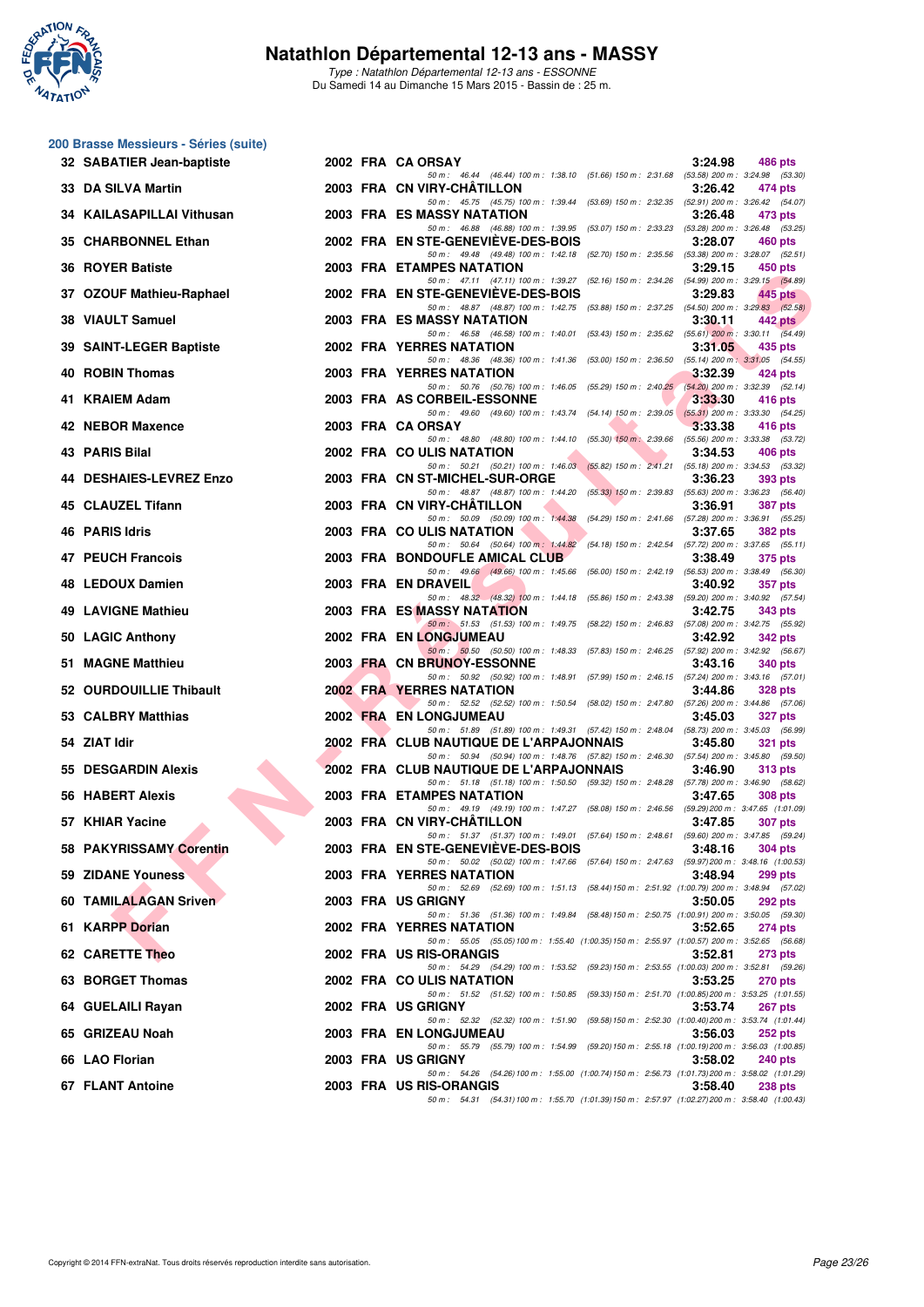

Type : Natathlon Départemental 12-13 ans - ESSONNE Du Samedi 14 au Dimanche 15 Mars 2015 - Bassin de : 25 m.

#### **200 Brasse Messieurs - Séries (suite)**

| 32 SABATIER Jean-baptiste |  | 2002 FRA CA ORSAY                                                                                                                   | 3:24.98 | 486 pts        |
|---------------------------|--|-------------------------------------------------------------------------------------------------------------------------------------|---------|----------------|
| 33 DA SILVA Martin        |  | 50 m: 46.44 (46.44) 100 m: 1:38.10 (51.66) 150 m: 2:31.68 (53.58) 200 m: 3:24.98 (53.30)<br>2003 FRA CN VIRY-CHATILLON              | 3:26.42 | 474 pts        |
| 34 KAILASAPILLAI Vithusan |  | 50 m: 45.75 (45.75) 100 m: 1:39.44 (53.69) 150 m: 2:32.35 (52.91) 200 m: 3:26.42 (54.07)<br>2003 FRA ES MASSY NATATION              | 3:26.48 | 473 pts        |
| 35 CHARBONNEL Ethan       |  | 50 m: 46.88 (46.88) 100 m: 1:39.95 (53.07) 150 m: 2:33.23 (53.28) 200 m: 3:26.48 (53.25)<br>2002 FRA EN STE-GENEVIEVE-DES-BOIS      | 3:28.07 | <b>460 pts</b> |
| <b>36 ROYER Batiste</b>   |  | 50 m: 49.48 (49.48) 100 m: 1:42.18 (52.70) 150 m: 2:35.56 (53.38) 200 m: 3:28.07 (52.51)<br><b>2003 FRA ETAMPES NATATION</b>        | 3:29.15 | 450 pts        |
| 37 OZOUF Mathieu-Raphael  |  | 50 m: 47.11 (47.11) 100 m: 1:39.27 (52.16) 150 m: 2:34.26 (54.99) 200 m: 3:29.15 (54.89)<br>2002 FRA EN STE-GENEVIEVE-DES-BOIS      | 3:29.83 | 445 pts        |
| 38 VIAULT Samuel          |  | 50 m: 48.87 (48.87) 100 m: 1:42.75 (53.88) 150 m: 2:37.25 (54.50) 200 m: 3:29.83 (52.58)<br><b>2003 FRA ES MASSY NATATION</b>       | 3:30.11 | 442 pts        |
| 39 SAINT-LEGER Baptiste   |  | 50 m: 46.58 (46.58) 100 m: 1:40.01 (53.43) 150 m: 2:35.62 (55.61) 200 m: 3:30.11 (54.49)<br>2002 FRA YERRES NATATION                | 3:31.05 | 435 pts        |
| 40 ROBIN Thomas           |  | 50 m: 48.36 (48.36) 100 m: 1:41.36 (53.00) 150 m: 2:36.50 (55.14) 200 m: 3:31.05 (54.55)<br>2003 FRA YERRES NATATION                | 3:32.39 | 424 pts        |
| 41 KRAIEM Adam            |  | 50 m: 50.76 (50.76) 100 m: 1:46.05 (55.29) 150 m: 2:40.25 (54.20) 200 m: 3:32.39 (52.14)<br>2003 FRA AS CORBEIL-ESSONNE             | 3:33.30 | 416 pts        |
| 42 NEBOR Maxence          |  | 50 m: 49.60 (49.60) 100 m: 1:43.74 (54.14) 150 m: 2:39.05 (55.31) 200 m: 3:33.30 (54.25)<br>2003 FRA CA ORSAY                       | 3:33.38 | 416 pts        |
| 43 PARIS Bilal            |  | 50 m: 48.80 (48.80) 100 m: 1:44.10 (55.30) 150 m: 2:39.66 (55.56) 200 m: 3:33.38 (53.72)<br>2002 FRA COULIS NATATION                | 3:34.53 | 406 pts        |
| 44 DESHAIES-LEVREZ Enzo   |  | 50 m: 50.21 (50.21) 100 m: 1:46.03 (55.82) 150 m: 2:41.21 (55.18) 200 m: 3:34.53 (53.32)<br>2003 FRA CN ST-MICHEL-SUR-ORGE          | 3:36.23 | 393 pts        |
| 45 CLAUZEL Tifann         |  | 50 m: 48.87 (48.87) 100 m: 1:44.20 (55.33) 150 m: 2:39.83 (55.63) 200 m: 3:36.23 (56.40)<br>2003 FRA CN VIRY-CHATILLON              | 3:36.91 | <b>387 pts</b> |
| 46 PARIS Idris            |  | 50 m: 50.09 (50.09) 100 m: 1:44.38 (54.29) 150 m: 2:41.66 (57.28) 200 m: 3:36.91 (55.25)<br>2003 FRA COULIS NATATION                | 3:37.65 | <b>382 pts</b> |
| 47 PEUCH Francois         |  | 50 m: 50.64 (50.64) 100 m: 1:44.82 (54.18) 150 m: 2:42.54 (57.72) 200 m: 3:37.65 (55.11)<br>2003 FRA BONDOUFLE AMICAL CLUB          | 3:38.49 | 375 pts        |
| 48 LEDOUX Damien          |  | 50 m: 49.66 (49.66) 100 m: 1:45.66 (56.00) 150 m: 2:42.19 (56.53) 200 m: 3:38.49 (56.30)<br>2003 FRA EN DRAVEIL                     | 3:40.92 | <b>357 pts</b> |
| 49 LAVIGNE Mathieu        |  | 50 m: 48.32 (48.32) 100 m: 1:44.18 (55.86) 150 m: 2:43.38 (59.20) 200 m: 3:40.92 (57.54)<br>2003 FRA ES MASSY NATATION              | 3:42.75 | 343 pts        |
| 50 LAGIC Anthony          |  | 50 m: 51.53 (51.53) 100 m: 1:49.75 (58.22) 150 m: 2:46.83 (57.08) 200 m: 3:42.75 (55.92)<br>2002 FRA EN LONGJUMEAU                  | 3:42.92 | 342 pts        |
| 51 MAGNE Matthieu         |  | 50 m: 50.50 (50.50) 100 m: 1:48.33 (57.83) 150 m: 2:46.25 (57.92) 200 m: 3:42.92 (56.67)<br>2003 FRA CN BRUNOY-ESSONNE              | 3:43.16 | 340 pts        |
| 52 OURDOUILLIE Thibault   |  | 50 m: 50.92 (50.92) 100 m: 1:48.91 (57.99) 150 m: 2:46.15 (57.24) 200 m: 3:43.16 (57.01)<br>2002 FRA YERRES NATATION                | 3:44.86 | 328 pts        |
| 53 CALBRY Matthias        |  | 50 m: 52.52 (52.52) 100 m: 1:50.54 (58.02) 150 m: 2:47.80 (57.26) 200 m: 3:44.86 (57.06)<br>2002 FRA EN LONGJUMEAU                  | 3:45.03 | 327 pts        |
| 54 ZIAT Idir              |  | 50 m: 51.89 (51.89) 100 m: 1:49.31 (57.42) 150 m: 2:48.04 (58.73) 200 m: 3:45.03 (56.99)<br>2002 FRA CLUB NAUTIQUE DE L'ARPAJONNAIS | 3:45.80 | <b>321 pts</b> |
| 55 DESGARDIN Alexis       |  | 50 m: 50.94 (50.94) 100 m: 1:48.76 (57.82) 150 m: 2:46.30 (57.54) 200 m: 3:45.80 (59.50)<br>2002 FRA CLUB NAUTIQUE DE L'ARPAJONNAIS | 3:46.90 | 313 pts        |
| 56 HABERT Alexis          |  | 50 m: 51.18 (51.18) 100 m: 1.50.50 (59.32) 150 m: 2.48.28 (57.78) 200 m: 3.46.90 (58.62)<br><b>2003 FRA ETAMPES NATATION</b>        | 3:47.65 | 308 pts        |
| 57 KHIAR Yacine           |  | 50 m: 49.19 (49.19) 100 m: 1:47.27 (58.08) 150 m: 2:46.56 (59.29) 200 m: 3:47.65 (1:01.09)<br>2003 FRA CN VIRY-CHATILLON            | 3:47.85 | <b>307 pts</b> |
| 58 PAKYRISSAMY Corentin   |  | 50 m: 51.37 (51.37) 100 m: 1:49.01 (57.64) 150 m: 2:48.61 (59.60) 200 m: 3:47.85 (59.24)<br>2003 FRA EN STE-GENEVIEVE-DES-BOIS      | 3.48.16 | <b>304 pts</b> |
| 59 ZIDANE Youness         |  | 50 m: 50.02 (50.02) 100 m: 1:47.66 (57.64) 150 m: 2:47.63 (59.97) 200 m: 3:48.16 (1:00.53)<br>2003 FRA YERRES NATATION              | 3:48.94 | <b>299 pts</b> |
| 60 TAMILALAGAN Sriven     |  | 50 m: 52.69 (52.69) 100 m: 1:51.13 (58.44) 150 m: 2:51.92 (1:00.79) 200 m: 3:48.94 (57.02)<br>2003 FRA US GRIGNY                    | 3:50.05 | 292 pts        |
| 61 KARPP Dorian           |  | 50 m: 51.36 (51.36) 100 m: 1:49.84 (58.48) 150 m: 2:50.75 (1:00.91) 200 m: 3:50.05 (59.30)<br>2002 FRA YERRES NATATION              | 3:52.65 | <b>274 pts</b> |
| 62 CARETTE Theo           |  | 50 m: 55.05 (55.05) 100 m: 1:55.40 (1:00.35) 150 m: 2:55.97 (1:00.57) 200 m: 3:52.65 (56.68)<br>2002 FRA US RIS-ORANGIS             | 3:52.81 | 273 pts        |
| 63 BORGET Thomas          |  | 50 m: 54.29 (54.29) 100 m: 1:53.52 (59.23) 150 m: 2:53.55 (1:00.03) 200 m: 3:52.81 (59.26)<br>2002 FRA COULIS NATATION              | 3:53.25 | 270 pts        |
| 64 GUELAILI Rayan         |  | 50 m: 51.52 (51.52) 100 m: 1:50.85 (59.33) 150 m: 2:51.70 (1:00.85) 200 m: 3:53.25 (1:01.55)<br>2002 FRA US GRIGNY                  | 3:53.74 | <b>267 pts</b> |
| 65 GRIZEAU Noah           |  | 50 m: 52.32 (52.32) 100 m: 1:51.90 (59.58) 150 m: 2:52.30 (1:00.40) 200 m: 3:53.74 (1:01.44)<br>2003 FRA EN LONGJUMEAU              |         |                |
|                           |  | 50 m: 55.79 (55.79) 100 m: 1:54.99 (59.20) 150 m: 2:55.18 (1:00.19) 200 m: 3:56.03 (1:00.85)                                        | 3:56.03 | 252 pts        |
| 66 LAO Florian            |  | 2003 FRA US GRIGNY<br>50 m: 54.26 (54.26) 100 m: 1:55.00 (1:00.74) 150 m: 2:56.73 (1:01.73) 200 m: 3:58.02 (1:01.29)                | 3:58.02 | 240 pts        |
| 67 FLANT Antoine          |  | 2003 FRA US RIS-ORANGIS<br>50 m: 54.31 (54.31) 100 m: 1:55.70 (1:01.39) 150 m: 2:57.97 (1:02.27) 200 m: 3:58.40 (1:00.43)           | 3:58.40 | <b>238 pts</b> |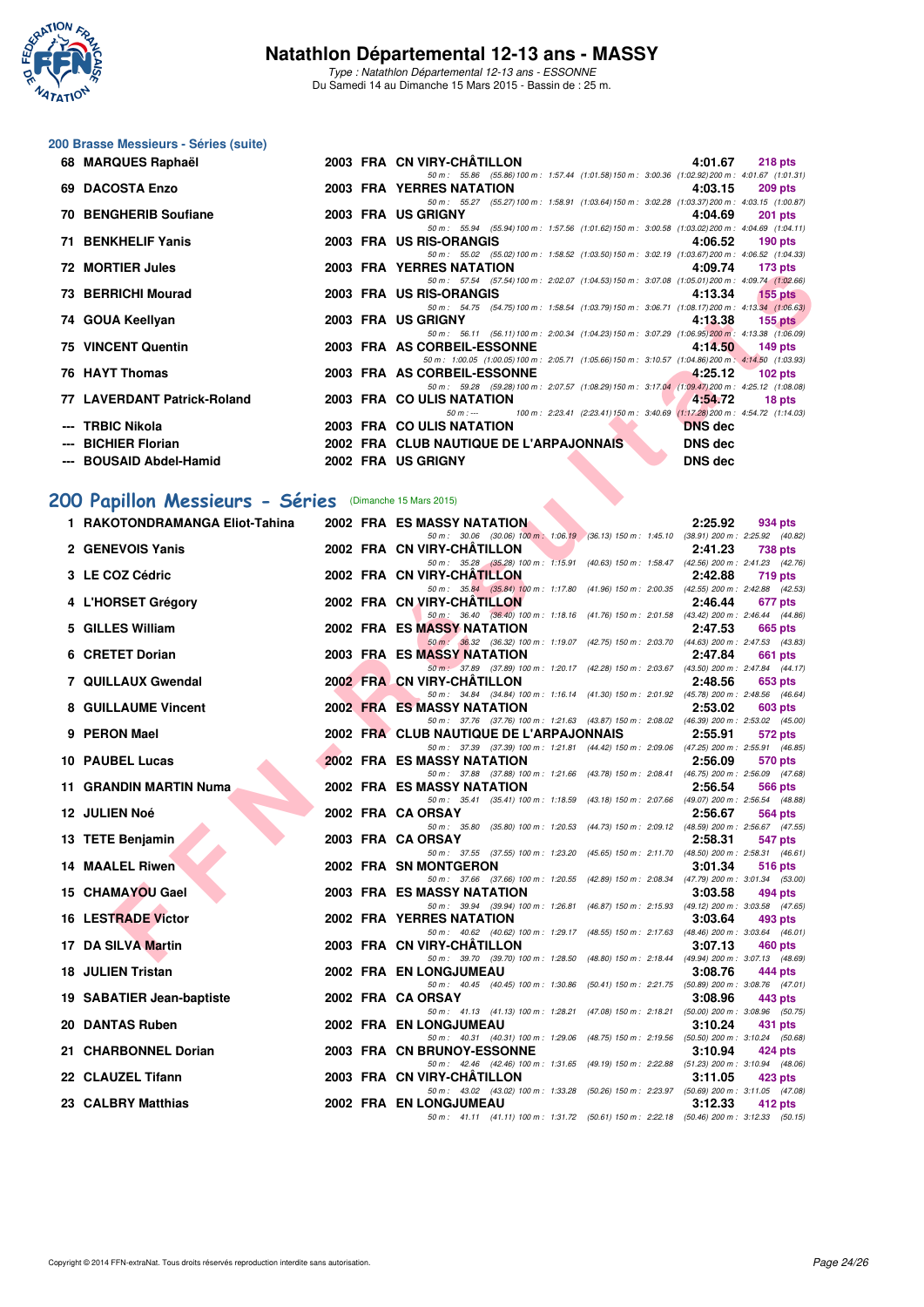

Type : Natathlon Départemental 12-13 ans - ESSONNE Du Samedi 14 au Dimanche 15 Mars 2015 - Bassin de : 25 m.

## **200 Brasse Messieurs - Séries (suite)**

| 68 MARQUES Raphaël          |  | 2003 FRA CN VIRY-CHÂTILLON<br>4:01.67                                                                                                                                                                                                     | $218$ pts      |
|-----------------------------|--|-------------------------------------------------------------------------------------------------------------------------------------------------------------------------------------------------------------------------------------------|----------------|
|                             |  | 50 m: 55.86 (55.86) 100 m: 1:57.44 (1:01.58) 150 m: 3:00.36 (1:02.92) 200 m: 4:01.67 (1:01.31)                                                                                                                                            |                |
| 69 DACOSTA Enzo             |  | 2003 FRA YERRES NATATION<br>4:03.15                                                                                                                                                                                                       | 209 pts        |
|                             |  | 50 m: 55.27 (55.27) 100 m: 1:58.91 (1:03.64) 150 m: 3:02.28 (1:03.37) 200 m: 4:03.15 (1:00.87)                                                                                                                                            |                |
| 70 BENGHERIB Soufiane       |  | 2003 FRA US GRIGNY<br>4:04.69                                                                                                                                                                                                             | <b>201 pts</b> |
|                             |  | 50 m: 55.94 (55.94) 100 m: 1:57.56 (1:01.62) 150 m: 3:00.58 (1:03.02) 200 m: 4:04.69 (1:04.11)                                                                                                                                            |                |
| 71 BENKHELIF Yanis          |  | 2003 FRA US RIS-ORANGIS<br>4:06.52                                                                                                                                                                                                        | $190$ pts      |
|                             |  | 50 m: 55.02 (55.02) 100 m: 1:58.52 (1:03.50) 150 m: 3:02.19 (1:03.67) 200 m: 4:06.52 (1:04.33)                                                                                                                                            |                |
| 72 MORTIER Jules            |  | 2003 FRA YERRES NATATION<br>4:09.74                                                                                                                                                                                                       | 173 pts        |
|                             |  | 50 m: 57.54 (57.54) 100 m: 2:02.07 (1:04.53) 150 m: 3:07.08 (1:05.01) 200 m: 4:09.74 (1:02.66)                                                                                                                                            |                |
| 73 BERRICHI Mourad          |  | 2003 FRA US RIS-ORANGIS AND ANN AN INGENITION OF THE RESIDENCE OF THE RESIDENCE OF THE RESIDENCE OF THE RESIDENCE OF THE RESIDENCE OF THE RESIDENCE OF THE RESIDENCE OF THE RESIDENCE OF THE RESIDENCE OF THE RESIDENCE OF THE<br>4:13.34 | $155$ pts      |
|                             |  | 50 m: 54.75 (54.75) 100 m: 1:58.54 (1:03.79) 150 m: 3:06.71 (1:08.17) 200 m: 4:13.34 (1:06.63)                                                                                                                                            |                |
| 74 GOUA Keellyan            |  | 2003 FRA US GRIGNY<br>4:13.38                                                                                                                                                                                                             | $155$ pts      |
|                             |  | 50 m: 56.11 (56.11) 100 m: 2:00.34 (1:04.23) 150 m: 3:07.29 (1:06.95) 200 m: 4:13.38 (1:06.09)                                                                                                                                            |                |
| <b>75 VINCENT Quentin</b>   |  | 2003 FRA AS CORBEIL-ESSONNE<br>4:14.50                                                                                                                                                                                                    | 149 pts        |
|                             |  | 50 m: 1:00.05 (1:00.05) 100 m: 2:05.71 (1:05.66) 150 m: 3:10.57 (1:04.86) 200 m: 4:14.50 (1:03.93)                                                                                                                                        |                |
| 76 HAYT Thomas              |  | 2003 FRA AS CORBEIL-ESSONNE 4:25.12                                                                                                                                                                                                       | $102$ pts      |
|                             |  | 50 m: 59.28 (59.28) 100 m: 2:07.57 (1:08.29) 150 m: 3:17.04 (1:09.47) 200 m: 4:25.12 (1:08.08)                                                                                                                                            |                |
| 77 LAVERDANT Patrick-Roland |  | 2003 FRA COULIS NATATION<br>4:54.72                                                                                                                                                                                                       | 18 pts         |
|                             |  | 100 m: 2:23.41 (2:23.41) 150 m: 3:40.69 (1:17.28) 200 m: 4:54.72 (1:14.03)<br>$50 m : -$                                                                                                                                                  |                |
| --- TRBIC Nikola            |  | 2003 FRA COULIS NATATION<br><b>DNS</b> dec                                                                                                                                                                                                |                |
| --- BICHIER Florian         |  | <b>2002 FRA CLUB NAUTIQUE DE L'ARPAJONNAIS</b><br><b>DNS</b> dec                                                                                                                                                                          |                |
| --- BOUSAID Abdel-Hamid     |  | <b>DNS</b> dec<br>2002 FRA US GRIGNY                                                                                                                                                                                                      |                |
|                             |  |                                                                                                                                                                                                                                           |                |

## **[200 Papillon Messieurs - Séries](http://www.ffnatation.fr/webffn/resultats.php?idact=nat&go=epr&idcpt=30327&idepr=83)** (Dimanche 15 Mars 2015)

| <u>IZ MURIIER JUICS</u>                                |  | <b>I ENNES IVATATION</b><br>4.09.74<br>179 pm                                                                                                             |
|--------------------------------------------------------|--|-----------------------------------------------------------------------------------------------------------------------------------------------------------|
| 73 BERRICHI Mourad                                     |  | 50 m: 57.54 (57.54) 100 m: 2:02.07 (1:04.53) 150 m: 3:07.08 (1:05.01) 200 m: 4:09.74 (1:02.66)<br>2003 FRA US RIS-ORANGIS<br>4:13.34<br>$155$ pts         |
| 74 GOUA Keellyan                                       |  | 50 m: 54.75 (54.75) 100 m: 1:58.54 (1:03.79) 150 m: 3:06.71 (1:08.17) 200 m: 4:13.34 (1:06.63)<br>2003 FRA US GRIGNY<br>4:13.38<br>$155$ pts              |
| <b>75 VINCENT Quentin</b>                              |  | 50 m: 56.11 (56.11) 100 m: 2:00.34 (1:04.23) 150 m: 3:07.29 (1:06.95) 200 m: 4:13.38 (1:06.09)<br>2003 FRA AS CORBEIL-ESSONNE<br>4:14.50<br>149 pts       |
| 76 HAYT Thomas                                         |  | 50 m: 1:00.05 (1:00.05) 100 m: 2:05.71 (1:05.66) 150 m: 3:10.57 (1:04.86) 200 m: 4:14.50 (1:03.93)<br>2003 FRA AS CORBEIL-ESSONNE<br>4:25.12<br>$102$ pts |
| 77 LAVERDANT Patrick-Roland                            |  | 50 m: 59.28 (59.28) 100 m: 2:07.57 (1:08.29) 150 m: 3:17.04 (1:09.47) 200 m: 4:25.12 (1:08.08)<br>2003 FRA COULIS NATATION<br>4:54.72                     |
|                                                        |  | 18 pts<br>100 m: 2:23.41 (2:23.41) 150 m: 3:40.69 (1:17.28) 200 m: 4:54.72 (1:14.03)<br>$50 m: -$                                                         |
| --- TRBIC Nikola<br>--- BICHIER Florian                |  | 2003 FRA COULIS NATATION<br><b>DNS</b> dec<br>2002 FRA CLUB NAUTIQUE DE L'ARPAJONNAIS<br><b>DNS</b> dec                                                   |
| --- BOUSAID Abdel-Hamid                                |  | 2002 FRA US GRIGNY<br><b>DNS dec</b>                                                                                                                      |
|                                                        |  |                                                                                                                                                           |
| 00 Papillon Messieurs - Séries (Dimanche 15 Mars 2015) |  |                                                                                                                                                           |
| 1 RAKOTONDRAMANGA Eliot-Tahina                         |  | <b>2002 FRA ES MASSY NATATION</b><br>2:25.92<br>934 pts                                                                                                   |
| 2 GENEVOIS Yanis                                       |  | 50 m: 30.06 (30.06) 100 m: 1:06.19 (36.13) 150 m: 1:45.10 (38.91) 200 m: 2:25.92 (40.82)<br>2002 FRA CN VIRY-CHATILLON<br>2:41.23<br>738 pts              |
|                                                        |  | 50 m: 35.28 (35.28) 100 m: 1:15.91 (40.63) 150 m: 1:58.47 (42.56) 200 m: 2:41.23 (42.76)                                                                  |
| 3 LE COZ Cédric                                        |  | 2002 FRA CN VIRY-CHATILLON<br>2:42.88<br>719 pts<br>50 m: 35.84 (35.84) 100 m: 1:17.80 (41.96) 150 m: 2:00.35 (42.55) 200 m: 2:42.88 (42.53)              |
| 4 L'HORSET Grégory                                     |  | 2002 FRA CN VIRY-CHATILLON<br>2:46.44<br>677 pts<br>50 m: 36.40 (36.40) 100 m: 1:18.16 (41.76) 150 m: 2:01.58 (43.42) 200 m: 2:46.44 (44.86)              |
| 5 GILLES William                                       |  | <b>2002 FRA ES MASSY NATATION</b><br>2:47.53<br>665 pts                                                                                                   |
| 6 CRETET Dorian                                        |  | 50 m: 36.32 (36.32) 100 m: 1:19.07 (42.75) 150 m: 2:03.70 (44.63) 200 m: 2:47.53 (43.83)<br><b>2003 FRA ES MASSY NATATION</b><br>2:47.84<br>661 pts       |
|                                                        |  | 50 m: 37.89 (37.89) 100 m: 1:20.17 (42.28) 150 m: 2:03.67 (43.50) 200 m: 2:47.84 (44.17)                                                                  |
| 7 QUILLAUX Gwendal                                     |  | 2002 FRA CN VIRY-CHATILLON<br>2:48.56<br>653 pts<br>50 m: 34.84 (34.84) 100 m: 1:16.14 (41.30) 150 m: 2:01.92 (45.78) 200 m: 2:48.56 (46.64)              |
| 8 GUILLAUME Vincent                                    |  | <b>2002 FRA ES MASSY NATATION</b><br>2:53.02<br>603 pts                                                                                                   |
| 9 PERON Mael                                           |  | 50 m: 37.76 (37.76) 100 m: 1:21.63 (43.87) 150 m: 2:08.02 (46.39) 200 m: 2:53.02 (45.00)<br>2002 FRA CLUB NAUTIQUE DE L'ARPAJONNAIS<br>2:55.91<br>572 pts |
| 10 PAUBEL Lucas                                        |  | 50 m: 37.39 (37.39) 100 m: 1:21.81 (44.42) 150 m: 2:09.06 (47.25) 200 m: 2:55.91 (46.85)<br><b>2002 FRA ES MASSY NATATION</b><br>2:56.09<br>570 pts       |
|                                                        |  | 50 m: 37.88 (37.88) 100 m: 1:21.66 (43.78) 150 m: 2:08.41 (46.75) 200 m: 2:56.09 (47.68)                                                                  |
| 11 GRANDIN MARTIN Numa                                 |  | 2002 FRA ES MASSY NATATION<br>2:56.54<br>566 pts<br>50 m: 35.41 (35.41) 100 m: 1:18.59 (43.18) 150 m: 2:07.66 (49.07) 200 m: 2:56.54 (48.88)              |
| <b>12 JULIEN Noé</b>                                   |  | 2002 FRA CA ORSAY<br>2:56.67<br>564 pts                                                                                                                   |
| 13 TETE Benjamin                                       |  | 50 m: 35.80 (35.80) 100 m: 1:20.53 (44.73) 150 m: 2:09.12 (48.59) 200 m: 2:56.67 (47.55)<br>2003 FRA CA ORSAY<br>2:58.31<br>547 pts                       |
| <b>14 MAALEL Riwen</b>                                 |  | 50 m: 37.55 (37.55) 100 m: 1:23.20 (45.65) 150 m: 2:11.70 (48.50) 200 m: 2:58.31 (46.61)<br>2002 FRA SN MONTGERON<br>3:01.34                              |
|                                                        |  | 516 pts<br>50 m: 37.66 (37.66) 100 m: 1:20.55 (42.89) 150 m: 2:08.34 (47.79) 200 m: 3:01.34 (53.00)                                                       |
| 15 CHAMAYOU Gael                                       |  | 2003 FRA ES MASSY NATATION<br>3:03.58<br>494 pts<br>50 m: 39.94 (39.94) 100 m: 1:26.81 (46.87) 150 m: 2:15.93 (49.12) 200 m: 3:03.58 (47.65)              |
| <b>16 LESTRADE Victor</b>                              |  | 2002 FRA YERRES NATATION<br>3:03.64<br>493 pts                                                                                                            |
| 17 DA SILVA Martin                                     |  | 50 m: 40.62 (40.62) 100 m: 1:29.17 (48.55) 150 m: 2:17.63 (48.46) 200 m: 3:03.64 (46.01)<br>2003 FRA CN VIRY-CHATILLON<br>3:07.13<br>460 pts              |
| 18 JULIEN Tristan                                      |  | 50 m: 39.70 (39.70) 100 m: 1:28.50 (48.80) 150 m: 2:18.44 (49.94) 200 m: 3:07.13 (48.69)<br>2002 FRA EN LONGJUMEAU<br>3:08.76<br>444 pts                  |
|                                                        |  | 50 m: 40.45 (40.45) 100 m: 1:30.86 (50.41) 150 m: 2:21.75<br>$(50.89)$ 200 m : 3:08.76 $(47.01)$                                                          |
| 19 SABATIER Jean-baptiste                              |  | 2002 FRA CAORSAY<br>3:08.96<br>443 pts<br>(50.00) 200 m : 3:08.96 (50.75)<br>50 m : 41.13 (41.13) 100 m : 1:28.21 (47.08) 150 m : 2:18.21                 |
| 20 DANTAS Ruben                                        |  | 2002 FRA EN LONGJUMEAU<br>3:10.24<br>431 pts                                                                                                              |
| 21 CHARBONNEL Dorian                                   |  | 50 m: 40.31 (40.31) 100 m: 1:29.06<br>(48.75) 150 m : 2:19.56 (50.50) 200 m : 3:10.24 (50.68)<br>2003 FRA CN BRUNOY-ESSONNE<br>3:10.94<br>424 pts         |
| 22 CLAUZEL Tifann                                      |  | 50 m : 42.46 (42.46) 100 m : 1:31.65 (49.19) 150 m : 2:22.88<br>(51.23) 200 m: 3:10.94 (48.06)<br>2003 FRA CN VIRY-CHATILLON<br>3:11.05<br>423 pts        |
|                                                        |  | 50 m : 43.02 (43.02) 100 m : 1:33.28 (50.26) 150 m : 2:23.97 (50.69) 200 m : 3:11.05 (47.08)                                                              |
| 23 CALBRY Matthias                                     |  | <b>2002 FRA EN LONGJUMEAU</b><br>3:12.33<br>412 pts<br>50 m: 41.11 (41.11) 100 m: 1:31.72 (50.61) 150 m: 2:22.18 (50.46) 200 m: 3:12.33 (50.15)           |
|                                                        |  |                                                                                                                                                           |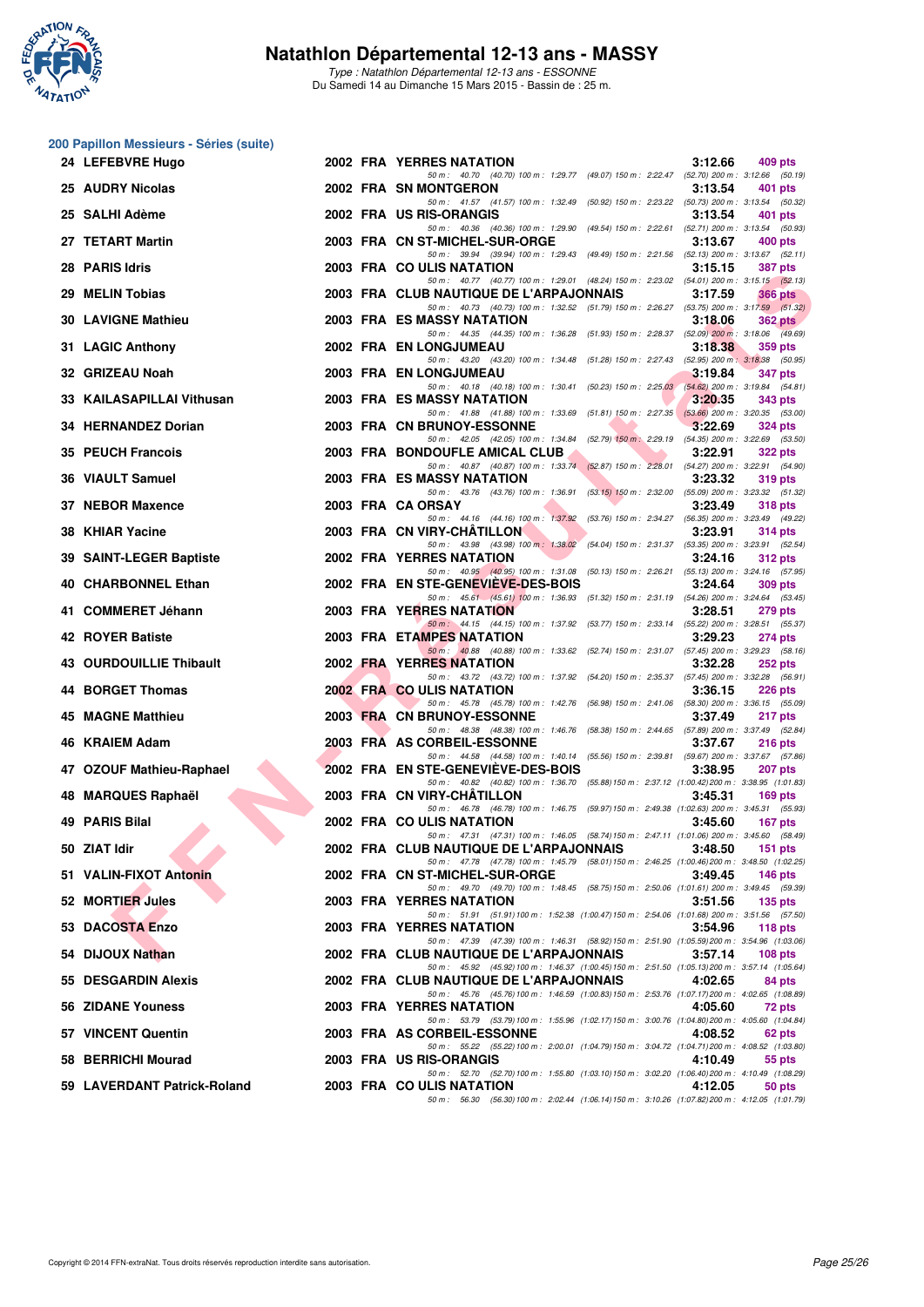

Type : Natathlon Départemental 12-13 ans - ESSONNE Du Samedi 14 au Dimanche 15 Mars 2015 - Bassin de : 25 m.

#### **200 Papillon Messieurs - Séries (suite)**

|    | 24 LEFEBVRE Hugo            |  | 2002 FRA YERRES NATATION                                                                                                                      | 3:12.66 | 409 pts        |
|----|-----------------------------|--|-----------------------------------------------------------------------------------------------------------------------------------------------|---------|----------------|
|    | 25 AUDRY Nicolas            |  | 50 m: 40.70 (40.70) 100 m: 1:29.77 (49.07) 150 m: 2:22.47 (52.70) 200 m: 3:12.66 (50.19)<br>2002 FRA SN MONTGERON                             | 3:13.54 | 401 pts        |
|    | 25 SALHI Adème              |  | 50 m: 41.57 (41.57) 100 m: 1:32.49 (50.92) 150 m: 2:23.22 (50.73) 200 m: 3:13.54 (50.32)<br>2002 FRA US RIS-ORANGIS                           | 3:13.54 | 401 pts        |
|    | 27 TETART Martin            |  | 50 m: 40.36 (40.36) 100 m: 1:29.90 (49.54) 150 m: 2:22.61 (52.71) 200 m: 3:13.54 (50.93)<br>2003 FRA CN ST-MICHEL-SUR-ORGE                    | 3:13.67 | 400 pts        |
|    | 28 PARIS Idris              |  | 50 m: 39.94 (39.94) 100 m: 1:29.43 (49.49) 150 m: 2:21.56 (52.13) 200 m: 3:13.67 (52.11)<br>2003 FRA COULIS NATATION                          | 3:15.15 | 387 pts        |
|    | 29 MELIN Tobias             |  | 50 m: 40.77 (40.77) 100 m: 1:29.01 (48.24) 150 m: 2:23.02 (54.01) 200 m: 3:15.15 (52.13)<br>2003 FRA CLUB NAUTIQUE DE L'ARPAJONNAIS           | 3:17.59 | <b>366 pts</b> |
|    | <b>30 LAVIGNE Mathieu</b>   |  | 50 m: 40.73 (40.73) 100 m: 1:32.52 (51.79) 150 m: 2:26.27 (53.75) 200 m: 3:17.59 (51.32)<br>2003 FRA ES MASSY NATATION                        | 3:18.06 | $362$ pts      |
|    | 31 LAGIC Anthony            |  | 50 m: 44.35 (44.35) 100 m: 1:36.28 (51.93) 150 m: 2:28.37 (52.09) 200 m: 3:18.06 (49.69)<br>2002 FRA EN LONGJUMEAU                            | 3:18.38 | 359 pts        |
|    | 32 GRIZEAU Noah             |  | 50 m: 43.20 (43.20) 100 m: 1:34.48 (51.28) 150 m: 2:27.43 (52.95) 200 m: 3:18.38 (50.95)<br>2003 FRA EN LONGJUMEAU                            | 3:19.84 | 347 pts        |
|    |                             |  | 50 m: 40.18 (40.18) 100 m: 1:30.41 (50.23) 150 m: 2:25.03 (54.62) 200 m: 3:19.84 (54.81)                                                      |         |                |
|    | 33 KAILASAPILLAI Vithusan   |  | 2003 FRA ES MASSY NATATION<br>50 m: 41.88 (41.88) 100 m: 1:33.69 (51.81) 150 m: 2:27.35 (53.66) 200 m: 3:20.35 (53.00)                        | 3:20.35 | 343 pts        |
|    | 34 HERNANDEZ Dorian         |  | 2003 FRA CN BRUNOY-ESSONNE<br>50 m: 42.05 (42.05) 100 m: 1:34.84 (52.79) 150 m: 2:29.19 (54.35) 200 m: 3:22.69 (53.50)                        | 3:22.69 | 324 pts        |
|    | <b>35 PEUCH Francois</b>    |  | 2003 FRA BONDOUFLE AMICAL CLUB<br>50 m: 40.87 (40.87) 100 m: 1:33.74 (52.87) 150 m: 2:28.01 (54.27) 200 m: 3:22.91 (54.90)                    | 3:22.91 | <b>322 pts</b> |
|    | 36 VIAULT Samuel            |  | 2003 FRA ES MASSY NATATION<br>50 m: 43.76 (43.76) 100 m: 1:36.91 (53.15) 150 m: 2:32.00 (55.09) 200 m: 3:23.32 (51.32)                        | 3:23.32 | <b>319 pts</b> |
|    | 37 NEBOR Maxence            |  | 2003 FRA CA ORSAY<br>50 m: 44.16 (44.16) 100 m: 1:37.92 (53.76) 150 m: 2:34.27 (56.35) 200 m: 3:23.49 (49.22)                                 | 3:23.49 | 318 pts        |
|    | 38 KHIAR Yacine             |  | 2003 FRA CN VIRY-CHATILLON<br>50 m: 43.98 (43.98) 100 m: 1:38.02 (54.04) 150 m: 2:31.37 (53.35) 200 m: 3:23.91 (52.54)                        | 3:23.91 | <b>314 pts</b> |
|    | 39 SAINT-LEGER Baptiste     |  | 2002 FRA YERRES NATATION<br>50 m: 40.95 (40.95) 100 m: 1:31.08 (50.13) 150 m: 2:26.21 (55.13) 200 m: 3:24.16 (57.95)                          | 3:24.16 | 312 pts        |
|    | 40 CHARBONNEL Ethan         |  | 2002 FRA EN STE-GENEVIEVE-DES-BOIS                                                                                                            | 3:24.64 | 309 pts        |
|    | 41 COMMERET Jéhann          |  | 50 m: 45.61 (45.61) 100 m: 1:36.93 (51.32) 150 m: 2:31.19 (54.26) 200 m: 3:24.64 (53.45)<br>2003 FRA YERRES NATATION                          | 3:28.51 | <b>279 pts</b> |
|    | <b>42 ROYER Batiste</b>     |  | 50 m: 44.15 (44.15) 100 m: 1:37.92 (53.77) 150 m: 2:33.14 (55.22) 200 m: 3:28.51 (55.37)<br>2003 FRA ETAMPES NATATION                         | 3:29.23 | 274 pts        |
|    | 43 OURDOUILLIE Thibault     |  | 50 m: 40.88 (40.88) 100 m: 1:33.62 (52.74) 150 m: 2:31.07 (57.45) 200 m: 3:29.23 (58.16)<br>2002 FRA YERRES NATATION                          | 3:32.28 | 252 pts        |
|    | 44 BORGET Thomas            |  | 50 m: 43.72 (43.72) 100 m: 1:37.92 (54.20) 150 m: 2:35.37 (57.45) 200 m: 3:32.28 (56.91)<br>2002 FRA COULIS NATATION                          | 3:36.15 | 226 pts        |
| 45 | <b>MAGNE Matthieu</b>       |  | 50 m: 45.78 (45.78) 100 m: 1:42.76 (56.98) 150 m: 2:41.06 (58.30) 200 m: 3:36.15 (55.09)<br>2003 FRA CN BRUNOY-ESSONNE                        | 3:37.49 | 217 pts        |
|    | 46 KRAIEM Adam              |  | 50 m: 48.38 (48.38) 100 m: 1:46.76 (58.38) 150 m: 2:44.65 (57.89) 200 m: 3:37.49 (52.84)<br>2003 FRA AS CORBEIL-ESSONNE                       | 3:37.67 | 216 pts        |
|    | 47 OZOUF Mathieu-Raphael    |  | 50 m: 44.58 (44.58) 100 m: 1:40.14 (55.56) 150 m: 2:39.81 (59.67) 200 m: 3:37.67 (57.86)<br>2002 FRA EN STE-GENEVIEVE-DES-BOIS                | 3:38.95 | 207 pts        |
|    | 48 MARQUES Raphaël          |  | 50 m: 40.82 (40.82) 100 m: 1:36.70 (55.88) 150 m: 2:37.12 (1:00.42) 200 m: 3:38.95 (1:01.83)<br>2003 FRA CN VIRY-CHATILLON                    | 3:45.31 | 169 pts        |
|    | 49 PARIS Bilal              |  | 50 m: 46.78 (46.78) 100 m: 1:46.75 (59.97) 150 m: 2:49.38 (1:02.63) 200 m: 3:45.31 (55.93)<br>2002 FRA COULIS NATATION                        | 3:45.60 |                |
|    |                             |  | 50 m: 47.31 (47.31) 100 m: 1:46.05 (58.74) 150 m: 2:47.11 (1:01.06) 200 m: 3:45.60 (58.49)                                                    |         | 167 pts        |
|    | 50 ZIAT Idir                |  | 2002 FRA CLUB NAUTIQUE DE L'ARPAJONNAIS<br>50 m: 47.78 (47.78) 100 m: 1:45.79 (58.01) 150 m: 2:46.25 (1:00.46) 200 m: 3:48.50 (1:02.25)       | 3:48.50 | <b>151 pts</b> |
|    | 51 VALIN-FIXOT Antonin      |  | 2002 FRA CN ST-MICHEL-SUR-ORGE<br>50 m: 49.70 (49.70) 100 m: 1:48.45 (58.75) 150 m: 2:50.06 (1:01.61) 200 m: 3:49.45 (59.39)                  | 3:49.45 | 146 $pts$      |
|    | 52 MORTIER Jules            |  | 2003 FRA YERRES NATATION<br>50 m: 51.91 (51.91) 100 m: 1:52.38 (1:00.47) 150 m: 2:54.06 (1:01.68) 200 m: 3:51.56 (57.50)                      | 3:51.56 | $135$ pts      |
|    | 53 DACOSTA Enzo             |  | 2003 FRA YERRES NATATION<br>50 m: 47.39 (47.39) 100 m: 1:46.31 (58.92) 150 m: 2:51.90 (1:05.59) 200 m: 3:54.96 (1:03.06)                      | 3:54.96 | 118 $pts$      |
|    | 54 DIJOUX Nathan            |  | 2002 FRA CLUB NAUTIQUE DE L'ARPAJONNAIS<br>50 m: 45.92 (45.92) 100 m: 1:46.37 (1:00.45) 150 m: 2:51.50 (1:05.13) 200 m: 3:57.14 (1:05.64)     | 3:57.14 | $108$ pts      |
|    | 55 DESGARDIN Alexis         |  | 2002 FRA CLUB NAUTIQUE DE L'ARPAJONNAIS<br>50 m : 45.76 (45.76) 100 m : 1:46.59 (1:00.83) 150 m : 2:53.76 (1:07.17) 200 m : 4:02.65 (1:08.89) | 4:02.65 | 84 pts         |
|    | 56 ZIDANE Youness           |  | 2003 FRA YERRES NATATION<br>50 m: 53.79 (53.79) 100 m: 1:55.96 (1:02.17) 150 m: 3:00.76 (1:04.80) 200 m: 4:05.60 (1:04.84)                    | 4:05.60 | 72 pts         |
|    | 57 VINCENT Quentin          |  | 2003 FRA AS CORBEIL-ESSONNE<br>50 m: 55.22 (55.22) 100 m: 2:00.01 (1:04.79) 150 m: 3:04.72 (1:04.71) 200 m: 4:08.52 (1:03.80)                 | 4:08.52 | 62 pts         |
|    | 58 BERRICHI Mourad          |  | 2003 FRA US RIS-ORANGIS                                                                                                                       | 4:10.49 | 55 pts         |
|    | 59 LAVERDANT Patrick-Roland |  | 50 m: 52.70 (52.70) 100 m: 1:55.80 (1:03.10) 150 m: 3:02.20 (1:06.40) 200 m: 4:10.49 (1:08.29)<br>2003 FRA COULIS NATATION                    | 4:12.05 | 50 pts         |
|    |                             |  | 50 m: 56.30 (56.30) 100 m: 2:02.44 (1:06.14) 150 m: 3:10.26 (1:07.82) 200 m: 4:12.05 (1:01.79)                                                |         |                |